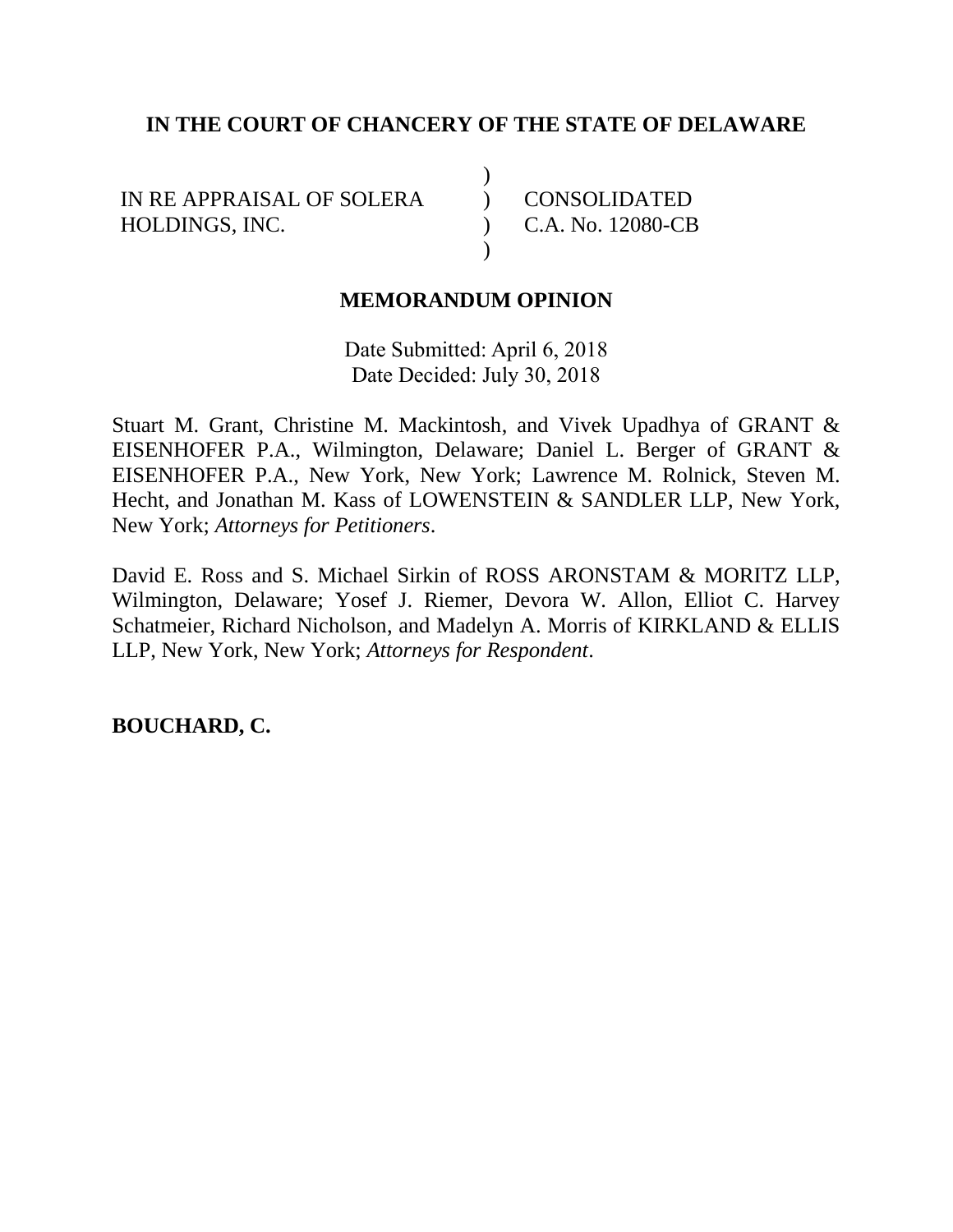## **IN THE COURT OF CHANCERY OF THE STATE OF DELAWARE**

)  $\lambda$ )  $\lambda$ 

IN RE APPRAISAL OF SOLERA HOLDINGS, INC.

CONSOLIDATED C.A. No. 12080-CB

## **MEMORANDUM OPINION**

Date Submitted: April 6, 2018 Date Decided: July 30, 2018

Stuart M. Grant, Christine M. Mackintosh, and Vivek Upadhya of GRANT & EISENHOFER P.A., Wilmington, Delaware; Daniel L. Berger of GRANT & EISENHOFER P.A., New York, New York; Lawrence M. Rolnick, Steven M. Hecht, and Jonathan M. Kass of LOWENSTEIN & SANDLER LLP, New York, New York; *Attorneys for Petitioners*.

David E. Ross and S. Michael Sirkin of ROSS ARONSTAM & MORITZ LLP, Wilmington, Delaware; Yosef J. Riemer, Devora W. Allon, Elliot C. Harvey Schatmeier, Richard Nicholson, and Madelyn A. Morris of KIRKLAND & ELLIS LLP, New York, New York; *Attorneys for Respondent*.

**BOUCHARD, C.**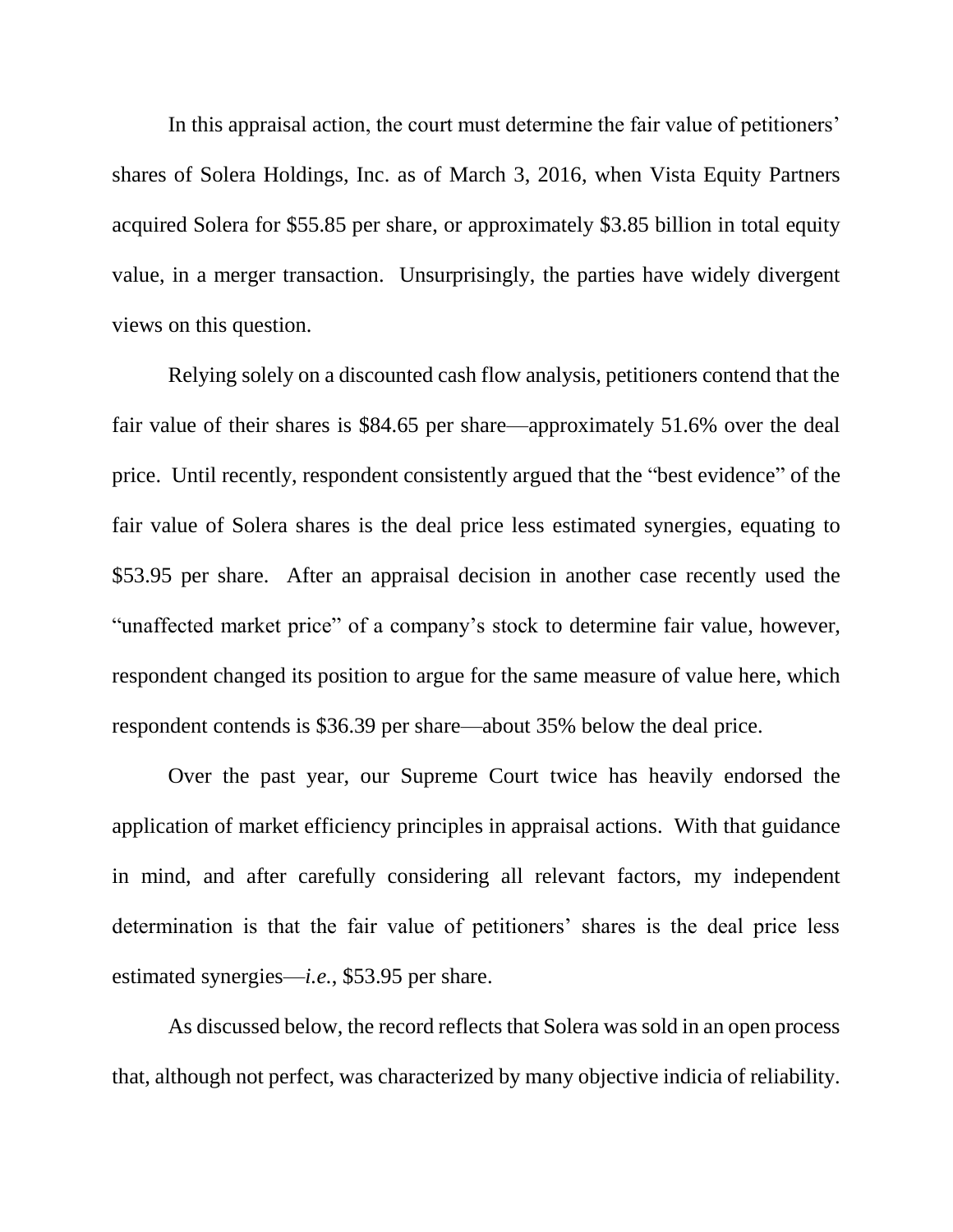In this appraisal action, the court must determine the fair value of petitioners' shares of Solera Holdings, Inc. as of March 3, 2016, when Vista Equity Partners acquired Solera for \$55.85 per share, or approximately \$3.85 billion in total equity value, in a merger transaction. Unsurprisingly, the parties have widely divergent views on this question.

Relying solely on a discounted cash flow analysis, petitioners contend that the fair value of their shares is \$84.65 per share—approximately 51.6% over the deal price. Until recently, respondent consistently argued that the "best evidence" of the fair value of Solera shares is the deal price less estimated synergies, equating to \$53.95 per share. After an appraisal decision in another case recently used the "unaffected market price" of a company's stock to determine fair value, however, respondent changed its position to argue for the same measure of value here, which respondent contends is \$36.39 per share—about 35% below the deal price.

Over the past year, our Supreme Court twice has heavily endorsed the application of market efficiency principles in appraisal actions. With that guidance in mind, and after carefully considering all relevant factors, my independent determination is that the fair value of petitioners' shares is the deal price less estimated synergies—*i.e.*, \$53.95 per share.

As discussed below, the record reflects that Solera was sold in an open process that, although not perfect, was characterized by many objective indicia of reliability.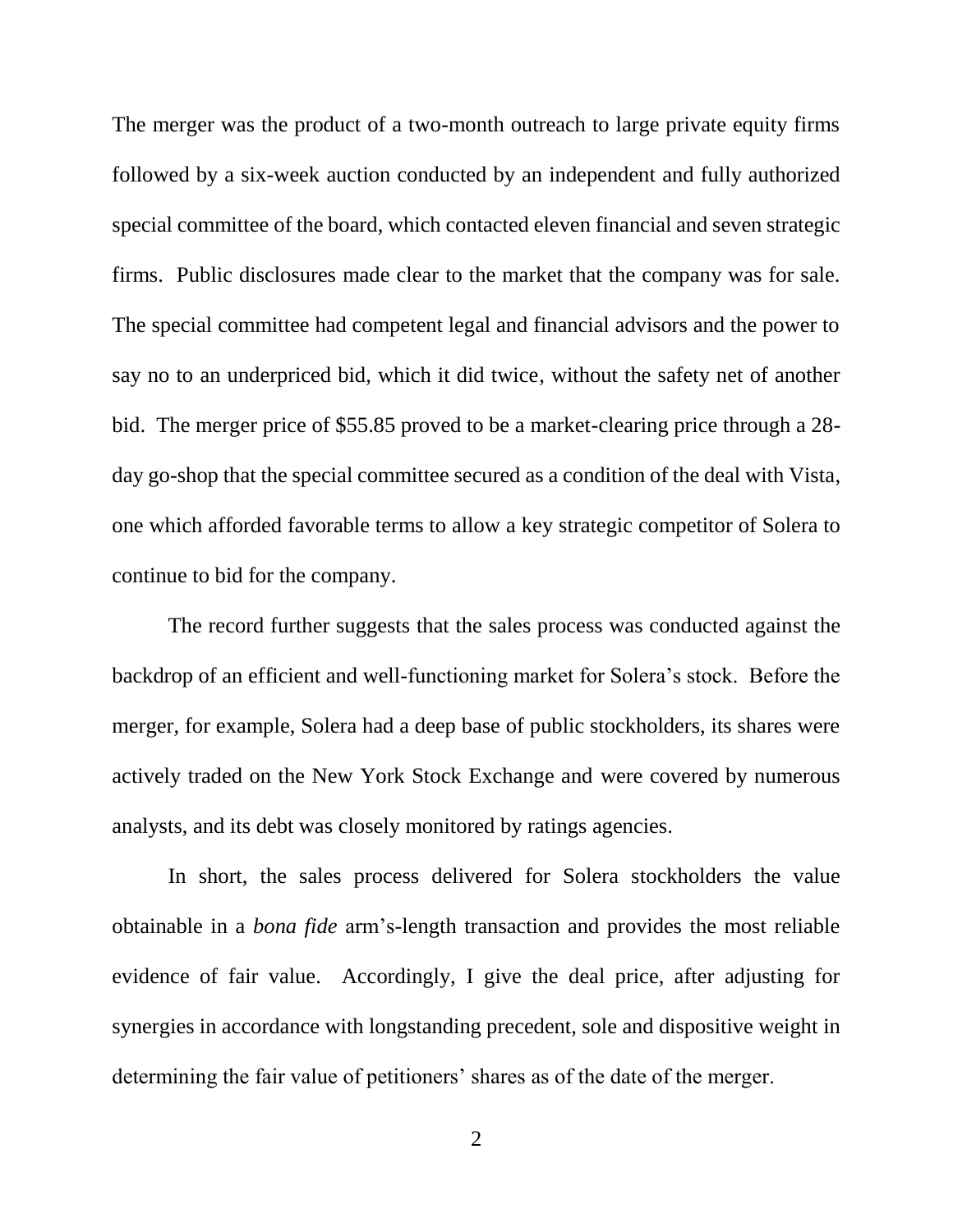The merger was the product of a two-month outreach to large private equity firms followed by a six-week auction conducted by an independent and fully authorized special committee of the board, which contacted eleven financial and seven strategic firms. Public disclosures made clear to the market that the company was for sale. The special committee had competent legal and financial advisors and the power to say no to an underpriced bid, which it did twice, without the safety net of another bid. The merger price of \$55.85 proved to be a market-clearing price through a 28 day go-shop that the special committee secured as a condition of the deal with Vista, one which afforded favorable terms to allow a key strategic competitor of Solera to continue to bid for the company.

The record further suggests that the sales process was conducted against the backdrop of an efficient and well-functioning market for Solera's stock. Before the merger, for example, Solera had a deep base of public stockholders, its shares were actively traded on the New York Stock Exchange and were covered by numerous analysts, and its debt was closely monitored by ratings agencies.

In short, the sales process delivered for Solera stockholders the value obtainable in a *bona fide* arm's-length transaction and provides the most reliable evidence of fair value. Accordingly, I give the deal price, after adjusting for synergies in accordance with longstanding precedent, sole and dispositive weight in determining the fair value of petitioners' shares as of the date of the merger.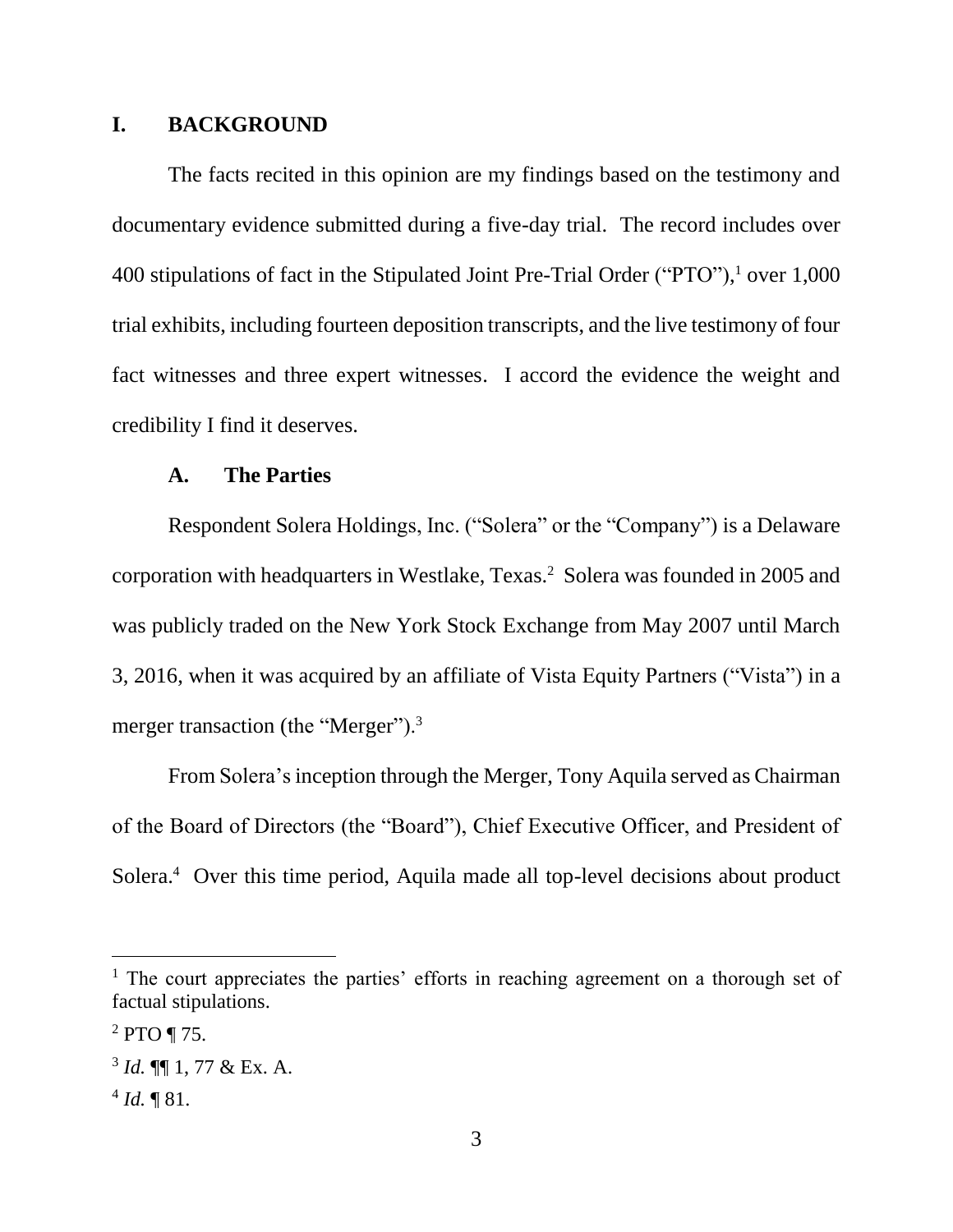## **I. BACKGROUND**

The facts recited in this opinion are my findings based on the testimony and documentary evidence submitted during a five-day trial. The record includes over 400 stipulations of fact in the Stipulated Joint Pre-Trial Order ("PTO"), <sup>1</sup> over 1,000 trial exhibits, including fourteen deposition transcripts, and the live testimony of four fact witnesses and three expert witnesses. I accord the evidence the weight and credibility I find it deserves.

#### **A. The Parties**

Respondent Solera Holdings, Inc. ("Solera" or the "Company") is a Delaware corporation with headquarters in Westlake, Texas.<sup>2</sup> Solera was founded in 2005 and was publicly traded on the New York Stock Exchange from May 2007 until March 3, 2016, when it was acquired by an affiliate of Vista Equity Partners ("Vista") in a merger transaction (the "Merger").<sup>3</sup>

From Solera's inception through the Merger, Tony Aquila served as Chairman of the Board of Directors (the "Board"), Chief Executive Officer, and President of Solera.<sup>4</sup> Over this time period, Aquila made all top-level decisions about product

 $<sup>1</sup>$  The court appreciates the parties' efforts in reaching agreement on a thorough set of</sup> factual stipulations.

 $2$  PTO ¶ 75.

<sup>3</sup> *Id.* ¶¶ 1, 77 & Ex. A.

 $4$  *Id.*  $\sqrt{\phantom{a}}$  81.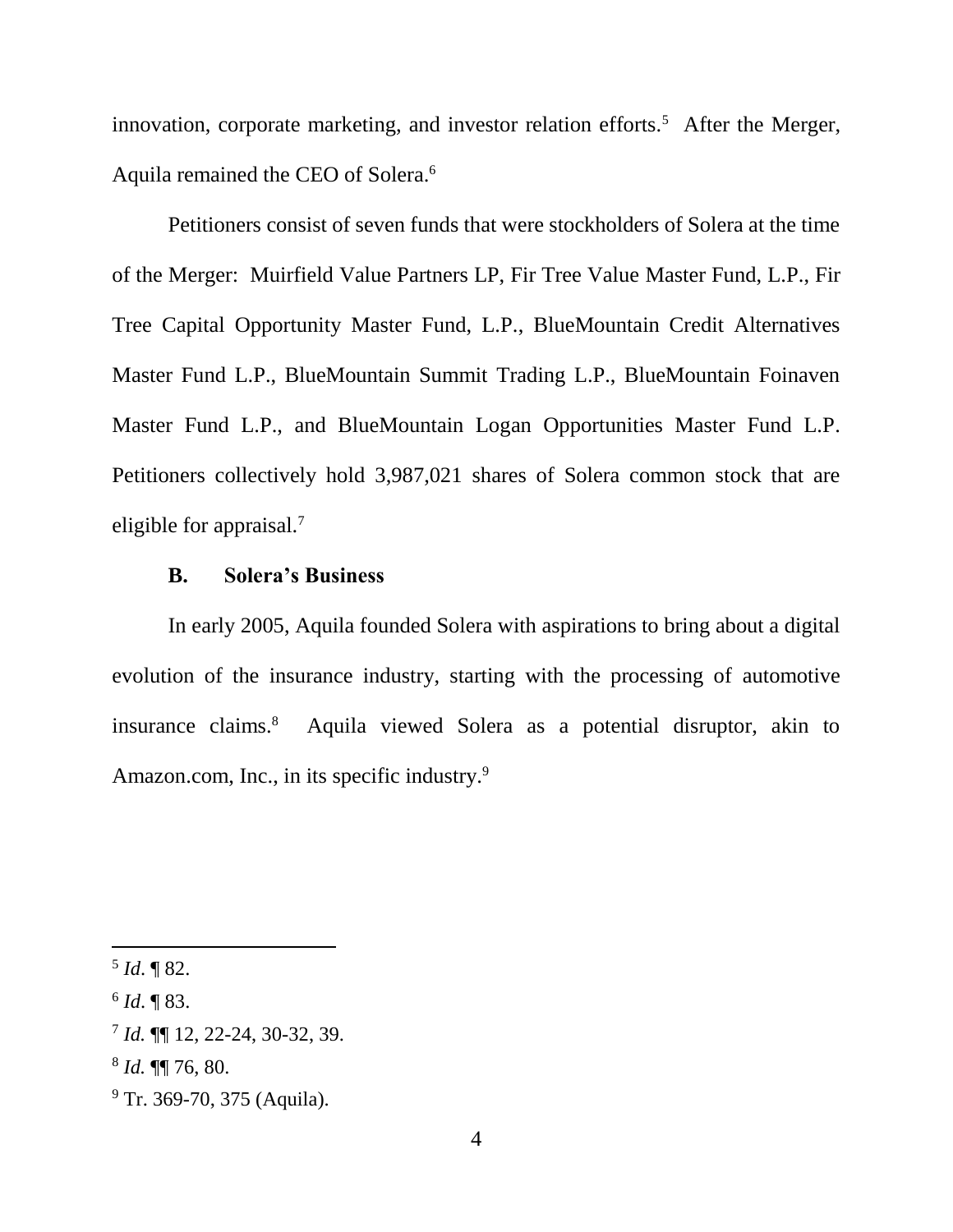innovation, corporate marketing, and investor relation efforts.<sup>5</sup> After the Merger, Aquila remained the CEO of Solera.<sup>6</sup>

Petitioners consist of seven funds that were stockholders of Solera at the time of the Merger: Muirfield Value Partners LP, Fir Tree Value Master Fund, L.P., Fir Tree Capital Opportunity Master Fund, L.P., BlueMountain Credit Alternatives Master Fund L.P., BlueMountain Summit Trading L.P., BlueMountain Foinaven Master Fund L.P., and BlueMountain Logan Opportunities Master Fund L.P. Petitioners collectively hold 3,987,021 shares of Solera common stock that are eligible for appraisal.<sup>7</sup>

### **B. Solera's Business**

In early 2005, Aquila founded Solera with aspirations to bring about a digital evolution of the insurance industry, starting with the processing of automotive insurance claims.<sup>8</sup> Aquila viewed Solera as a potential disruptor, akin to Amazon.com, Inc., in its specific industry.<sup>9</sup>

l

<sup>9</sup> Tr. 369-70, 375 (Aquila).

<sup>5</sup> *Id*. ¶ 82.

<sup>6</sup> *Id*. ¶ 83.

<sup>7</sup> *Id.* ¶¶ 12, 22-24, 30-32, 39.

<sup>8</sup> *Id.* ¶¶ 76, 80.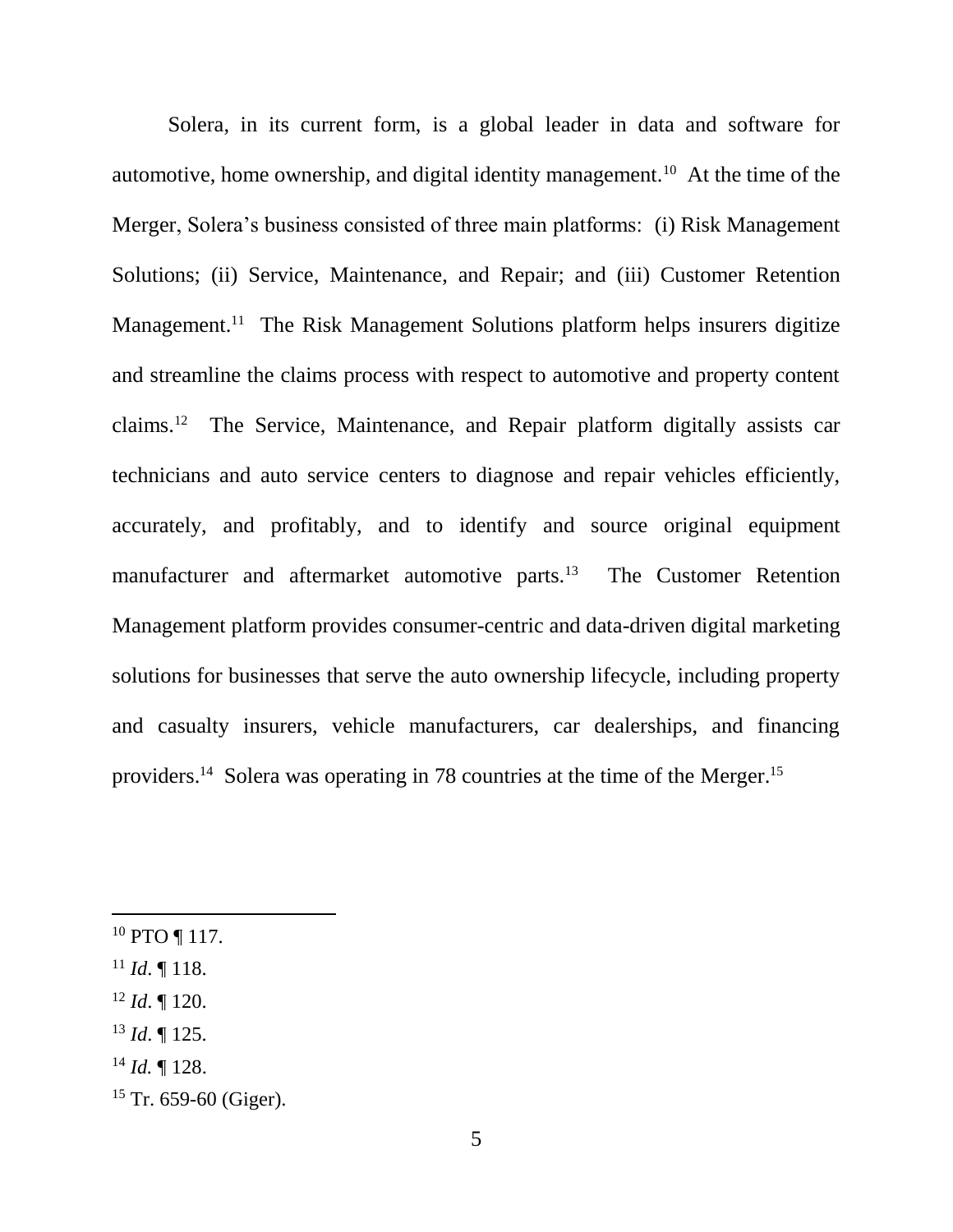Solera, in its current form, is a global leader in data and software for automotive, home ownership, and digital identity management.<sup>10</sup> At the time of the Merger, Solera's business consisted of three main platforms: (i) Risk Management Solutions; (ii) Service, Maintenance, and Repair; and (iii) Customer Retention Management.<sup>11</sup> The Risk Management Solutions platform helps insurers digitize and streamline the claims process with respect to automotive and property content claims.<sup>12</sup> The Service, Maintenance, and Repair platform digitally assists car technicians and auto service centers to diagnose and repair vehicles efficiently, accurately, and profitably, and to identify and source original equipment manufacturer and aftermarket automotive parts.<sup>13</sup> The Customer Retention Management platform provides consumer-centric and data-driven digital marketing solutions for businesses that serve the auto ownership lifecycle, including property and casualty insurers, vehicle manufacturers, car dealerships, and financing providers.<sup>14</sup> Solera was operating in 78 countries at the time of the Merger.<sup>15</sup>

- <sup>10</sup> PTO ¶ 117.
- $11$  *Id.* 118.

- <sup>12</sup> *Id*. ¶ 120.
- <sup>13</sup> *Id*. ¶ 125.
- <sup>14</sup> *Id.* ¶ 128.
- $15$  Tr. 659-60 (Giger).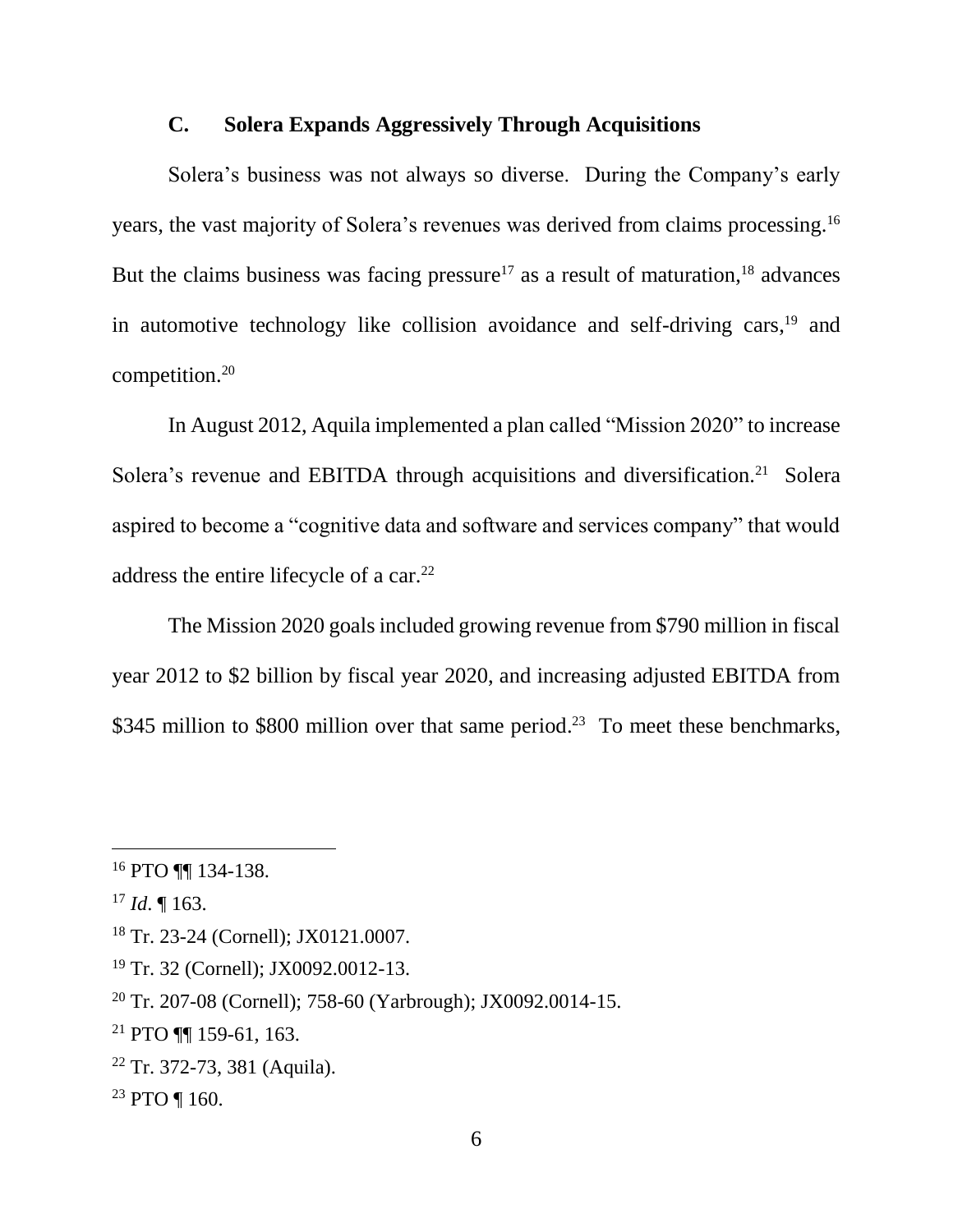## **C. Solera Expands Aggressively Through Acquisitions**

Solera's business was not always so diverse. During the Company's early years, the vast majority of Solera's revenues was derived from claims processing.<sup>16</sup> But the claims business was facing pressure<sup>17</sup> as a result of maturation,<sup>18</sup> advances in automotive technology like collision avoidance and self-driving cars,<sup>19</sup> and competition.<sup>20</sup>

In August 2012, Aquila implemented a plan called "Mission 2020" to increase Solera's revenue and EBITDA through acquisitions and diversification.<sup>21</sup> Solera aspired to become a "cognitive data and software and services company" that would address the entire lifecycle of a car.<sup>22</sup>

The Mission 2020 goals included growing revenue from \$790 million in fiscal year 2012 to \$2 billion by fiscal year 2020, and increasing adjusted EBITDA from \$345 million to \$800 million over that same period.<sup>23</sup> To meet these benchmarks,

<sup>16</sup> PTO ¶¶ 134-138.

<sup>17</sup> *Id*. ¶ 163.

<sup>18</sup> Tr. 23-24 (Cornell); JX0121.0007.

<sup>19</sup> Tr. 32 (Cornell); JX0092.0012-13.

<sup>20</sup> Tr. 207-08 (Cornell); 758-60 (Yarbrough); JX0092.0014-15.

<sup>21</sup> PTO ¶¶ 159-61, 163.

<sup>22</sup> Tr. 372-73, 381 (Aquila).

<sup>23</sup> PTO ¶ 160.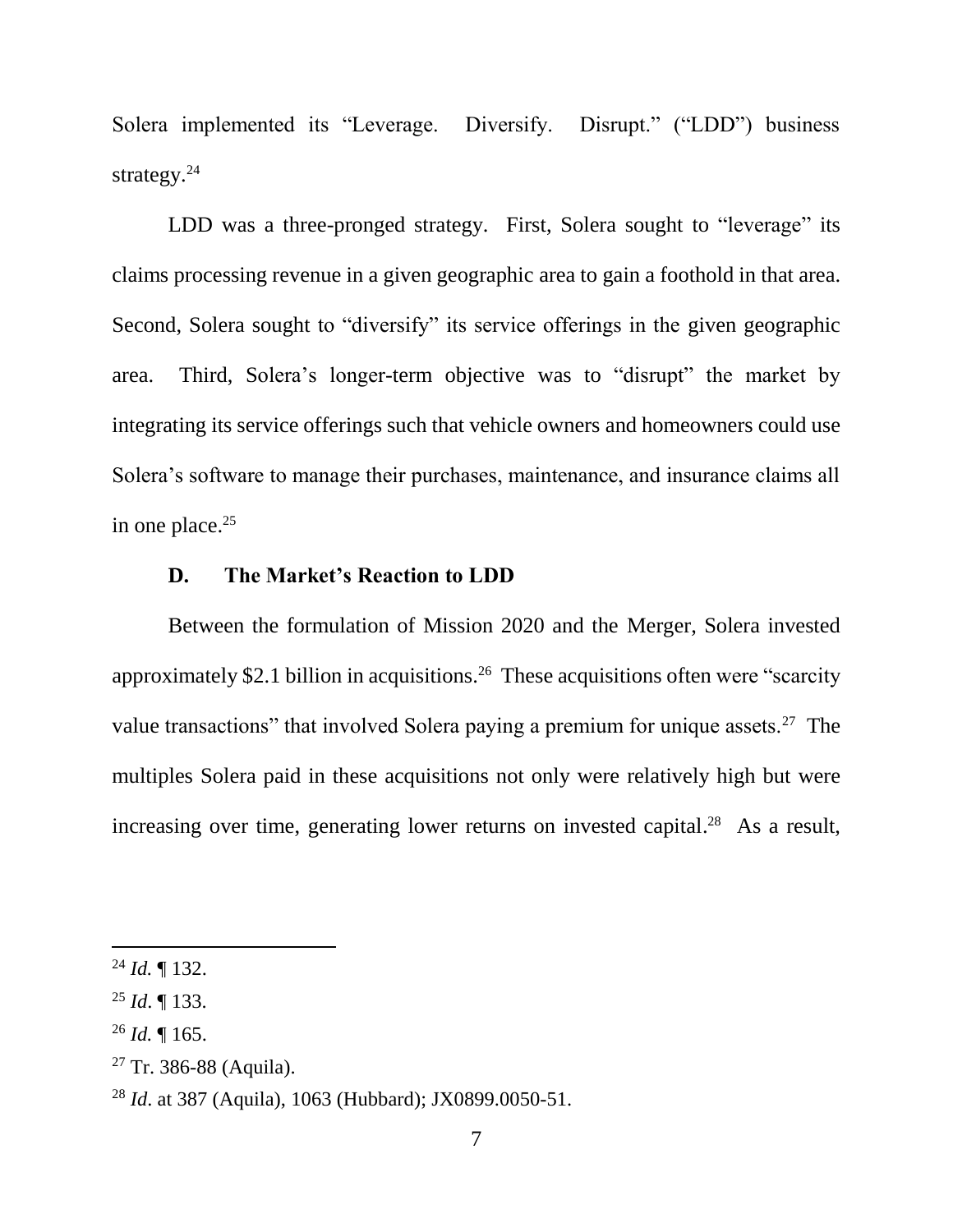Solera implemented its "Leverage. Diversify. Disrupt." ("LDD") business strategy. $24$ 

LDD was a three-pronged strategy. First, Solera sought to "leverage" its claims processing revenue in a given geographic area to gain a foothold in that area. Second, Solera sought to "diversify" its service offerings in the given geographic area. Third, Solera's longer-term objective was to "disrupt" the market by integrating its service offerings such that vehicle owners and homeowners could use Solera's software to manage their purchases, maintenance, and insurance claims all in one place.<sup>25</sup>

## **D. The Market's Reaction to LDD**

Between the formulation of Mission 2020 and the Merger, Solera invested approximately \$2.1 billion in acquisitions.<sup>26</sup> These acquisitions often were "scarcity value transactions" that involved Solera paying a premium for unique assets.<sup>27</sup> The multiples Solera paid in these acquisitions not only were relatively high but were increasing over time, generating lower returns on invested capital.<sup>28</sup> As a result,

l

<sup>26</sup> *Id.* ¶ 165.

 $^{24}$  *Id.*  $\blacksquare$  132.

<sup>25</sup> *Id*. ¶ 133.

 $27$  Tr. 386-88 (Aquila).

<sup>28</sup> *Id*. at 387 (Aquila), 1063 (Hubbard); JX0899.0050-51.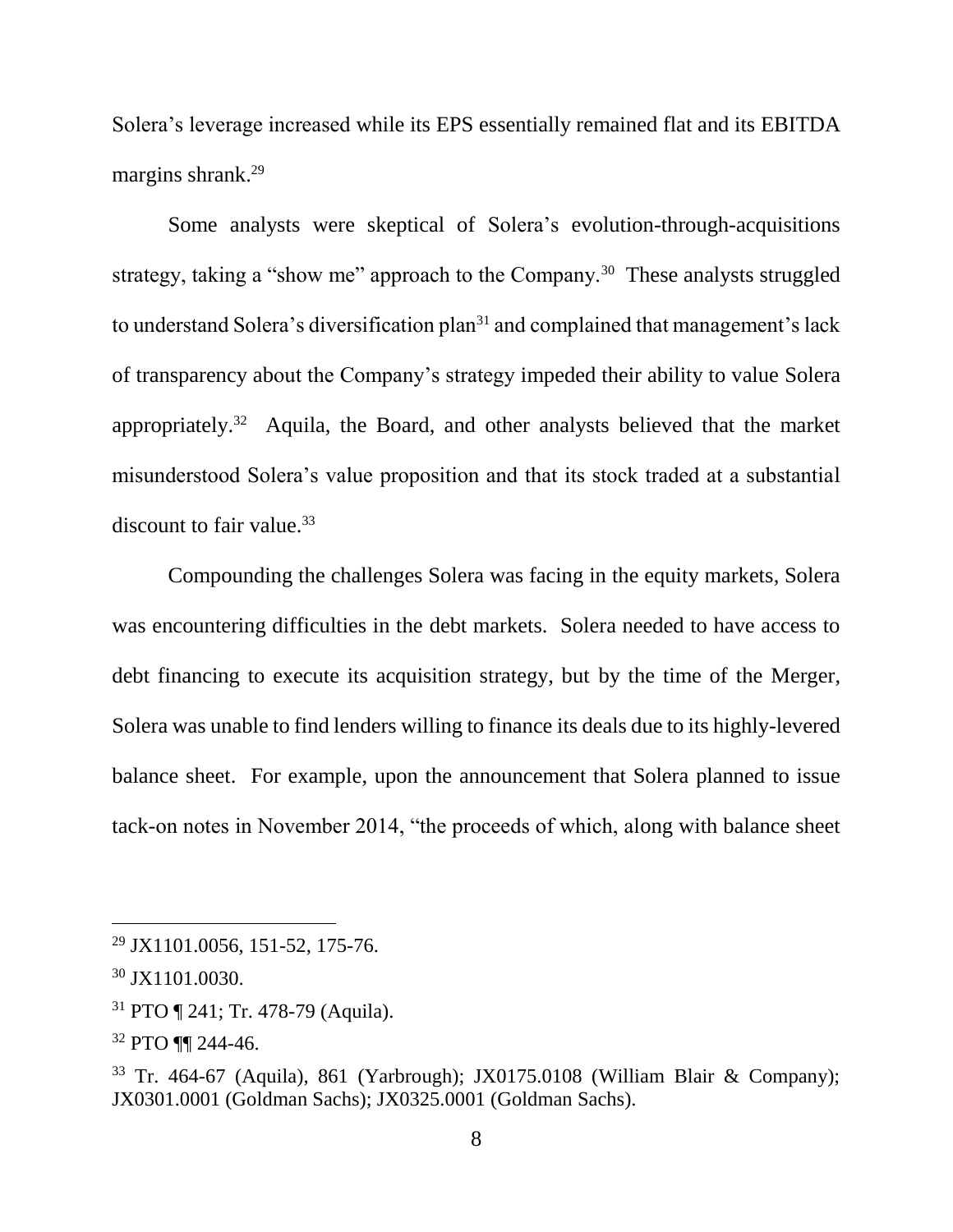Solera's leverage increased while its EPS essentially remained flat and its EBITDA margins shrank.<sup>29</sup>

Some analysts were skeptical of Solera's evolution-through-acquisitions strategy, taking a "show me" approach to the Company.<sup>30</sup> These analysts struggled to understand Solera's diversification plan<sup>31</sup> and complained that management's lack of transparency about the Company's strategy impeded their ability to value Solera appropriately.<sup>32</sup> Aquila, the Board, and other analysts believed that the market misunderstood Solera's value proposition and that its stock traded at a substantial discount to fair value.<sup>33</sup>

Compounding the challenges Solera was facing in the equity markets, Solera was encountering difficulties in the debt markets. Solera needed to have access to debt financing to execute its acquisition strategy, but by the time of the Merger, Solera was unable to find lenders willing to finance its deals due to its highly-levered balance sheet. For example, upon the announcement that Solera planned to issue tack-on notes in November 2014, "the proceeds of which, along with balance sheet

<sup>29</sup> JX1101.0056, 151-52, 175-76.

<sup>30</sup> JX1101.0030.

<sup>31</sup> PTO ¶ 241; Tr. 478-79 (Aquila).

<sup>32</sup> PTO ¶¶ 244-46.

<sup>33</sup> Tr. 464-67 (Aquila), 861 (Yarbrough); JX0175.0108 (William Blair & Company); JX0301.0001 (Goldman Sachs); JX0325.0001 (Goldman Sachs).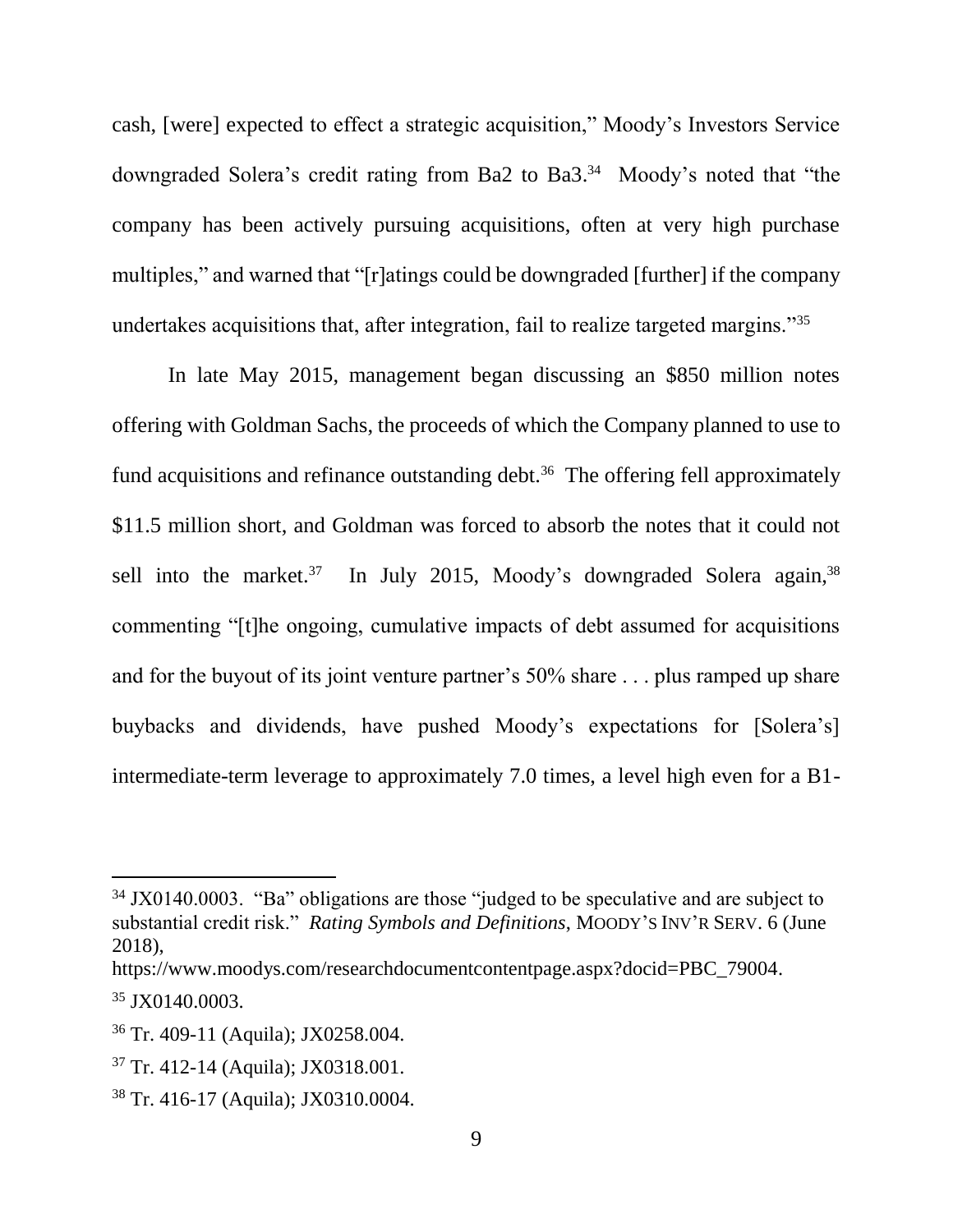cash, [were] expected to effect a strategic acquisition," Moody's Investors Service downgraded Solera's credit rating from Ba2 to Ba3. 34 Moody's noted that "the company has been actively pursuing acquisitions, often at very high purchase multiples," and warned that "[r]atings could be downgraded [further] if the company undertakes acquisitions that, after integration, fail to realize targeted margins."<sup>35</sup>

In late May 2015, management began discussing an \$850 million notes offering with Goldman Sachs, the proceeds of which the Company planned to use to fund acquisitions and refinance outstanding debt.<sup>36</sup> The offering fell approximately \$11.5 million short, and Goldman was forced to absorb the notes that it could not sell into the market.<sup>37</sup> In July 2015, Moody's downgraded Solera again,<sup>38</sup> commenting "[t]he ongoing, cumulative impacts of debt assumed for acquisitions and for the buyout of its joint venture partner's 50% share . . . plus ramped up share buybacks and dividends, have pushed Moody's expectations for [Solera's] intermediate-term leverage to approximately 7.0 times, a level high even for a B1-

<sup>&</sup>lt;sup>34</sup> JX0140.0003. "Ba" obligations are those "judged to be speculative and are subject to substantial credit risk." *Rating Symbols and Definitions*, MOODY'S INV'R SERV. 6 (June 2018),

https://www.moodys.com/researchdocumentcontentpage.aspx?docid=PBC\_79004.

<sup>35</sup> JX0140.0003.

<sup>36</sup> Tr. 409-11 (Aquila); JX0258.004.

<sup>37</sup> Tr. 412-14 (Aquila); JX0318.001.

<sup>38</sup> Tr. 416-17 (Aquila); JX0310.0004.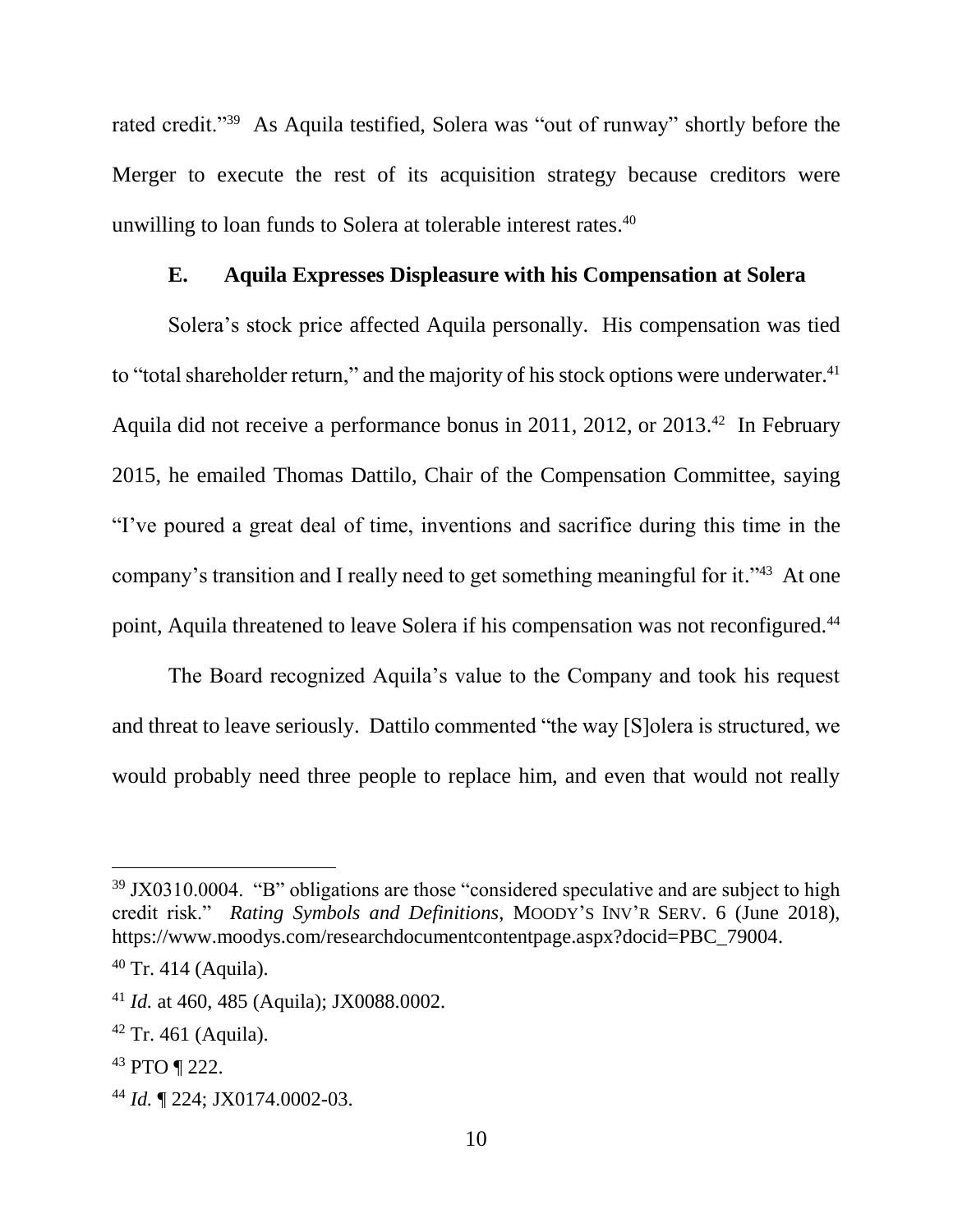rated credit."<sup>39</sup> As Aquila testified, Solera was "out of runway" shortly before the Merger to execute the rest of its acquisition strategy because creditors were unwilling to loan funds to Solera at tolerable interest rates. 40

## **E. Aquila Expresses Displeasure with his Compensation at Solera**

Solera's stock price affected Aquila personally. His compensation was tied to "total shareholder return," and the majority of his stock options were underwater.<sup>41</sup> Aquila did not receive a performance bonus in 2011, 2012, or 2013. <sup>42</sup> In February 2015, he emailed Thomas Dattilo, Chair of the Compensation Committee, saying "I've poured a great deal of time, inventions and sacrifice during this time in the company's transition and I really need to get something meaningful for it."<sup>43</sup> At one point, Aquila threatened to leave Solera if his compensation was not reconfigured.<sup>44</sup>

The Board recognized Aquila's value to the Company and took his request and threat to leave seriously. Dattilo commented "the way [S]olera is structured, we would probably need three people to replace him, and even that would not really

 $39$  JX0310.0004. "B" obligations are those "considered speculative and are subject to high credit risk." *Rating Symbols and Definitions*, MOODY'S INV'R SERV. 6 (June 2018), https://www.moodys.com/researchdocumentcontentpage.aspx?docid=PBC\_79004.

 $40$  Tr. 414 (Aquila).

<sup>41</sup> *Id.* at 460, 485 (Aquila); JX0088.0002.

 $42$  Tr. 461 (Aquila).

<sup>43</sup> PTO ¶ 222.

<sup>44</sup> *Id.* ¶ 224; JX0174.0002-03.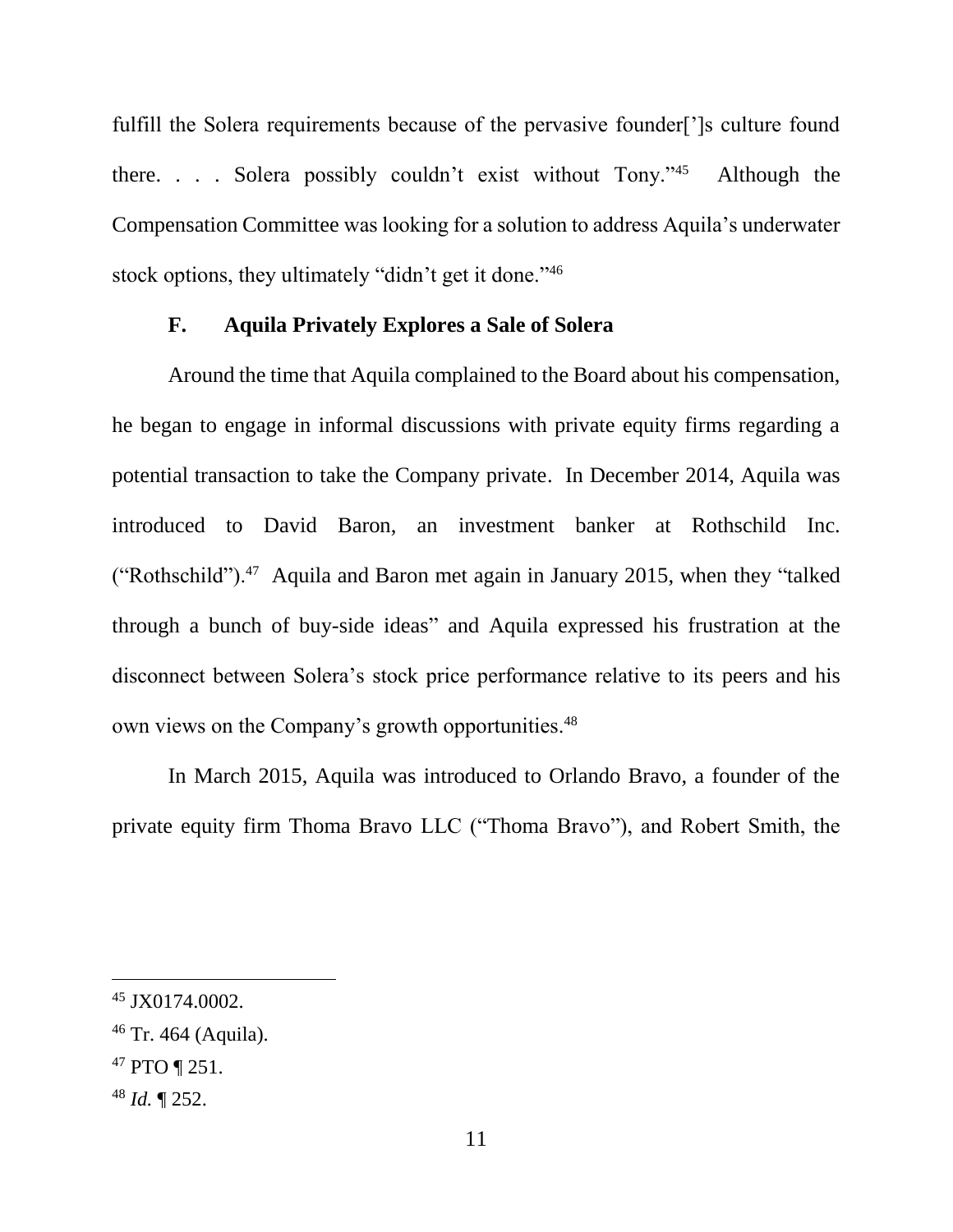fulfill the Solera requirements because of the pervasive founder[']s culture found there. . . . Solera possibly couldn't exist without Tony."<sup>45</sup> Although the Compensation Committee was looking for a solution to address Aquila's underwater stock options, they ultimately "didn't get it done."<sup>46</sup>

#### **F. Aquila Privately Explores a Sale of Solera**

Around the time that Aquila complained to the Board about his compensation, he began to engage in informal discussions with private equity firms regarding a potential transaction to take the Company private. In December 2014, Aquila was introduced to David Baron, an investment banker at Rothschild Inc. ("Rothschild").<sup>47</sup> Aquila and Baron met again in January 2015, when they "talked through a bunch of buy-side ideas" and Aquila expressed his frustration at the disconnect between Solera's stock price performance relative to its peers and his own views on the Company's growth opportunities.<sup>48</sup>

In March 2015, Aquila was introduced to Orlando Bravo, a founder of the private equity firm Thoma Bravo LLC ("Thoma Bravo"), and Robert Smith, the

<sup>45</sup> JX0174.0002.

 $46$  Tr. 464 (Aquila).

<sup>47</sup> PTO ¶ 251.

<sup>48</sup> *Id.* ¶ 252.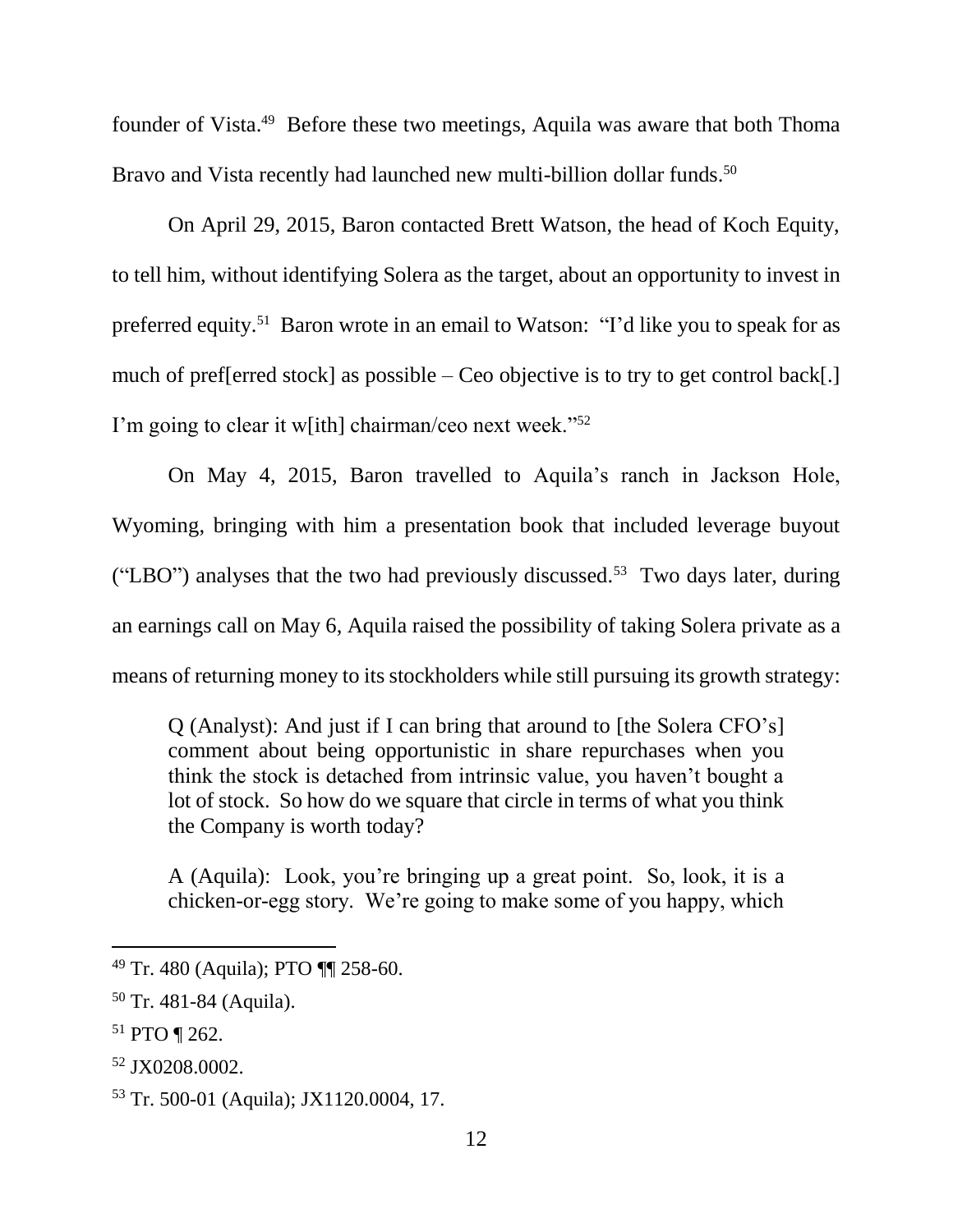founder of Vista.<sup>49</sup> Before these two meetings, Aquila was aware that both Thoma Bravo and Vista recently had launched new multi-billion dollar funds.<sup>50</sup>

On April 29, 2015, Baron contacted Brett Watson, the head of Koch Equity, to tell him, without identifying Solera as the target, about an opportunity to invest in preferred equity.<sup>51</sup> Baron wrote in an email to Watson: "I'd like you to speak for as much of pref[erred stock] as possible – Ceo objective is to try to get control back[.] I'm going to clear it w[ith] chairman/ceo next week."<sup>52</sup>

On May 4, 2015, Baron travelled to Aquila's ranch in Jackson Hole, Wyoming, bringing with him a presentation book that included leverage buyout ("LBO") analyses that the two had previously discussed.<sup>53</sup> Two days later, during an earnings call on May 6, Aquila raised the possibility of taking Solera private as a means of returning money to its stockholders while still pursuing its growth strategy:

Q (Analyst): And just if I can bring that around to [the Solera CFO's] comment about being opportunistic in share repurchases when you think the stock is detached from intrinsic value, you haven't bought a lot of stock. So how do we square that circle in terms of what you think the Company is worth today?

A (Aquila): Look, you're bringing up a great point. So, look, it is a chicken-or-egg story. We're going to make some of you happy, which

<sup>&</sup>lt;sup>49</sup> Tr. 480 (Aquila); PTO  $\P\P$  258-60.

 $50$  Tr. 481-84 (Aquila).

<sup>51</sup> PTO ¶ 262.

<sup>52</sup> JX0208.0002.

<sup>53</sup> Tr. 500-01 (Aquila); JX1120.0004, 17.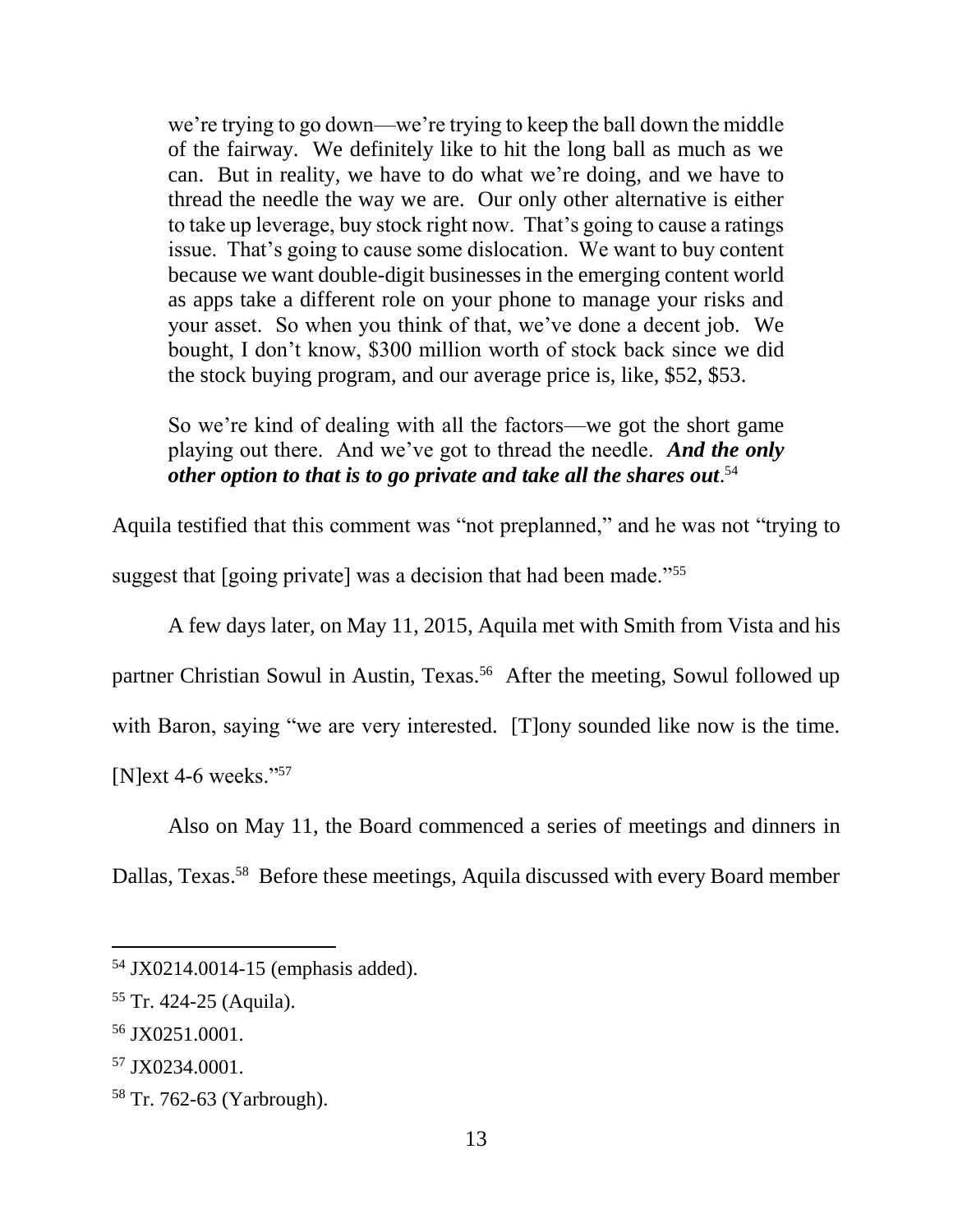we're trying to go down—we're trying to keep the ball down the middle of the fairway. We definitely like to hit the long ball as much as we can. But in reality, we have to do what we're doing, and we have to thread the needle the way we are. Our only other alternative is either to take up leverage, buy stock right now. That's going to cause a ratings issue. That's going to cause some dislocation. We want to buy content because we want double-digit businesses in the emerging content world as apps take a different role on your phone to manage your risks and your asset. So when you think of that, we've done a decent job. We bought, I don't know, \$300 million worth of stock back since we did the stock buying program, and our average price is, like, \$52, \$53.

So we're kind of dealing with all the factors—we got the short game playing out there. And we've got to thread the needle. *And the only other option to that is to go private and take all the shares out*. 54

Aquila testified that this comment was "not preplanned," and he was not "trying to suggest that [going private] was a decision that had been made."<sup>55</sup>

A few days later, on May 11, 2015, Aquila met with Smith from Vista and his partner Christian Sowul in Austin, Texas. 56 After the meeting, Sowul followed up with Baron, saying "we are very interested. [T]ony sounded like now is the time. [N]ext 4-6 weeks."<sup>57</sup>

Also on May 11, the Board commenced a series of meetings and dinners in

Dallas, Texas. 58 Before these meetings, Aquila discussed with every Board member

<sup>54</sup> JX0214.0014-15 (emphasis added).

<sup>55</sup> Tr. 424-25 (Aquila).

<sup>56</sup> JX0251.0001.

<sup>57</sup> JX0234.0001.

<sup>58</sup> Tr. 762-63 (Yarbrough).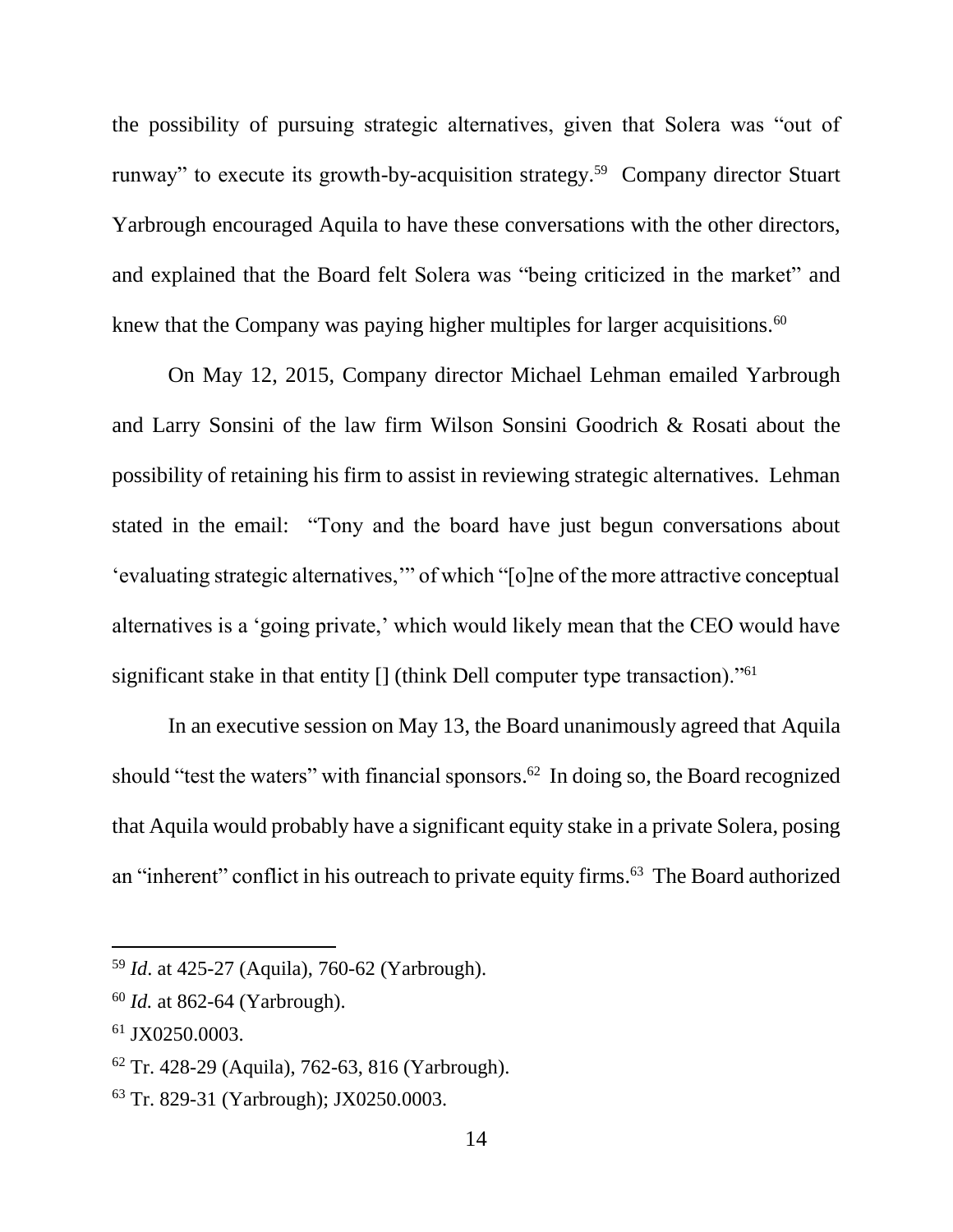the possibility of pursuing strategic alternatives, given that Solera was "out of runway" to execute its growth-by-acquisition strategy. 59 Company director Stuart Yarbrough encouraged Aquila to have these conversations with the other directors, and explained that the Board felt Solera was "being criticized in the market" and knew that the Company was paying higher multiples for larger acquisitions.<sup>60</sup>

On May 12, 2015, Company director Michael Lehman emailed Yarbrough and Larry Sonsini of the law firm Wilson Sonsini Goodrich & Rosati about the possibility of retaining his firm to assist in reviewing strategic alternatives. Lehman stated in the email: "Tony and the board have just begun conversations about 'evaluating strategic alternatives,'" of which "[o]ne of the more attractive conceptual alternatives is a 'going private,' which would likely mean that the CEO would have significant stake in that entity [] (think Dell computer type transaction)."<sup>61</sup>

In an executive session on May 13, the Board unanimously agreed that Aquila should "test the waters" with financial sponsors. <sup>62</sup> In doing so, the Board recognized that Aquila would probably have a significant equity stake in a private Solera, posing an "inherent" conflict in his outreach to private equity firms. 63 The Board authorized

<sup>59</sup> *Id*. at 425-27 (Aquila), 760-62 (Yarbrough).

<sup>60</sup> *Id.* at 862-64 (Yarbrough).

<sup>61</sup> JX0250.0003.

<sup>62</sup> Tr. 428-29 (Aquila), 762-63, 816 (Yarbrough).

<sup>63</sup> Tr. 829-31 (Yarbrough); JX0250.0003.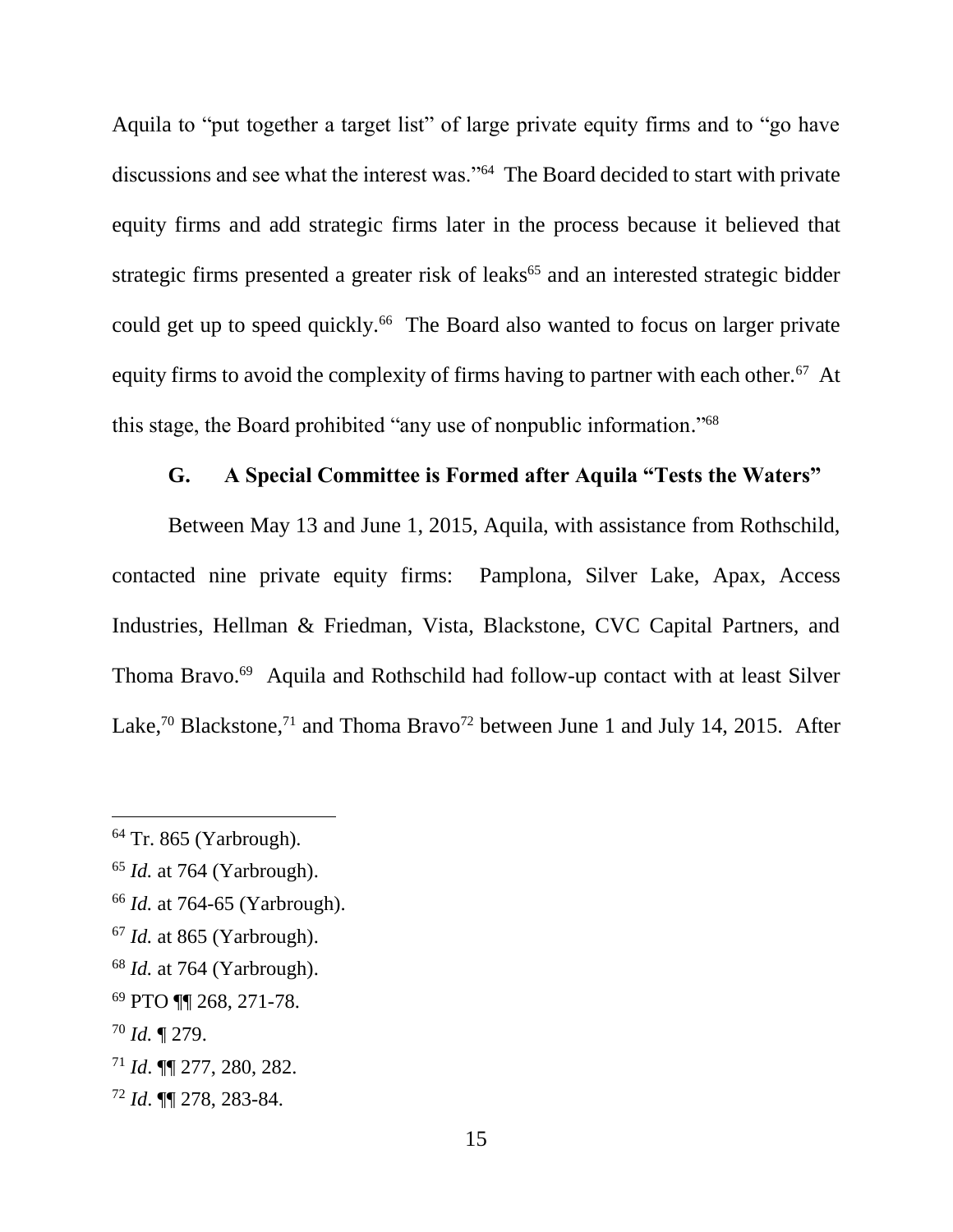Aquila to "put together a target list" of large private equity firms and to "go have discussions and see what the interest was."<sup>64</sup> The Board decided to start with private equity firms and add strategic firms later in the process because it believed that strategic firms presented a greater risk of leaks<sup>65</sup> and an interested strategic bidder could get up to speed quickly.<sup>66</sup> The Board also wanted to focus on larger private equity firms to avoid the complexity of firms having to partner with each other.<sup>67</sup> At this stage, the Board prohibited "any use of nonpublic information." 68

# **G. A Special Committee is Formed after Aquila "Tests the Waters"**

Between May 13 and June 1, 2015, Aquila, with assistance from Rothschild, contacted nine private equity firms: Pamplona, Silver Lake, Apax, Access Industries, Hellman & Friedman, Vista, Blackstone, CVC Capital Partners, and Thoma Bravo.<sup>69</sup> Aquila and Rothschild had follow-up contact with at least Silver Lake,<sup>70</sup> Blackstone,<sup>71</sup> and Thoma Bravo<sup>72</sup> between June 1 and July 14, 2015. After

- <sup>66</sup> *Id.* at 764-65 (Yarbrough).
- <sup>67</sup> *Id.* at 865 (Yarbrough).
- <sup>68</sup> *Id.* at 764 (Yarbrough).

 $\overline{a}$ 

<sup>72</sup> *Id*. ¶¶ 278, 283-84.

<sup>64</sup> Tr. 865 (Yarbrough).

<sup>65</sup> *Id.* at 764 (Yarbrough).

<sup>69</sup> PTO ¶¶ 268, 271-78.

<sup>70</sup> *Id.* ¶ 279.

<sup>71</sup> *Id*. ¶¶ 277, 280, 282.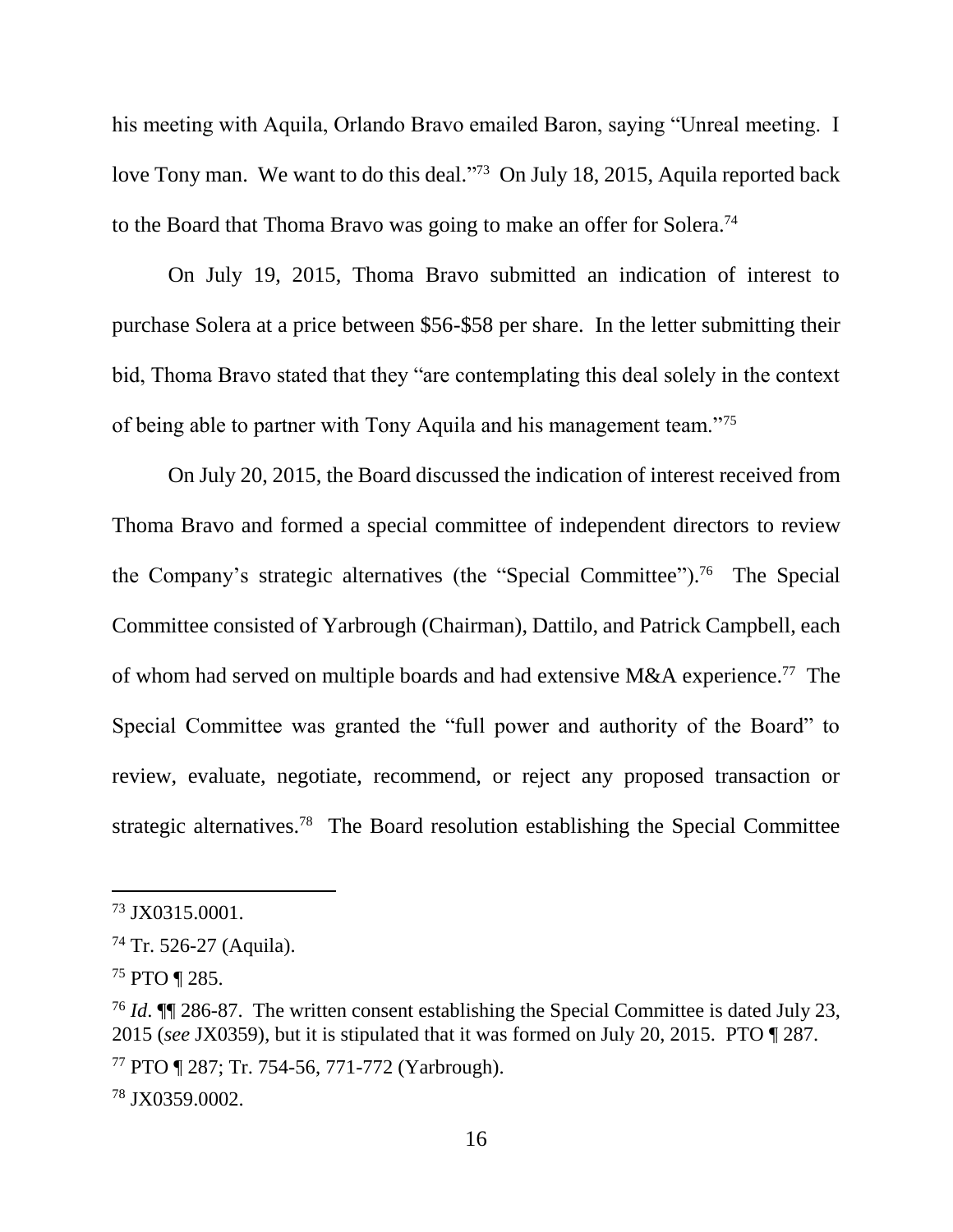his meeting with Aquila, Orlando Bravo emailed Baron, saying "Unreal meeting. I love Tony man. We want to do this deal."<sup>73</sup> On July 18, 2015, Aquila reported back to the Board that Thoma Bravo was going to make an offer for Solera.<sup>74</sup>

On July 19, 2015, Thoma Bravo submitted an indication of interest to purchase Solera at a price between \$56-\$58 per share. In the letter submitting their bid, Thoma Bravo stated that they "are contemplating this deal solely in the context of being able to partner with Tony Aquila and his management team."<sup>75</sup>

On July 20, 2015, the Board discussed the indication of interest received from Thoma Bravo and formed a special committee of independent directors to review the Company's strategic alternatives (the "Special Committee"). 76 The Special Committee consisted of Yarbrough (Chairman), Dattilo, and Patrick Campbell, each of whom had served on multiple boards and had extensive M&A experience.<sup>77</sup> The Special Committee was granted the "full power and authority of the Board" to review, evaluate, negotiate, recommend, or reject any proposed transaction or strategic alternatives.<sup>78</sup> The Board resolution establishing the Special Committee

<sup>73</sup> JX0315.0001.

<sup>74</sup> Tr. 526-27 (Aquila).

<sup>75</sup> PTO ¶ 285.

<sup>76</sup> *Id*. ¶¶ 286-87. The written consent establishing the Special Committee is dated July 23, 2015 (*see* JX0359), but it is stipulated that it was formed on July 20, 2015. PTO ¶ 287.

<sup>77</sup> PTO ¶ 287; Tr. 754-56, 771-772 (Yarbrough).

<sup>78</sup> JX0359.0002.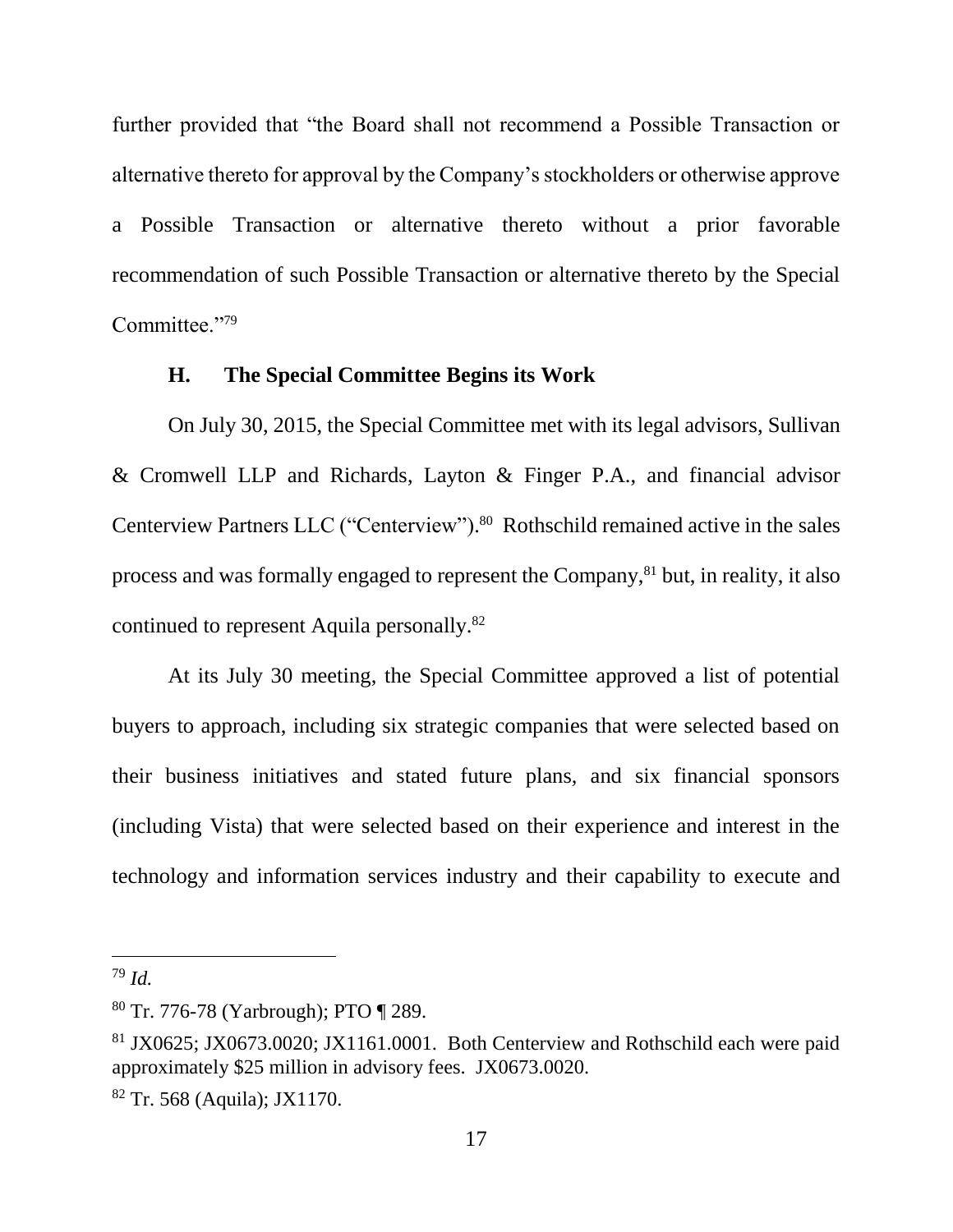further provided that "the Board shall not recommend a Possible Transaction or alternative thereto for approval by the Company's stockholders or otherwise approve a Possible Transaction or alternative thereto without a prior favorable recommendation of such Possible Transaction or alternative thereto by the Special Committee."<sup>79</sup>

## **H. The Special Committee Begins its Work**

On July 30, 2015, the Special Committee met with its legal advisors, Sullivan & Cromwell LLP and Richards, Layton & Finger P.A., and financial advisor Centerview Partners LLC ("Centerview"). 80 Rothschild remained active in the sales process and was formally engaged to represent the Company, <sup>81</sup> but, in reality, it also continued to represent Aquila personally. 82

At its July 30 meeting, the Special Committee approved a list of potential buyers to approach, including six strategic companies that were selected based on their business initiatives and stated future plans, and six financial sponsors (including Vista) that were selected based on their experience and interest in the technology and information services industry and their capability to execute and

<sup>79</sup> *Id.*

<sup>80</sup> Tr. 776-78 (Yarbrough); PTO ¶ 289.

<sup>81</sup> JX0625; JX0673.0020; JX1161.0001. Both Centerview and Rothschild each were paid approximately \$25 million in advisory fees. JX0673.0020.

<sup>82</sup> Tr. 568 (Aquila); JX1170.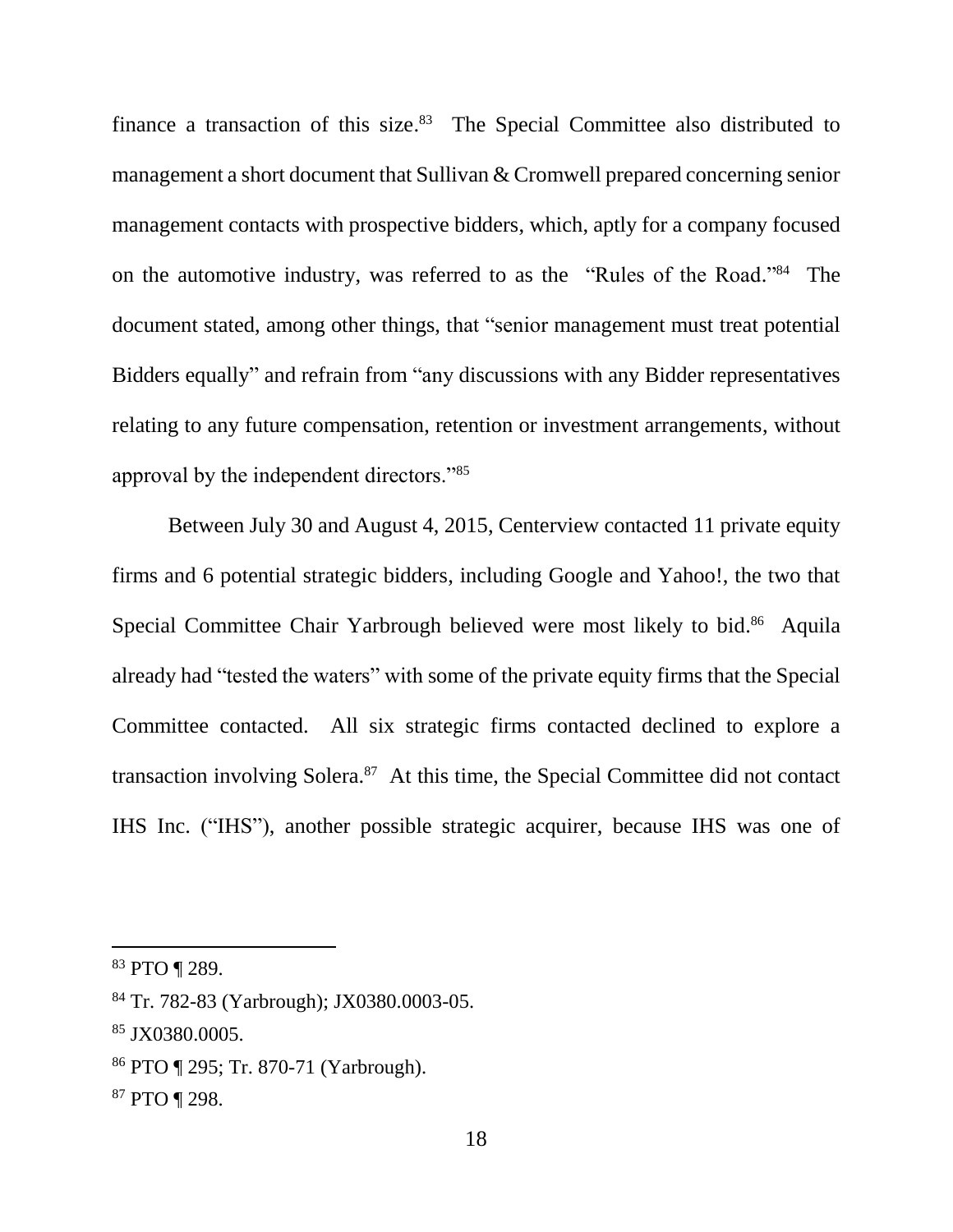finance a transaction of this size.<sup>83</sup> The Special Committee also distributed to management a short document that Sullivan & Cromwell prepared concerning senior management contacts with prospective bidders, which, aptly for a company focused on the automotive industry, was referred to as the "Rules of the Road."<sup>84</sup> The document stated, among other things, that "senior management must treat potential Bidders equally" and refrain from "any discussions with any Bidder representatives relating to any future compensation, retention or investment arrangements, without approval by the independent directors."<sup>85</sup>

Between July 30 and August 4, 2015, Centerview contacted 11 private equity firms and 6 potential strategic bidders, including Google and Yahoo!, the two that Special Committee Chair Yarbrough believed were most likely to bid.<sup>86</sup> Aquila already had "tested the waters" with some of the private equity firms that the Special Committee contacted. All six strategic firms contacted declined to explore a transaction involving Solera.<sup>87</sup> At this time, the Special Committee did not contact IHS Inc. ("IHS"), another possible strategic acquirer, because IHS was one of

<sup>83</sup> PTO ¶ 289.

<sup>84</sup> Tr. 782-83 (Yarbrough); JX0380.0003-05.

<sup>85</sup> JX0380.0005.

<sup>86</sup> PTO ¶ 295; Tr. 870-71 (Yarbrough).

<sup>87</sup> PTO ¶ 298.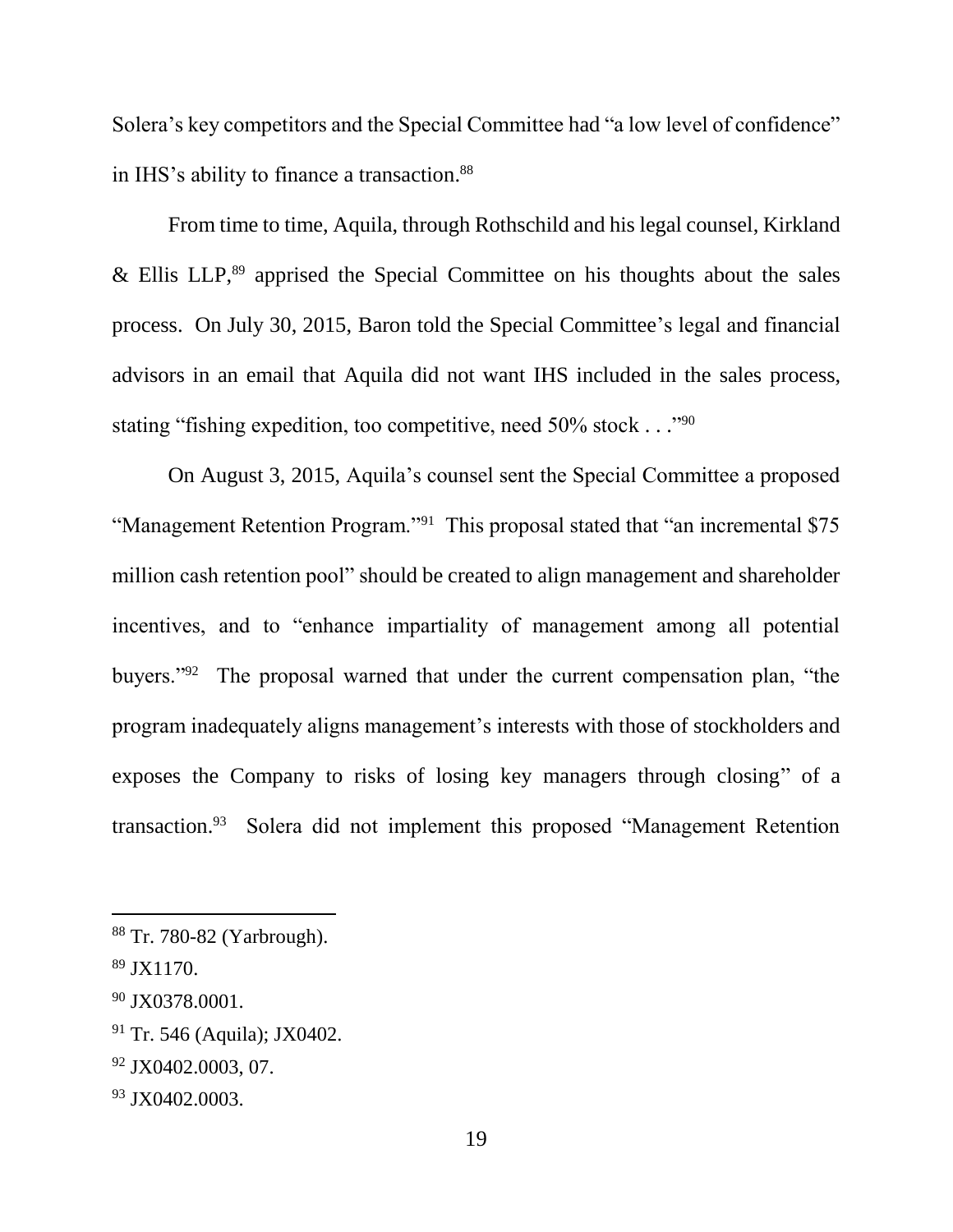Solera's key competitors and the Special Committee had "a low level of confidence" in IHS's ability to finance a transaction. 88

From time to time, Aquila, through Rothschild and his legal counsel, Kirkland  $&$  Ellis LLP,<sup>89</sup> apprised the Special Committee on his thoughts about the sales process. On July 30, 2015, Baron told the Special Committee's legal and financial advisors in an email that Aquila did not want IHS included in the sales process, stating "fishing expedition, too competitive, need 50% stock . . . "<sup>90</sup>

On August 3, 2015, Aquila's counsel sent the Special Committee a proposed "Management Retention Program."<sup>91</sup> This proposal stated that "an incremental \$75 million cash retention pool" should be created to align management and shareholder incentives, and to "enhance impartiality of management among all potential buyers."<sup>92</sup> The proposal warned that under the current compensation plan, "the program inadequately aligns management's interests with those of stockholders and exposes the Company to risks of losing key managers through closing" of a transaction.<sup>93</sup> Solera did not implement this proposed "Management Retention

l

<sup>92</sup> JX0402.0003, 07.

<sup>88</sup> Tr. 780-82 (Yarbrough).

 $89$  JX1170.

<sup>&</sup>lt;sup>90</sup> JX0378.0001.

<sup>91</sup> Tr. 546 (Aquila); JX0402.

<sup>93</sup> JX0402.0003.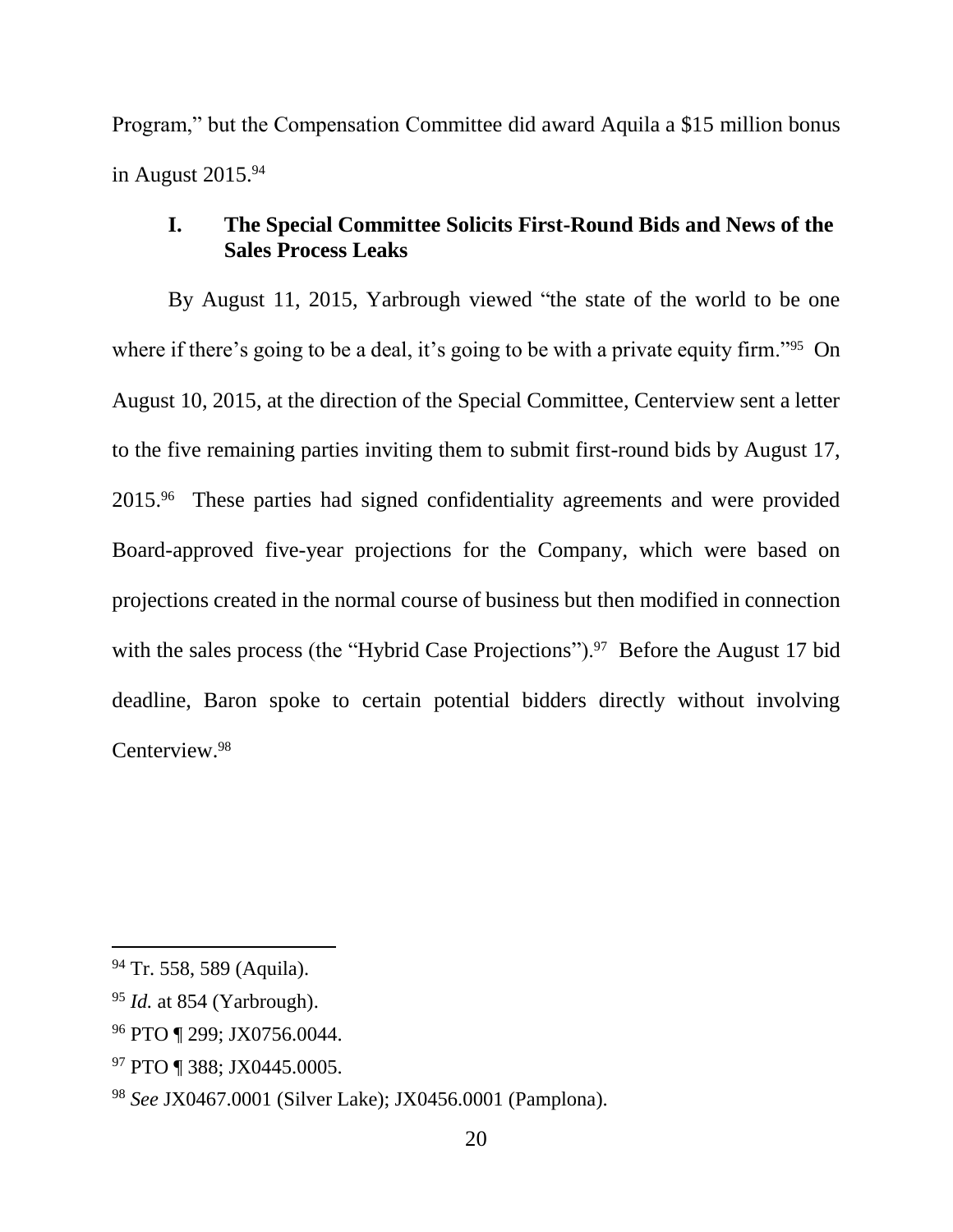Program," but the Compensation Committee did award Aquila a \$15 million bonus in August 2015.<sup>94</sup>

# **I. The Special Committee Solicits First-Round Bids and News of the Sales Process Leaks**

By August 11, 2015, Yarbrough viewed "the state of the world to be one where if there's going to be a deal, it's going to be with a private equity firm."<sup>95</sup> On August 10, 2015, at the direction of the Special Committee, Centerview sent a letter to the five remaining parties inviting them to submit first-round bids by August 17, 2015.<sup>96</sup> These parties had signed confidentiality agreements and were provided Board-approved five-year projections for the Company, which were based on projections created in the normal course of business but then modified in connection with the sales process (the "Hybrid Case Projections").<sup>97</sup> Before the August 17 bid deadline, Baron spoke to certain potential bidders directly without involving Centerview.<sup>98</sup>

<sup>94</sup> Tr. 558, 589 (Aquila).

<sup>95</sup> *Id.* at 854 (Yarbrough).

<sup>96</sup> PTO ¶ 299; JX0756.0044.

<sup>97</sup> PTO ¶ 388; JX0445.0005.

<sup>98</sup> *See* JX0467.0001 (Silver Lake); JX0456.0001 (Pamplona).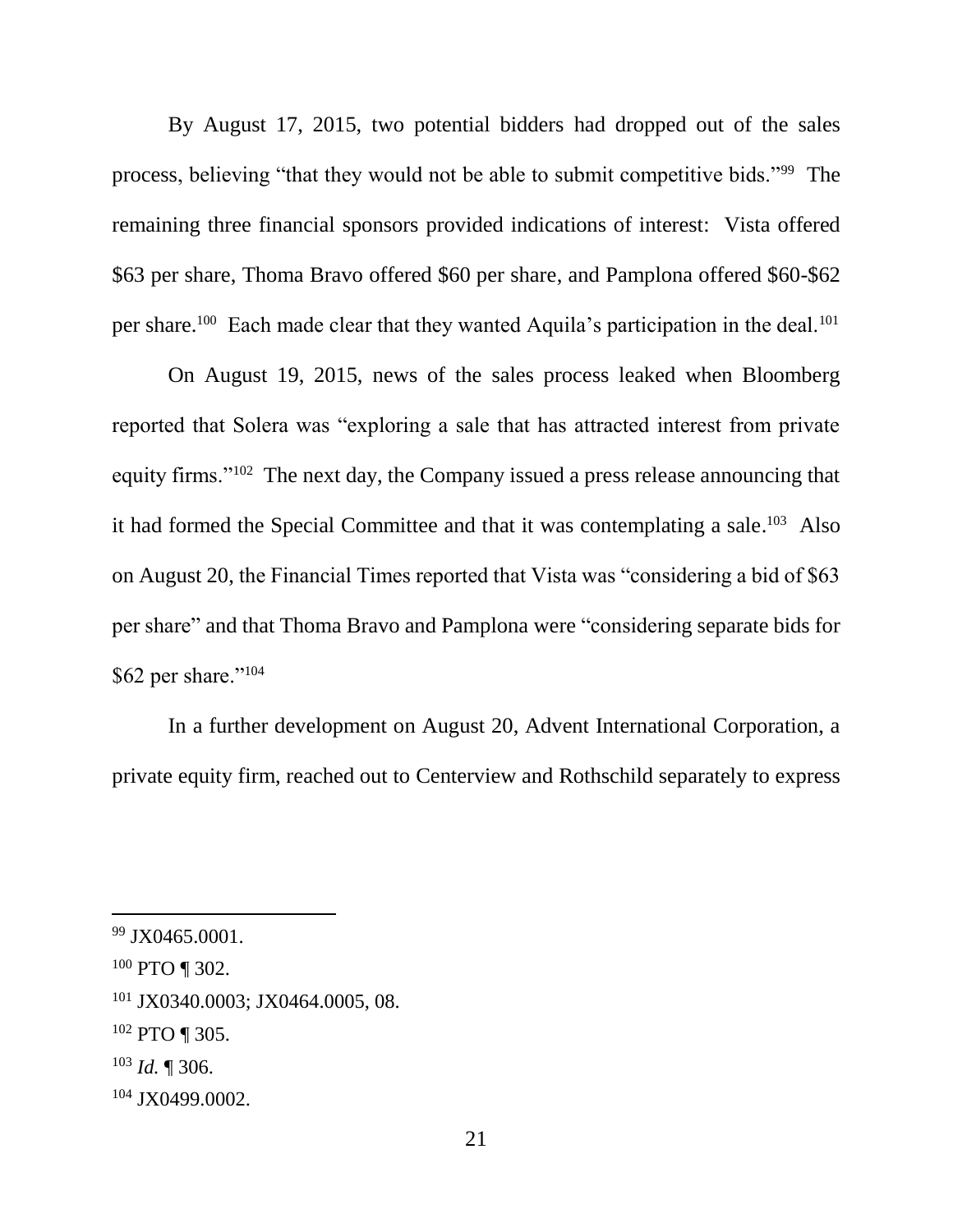By August 17, 2015, two potential bidders had dropped out of the sales process, believing "that they would not be able to submit competitive bids."<sup>99</sup> The remaining three financial sponsors provided indications of interest: Vista offered \$63 per share, Thoma Bravo offered \$60 per share, and Pamplona offered \$60-\$62 per share.<sup>100</sup> Each made clear that they wanted Aquila's participation in the deal.<sup>101</sup>

On August 19, 2015, news of the sales process leaked when Bloomberg reported that Solera was "exploring a sale that has attracted interest from private equity firms."<sup>102</sup> The next day, the Company issued a press release announcing that it had formed the Special Committee and that it was contemplating a sale.<sup>103</sup> Also on August 20, the Financial Times reported that Vista was "considering a bid of \$63 per share" and that Thoma Bravo and Pamplona were "considering separate bids for \$62 per share."<sup>104</sup>

In a further development on August 20, Advent International Corporation, a private equity firm, reached out to Centerview and Rothschild separately to express

 $99$  JX0465.0001.

 $100$  PTO ¶ 302.

<sup>101</sup> JX0340.0003; JX0464.0005, 08.

<sup>102</sup> PTO ¶ 305.

<sup>103</sup> *Id.* ¶ 306.

<sup>104</sup> JX0499.0002.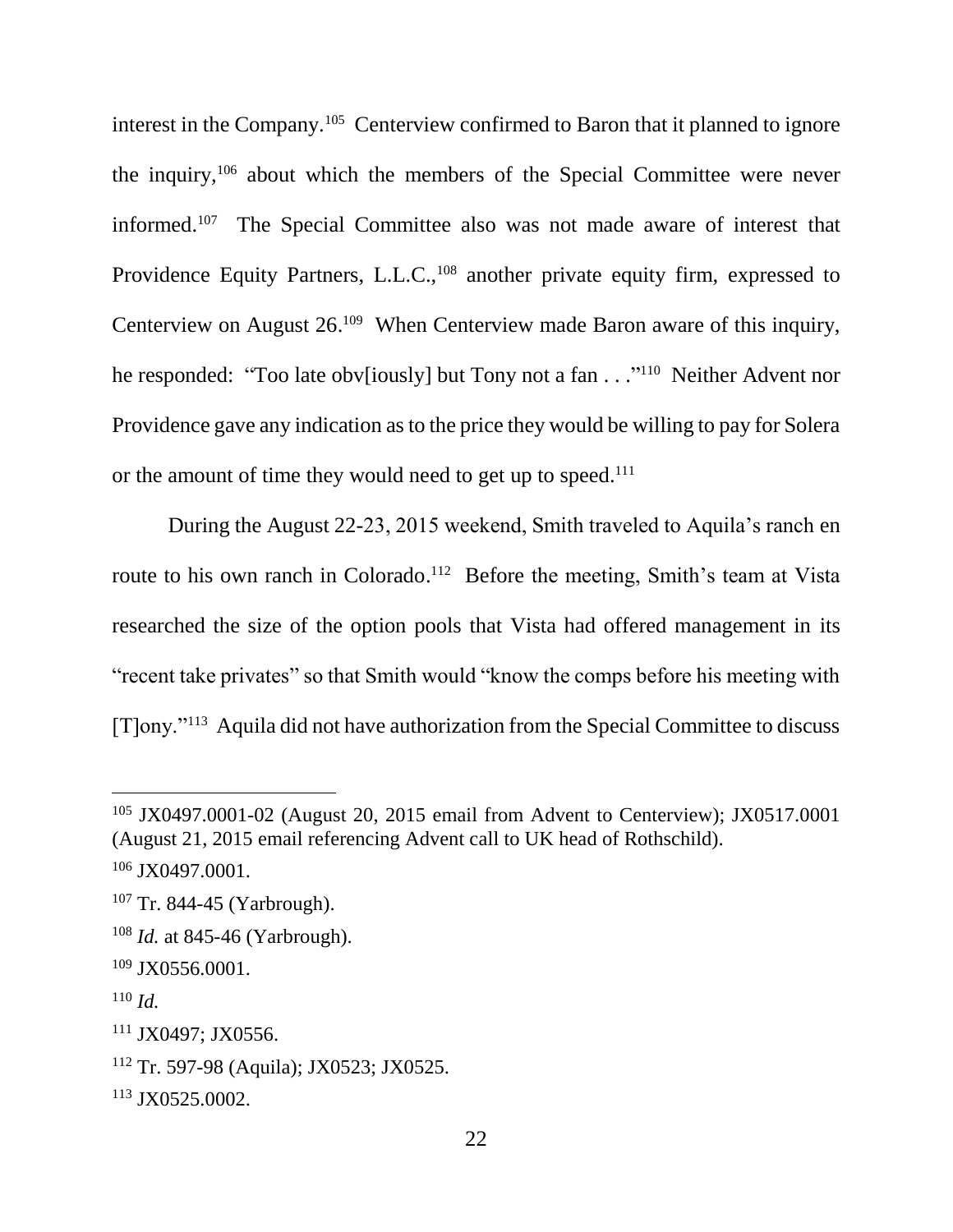interest in the Company.<sup>105</sup> Centerview confirmed to Baron that it planned to ignore the inquiry,<sup>106</sup> about which the members of the Special Committee were never informed. 107 The Special Committee also was not made aware of interest that Providence Equity Partners, L.L.C.,<sup>108</sup> another private equity firm, expressed to Centerview on August 26.<sup>109</sup> When Centerview made Baron aware of this inquiry, he responded: "Too late obv[iously] but Tony not a fan . . ."<sup>110</sup> Neither Advent nor Providence gave any indication as to the price they would be willing to pay for Solera or the amount of time they would need to get up to speed.<sup>111</sup>

During the August 22-23, 2015 weekend, Smith traveled to Aquila's ranch en route to his own ranch in Colorado.<sup>112</sup> Before the meeting, Smith's team at Vista researched the size of the option pools that Vista had offered management in its "recent take privates" so that Smith would "know the comps before his meeting with [T]ony."<sup>113</sup> Aquila did not have authorization from the Special Committee to discuss

<sup>108</sup> *Id.* at 845-46 (Yarbrough).

 $\overline{a}$ 

<sup>111</sup> JX0497; JX0556.

<sup>105</sup> JX0497.0001-02 (August 20, 2015 email from Advent to Centerview); JX0517.0001 (August 21, 2015 email referencing Advent call to UK head of Rothschild).

<sup>&</sup>lt;sup>106</sup> JX0497.0001.

<sup>107</sup> Tr. 844-45 (Yarbrough).

 $109$  JX0556.0001.

<sup>110</sup> *Id.*

<sup>112</sup> Tr. 597-98 (Aquila); JX0523; JX0525.

<sup>113</sup> JX0525.0002.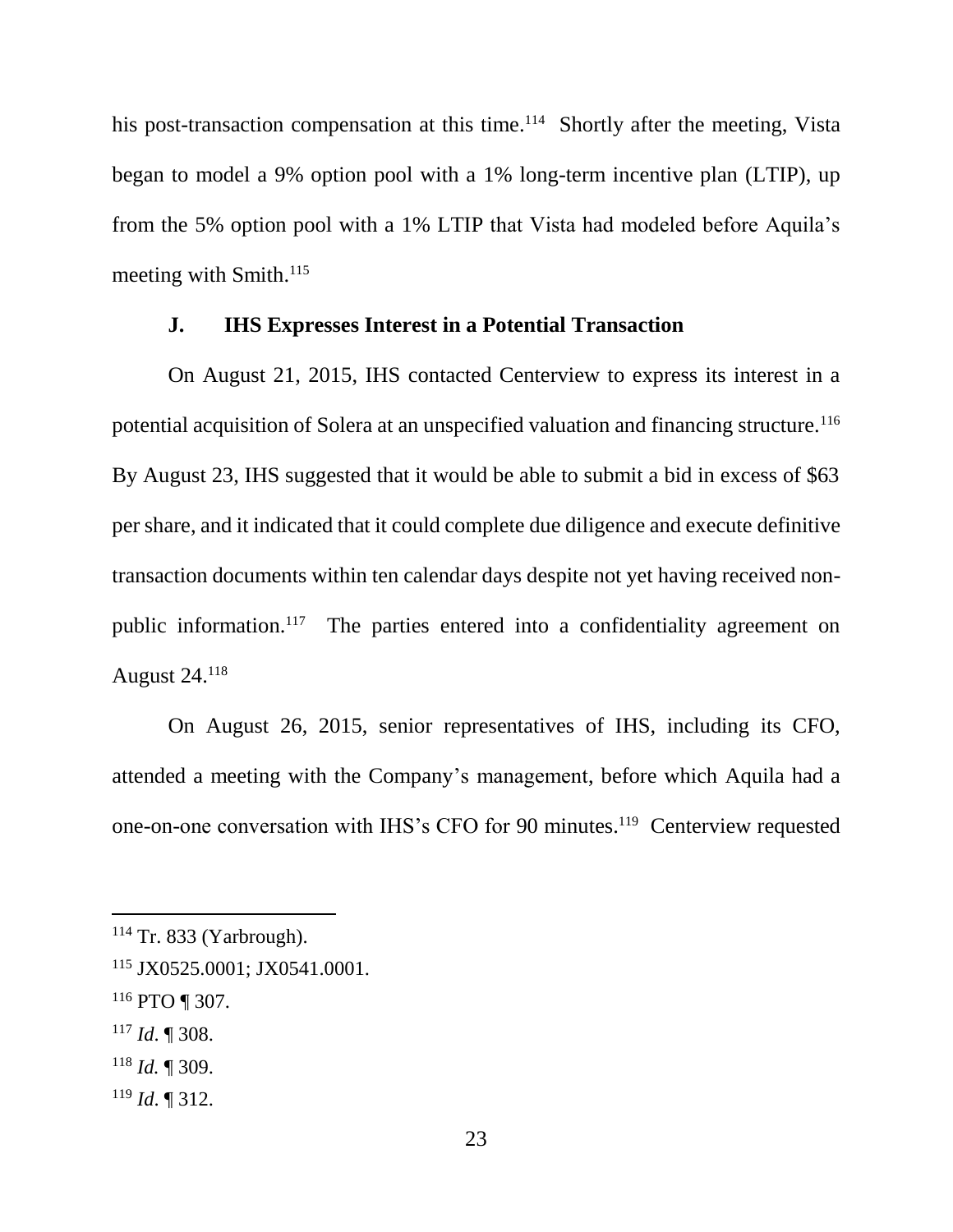his post-transaction compensation at this time.<sup>114</sup> Shortly after the meeting, Vista began to model a 9% option pool with a 1% long-term incentive plan (LTIP), up from the 5% option pool with a 1% LTIP that Vista had modeled before Aquila's meeting with Smith. 115

#### **J. IHS Expresses Interest in a Potential Transaction**

On August 21, 2015, IHS contacted Centerview to express its interest in a potential acquisition of Solera at an unspecified valuation and financing structure.<sup>116</sup> By August 23, IHS suggested that it would be able to submit a bid in excess of \$63 per share, and it indicated that it could complete due diligence and execute definitive transaction documents within ten calendar days despite not yet having received nonpublic information.<sup>117</sup> The parties entered into a confidentiality agreement on August 24.<sup>118</sup>

On August 26, 2015, senior representatives of IHS, including its CFO, attended a meeting with the Company's management, before which Aquila had a one-on-one conversation with IHS's CFO for 90 minutes.<sup>119</sup> Centerview requested

<sup>117</sup> *Id*. ¶ 308.

 $114$  Tr. 833 (Yarbrough).

<sup>115</sup> JX0525.0001; JX0541.0001.

 $116$  PTO ¶ 307.

<sup>118</sup> *Id.* ¶ 309.

<sup>119</sup> *Id*. ¶ 312.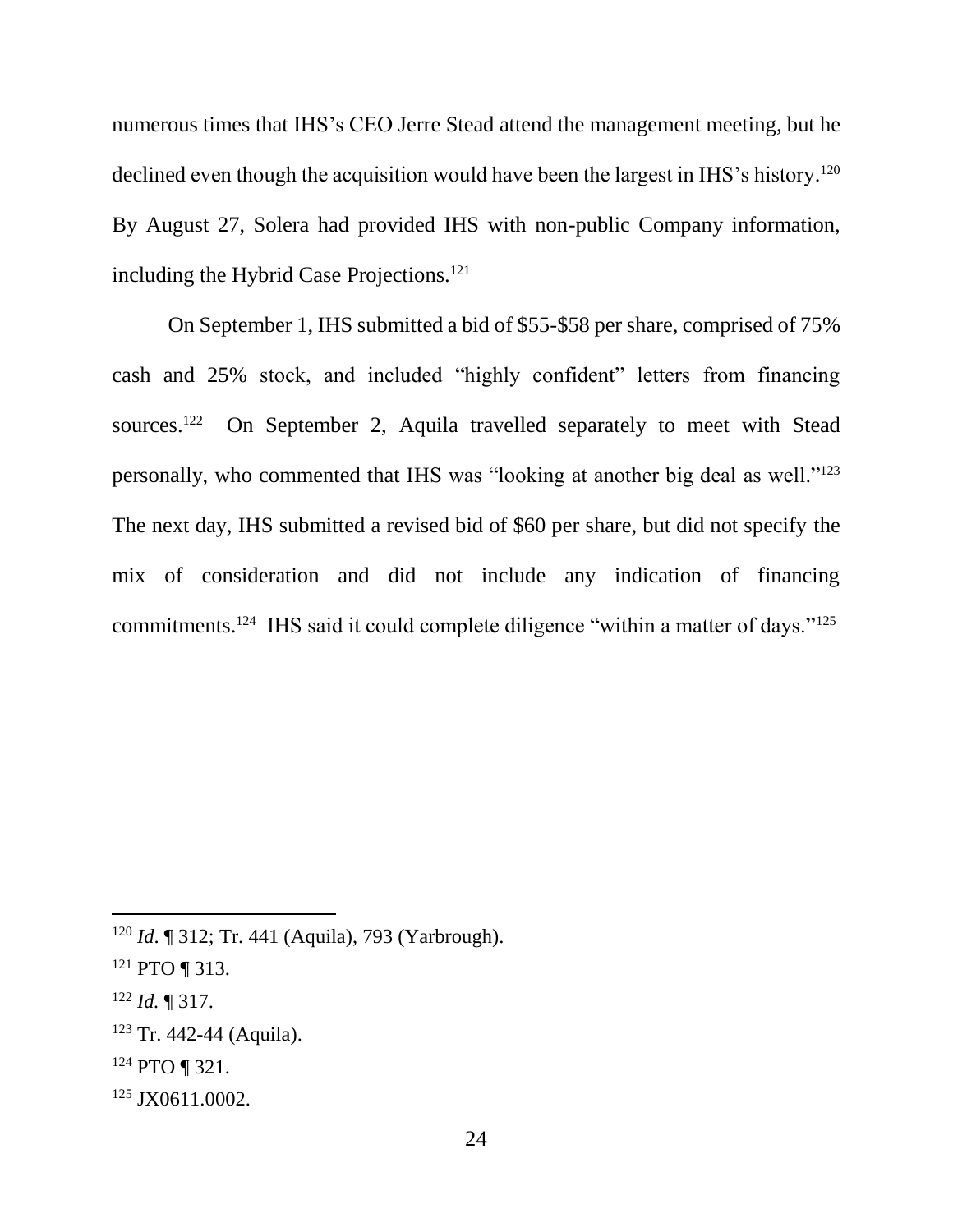numerous times that IHS's CEO Jerre Stead attend the management meeting, but he declined even though the acquisition would have been the largest in IHS's history.<sup>120</sup> By August 27, Solera had provided IHS with non-public Company information, including the Hybrid Case Projections.<sup>121</sup>

On September 1, IHS submitted a bid of \$55-\$58 per share, comprised of 75% cash and 25% stock, and included "highly confident" letters from financing sources. $122$  On September 2, Aquila travelled separately to meet with Stead personally, who commented that IHS was "looking at another big deal as well."<sup>123</sup> The next day, IHS submitted a revised bid of \$60 per share, but did not specify the mix of consideration and did not include any indication of financing commitments.<sup>124</sup> IHS said it could complete diligence "within a matter of days."<sup>125</sup>

<sup>120</sup> *Id*. ¶ 312; Tr. 441 (Aquila), 793 (Yarbrough).

 $121$  PTO ¶ 313.

<sup>122</sup> *Id.* ¶ 317.

<sup>123</sup> Tr. 442-44 (Aquila).

<sup>124</sup> PTO ¶ 321.

<sup>125</sup> JX0611.0002.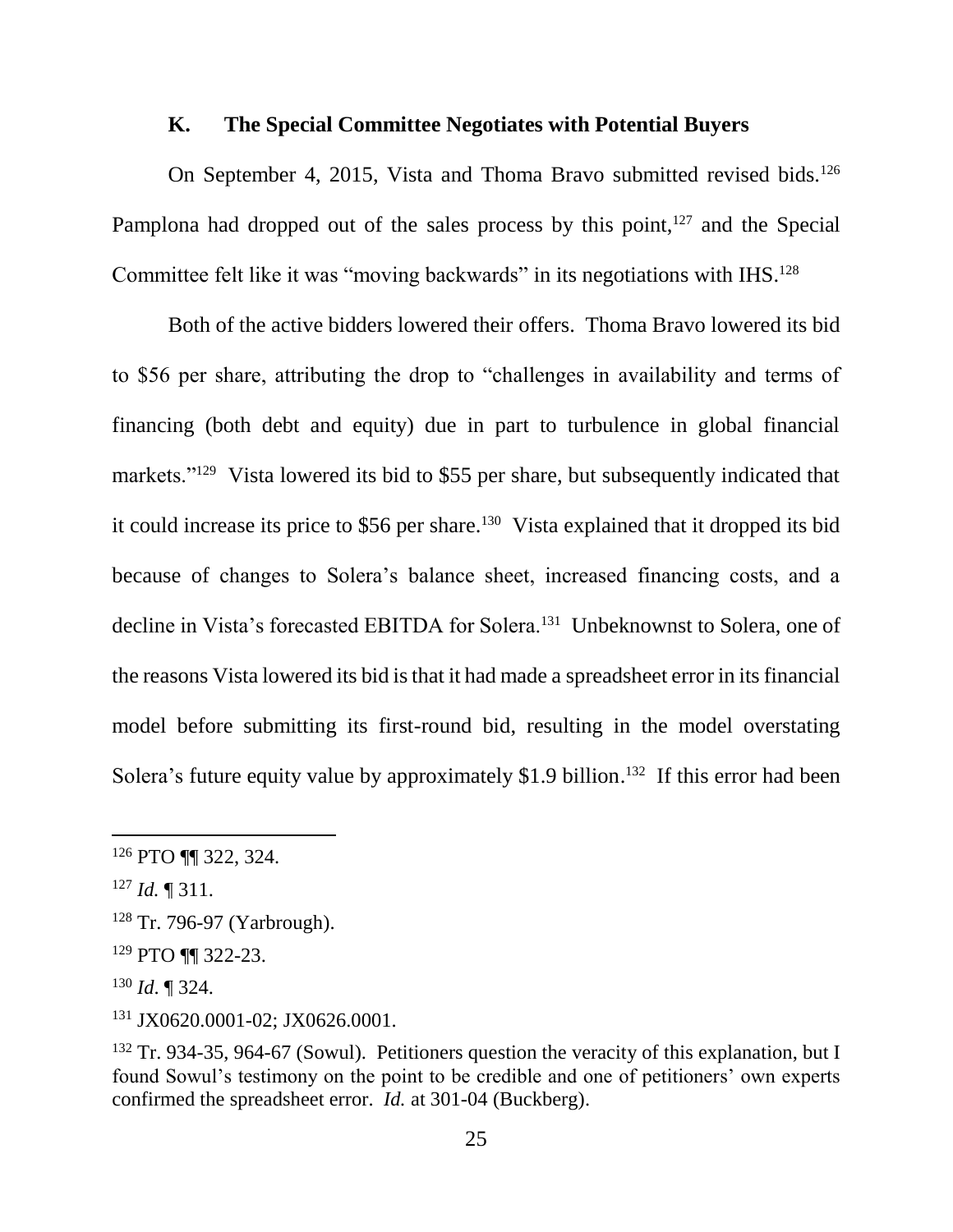## **K. The Special Committee Negotiates with Potential Buyers**

On September 4, 2015, Vista and Thoma Bravo submitted revised bids.<sup>126</sup> Pamplona had dropped out of the sales process by this point, $127$  and the Special Committee felt like it was "moving backwards" in its negotiations with IHS.<sup>128</sup>

Both of the active bidders lowered their offers. Thoma Bravo lowered its bid to \$56 per share, attributing the drop to "challenges in availability and terms of financing (both debt and equity) due in part to turbulence in global financial markets."<sup>129</sup> Vista lowered its bid to \$55 per share, but subsequently indicated that it could increase its price to \$56 per share.<sup>130</sup> Vista explained that it dropped its bid because of changes to Solera's balance sheet, increased financing costs, and a decline in Vista's forecasted EBITDA for Solera.<sup>131</sup> Unbeknownst to Solera, one of the reasons Vista lowered its bid is that it had made a spreadsheet error in its financial model before submitting its first-round bid, resulting in the model overstating Solera's future equity value by approximately \$1.9 billion.<sup>132</sup> If this error had been

<sup>126</sup> PTO ¶¶ 322, 324.

<sup>127</sup> *Id.* ¶ 311.

<sup>128</sup> Tr. 796-97 (Yarbrough).

<sup>129</sup> PTO ¶¶ 322-23.

<sup>130</sup> *Id*. ¶ 324.

<sup>131</sup> JX0620.0001-02; JX0626.0001.

<sup>&</sup>lt;sup>132</sup> Tr. 934-35, 964-67 (Sowul). Petitioners question the veracity of this explanation, but I found Sowul's testimony on the point to be credible and one of petitioners' own experts confirmed the spreadsheet error. *Id.* at 301-04 (Buckberg).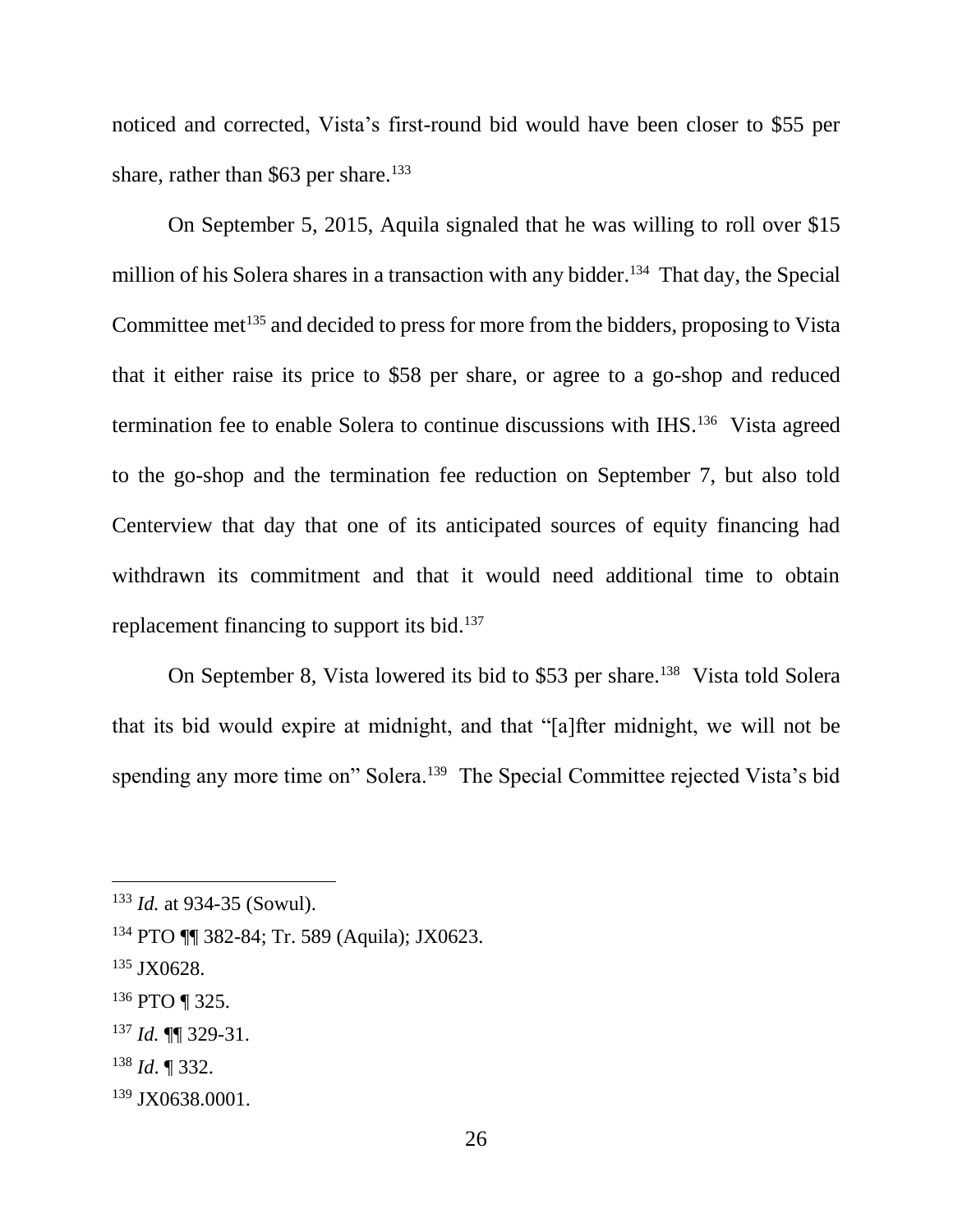noticed and corrected, Vista's first-round bid would have been closer to \$55 per share, rather than  $$63$  per share.<sup>133</sup>

On September 5, 2015, Aquila signaled that he was willing to roll over \$15 million of his Solera shares in a transaction with any bidder.<sup>134</sup> That day, the Special Committee met<sup>135</sup> and decided to press for more from the bidders, proposing to Vista that it either raise its price to \$58 per share, or agree to a go-shop and reduced termination fee to enable Solera to continue discussions with IHS.<sup>136</sup> Vista agreed to the go-shop and the termination fee reduction on September 7, but also told Centerview that day that one of its anticipated sources of equity financing had withdrawn its commitment and that it would need additional time to obtain replacement financing to support its bid.<sup>137</sup>

On September 8, Vista lowered its bid to \$53 per share.<sup>138</sup> Vista told Solera that its bid would expire at midnight, and that "[a]fter midnight, we will not be spending any more time on" Solera.<sup>139</sup> The Special Committee rejected Vista's bid

 $\overline{a}$ 

<sup>138</sup> *Id*. ¶ 332.

<sup>133</sup> *Id.* at 934-35 (Sowul).

<sup>134</sup> PTO ¶¶ 382-84; Tr. 589 (Aquila); JX0623.

<sup>&</sup>lt;sup>135</sup> JX0628.

<sup>136</sup> PTO ¶ 325.

<sup>137</sup> *Id.* ¶¶ 329-31.

<sup>139</sup> JX0638.0001.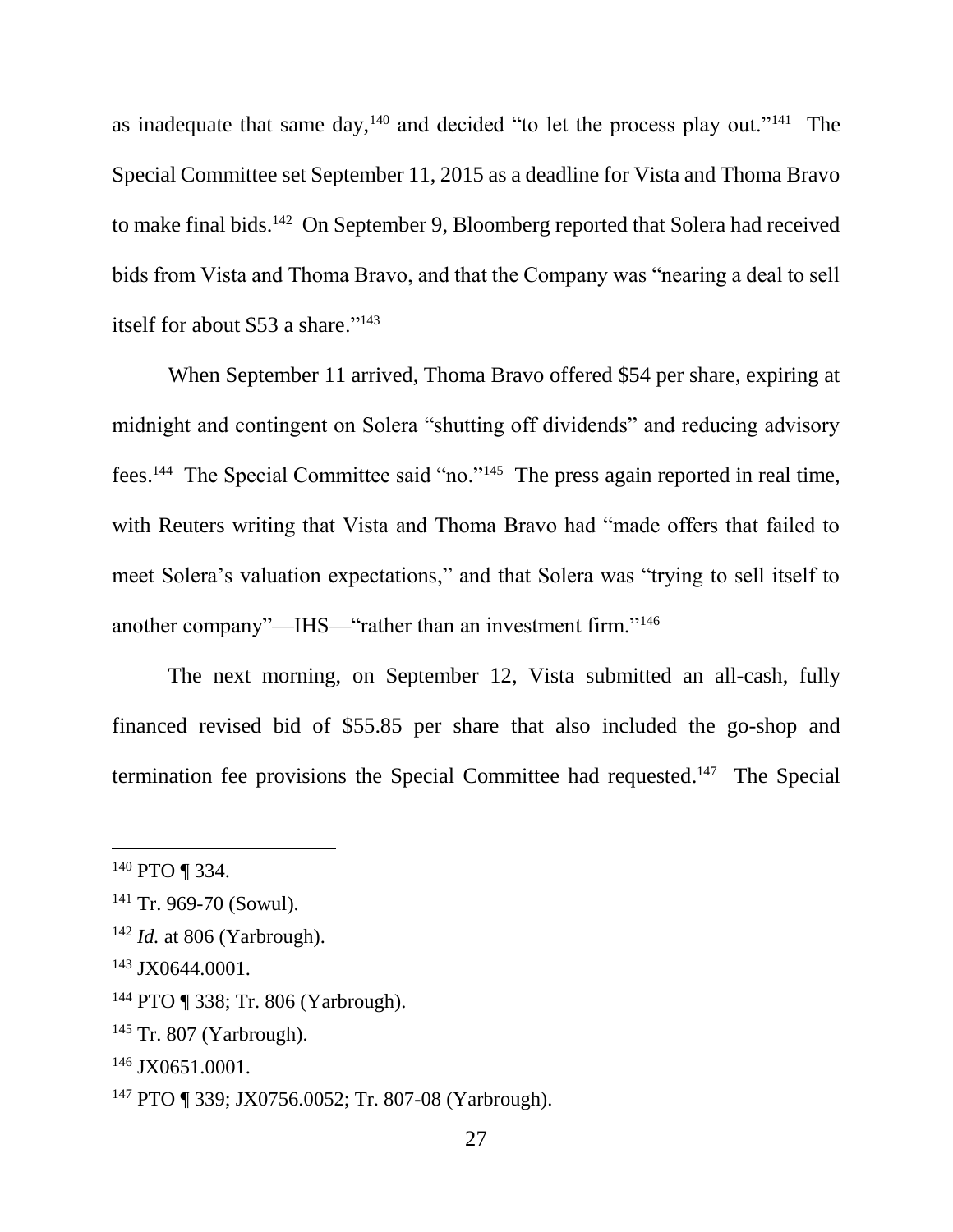as inadequate that same day,  $140$  and decided "to let the process play out." $141$  The Special Committee set September 11, 2015 as a deadline for Vista and Thoma Bravo to make final bids.<sup>142</sup> On September 9, Bloomberg reported that Solera had received bids from Vista and Thoma Bravo, and that the Company was "nearing a deal to sell itself for about \$53 a share."<sup>143</sup>

When September 11 arrived, Thoma Bravo offered \$54 per share, expiring at midnight and contingent on Solera "shutting off dividends" and reducing advisory fees.<sup>144</sup> The Special Committee said "no."<sup>145</sup> The press again reported in real time, with Reuters writing that Vista and Thoma Bravo had "made offers that failed to meet Solera's valuation expectations," and that Solera was "trying to sell itself to another company"—IHS—"rather than an investment firm."<sup>146</sup>

The next morning, on September 12, Vista submitted an all-cash, fully financed revised bid of \$55.85 per share that also included the go-shop and termination fee provisions the Special Committee had requested.<sup>147</sup> The Special

<sup>140</sup> PTO ¶ 334.

<sup>141</sup> Tr. 969-70 (Sowul).

<sup>142</sup> *Id.* at 806 (Yarbrough).

<sup>&</sup>lt;sup>143</sup> JX0644,0001.

<sup>144</sup> PTO ¶ 338; Tr. 806 (Yarbrough).

 $145$  Tr. 807 (Yarbrough).

<sup>&</sup>lt;sup>146</sup> JX0651.0001.

<sup>147</sup> PTO ¶ 339; JX0756.0052; Tr. 807-08 (Yarbrough).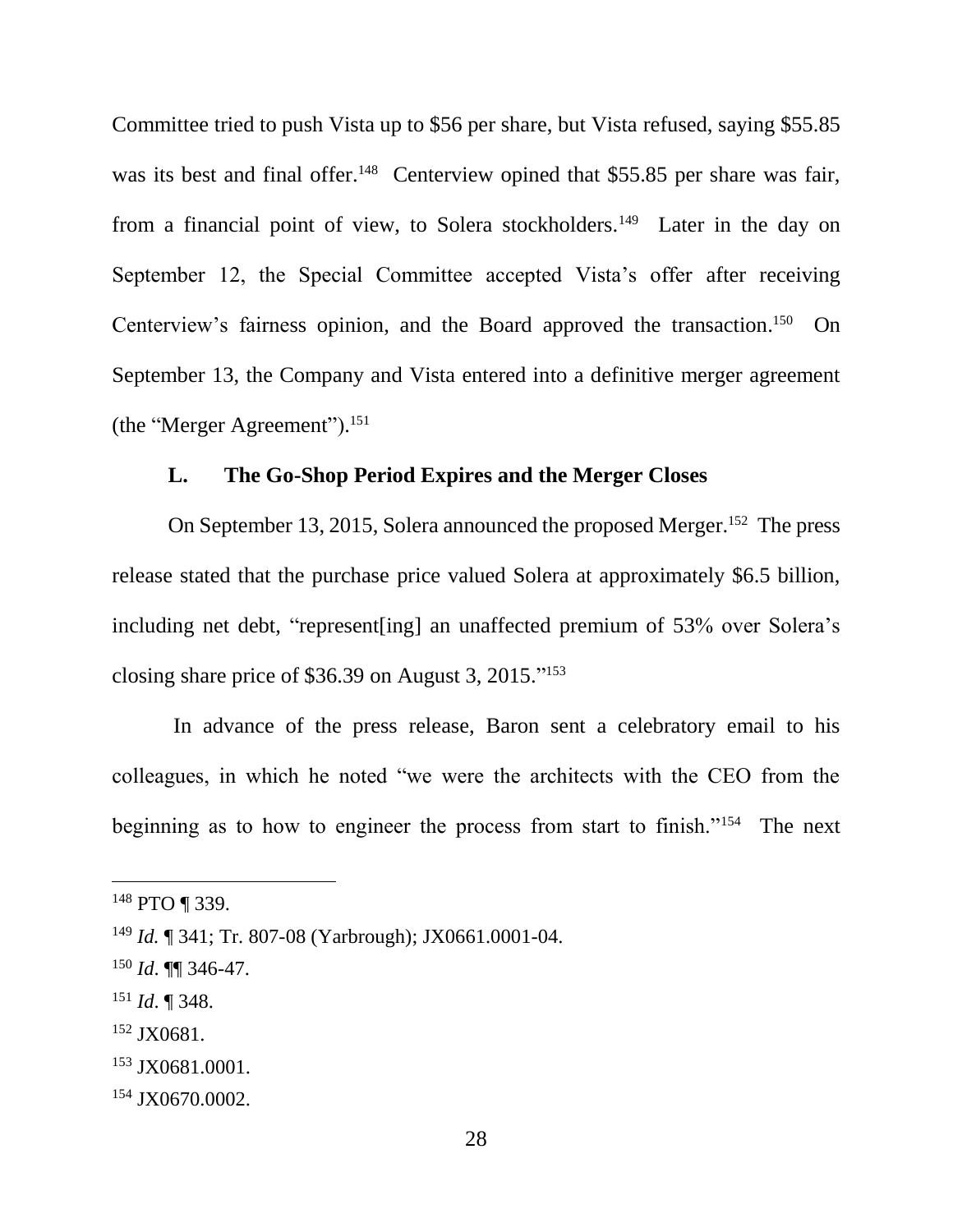Committee tried to push Vista up to \$56 per share, but Vista refused, saying \$55.85 was its best and final offer.<sup>148</sup> Centerview opined that \$55.85 per share was fair, from a financial point of view, to Solera stockholders.<sup>149</sup> Later in the day on September 12, the Special Committee accepted Vista's offer after receiving Centerview's fairness opinion, and the Board approved the transaction. 150 On September 13, the Company and Vista entered into a definitive merger agreement (the "Merger Agreement"). 151

# **L. The Go-Shop Period Expires and the Merger Closes**

On September 13, 2015, Solera announced the proposed Merger.<sup>152</sup> The press release stated that the purchase price valued Solera at approximately \$6.5 billion, including net debt, "represent[ing] an unaffected premium of 53% over Solera's closing share price of \$36.39 on August 3, 2015." 153

In advance of the press release, Baron sent a celebratory email to his colleagues, in which he noted "we were the architects with the CEO from the beginning as to how to engineer the process from start to finish."<sup>154</sup> The next

<sup>148</sup> PTO ¶ 339.

<sup>149</sup> *Id.* ¶ 341; Tr. 807-08 (Yarbrough); JX0661.0001-04.

<sup>150</sup> *Id*. ¶¶ 346-47.

<sup>151</sup> *Id*. ¶ 348.

<sup>&</sup>lt;sup>152</sup> JX0681.

<sup>153</sup> JX0681.0001.

<sup>&</sup>lt;sup>154</sup> JX0670.0002.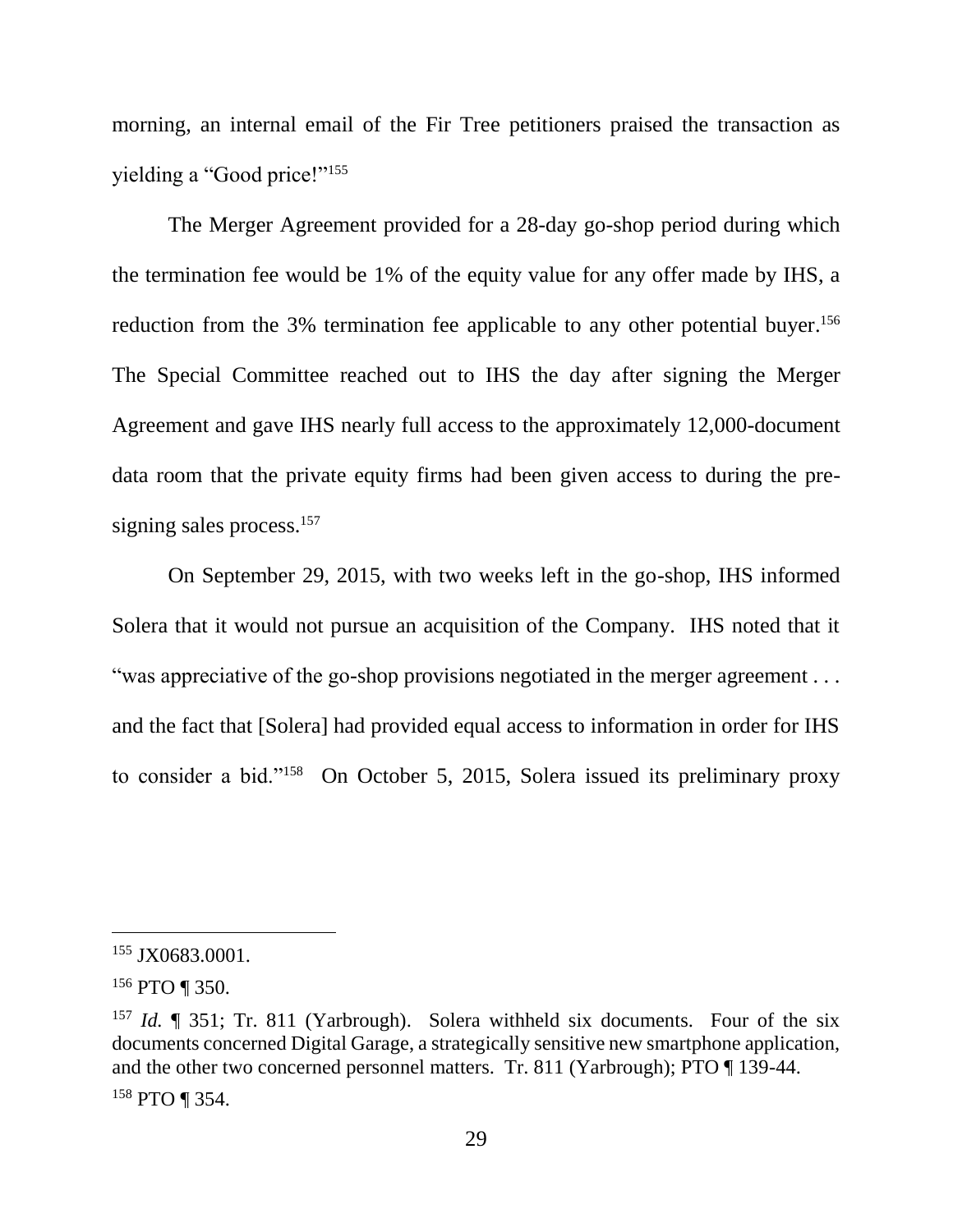morning, an internal email of the Fir Tree petitioners praised the transaction as yielding a "Good price!"<sup>155</sup>

The Merger Agreement provided for a 28-day go-shop period during which the termination fee would be 1% of the equity value for any offer made by IHS, a reduction from the 3% termination fee applicable to any other potential buyer.<sup>156</sup> The Special Committee reached out to IHS the day after signing the Merger Agreement and gave IHS nearly full access to the approximately 12,000-document data room that the private equity firms had been given access to during the presigning sales process.<sup>157</sup>

On September 29, 2015, with two weeks left in the go-shop, IHS informed Solera that it would not pursue an acquisition of the Company. IHS noted that it "was appreciative of the go-shop provisions negotiated in the merger agreement . . . and the fact that [Solera] had provided equal access to information in order for IHS to consider a bid."<sup>158</sup> On October 5, 2015, Solera issued its preliminary proxy

<sup>155</sup> JX0683.0001.

 $156$  PTO ¶ 350.

<sup>&</sup>lt;sup>157</sup> *Id.*  $\parallel$  351; Tr. 811 (Yarbrough). Solera withheld six documents. Four of the six documents concerned Digital Garage, a strategically sensitive new smartphone application, and the other two concerned personnel matters. Tr. 811 (Yarbrough); PTO ¶ 139-44. <sup>158</sup> PTO ¶ 354.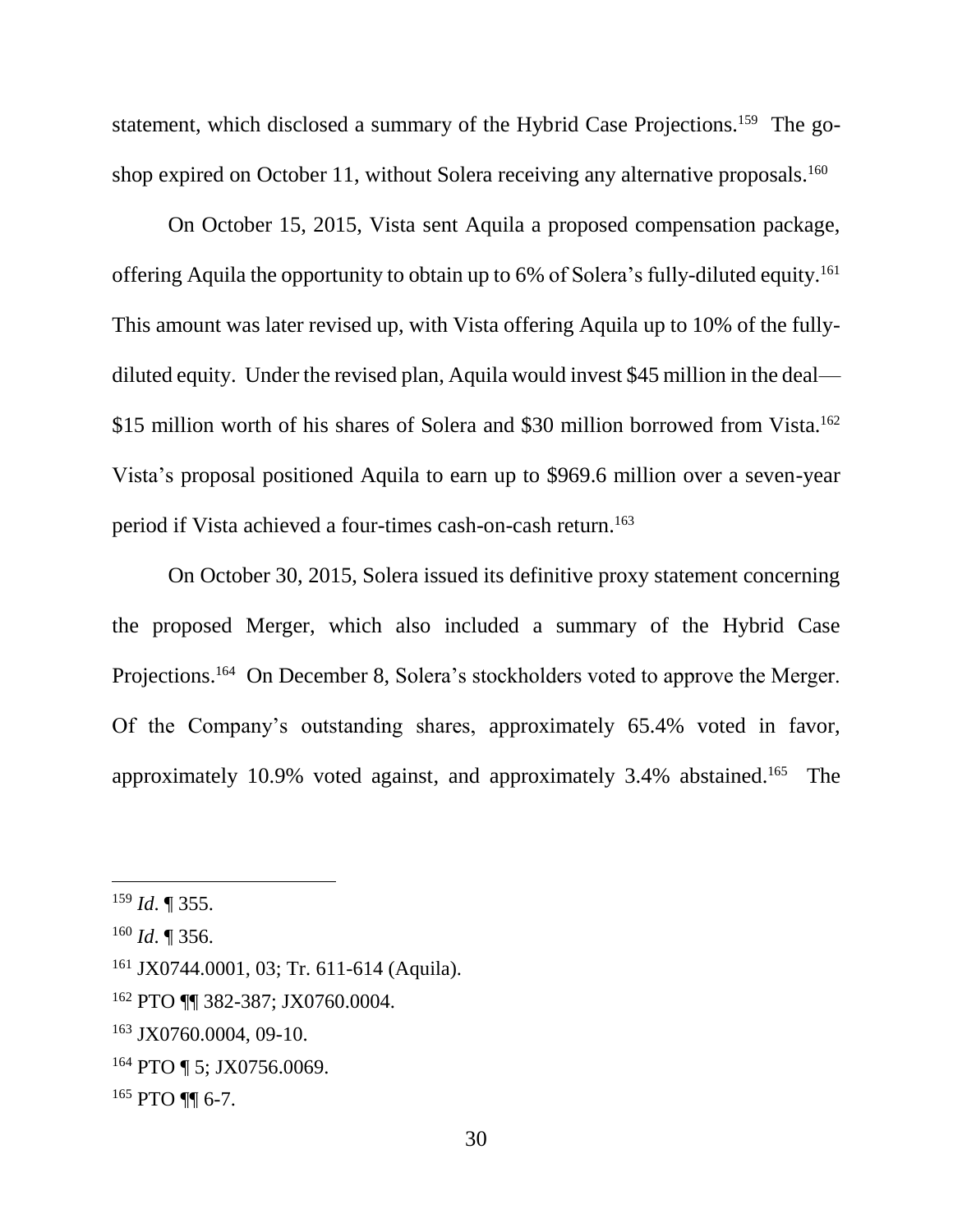statement, which disclosed a summary of the Hybrid Case Projections.<sup>159</sup> The goshop expired on October 11, without Solera receiving any alternative proposals.<sup>160</sup>

On October 15, 2015, Vista sent Aquila a proposed compensation package, offering Aquila the opportunity to obtain up to 6% of Solera's fully-diluted equity.<sup>161</sup> This amount was later revised up, with Vista offering Aquila up to 10% of the fullydiluted equity. Under the revised plan, Aquila would invest \$45 million in the deal— \$15 million worth of his shares of Solera and \$30 million borrowed from Vista.<sup>162</sup> Vista's proposal positioned Aquila to earn up to \$969.6 million over a seven-year period if Vista achieved a four-times cash-on-cash return.<sup>163</sup>

On October 30, 2015, Solera issued its definitive proxy statement concerning the proposed Merger, which also included a summary of the Hybrid Case Projections.<sup>164</sup> On December 8, Solera's stockholders voted to approve the Merger. Of the Company's outstanding shares, approximately 65.4% voted in favor, approximately 10.9% voted against, and approximately 3.4% abstained. 165 The

<sup>159</sup> *Id*. ¶ 355.

<sup>160</sup> *Id*. ¶ 356.

<sup>161</sup> JX0744.0001, 03; Tr. 611-614 (Aquila).

<sup>162</sup> PTO ¶¶ 382-387; JX0760.0004.

<sup>163</sup> JX0760.0004, 09-10.

<sup>&</sup>lt;sup>164</sup> PTO ¶ 5; JX0756.0069.

<sup>165</sup> PTO ¶¶ 6-7.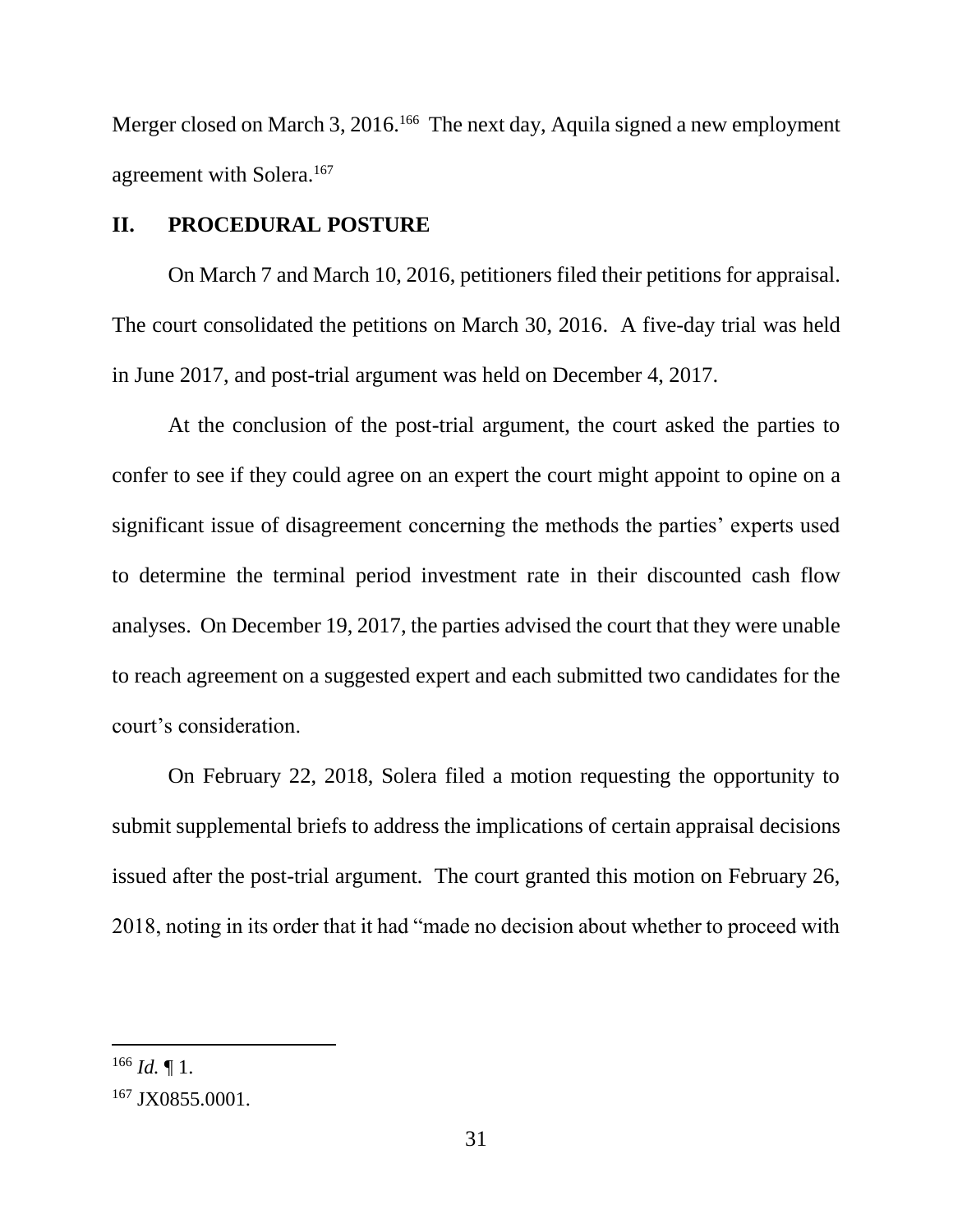Merger closed on March 3, 2016.<sup>166</sup> The next day, Aquila signed a new employment agreement with Solera.<sup>167</sup>

## **II. PROCEDURAL POSTURE**

On March 7 and March 10, 2016, petitioners filed their petitions for appraisal. The court consolidated the petitions on March 30, 2016. A five-day trial was held in June 2017, and post-trial argument was held on December 4, 2017.

At the conclusion of the post-trial argument, the court asked the parties to confer to see if they could agree on an expert the court might appoint to opine on a significant issue of disagreement concerning the methods the parties' experts used to determine the terminal period investment rate in their discounted cash flow analyses. On December 19, 2017, the parties advised the court that they were unable to reach agreement on a suggested expert and each submitted two candidates for the court's consideration.

On February 22, 2018, Solera filed a motion requesting the opportunity to submit supplemental briefs to address the implications of certain appraisal decisions issued after the post-trial argument*.* The court granted this motion on February 26, 2018, noting in its order that it had "made no decision about whether to proceed with

 $^{166}$  *Id.*  $\P$  1.

<sup>&</sup>lt;sup>167</sup> JX0855.0001.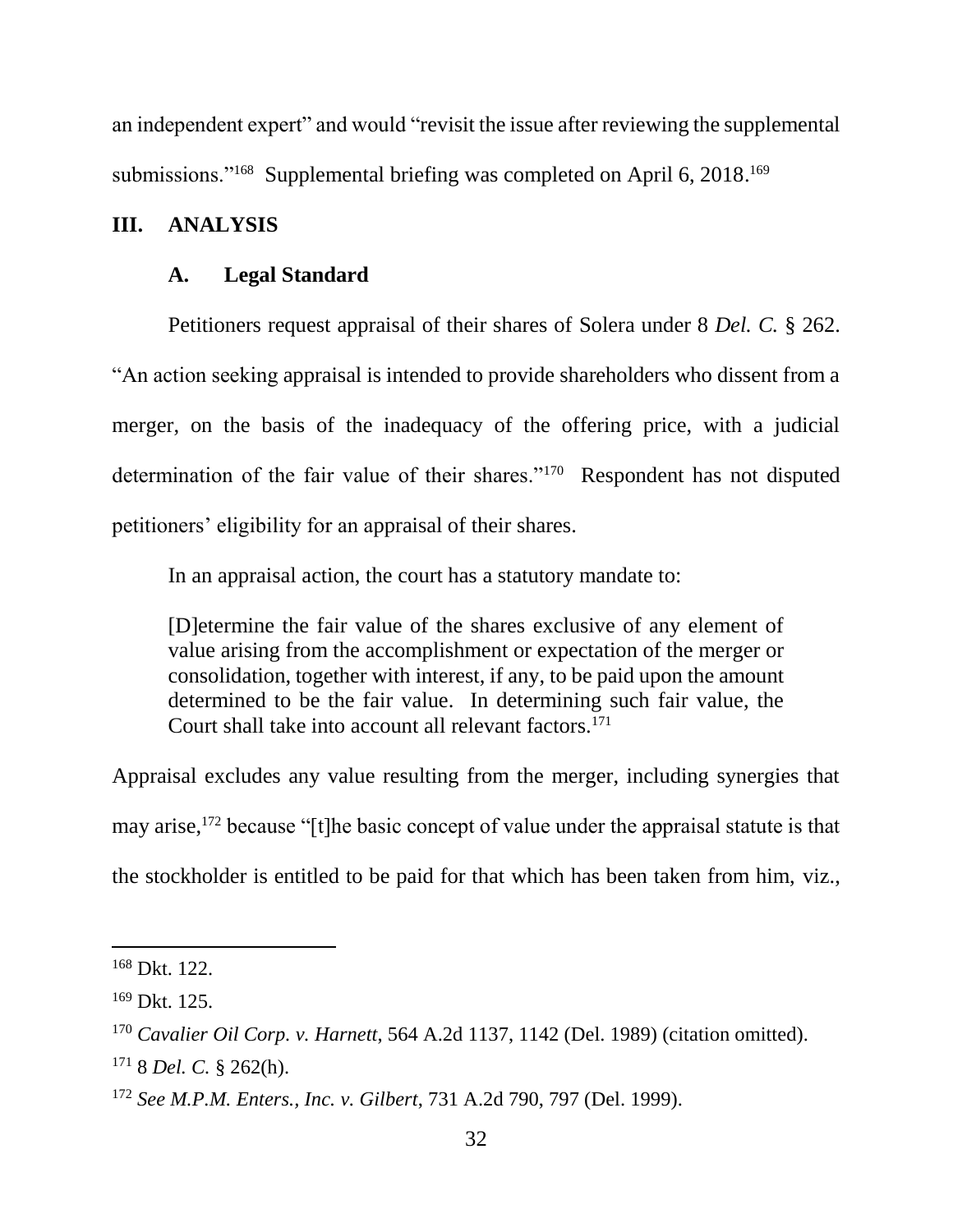an independent expert" and would "revisit the issue after reviewing the supplemental submissions."<sup>168</sup> Supplemental briefing was completed on April 6, 2018.<sup>169</sup>

## **III. ANALYSIS**

#### **A. Legal Standard**

Petitioners request appraisal of their shares of Solera under 8 *Del. C.* § 262. "An action seeking appraisal is intended to provide shareholders who dissent from a merger, on the basis of the inadequacy of the offering price, with a judicial determination of the fair value of their shares."<sup>170</sup> Respondent has not disputed petitioners' eligibility for an appraisal of their shares.

In an appraisal action, the court has a statutory mandate to:

[D]etermine the fair value of the shares exclusive of any element of value arising from the accomplishment or expectation of the merger or consolidation, together with interest, if any, to be paid upon the amount determined to be the fair value. In determining such fair value, the Court shall take into account all relevant factors.<sup>171</sup>

Appraisal excludes any value resulting from the merger, including synergies that may arise,<sup>172</sup> because "[t]he basic concept of value under the appraisal statute is that the stockholder is entitled to be paid for that which has been taken from him, viz.,

<sup>168</sup> Dkt. 122.

 $169$  Dkt.  $125$ .

<sup>170</sup> *Cavalier Oil Corp. v. Harnett*, 564 A.2d 1137, 1142 (Del. 1989) (citation omitted).

<sup>171</sup> 8 *Del. C.* § 262(h).

<sup>172</sup> *See M.P.M. Enters., Inc. v. Gilbert*, 731 A.2d 790, 797 (Del. 1999).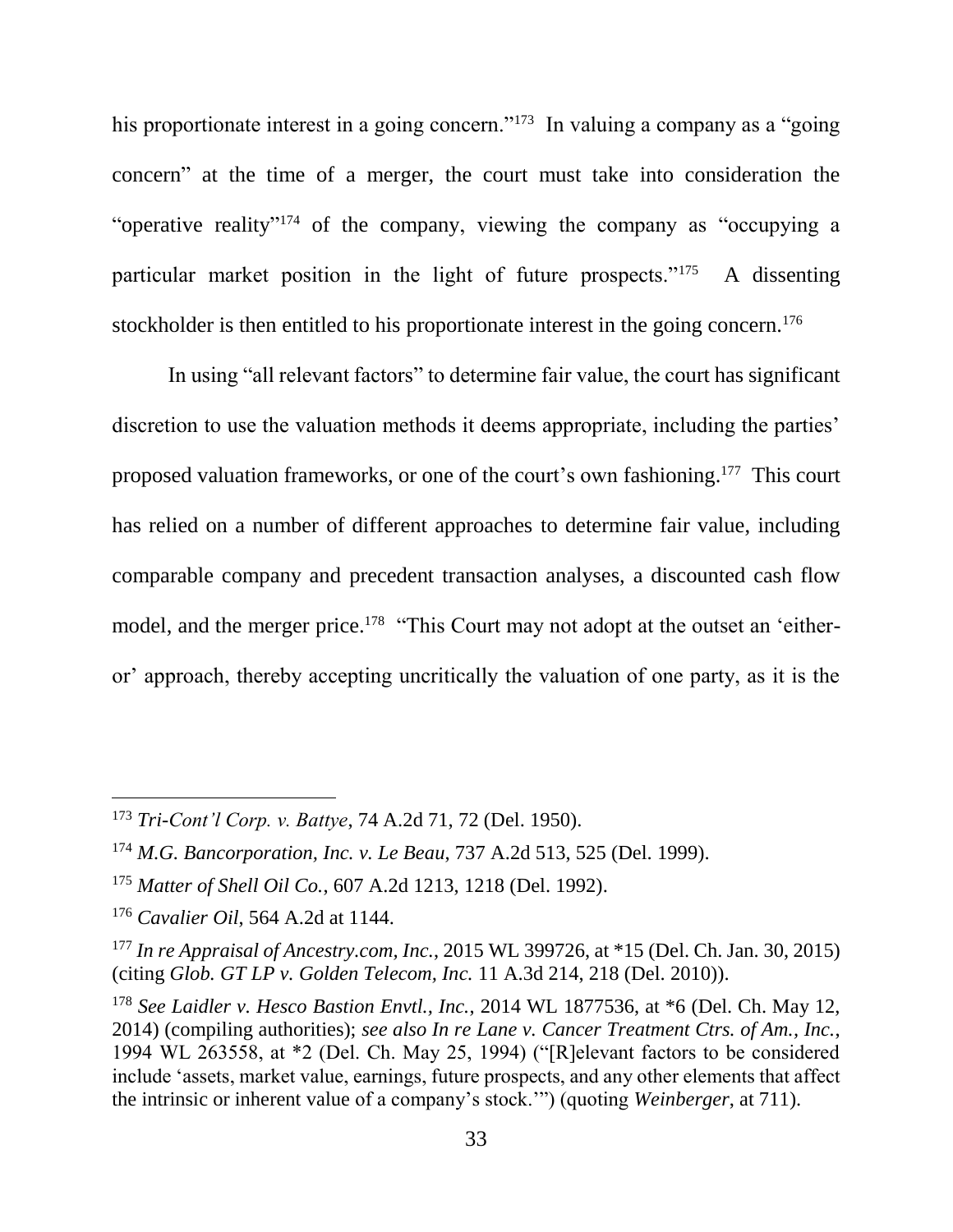his proportionate interest in a going concern."<sup>173</sup> In valuing a company as a "going concern" at the time of a merger, the court must take into consideration the "operative reality"<sup>174</sup> of the company, viewing the company as "occupying a particular market position in the light of future prospects."<sup>175</sup> A dissenting stockholder is then entitled to his proportionate interest in the going concern.<sup>176</sup>

In using "all relevant factors" to determine fair value, the court has significant discretion to use the valuation methods it deems appropriate, including the parties' proposed valuation frameworks, or one of the court's own fashioning.<sup>177</sup> This court has relied on a number of different approaches to determine fair value, including comparable company and precedent transaction analyses, a discounted cash flow model, and the merger price.<sup>178</sup> "This Court may not adopt at the outset an 'eitheror' approach, thereby accepting uncritically the valuation of one party, as it is the

<sup>173</sup> *Tri-Cont'l Corp. v. Battye*, 74 A.2d 71, 72 (Del. 1950).

<sup>174</sup> *M.G. Bancorporation, Inc. v. Le Beau*, 737 A.2d 513, 525 (Del. 1999).

<sup>175</sup> *Matter of Shell Oil Co.*, 607 A.2d 1213, 1218 (Del. 1992).

<sup>176</sup> *Cavalier Oil*, 564 A.2d at 1144.

<sup>177</sup> *In re Appraisal of Ancestry.com, Inc.*, 2015 WL 399726, at \*15 (Del. Ch. Jan. 30, 2015) (citing *Glob. GT LP v. Golden Telecom, Inc.* 11 A.3d 214, 218 (Del. 2010)).

<sup>178</sup> *See Laidler v. Hesco Bastion Envtl., Inc.*, 2014 WL 1877536, at \*6 (Del. Ch. May 12, 2014) (compiling authorities); *see also In re Lane v. Cancer Treatment Ctrs. of Am., Inc.*, 1994 WL 263558, at \*2 (Del. Ch. May 25, 1994) ("[R]elevant factors to be considered include 'assets, market value, earnings, future prospects, and any other elements that affect the intrinsic or inherent value of a company's stock.'") (quoting *Weinberger*, at 711).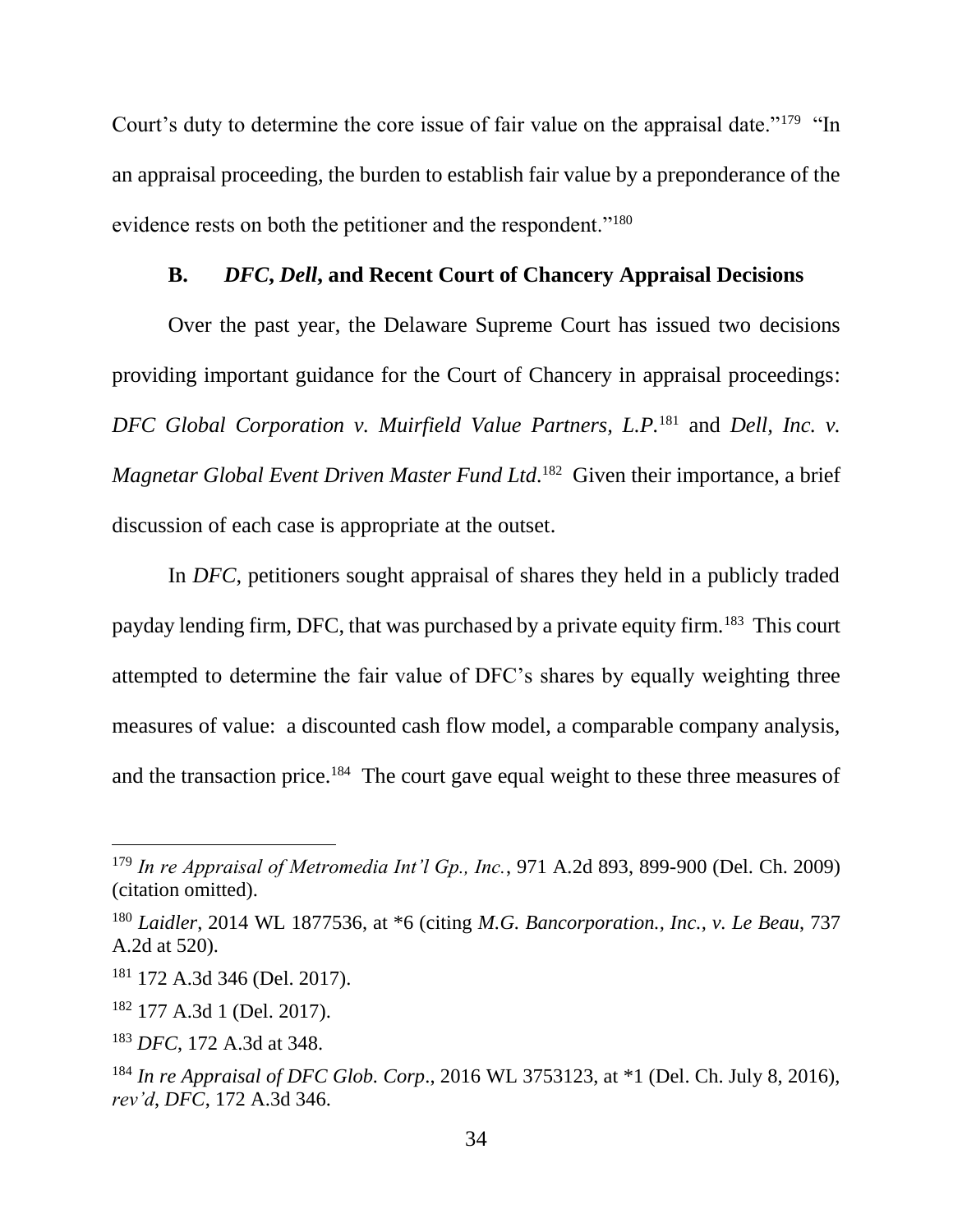Court's duty to determine the core issue of fair value on the appraisal date."<sup>179</sup> "In an appraisal proceeding, the burden to establish fair value by a preponderance of the evidence rests on both the petitioner and the respondent."<sup>180</sup>

## **B.** *DFC***,** *Dell***, and Recent Court of Chancery Appraisal Decisions**

Over the past year, the Delaware Supreme Court has issued two decisions providing important guidance for the Court of Chancery in appraisal proceedings: *DFC Global Corporation v. Muirfield Value Partners, L.P.*<sup>181</sup> and *Dell, Inc. v. Magnetar Global Event Driven Master Fund Ltd.* 182 Given their importance, a brief discussion of each case is appropriate at the outset.

In *DFC*, petitioners sought appraisal of shares they held in a publicly traded payday lending firm, DFC, that was purchased by a private equity firm.<sup>183</sup> This court attempted to determine the fair value of DFC's shares by equally weighting three measures of value: a discounted cash flow model, a comparable company analysis, and the transaction price.<sup>184</sup> The court gave equal weight to these three measures of

<sup>179</sup> *In re Appraisal of Metromedia Int'l Gp., Inc.*, 971 A.2d 893, 899-900 (Del. Ch. 2009) (citation omitted).

<sup>180</sup> *Laidler*, 2014 WL 1877536, at \*6 (citing *M.G. Bancorporation., Inc., v. Le Beau*, 737 A.2d at 520).

<sup>181</sup> 172 A.3d 346 (Del. 2017).

<sup>182</sup> 177 A.3d 1 (Del. 2017).

<sup>183</sup> *DFC*, 172 A.3d at 348.

<sup>184</sup> *In re Appraisal of DFC Glob. Corp*., 2016 WL 3753123, at \*1 (Del. Ch. July 8, 2016), *rev'd*, *DFC*, 172 A.3d 346.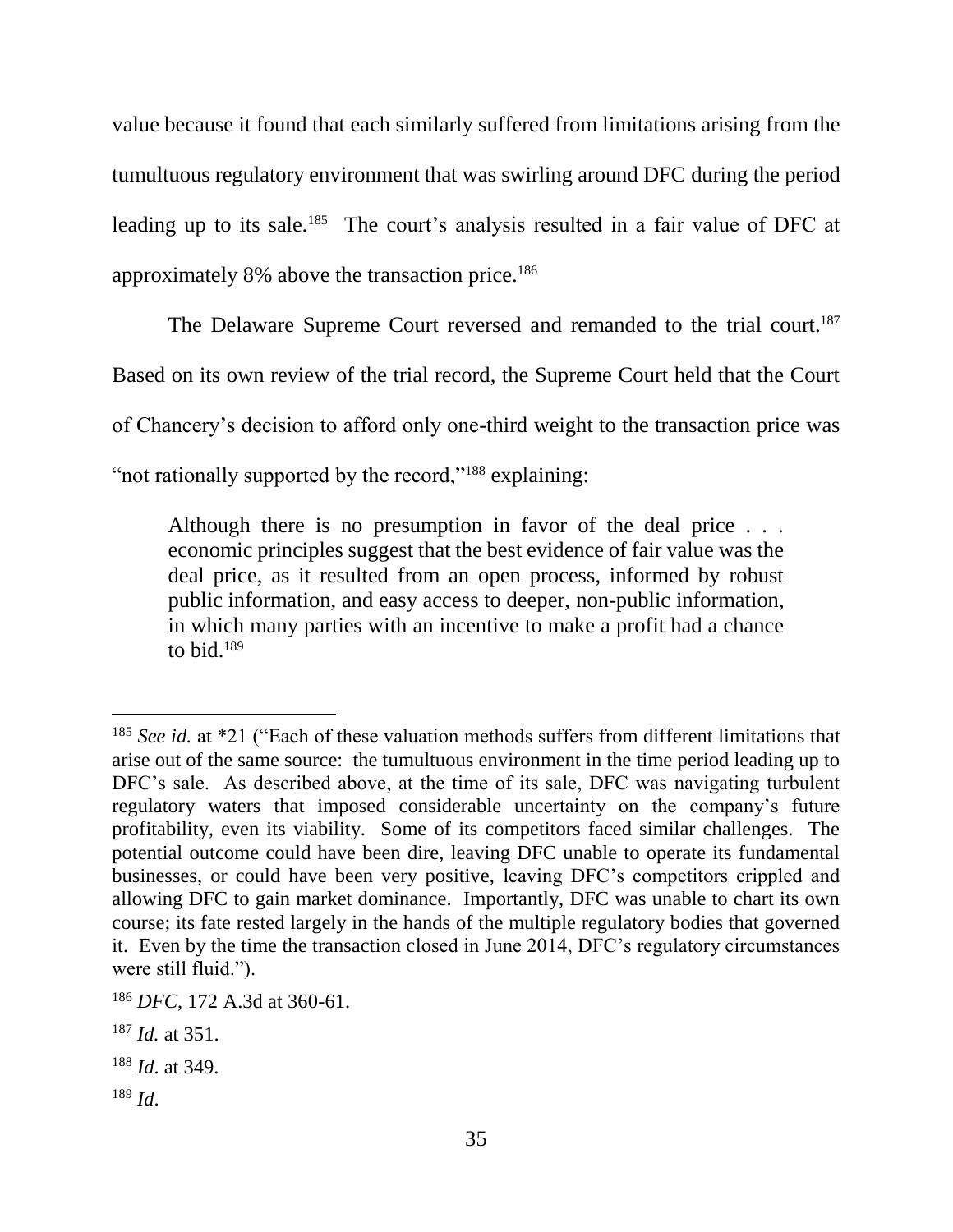value because it found that each similarly suffered from limitations arising from the tumultuous regulatory environment that was swirling around DFC during the period leading up to its sale.<sup>185</sup> The court's analysis resulted in a fair value of DFC at approximately 8% above the transaction price.<sup>186</sup>

The Delaware Supreme Court reversed and remanded to the trial court.<sup>187</sup> Based on its own review of the trial record, the Supreme Court held that the Court of Chancery's decision to afford only one-third weight to the transaction price was "not rationally supported by the record,"<sup>188</sup> explaining:

Although there is no presumption in favor of the deal price . . . economic principles suggest that the best evidence of fair value was the deal price, as it resulted from an open process, informed by robust public information, and easy access to deeper, non-public information, in which many parties with an incentive to make a profit had a chance to bid.<sup>189</sup>

<sup>185</sup> *See id.* at \*21 ("Each of these valuation methods suffers from different limitations that arise out of the same source: the tumultuous environment in the time period leading up to DFC's sale. As described above, at the time of its sale, DFC was navigating turbulent regulatory waters that imposed considerable uncertainty on the company's future profitability, even its viability. Some of its competitors faced similar challenges. The potential outcome could have been dire, leaving DFC unable to operate its fundamental businesses, or could have been very positive, leaving DFC's competitors crippled and allowing DFC to gain market dominance. Importantly, DFC was unable to chart its own course; its fate rested largely in the hands of the multiple regulatory bodies that governed it. Even by the time the transaction closed in June 2014, DFC's regulatory circumstances were still fluid.").

<sup>186</sup> *DFC*, 172 A.3d at 360-61.

<sup>187</sup> *Id.* at 351.

<sup>188</sup> *Id*. at 349.

<sup>189</sup> *Id*.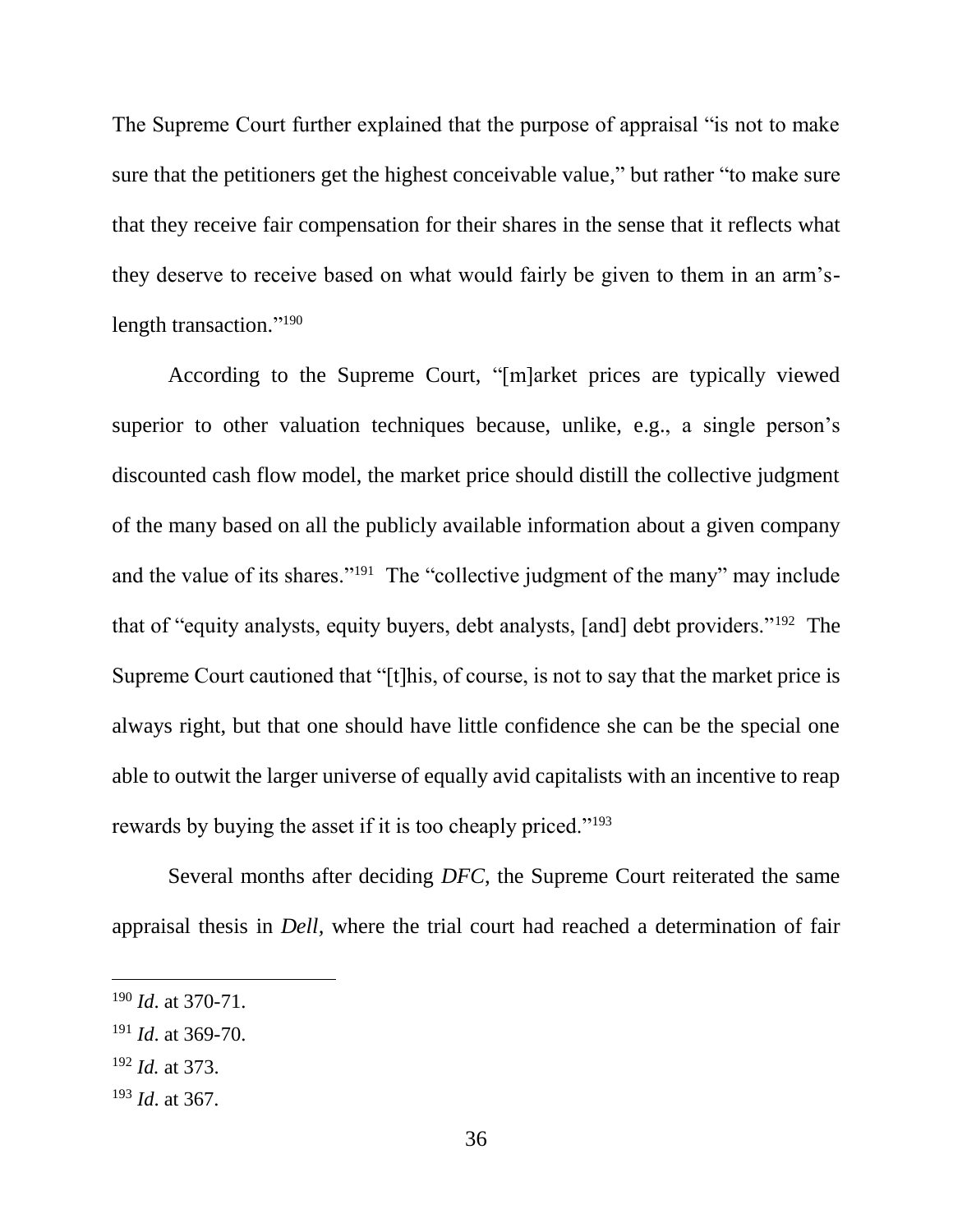The Supreme Court further explained that the purpose of appraisal "is not to make sure that the petitioners get the highest conceivable value," but rather "to make sure that they receive fair compensation for their shares in the sense that it reflects what they deserve to receive based on what would fairly be given to them in an arm'slength transaction."<sup>190</sup>

According to the Supreme Court, "[m]arket prices are typically viewed superior to other valuation techniques because, unlike, e.g., a single person's discounted cash flow model, the market price should distill the collective judgment of the many based on all the publicly available information about a given company and the value of its shares."<sup>191</sup> The "collective judgment of the many" may include that of "equity analysts, equity buyers, debt analysts, [and] debt providers."<sup>192</sup> The Supreme Court cautioned that "[t]his, of course, is not to say that the market price is always right, but that one should have little confidence she can be the special one able to outwit the larger universe of equally avid capitalists with an incentive to reap rewards by buying the asset if it is too cheaply priced."<sup>193</sup>

Several months after deciding *DFC*, the Supreme Court reiterated the same appraisal thesis in *Dell,* where the trial court had reached a determination of fair

<sup>192</sup> *Id.* at 373.

l

<sup>193</sup> *Id*. at 367.

<sup>190</sup> *Id*. at 370-71.

<sup>191</sup> *Id*. at 369-70.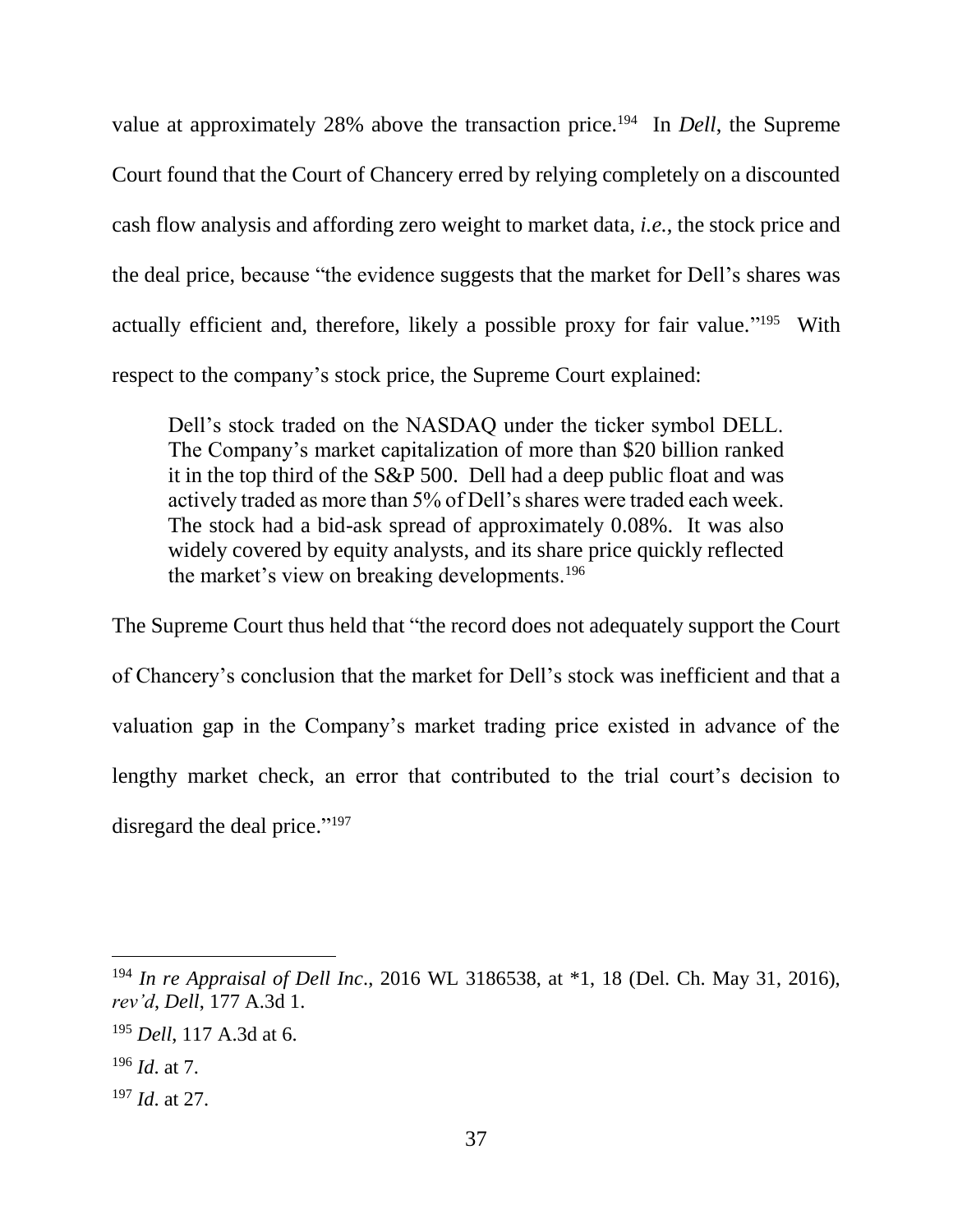value at approximately 28% above the transaction price.<sup>194</sup> In *Dell*, the Supreme Court found that the Court of Chancery erred by relying completely on a discounted cash flow analysis and affording zero weight to market data, *i.e.*, the stock price and the deal price, because "the evidence suggests that the market for Dell's shares was actually efficient and, therefore, likely a possible proxy for fair value."<sup>195</sup> With respect to the company's stock price, the Supreme Court explained:

Dell's stock traded on the NASDAQ under the ticker symbol DELL. The Company's market capitalization of more than \$20 billion ranked it in the top third of the S&P 500. Dell had a deep public float and was actively traded as more than 5% of Dell's shares were traded each week. The stock had a bid-ask spread of approximately 0.08%. It was also widely covered by equity analysts, and its share price quickly reflected the market's view on breaking developments.<sup>196</sup>

The Supreme Court thus held that "the record does not adequately support the Court of Chancery's conclusion that the market for Dell's stock was inefficient and that a valuation gap in the Company's market trading price existed in advance of the lengthy market check, an error that contributed to the trial court's decision to disregard the deal price."<sup>197</sup>

<sup>194</sup> *In re Appraisal of Dell Inc*., 2016 WL 3186538, at \*1, 18 (Del. Ch. May 31, 2016), *rev'd*, *Dell*, 177 A.3d 1.

<sup>195</sup> *Dell*, 117 A.3d at 6.

<sup>196</sup> *Id*. at 7.

<sup>197</sup> *Id*. at 27.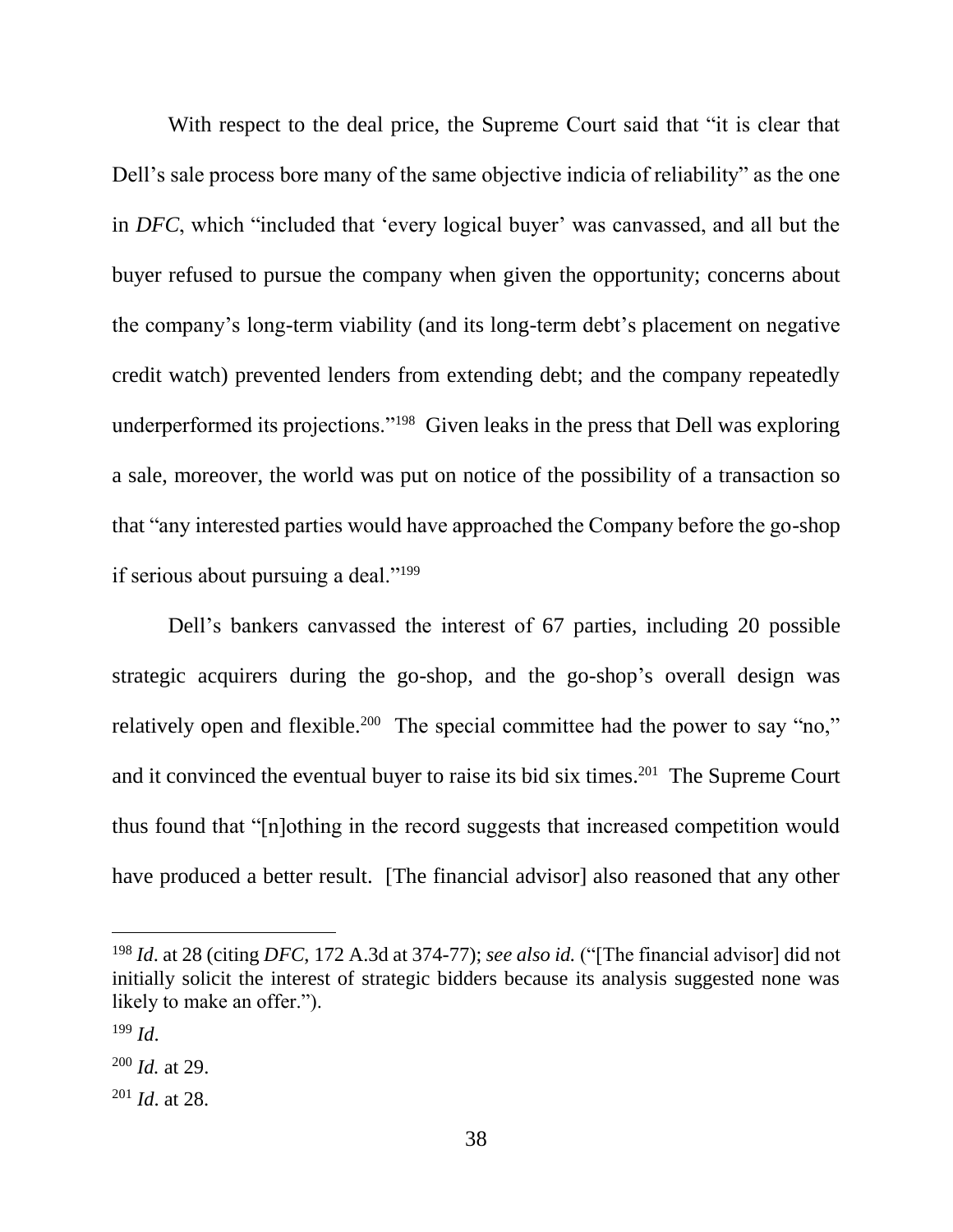With respect to the deal price, the Supreme Court said that "it is clear that Dell's sale process bore many of the same objective indicia of reliability" as the one in *DFC*, which "included that 'every logical buyer' was canvassed, and all but the buyer refused to pursue the company when given the opportunity; concerns about the company's long-term viability (and its long-term debt's placement on negative credit watch) prevented lenders from extending debt; and the company repeatedly underperformed its projections."<sup>198</sup> Given leaks in the press that Dell was exploring a sale, moreover, the world was put on notice of the possibility of a transaction so that "any interested parties would have approached the Company before the go-shop if serious about pursuing a deal."<sup>199</sup>

Dell's bankers canvassed the interest of 67 parties, including 20 possible strategic acquirers during the go-shop, and the go-shop's overall design was relatively open and flexible.<sup>200</sup> The special committee had the power to say "no," and it convinced the eventual buyer to raise its bid six times.<sup>201</sup> The Supreme Court thus found that "[n]othing in the record suggests that increased competition would have produced a better result. [The financial advisor] also reasoned that any other

<sup>198</sup> *Id*. at 28 (citing *DFC*, 172 A.3d at 374-77); *see also id.* ("[The financial advisor] did not initially solicit the interest of strategic bidders because its analysis suggested none was likely to make an offer.").

 $199$  *Id.* 

<sup>200</sup> *Id.* at 29.

<sup>201</sup> *Id*. at 28.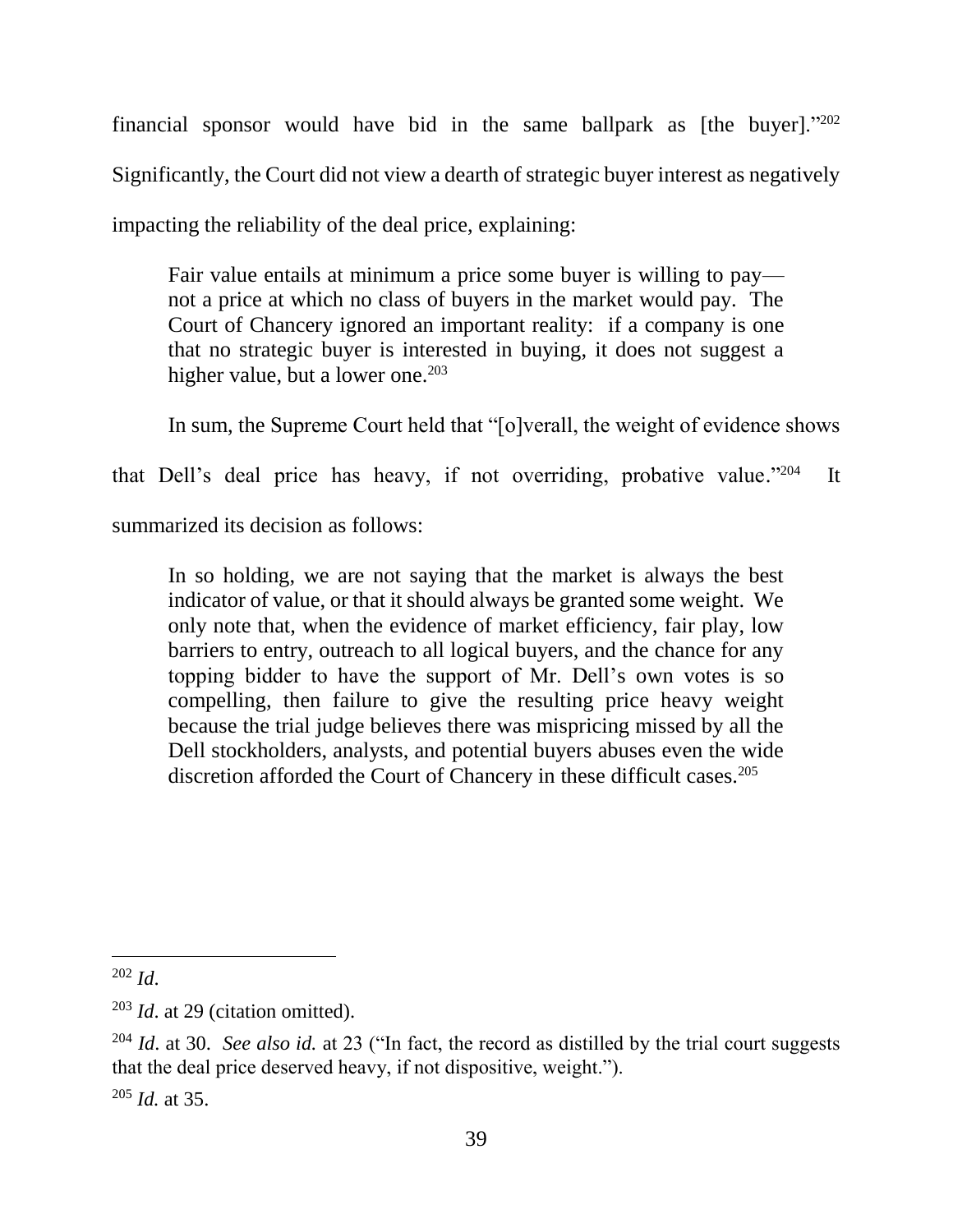financial sponsor would have bid in the same ballpark as [the buyer]."202 Significantly, the Court did not view a dearth of strategic buyer interest as negatively impacting the reliability of the deal price, explaining:

Fair value entails at minimum a price some buyer is willing to pay not a price at which no class of buyers in the market would pay. The Court of Chancery ignored an important reality: if a company is one that no strategic buyer is interested in buying, it does not suggest a higher value, but a lower one.<sup>203</sup>

In sum, the Supreme Court held that "[o]verall, the weight of evidence shows

that Dell's deal price has heavy, if not overriding, probative value." <sup>204</sup> It

summarized its decision as follows:

In so holding, we are not saying that the market is always the best indicator of value, or that it should always be granted some weight. We only note that, when the evidence of market efficiency, fair play, low barriers to entry, outreach to all logical buyers, and the chance for any topping bidder to have the support of Mr. Dell's own votes is so compelling, then failure to give the resulting price heavy weight because the trial judge believes there was mispricing missed by all the Dell stockholders, analysts, and potential buyers abuses even the wide discretion afforded the Court of Chancery in these difficult cases.<sup>205</sup>

l <sup>202</sup> *Id*.

<sup>203</sup> *Id*. at 29 (citation omitted).

<sup>204</sup> *Id*. at 30. *See also id.* at 23 ("In fact, the record as distilled by the trial court suggests that the deal price deserved heavy, if not dispositive, weight.").

<sup>205</sup> *Id.* at 35.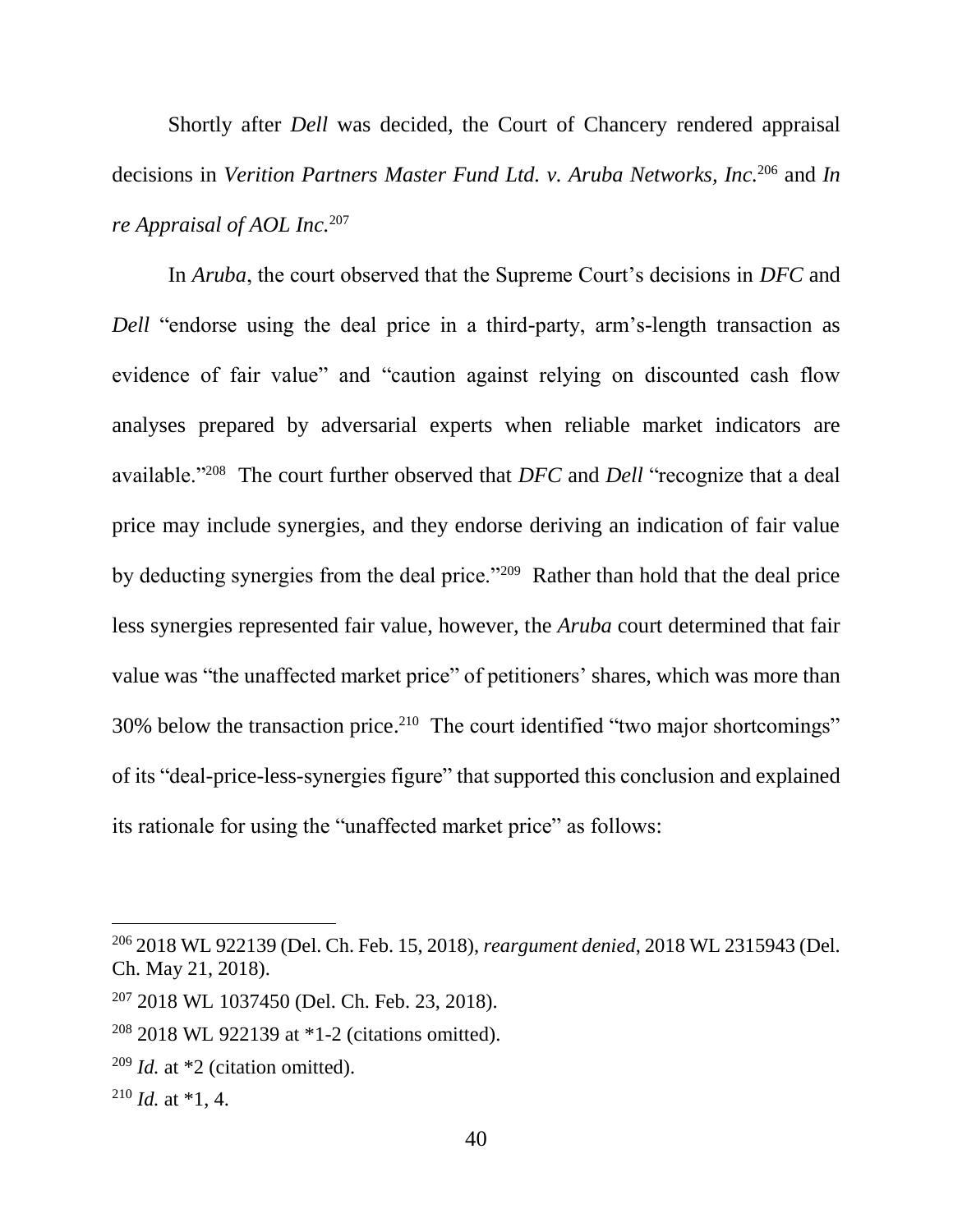Shortly after *Dell* was decided, the Court of Chancery rendered appraisal decisions in *Verition Partners Master Fund Ltd. v. Aruba Networks, Inc.*<sup>206</sup> and *In re Appraisal of AOL Inc.*<sup>207</sup> 

In *Aruba*, the court observed that the Supreme Court's decisions in *DFC* and *Dell* "endorse using the deal price in a third-party, arm's-length transaction as evidence of fair value" and "caution against relying on discounted cash flow analyses prepared by adversarial experts when reliable market indicators are available."<sup>208</sup> The court further observed that *DFC* and *Dell* "recognize that a deal price may include synergies, and they endorse deriving an indication of fair value by deducting synergies from the deal price."<sup>209</sup> Rather than hold that the deal price less synergies represented fair value, however, the *Aruba* court determined that fair value was "the unaffected market price" of petitioners' shares, which was more than 30% below the transaction price. 210 The court identified "two major shortcomings" of its "deal-price-less-synergies figure" that supported this conclusion and explained its rationale for using the "unaffected market price" as follows:

<sup>206</sup> 2018 WL 922139 (Del. Ch. Feb. 15, 2018), *reargument denied*, 2018 WL 2315943 (Del. Ch. May 21, 2018).

<sup>207</sup> 2018 WL 1037450 (Del. Ch. Feb. 23, 2018).

<sup>208</sup> 2018 WL 922139 at \*1-2 (citations omitted).

<sup>209</sup> *Id.* at \*2 (citation omitted).

 $^{210}$  *Id.* at  $*1$ , 4.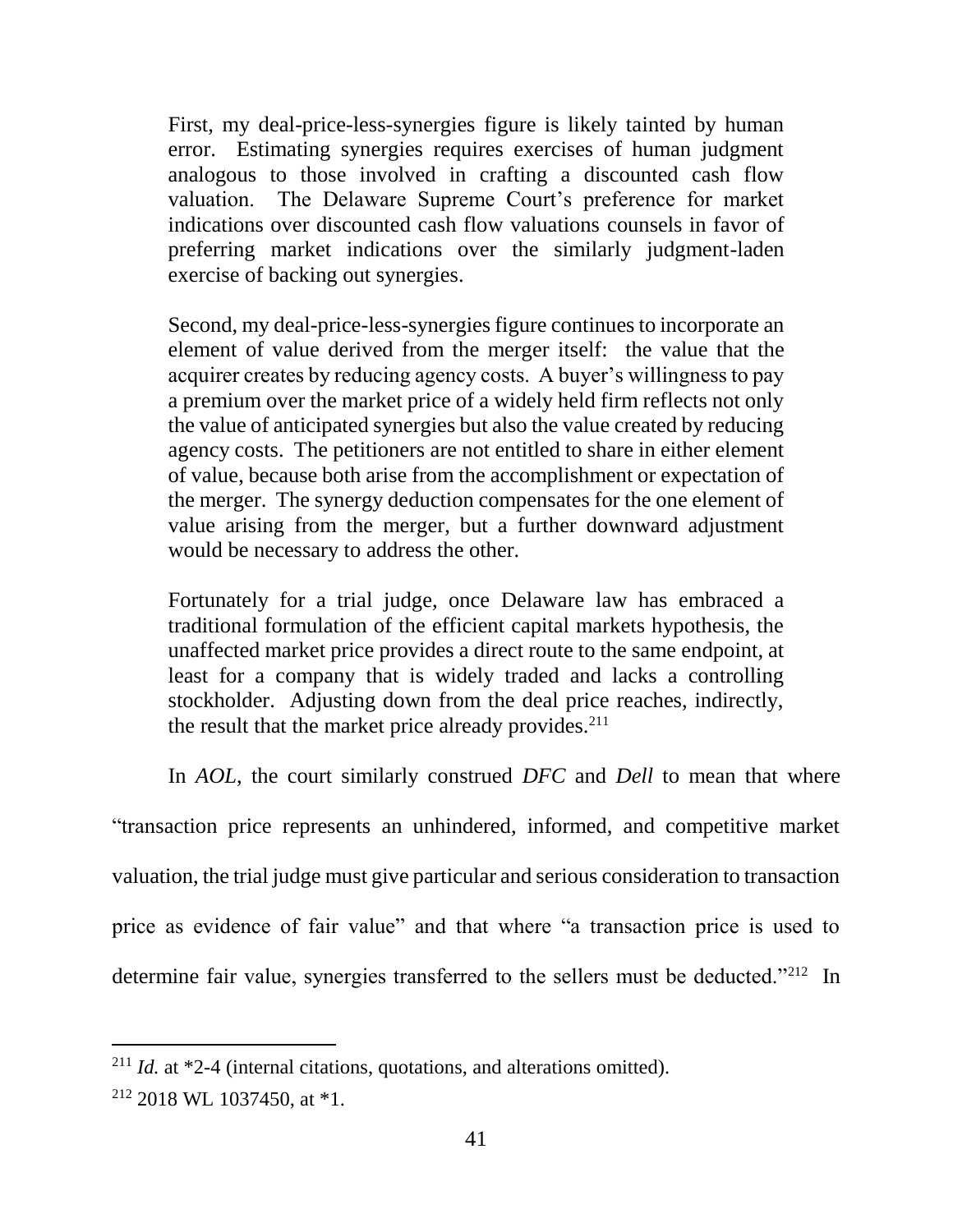First, my deal-price-less-synergies figure is likely tainted by human error. Estimating synergies requires exercises of human judgment analogous to those involved in crafting a discounted cash flow valuation. The Delaware Supreme Court's preference for market indications over discounted cash flow valuations counsels in favor of preferring market indications over the similarly judgment-laden exercise of backing out synergies.

Second, my deal-price-less-synergies figure continues to incorporate an element of value derived from the merger itself: the value that the acquirer creates by reducing agency costs. A buyer's willingness to pay a premium over the market price of a widely held firm reflects not only the value of anticipated synergies but also the value created by reducing agency costs. The petitioners are not entitled to share in either element of value, because both arise from the accomplishment or expectation of the merger. The synergy deduction compensates for the one element of value arising from the merger, but a further downward adjustment would be necessary to address the other.

Fortunately for a trial judge, once Delaware law has embraced a traditional formulation of the efficient capital markets hypothesis, the unaffected market price provides a direct route to the same endpoint, at least for a company that is widely traded and lacks a controlling stockholder. Adjusting down from the deal price reaches, indirectly, the result that the market price already provides.<sup>211</sup>

In *AOL*, the court similarly construed *DFC* and *Dell* to mean that where

"transaction price represents an unhindered, informed, and competitive market valuation, the trial judge must give particular and serious consideration to transaction price as evidence of fair value" and that where "a transaction price is used to determine fair value, synergies transferred to the sellers must be deducted."<sup>212</sup> In

<sup>211</sup> *Id.* at \*2-4 (internal citations, quotations, and alterations omitted).

 $212$  2018 WL 1037450, at  $*1$ .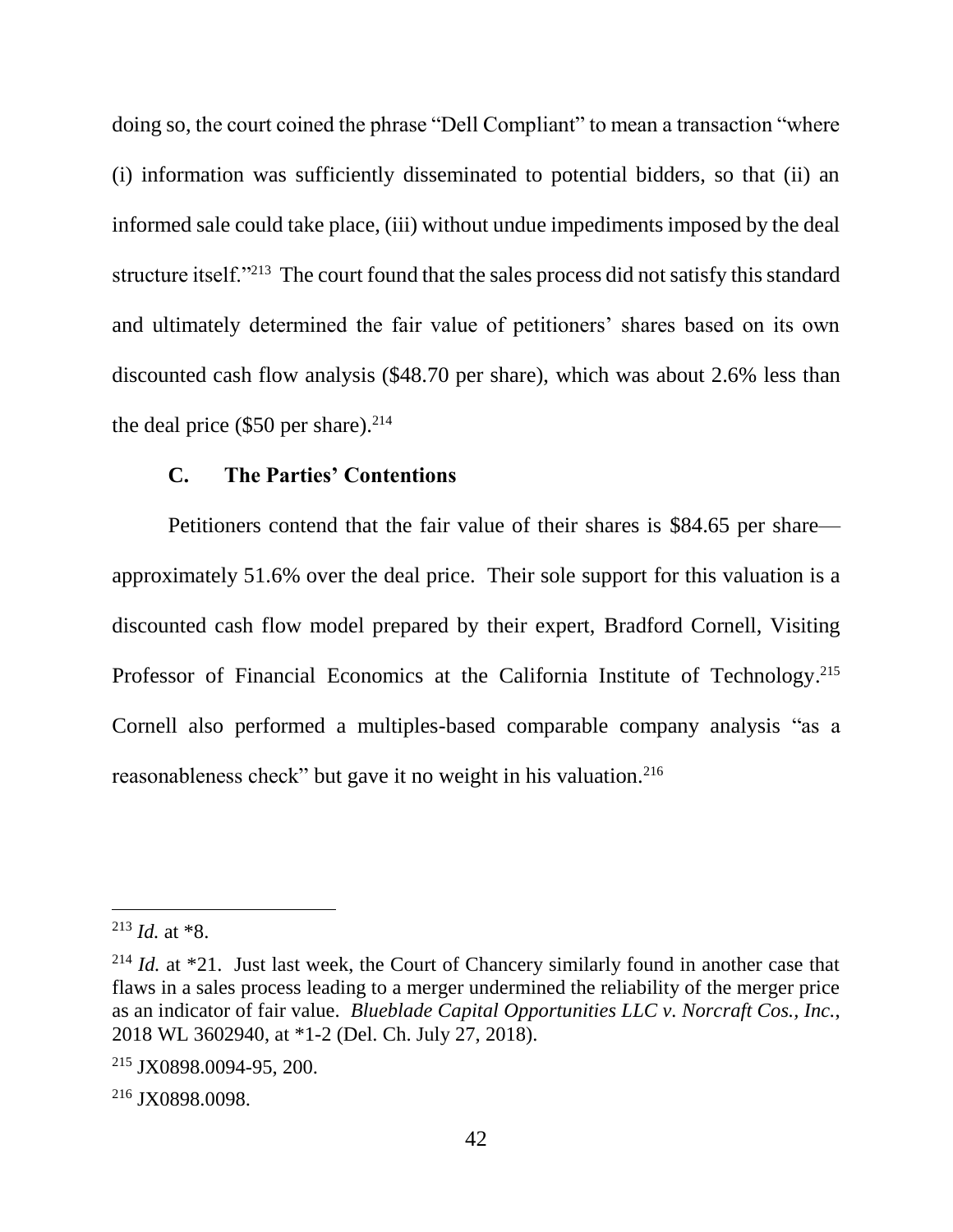doing so, the court coined the phrase "Dell Compliant" to mean a transaction "where (i) information was sufficiently disseminated to potential bidders, so that (ii) an informed sale could take place, (iii) without undue impediments imposed by the deal structure itself."<sup>213</sup> The court found that the sales process did not satisfy this standard and ultimately determined the fair value of petitioners' shares based on its own discounted cash flow analysis (\$48.70 per share), which was about 2.6% less than the deal price  $(\$50$  per share).<sup>214</sup>

#### **C. The Parties' Contentions**

Petitioners contend that the fair value of their shares is \$84.65 per share approximately 51.6% over the deal price. Their sole support for this valuation is a discounted cash flow model prepared by their expert, Bradford Cornell, Visiting Professor of Financial Economics at the California Institute of Technology.<sup>215</sup> Cornell also performed a multiples-based comparable company analysis "as a reasonableness check" but gave it no weight in his valuation.<sup>216</sup>

 $213$  *Id.* at  $*8$ .

<sup>&</sup>lt;sup>214</sup> *Id.* at \*21. Just last week, the Court of Chancery similarly found in another case that flaws in a sales process leading to a merger undermined the reliability of the merger price as an indicator of fair value. *Blueblade Capital Opportunities LLC v. Norcraft Cos., Inc.*, 2018 WL 3602940, at \*1-2 (Del. Ch. July 27, 2018).

<sup>215</sup> JX0898.0094-95, 200.

<sup>216</sup> JX0898.0098.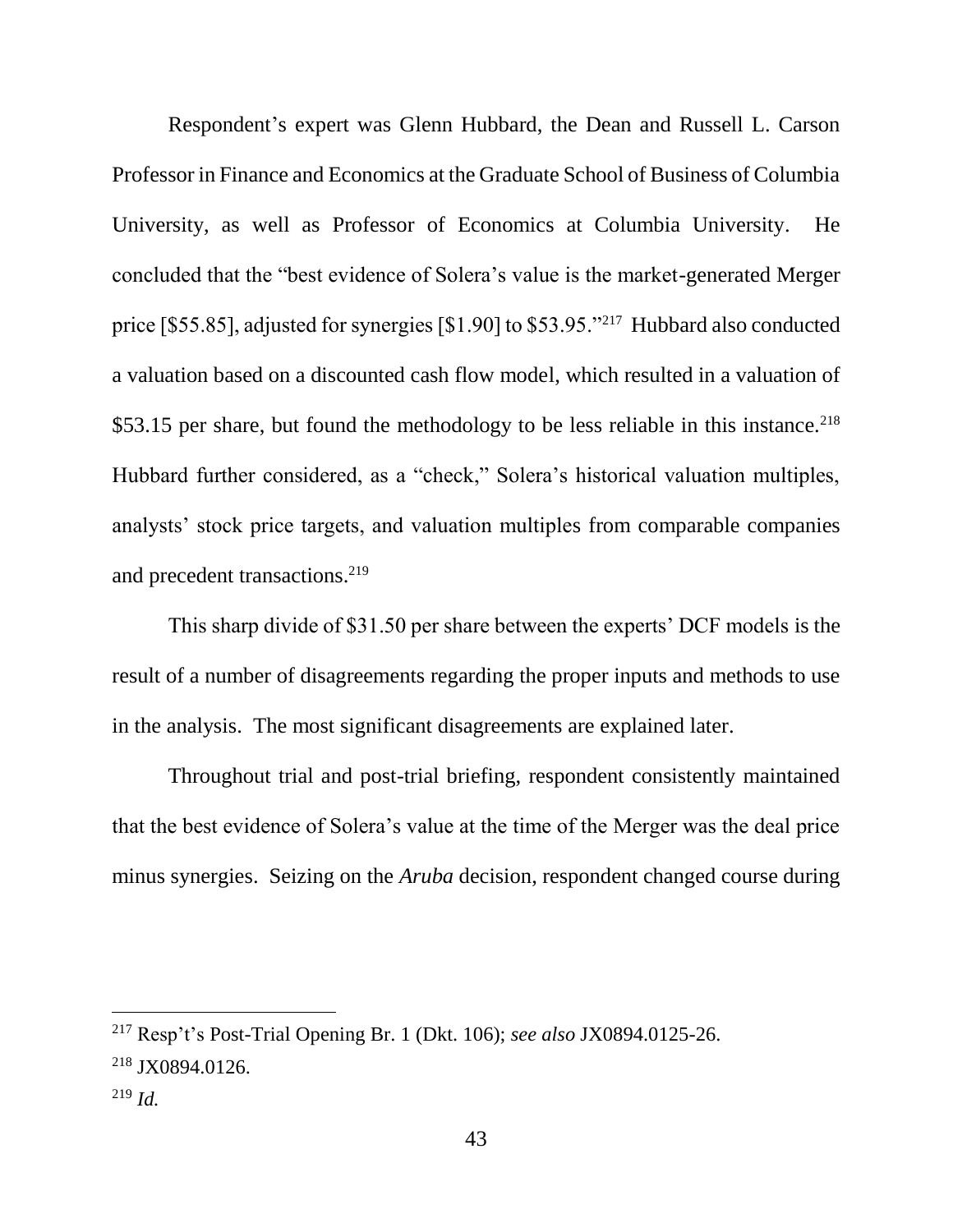Respondent's expert was Glenn Hubbard, the Dean and Russell L. Carson Professor in Finance and Economics at the Graduate School of Business of Columbia University, as well as Professor of Economics at Columbia University. He concluded that the "best evidence of Solera's value is the market-generated Merger price [\$55.85], adjusted for synergies [\$1.90] to \$53.95."<sup>217</sup> Hubbard also conducted a valuation based on a discounted cash flow model, which resulted in a valuation of \$53.15 per share, but found the methodology to be less reliable in this instance.<sup>218</sup> Hubbard further considered, as a "check," Solera's historical valuation multiples, analysts' stock price targets, and valuation multiples from comparable companies and precedent transactions.<sup>219</sup>

This sharp divide of \$31.50 per share between the experts' DCF models is the result of a number of disagreements regarding the proper inputs and methods to use in the analysis. The most significant disagreements are explained later.

Throughout trial and post-trial briefing, respondent consistently maintained that the best evidence of Solera's value at the time of the Merger was the deal price minus synergies. Seizing on the *Aruba* decision, respondent changed course during

<sup>217</sup> Resp't's Post-Trial Opening Br. 1 (Dkt. 106); *see also* JX0894.0125-26. <sup>218</sup> JX0894.0126.

<sup>219</sup> *Id.*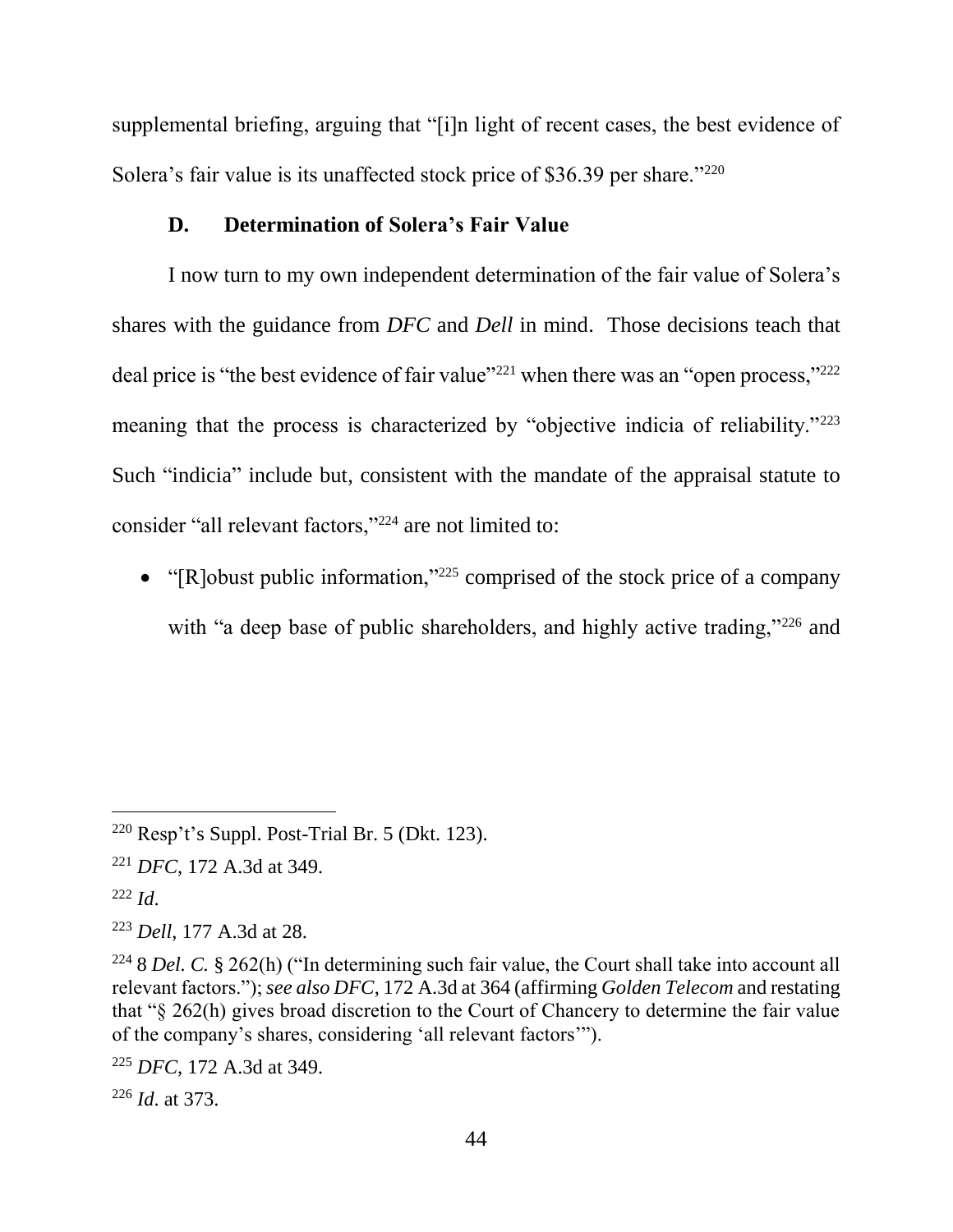supplemental briefing, arguing that "[i]n light of recent cases, the best evidence of Solera's fair value is its unaffected stock price of \$36.39 per share."<sup>220</sup>

#### **D. Determination of Solera's Fair Value**

I now turn to my own independent determination of the fair value of Solera's shares with the guidance from *DFC* and *Dell* in mind. Those decisions teach that deal price is "the best evidence of fair value"<sup>221</sup> when there was an "open process,"<sup>222</sup> meaning that the process is characterized by "objective indicia of reliability."<sup>223</sup> Such "indicia" include but, consistent with the mandate of the appraisal statute to consider "all relevant factors,"<sup>224</sup> are not limited to:

• "[R]obust public information,"<sup>225</sup> comprised of the stock price of a company with "a deep base of public shareholders, and highly active trading,"<sup>226</sup> and

 $220$  Resp't's Suppl. Post-Trial Br. 5 (Dkt. 123).

<sup>221</sup> *DFC*, 172 A.3d at 349.

<sup>222</sup> *Id*.

<sup>223</sup> *Dell*, 177 A.3d at 28.

<sup>224</sup> 8 *Del. C.* § 262(h) ("In determining such fair value, the Court shall take into account all relevant factors."); *see also DFC*, 172 A.3d at 364 (affirming *Golden Telecom* and restating that "§ 262(h) gives broad discretion to the Court of Chancery to determine the fair value of the company's shares, considering 'all relevant factors'").

<sup>225</sup> *DFC*, 172 A.3d at 349.

<sup>226</sup> *Id*. at 373.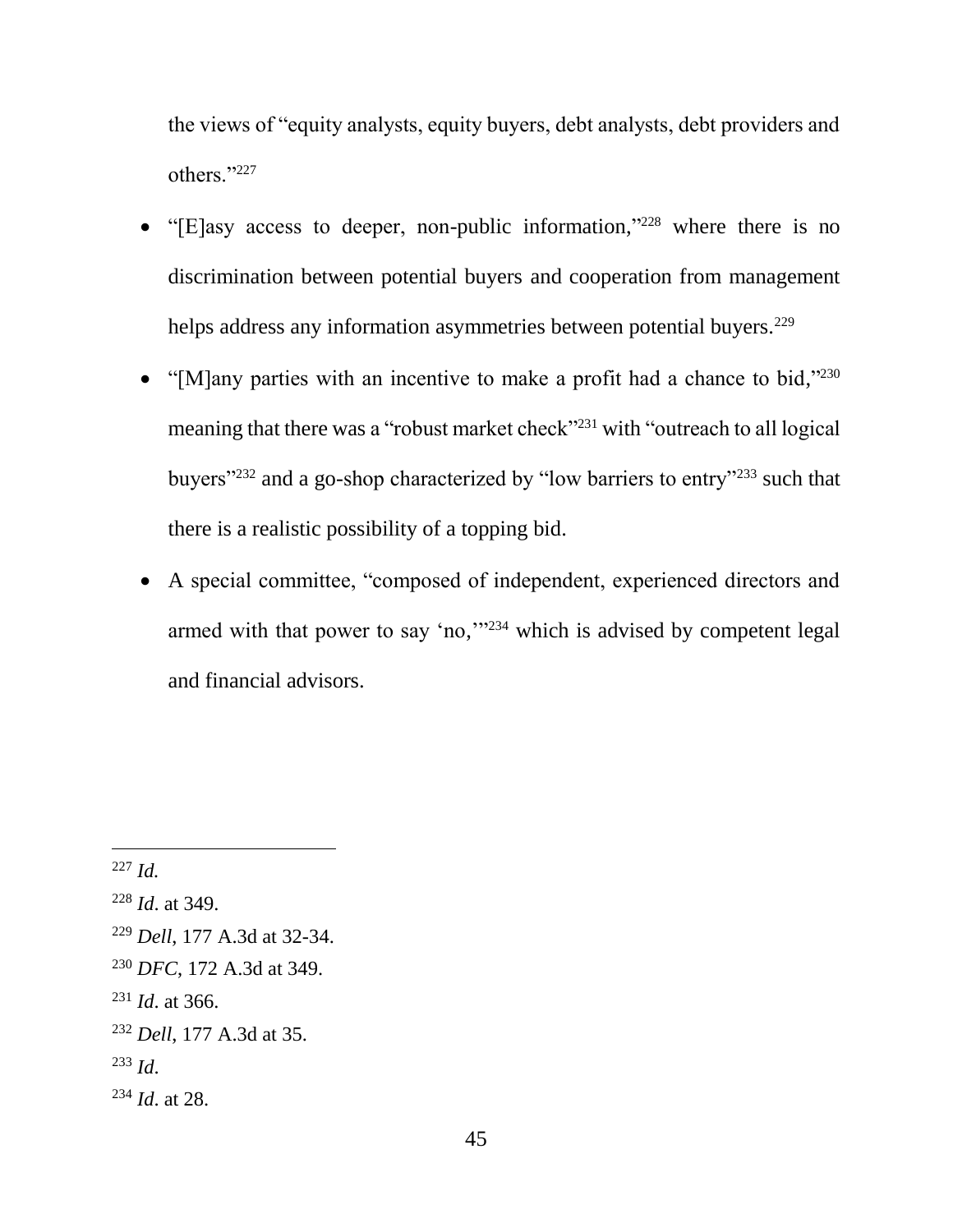the views of "equity analysts, equity buyers, debt analysts, debt providers and others."<sup>227</sup>

- "[E]asy access to deeper, non-public information,"<sup>228</sup> where there is no discrimination between potential buyers and cooperation from management helps address any information asymmetries between potential buyers.<sup>229</sup>
- "[M]any parties with an incentive to make a profit had a chance to bid,"230 meaning that there was a "robust market check"<sup>231</sup> with "outreach to all logical buyers"<sup>232</sup> and a go-shop characterized by "low barriers to entry"<sup>233</sup> such that there is a realistic possibility of a topping bid.
- A special committee, "composed of independent, experienced directors and armed with that power to say 'no,"<sup>234</sup> which is advised by competent legal and financial advisors.

<sup>227</sup> *Id.*

<sup>228</sup> *Id*. at 349.

<sup>229</sup> *Dell*, 177 A.3d at 32-34.

<sup>230</sup> *DFC*, 172 A.3d at 349.

<sup>231</sup> *Id*. at 366.

<sup>232</sup> *Dell*, 177 A.3d at 35.

<sup>233</sup> *Id*.

<sup>234</sup> *Id*. at 28.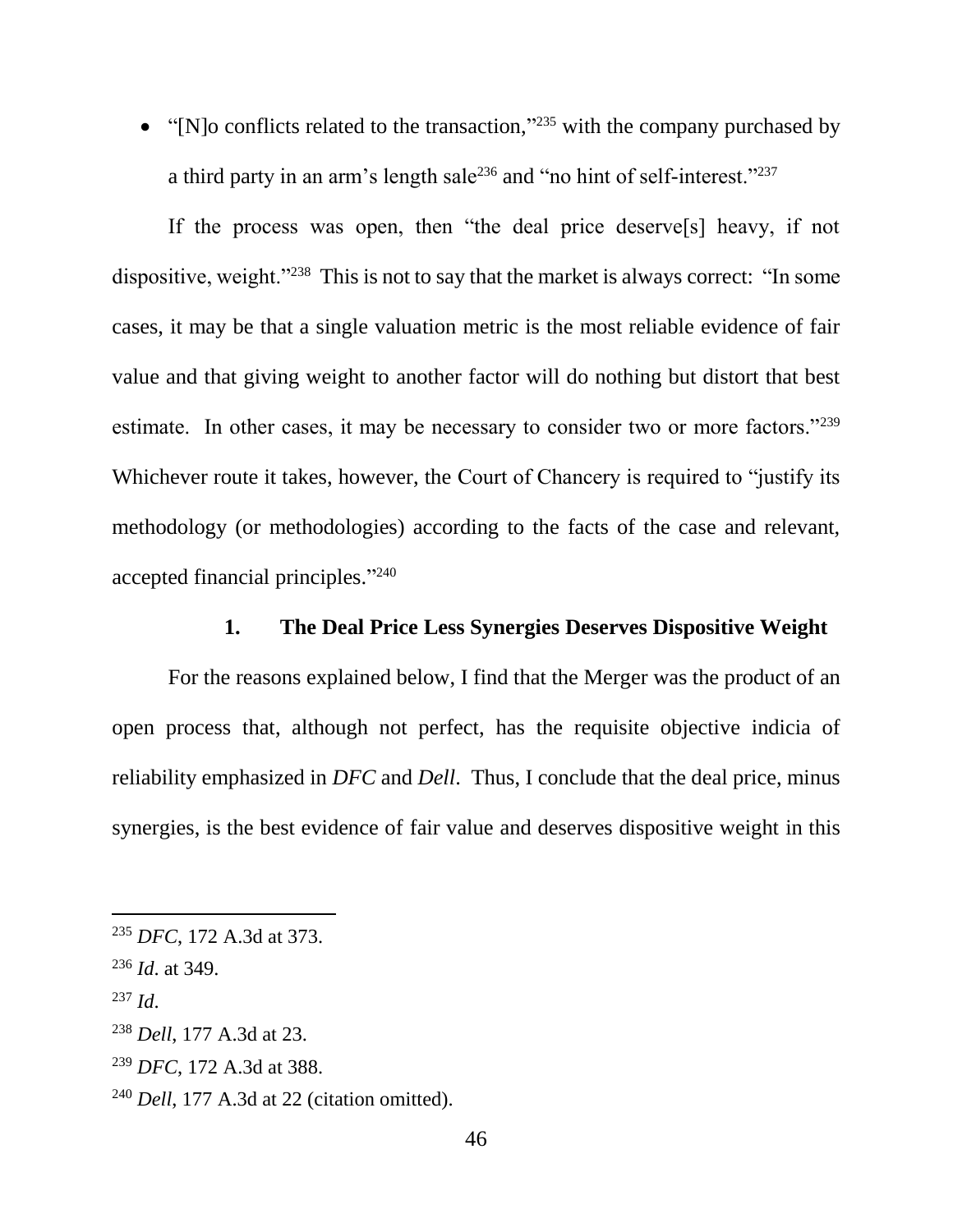• "[N]o conflicts related to the transaction,"<sup>235</sup> with the company purchased by a third party in an arm's length sale<sup>236</sup> and "no hint of self-interest."<sup>237</sup>

If the process was open, then "the deal price deserve[s] heavy, if not dispositive, weight."<sup>238</sup> This is not to say that the market is always correct: "In some cases, it may be that a single valuation metric is the most reliable evidence of fair value and that giving weight to another factor will do nothing but distort that best estimate. In other cases, it may be necessary to consider two or more factors."<sup>239</sup> Whichever route it takes, however, the Court of Chancery is required to "justify its methodology (or methodologies) according to the facts of the case and relevant, accepted financial principles." 240

## **1. The Deal Price Less Synergies Deserves Dispositive Weight**

For the reasons explained below, I find that the Merger was the product of an open process that, although not perfect, has the requisite objective indicia of reliability emphasized in *DFC* and *Dell*. Thus, I conclude that the deal price, minus synergies, is the best evidence of fair value and deserves dispositive weight in this

<sup>235</sup> *DFC*, 172 A.3d at 373.

<sup>236</sup> *Id*. at 349.

<sup>237</sup> *Id*.

<sup>238</sup> *Dell*, 177 A.3d at 23.

<sup>239</sup> *DFC*, 172 A.3d at 388.

<sup>240</sup> *Dell*, 177 A.3d at 22 (citation omitted).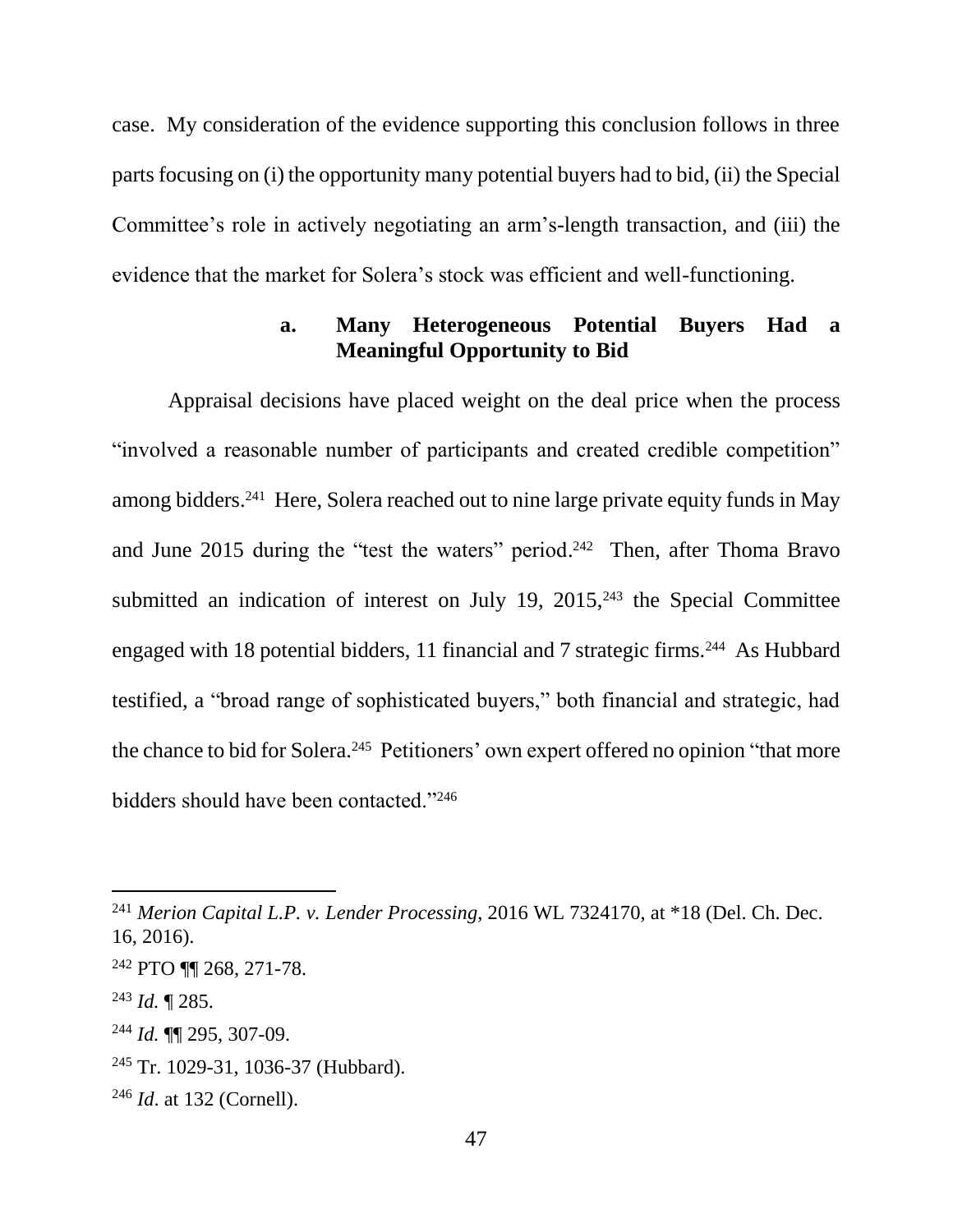case. My consideration of the evidence supporting this conclusion follows in three parts focusing on (i) the opportunity many potential buyers had to bid, (ii) the Special Committee's role in actively negotiating an arm's-length transaction, and (iii) the evidence that the market for Solera's stock was efficient and well-functioning.

## **a. Many Heterogeneous Potential Buyers Had a Meaningful Opportunity to Bid**

Appraisal decisions have placed weight on the deal price when the process "involved a reasonable number of participants and created credible competition" among bidders.<sup>241</sup> Here, Solera reached out to nine large private equity funds in May and June 2015 during the "test the waters" period.<sup>242</sup> Then, after Thoma Bravo submitted an indication of interest on July 19,  $2015$ ,  $243$  the Special Committee engaged with 18 potential bidders, 11 financial and 7 strategic firms.<sup>244</sup> As Hubbard testified, a "broad range of sophisticated buyers," both financial and strategic, had the chance to bid for Solera.<sup>245</sup> Petitioners' own expert offered no opinion "that more bidders should have been contacted."<sup>246</sup>

<sup>241</sup> *Merion Capital L.P. v. Lender Processing*, 2016 WL 7324170, at \*18 (Del. Ch. Dec. 16, 2016).

<sup>242</sup> PTO ¶¶ 268, 271-78.

<sup>243</sup> *Id.* ¶ 285.

<sup>244</sup> *Id.* ¶¶ 295, 307-09.

<sup>245</sup> Tr. 1029-31, 1036-37 (Hubbard).

<sup>246</sup> *Id*. at 132 (Cornell).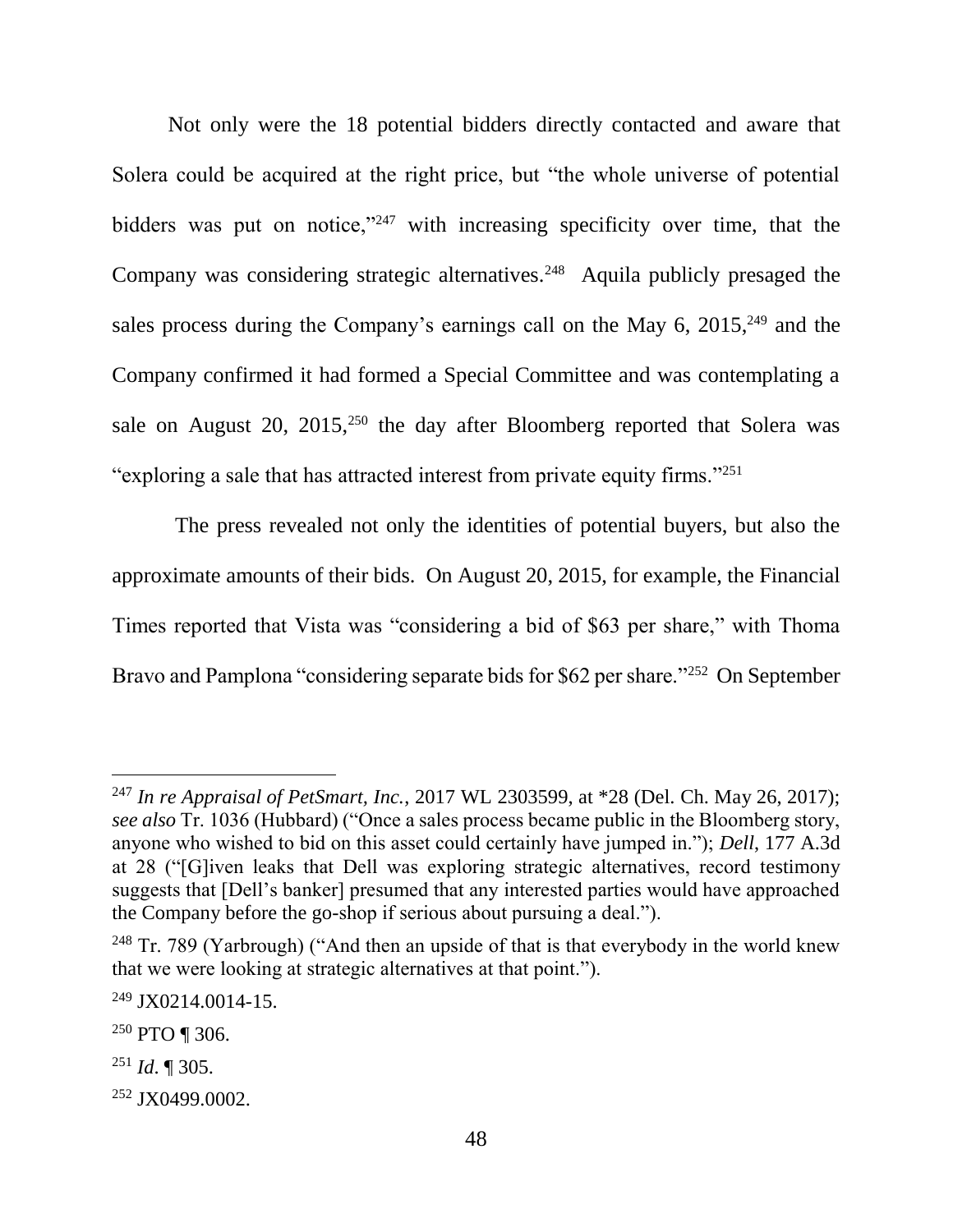Not only were the 18 potential bidders directly contacted and aware that Solera could be acquired at the right price, but "the whole universe of potential bidders was put on notice,"<sup>247</sup> with increasing specificity over time, that the Company was considering strategic alternatives.<sup>248</sup> Aquila publicly presaged the sales process during the Company's earnings call on the May  $6$ ,  $2015$ ,  $249$  and the Company confirmed it had formed a Special Committee and was contemplating a sale on August 20,  $2015$ ,  $250$  the day after Bloomberg reported that Solera was "exploring a sale that has attracted interest from private equity firms."<sup>251</sup>

The press revealed not only the identities of potential buyers, but also the approximate amounts of their bids. On August 20, 2015, for example, the Financial Times reported that Vista was "considering a bid of \$63 per share," with Thoma Bravo and Pamplona "considering separate bids for \$62 per share."<sup>252</sup> On September

<sup>247</sup> *In re Appraisal of PetSmart, Inc.*, 2017 WL 2303599, at \*28 (Del. Ch. May 26, 2017); *see also* Tr. 1036 (Hubbard) ("Once a sales process became public in the Bloomberg story, anyone who wished to bid on this asset could certainly have jumped in."); *Dell*, 177 A.3d at 28 ("[G]iven leaks that Dell was exploring strategic alternatives, record testimony suggests that [Dell's banker] presumed that any interested parties would have approached the Company before the go-shop if serious about pursuing a deal.").

 $248$  Tr. 789 (Yarbrough) ("And then an upside of that is that everybody in the world knew that we were looking at strategic alternatives at that point.").

 $249$  JX0214.0014-15.

<sup>250</sup> PTO ¶ 306.

<sup>251</sup> *Id*. ¶ 305.

<sup>252</sup> JX0499.0002.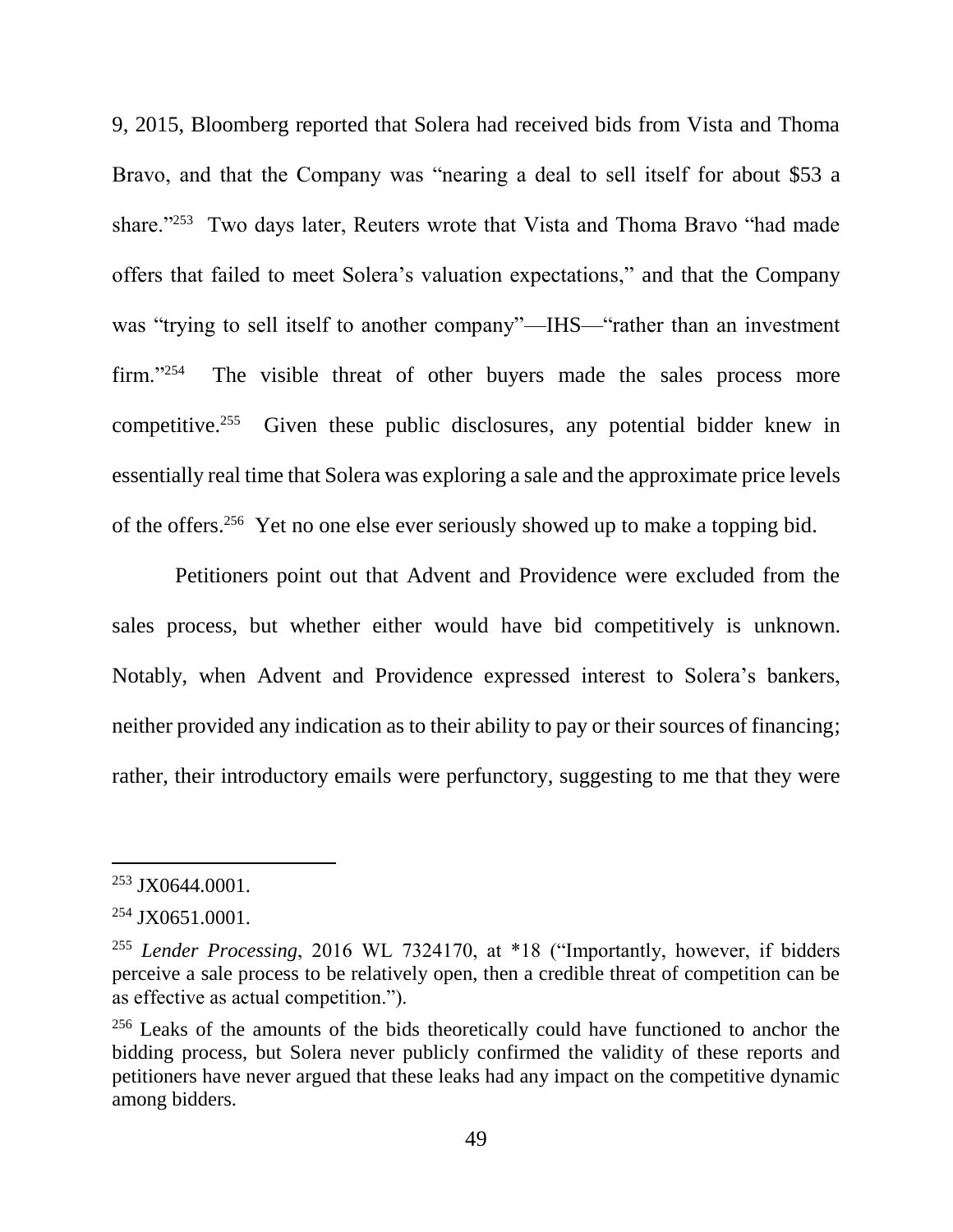9, 2015, Bloomberg reported that Solera had received bids from Vista and Thoma Bravo, and that the Company was "nearing a deal to sell itself for about \$53 a share."<sup>253</sup> Two days later, Reuters wrote that Vista and Thoma Bravo "had made offers that failed to meet Solera's valuation expectations," and that the Company was "trying to sell itself to another company"—IHS—"rather than an investment  $firm. "254"$  The visible threat of other buyers made the sales process more competitive.<sup>255</sup> Given these public disclosures, any potential bidder knew in essentially real time that Solera was exploring a sale and the approximate price levels of the offers. 256 Yet no one else ever seriously showed up to make a topping bid.

Petitioners point out that Advent and Providence were excluded from the sales process, but whether either would have bid competitively is unknown. Notably, when Advent and Providence expressed interest to Solera's bankers, neither provided any indication as to their ability to pay or their sources of financing; rather, their introductory emails were perfunctory, suggesting to me that they were

<sup>253</sup> JX0644.0001.

<sup>254</sup> JX0651.0001.

<sup>255</sup> *Lender Processing*, 2016 WL 7324170, at \*18 ("Importantly, however, if bidders perceive a sale process to be relatively open, then a credible threat of competition can be as effective as actual competition.").

<sup>&</sup>lt;sup>256</sup> Leaks of the amounts of the bids theoretically could have functioned to anchor the bidding process, but Solera never publicly confirmed the validity of these reports and petitioners have never argued that these leaks had any impact on the competitive dynamic among bidders.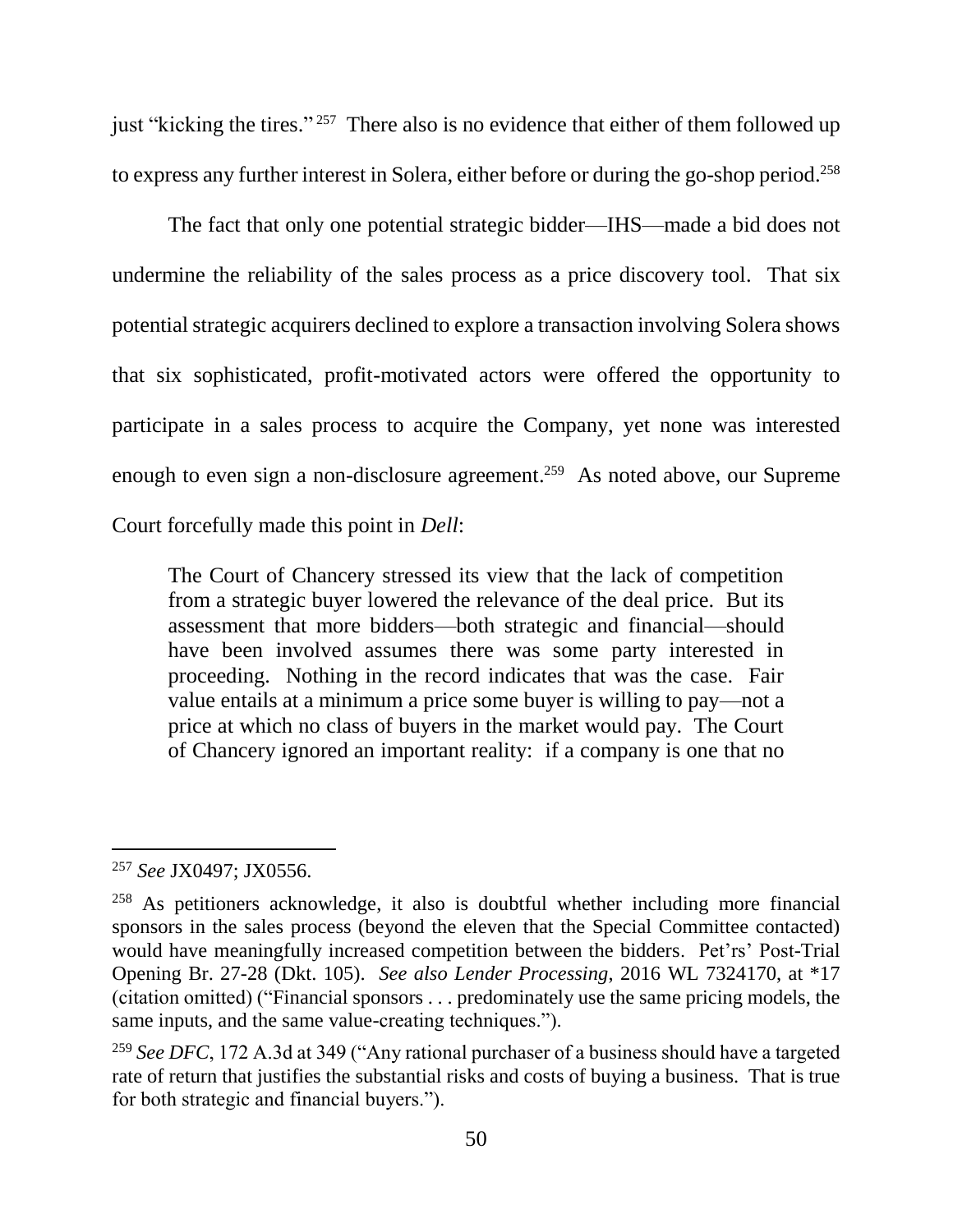just "kicking the tires."<sup>257</sup> There also is no evidence that either of them followed up to express any further interest in Solera, either before or during the go-shop period. 258

The fact that only one potential strategic bidder—IHS—made a bid does not undermine the reliability of the sales process as a price discovery tool. That six potential strategic acquirers declined to explore a transaction involving Solera shows that six sophisticated, profit-motivated actors were offered the opportunity to participate in a sales process to acquire the Company, yet none was interested enough to even sign a non-disclosure agreement.<sup>259</sup> As noted above, our Supreme Court forcefully made this point in *Dell*:

The Court of Chancery stressed its view that the lack of competition from a strategic buyer lowered the relevance of the deal price. But its assessment that more bidders—both strategic and financial—should have been involved assumes there was some party interested in proceeding. Nothing in the record indicates that was the case. Fair value entails at a minimum a price some buyer is willing to pay—not a price at which no class of buyers in the market would pay. The Court of Chancery ignored an important reality: if a company is one that no

<sup>257</sup> *See* JX0497; JX0556.

<sup>258</sup> As petitioners acknowledge, it also is doubtful whether including more financial sponsors in the sales process (beyond the eleven that the Special Committee contacted) would have meaningfully increased competition between the bidders. Pet'rs' Post-Trial Opening Br. 27-28 (Dkt. 105). *See also Lender Processing*, 2016 WL 7324170, at \*17 (citation omitted) ("Financial sponsors . . . predominately use the same pricing models, the same inputs, and the same value-creating techniques.").

<sup>259</sup> *See DFC*, 172 A.3d at 349 ("Any rational purchaser of a business should have a targeted rate of return that justifies the substantial risks and costs of buying a business. That is true for both strategic and financial buyers.").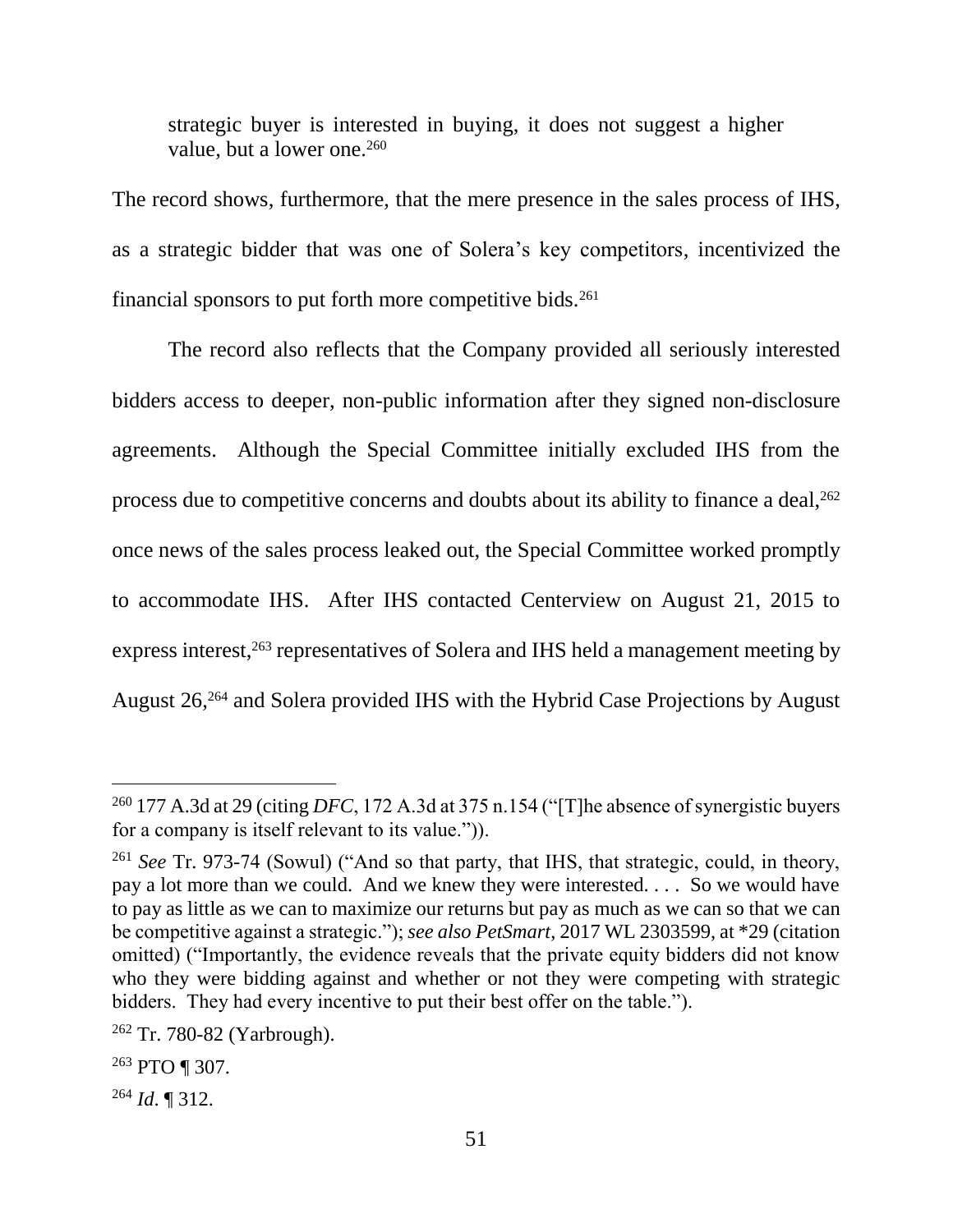strategic buyer is interested in buying, it does not suggest a higher value, but a lower one.<sup>260</sup>

The record shows, furthermore, that the mere presence in the sales process of IHS, as a strategic bidder that was one of Solera's key competitors, incentivized the financial sponsors to put forth more competitive bids.<sup>261</sup>

The record also reflects that the Company provided all seriously interested bidders access to deeper, non-public information after they signed non-disclosure agreements. Although the Special Committee initially excluded IHS from the process due to competitive concerns and doubts about its ability to finance a deal, $^{262}$ once news of the sales process leaked out, the Special Committee worked promptly to accommodate IHS. After IHS contacted Centerview on August 21, 2015 to express interest,<sup>263</sup> representatives of Solera and IHS held a management meeting by August 26, <sup>264</sup> and Solera provided IHS with the Hybrid Case Projections by August

<sup>&</sup>lt;sup>260</sup> 177 A.3d at 29 (citing *DFC*, 172 A.3d at 375 n.154 ("[T]he absence of synergistic buyers for a company is itself relevant to its value.")).

<sup>261</sup> *See* Tr. 973-74 (Sowul) ("And so that party, that IHS, that strategic, could, in theory, pay a lot more than we could. And we knew they were interested. . . . So we would have to pay as little as we can to maximize our returns but pay as much as we can so that we can be competitive against a strategic."); *see also PetSmart*, 2017 WL 2303599, at \*29 (citation omitted) ("Importantly, the evidence reveals that the private equity bidders did not know who they were bidding against and whether or not they were competing with strategic bidders. They had every incentive to put their best offer on the table.").

<sup>262</sup> Tr. 780-82 (Yarbrough).

<sup>263</sup> PTO ¶ 307.

<sup>264</sup> *Id*. ¶ 312.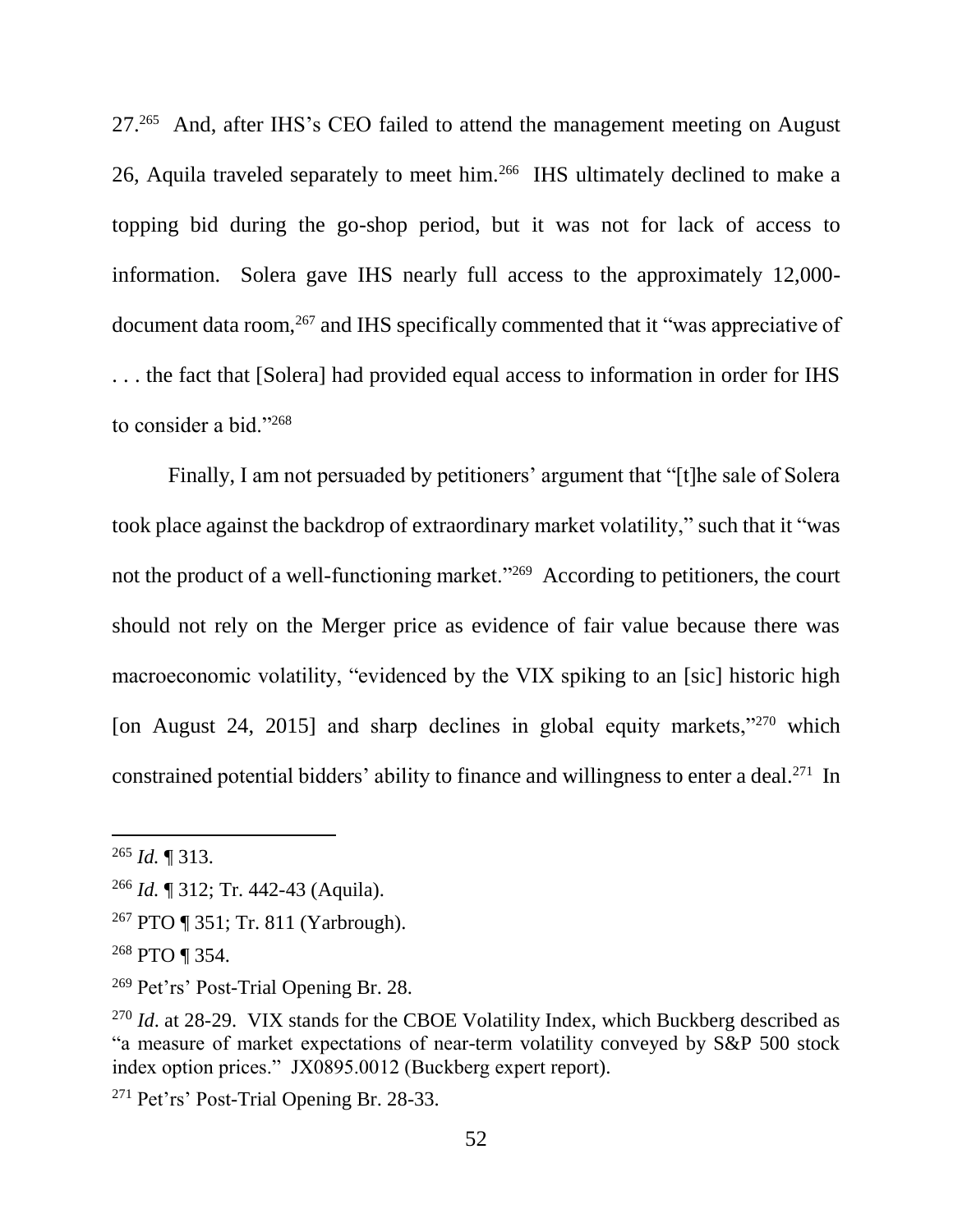27.<sup>265</sup> And, after IHS's CEO failed to attend the management meeting on August 26, Aquila traveled separately to meet him.<sup>266</sup> IHS ultimately declined to make a topping bid during the go-shop period, but it was not for lack of access to information. Solera gave IHS nearly full access to the approximately 12,000 document data room,<sup>267</sup> and IHS specifically commented that it "was appreciative of . . . the fact that [Solera] had provided equal access to information in order for IHS to consider a bid."<sup>268</sup>

Finally, I am not persuaded by petitioners' argument that "[t]he sale of Solera took place against the backdrop of extraordinary market volatility," such that it "was not the product of a well-functioning market."<sup>269</sup> According to petitioners, the court should not rely on the Merger price as evidence of fair value because there was macroeconomic volatility, "evidenced by the VIX spiking to an [sic] historic high [on August 24, 2015] and sharp declines in global equity markets,"<sup>270</sup> which constrained potential bidders' ability to finance and willingness to enter a deal.<sup>271</sup> In

<sup>265</sup> *Id.* ¶ 313.

<sup>266</sup> *Id.* ¶ 312; Tr. 442-43 (Aquila).

<sup>267</sup> PTO ¶ 351; Tr. 811 (Yarbrough).

<sup>268</sup> PTO ¶ 354.

<sup>269</sup> Pet'rs' Post-Trial Opening Br. 28.

<sup>&</sup>lt;sup>270</sup> *Id.* at 28-29. VIX stands for the CBOE Volatility Index, which Buckberg described as "a measure of market expectations of near-term volatility conveyed by S&P 500 stock index option prices." JX0895.0012 (Buckberg expert report).

<sup>271</sup> Pet'rs' Post-Trial Opening Br. 28-33.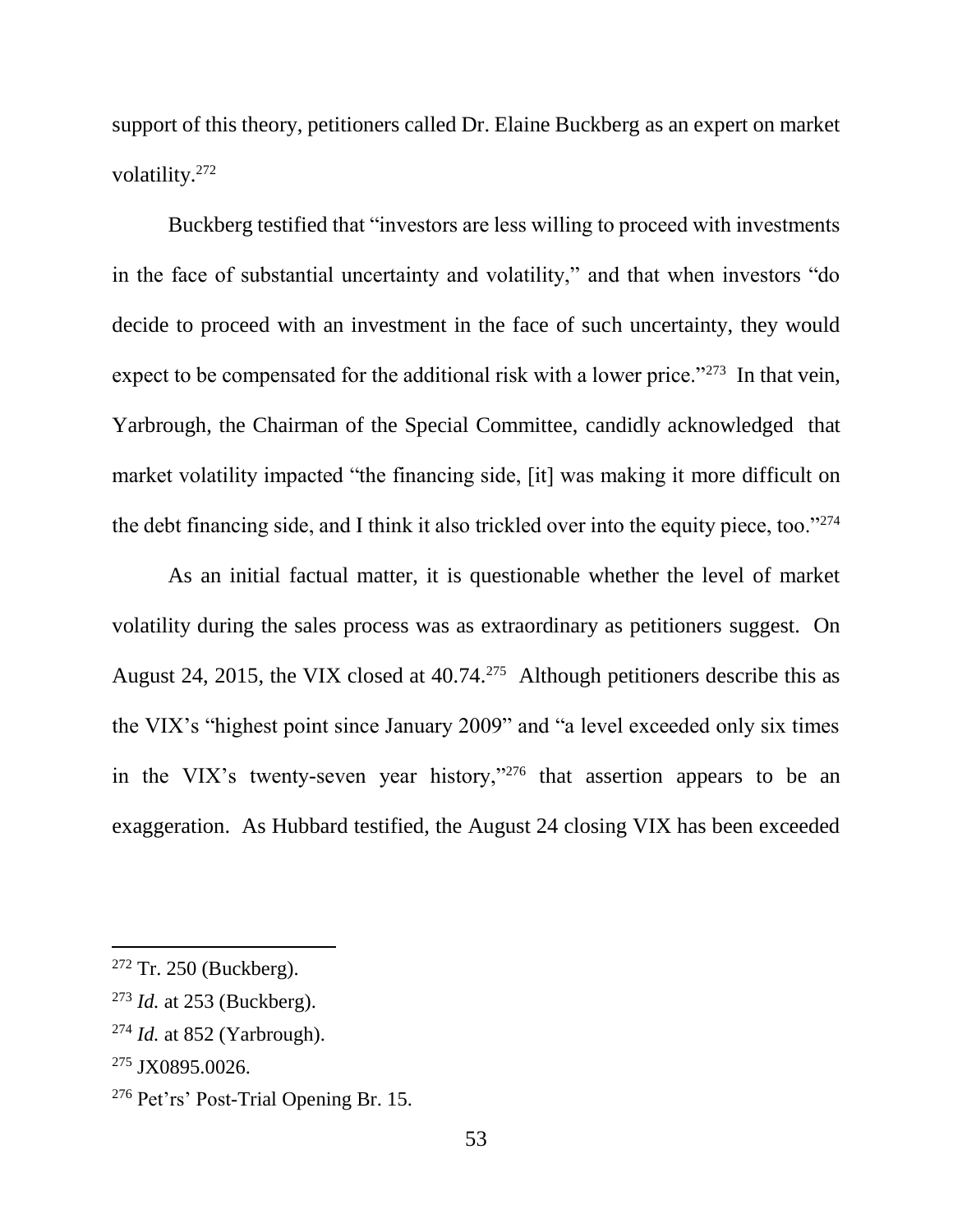support of this theory, petitioners called Dr. Elaine Buckberg as an expert on market volatility.<sup>272</sup>

Buckberg testified that "investors are less willing to proceed with investments in the face of substantial uncertainty and volatility," and that when investors "do decide to proceed with an investment in the face of such uncertainty, they would expect to be compensated for the additional risk with a lower price."<sup>273</sup> In that vein, Yarbrough, the Chairman of the Special Committee, candidly acknowledged that market volatility impacted "the financing side, [it] was making it more difficult on the debt financing side, and I think it also trickled over into the equity piece, too."<sup>274</sup>

As an initial factual matter, it is questionable whether the level of market volatility during the sales process was as extraordinary as petitioners suggest. On August 24, 2015, the VIX closed at  $40.74$ <sup>275</sup> Although petitioners describe this as the VIX's "highest point since January 2009" and "a level exceeded only six times in the VIX's twenty-seven year history,"<sup>276</sup> that assertion appears to be an exaggeration. As Hubbard testified, the August 24 closing VIX has been exceeded

 $272$  Tr. 250 (Buckberg).

<sup>273</sup> *Id.* at 253 (Buckberg).

<sup>274</sup> *Id.* at 852 (Yarbrough).

<sup>&</sup>lt;sup>275</sup> JX0895.0026.

<sup>276</sup> Pet'rs' Post-Trial Opening Br. 15.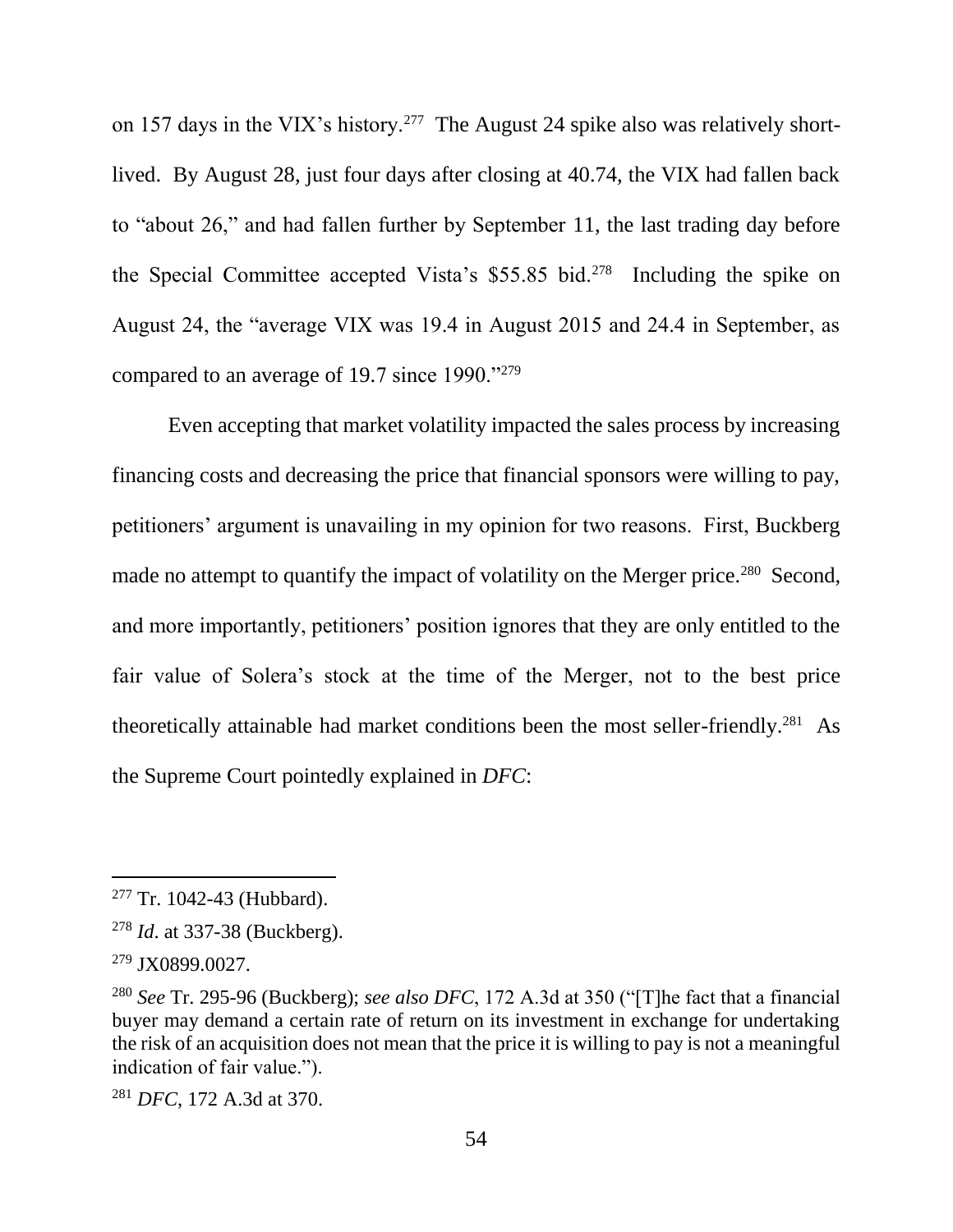on 157 days in the VIX's history.<sup>277</sup> The August 24 spike also was relatively shortlived. By August 28, just four days after closing at 40.74, the VIX had fallen back to "about 26," and had fallen further by September 11, the last trading day before the Special Committee accepted Vista's \$55.85 bid.<sup>278</sup> Including the spike on August 24, the "average VIX was 19.4 in August 2015 and 24.4 in September, as compared to an average of 19.7 since 1990."<sup>279</sup>

Even accepting that market volatility impacted the sales process by increasing financing costs and decreasing the price that financial sponsors were willing to pay, petitioners' argument is unavailing in my opinion for two reasons. First, Buckberg made no attempt to quantify the impact of volatility on the Merger price.<sup>280</sup> Second, and more importantly, petitioners' position ignores that they are only entitled to the fair value of Solera's stock at the time of the Merger, not to the best price theoretically attainable had market conditions been the most seller-friendly.<sup>281</sup> As the Supreme Court pointedly explained in *DFC*:

 $\overline{a}$ 

<sup>281</sup> *DFC*, 172 A.3d at 370.

<sup>&</sup>lt;sup>277</sup> Tr. 1042-43 (Hubbard).

<sup>278</sup> *Id*. at 337-38 (Buckberg).

<sup>279</sup> JX0899.0027.

<sup>280</sup> *See* Tr. 295-96 (Buckberg); *see also DFC*, 172 A.3d at 350 ("[T]he fact that a financial buyer may demand a certain rate of return on its investment in exchange for undertaking the risk of an acquisition does not mean that the price it is willing to pay is not a meaningful indication of fair value.").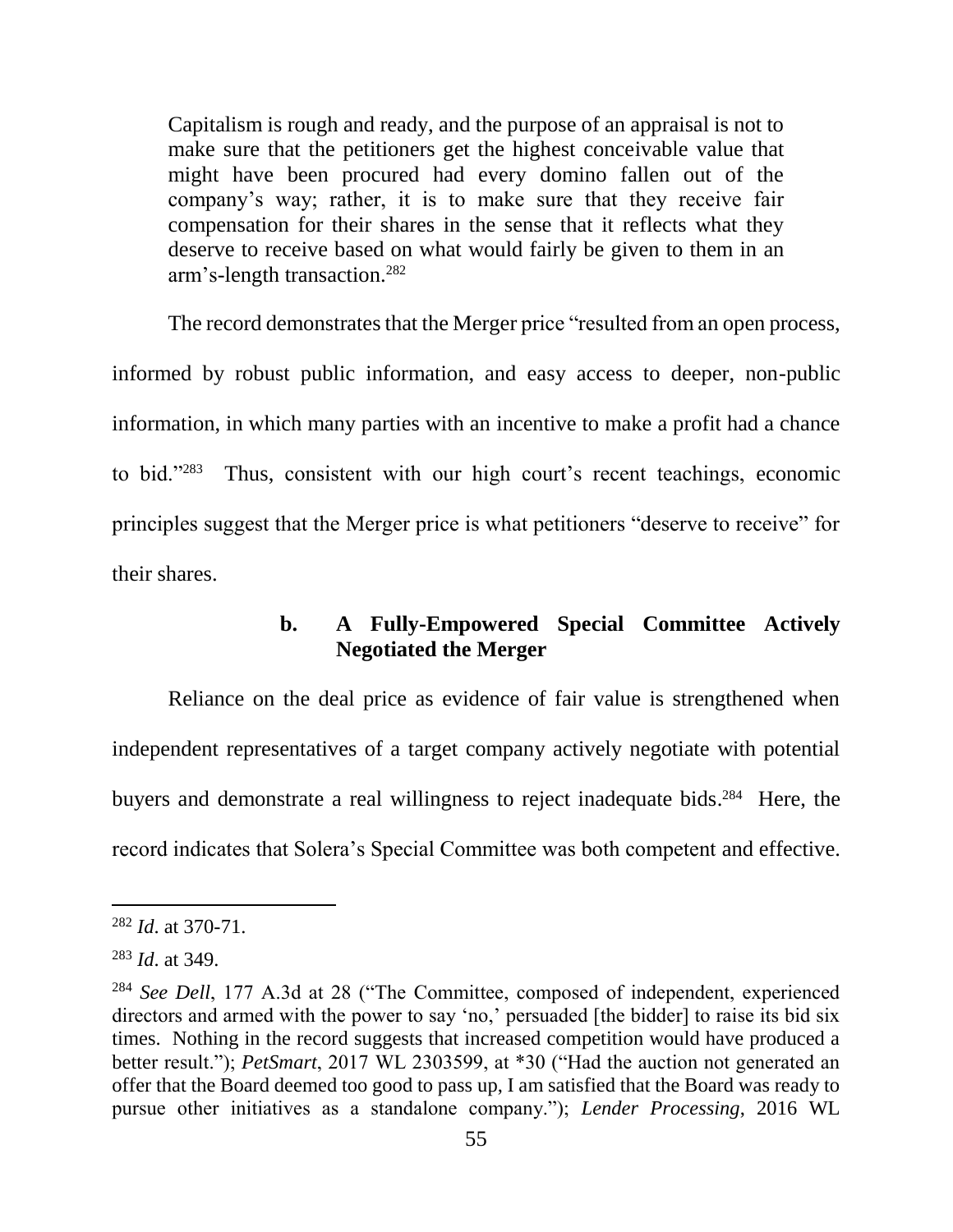Capitalism is rough and ready, and the purpose of an appraisal is not to make sure that the petitioners get the highest conceivable value that might have been procured had every domino fallen out of the company's way; rather, it is to make sure that they receive fair compensation for their shares in the sense that it reflects what they deserve to receive based on what would fairly be given to them in an arm's-length transaction.<sup>282</sup>

The record demonstrates that the Merger price "resulted from an open process, informed by robust public information, and easy access to deeper, non-public information, in which many parties with an incentive to make a profit had a chance to bid." $283$  Thus, consistent with our high court's recent teachings, economic principles suggest that the Merger price is what petitioners "deserve to receive" for their shares.

# **b. A Fully-Empowered Special Committee Actively Negotiated the Merger**

Reliance on the deal price as evidence of fair value is strengthened when independent representatives of a target company actively negotiate with potential buyers and demonstrate a real willingness to reject inadequate bids.<sup>284</sup> Here, the record indicates that Solera's Special Committee was both competent and effective.

<sup>282</sup> *Id*. at 370-71.

<sup>283</sup> *Id*. at 349.

<sup>284</sup> *See Dell*, 177 A.3d at 28 ("The Committee, composed of independent, experienced directors and armed with the power to say 'no,' persuaded [the bidder] to raise its bid six times. Nothing in the record suggests that increased competition would have produced a better result."); *PetSmart*, 2017 WL 2303599, at \*30 ("Had the auction not generated an offer that the Board deemed too good to pass up, I am satisfied that the Board was ready to pursue other initiatives as a standalone company."); *Lender Processing*, 2016 WL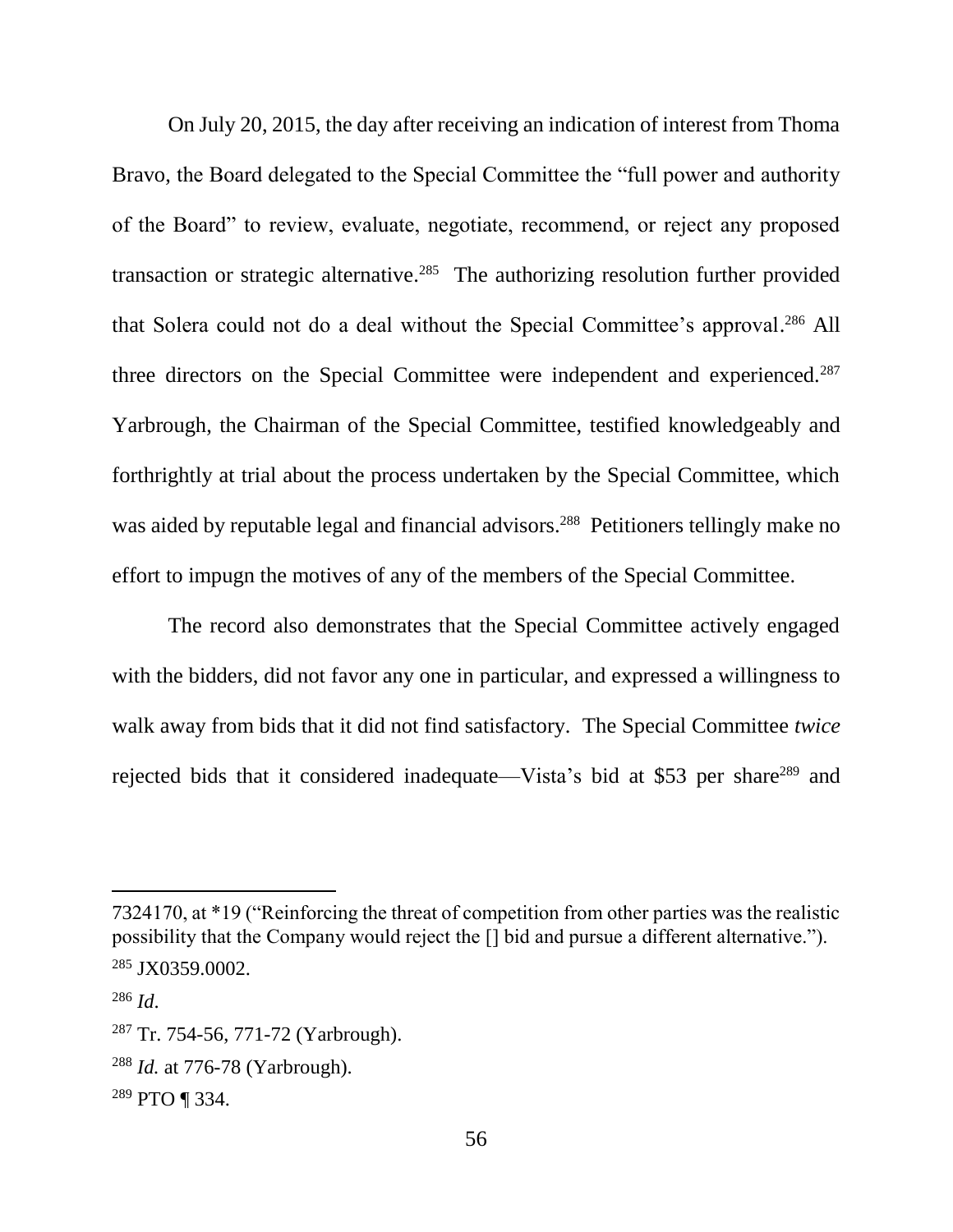On July 20, 2015, the day after receiving an indication of interest from Thoma Bravo, the Board delegated to the Special Committee the "full power and authority of the Board" to review, evaluate, negotiate, recommend, or reject any proposed transaction or strategic alternative.<sup>285</sup> The authorizing resolution further provided that Solera could not do a deal without the Special Committee's approval.<sup>286</sup> All three directors on the Special Committee were independent and experienced.<sup>287</sup> Yarbrough, the Chairman of the Special Committee, testified knowledgeably and forthrightly at trial about the process undertaken by the Special Committee, which was aided by reputable legal and financial advisors.<sup>288</sup> Petitioners tellingly make no effort to impugn the motives of any of the members of the Special Committee.

The record also demonstrates that the Special Committee actively engaged with the bidders, did not favor any one in particular, and expressed a willingness to walk away from bids that it did not find satisfactory. The Special Committee *twice* rejected bids that it considered inadequate—Vista's bid at \$53 per share<sup>289</sup> and

<sup>7324170,</sup> at \*19 ("Reinforcing the threat of competition from other parties was the realistic possibility that the Company would reject the [] bid and pursue a different alternative."). <sup>285</sup> JX0359.0002.

<sup>286</sup> *Id*.

<sup>287</sup> Tr. 754-56, 771-72 (Yarbrough).

<sup>288</sup> *Id.* at 776-78 (Yarbrough).

<sup>289</sup> PTO ¶ 334.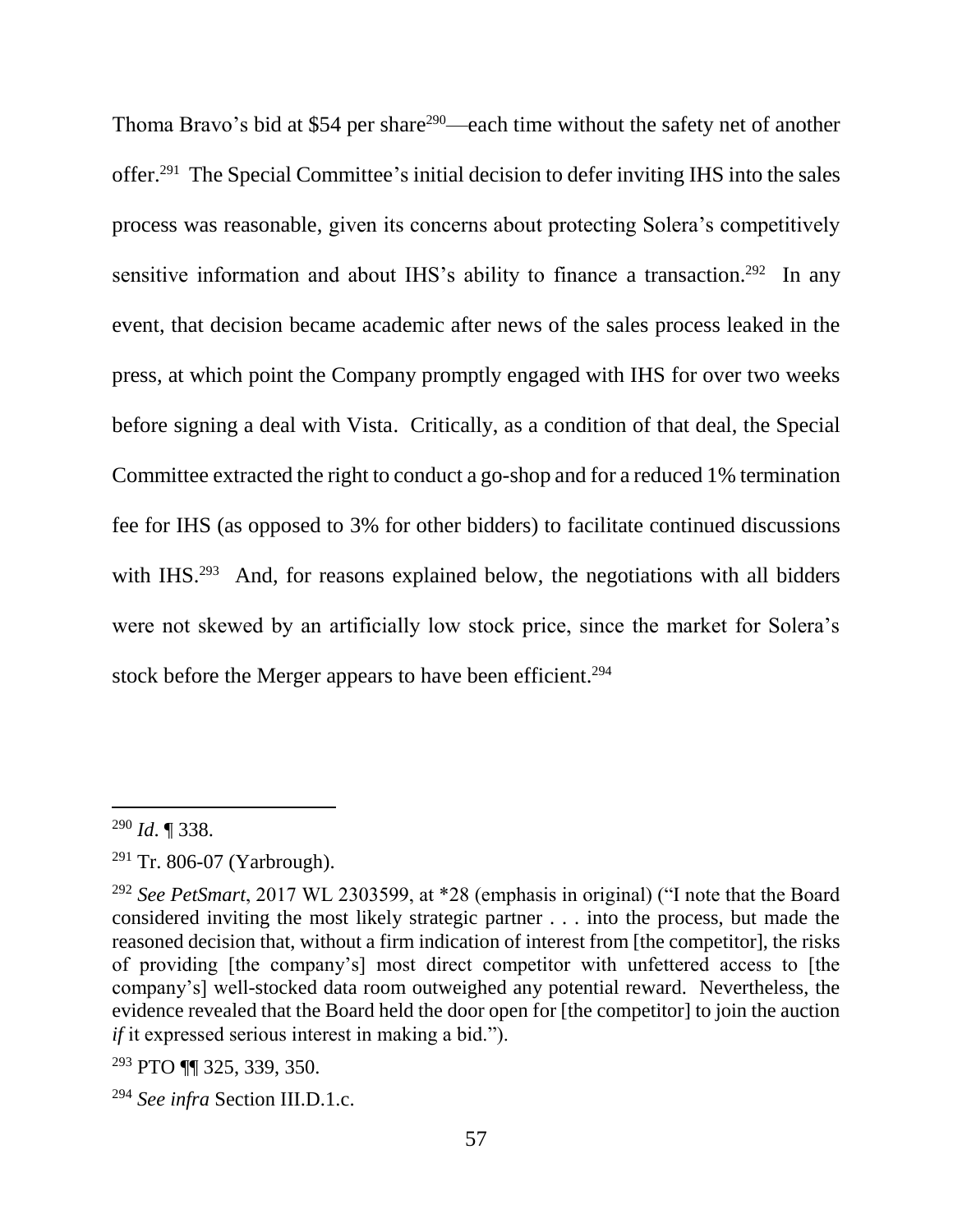Thoma Bravo's bid at \$54 per share<sup>290</sup>—each time without the safety net of another offer. 291 The Special Committee's initial decision to defer inviting IHS into the sales process was reasonable, given its concerns about protecting Solera's competitively sensitive information and about IHS's ability to finance a transaction.<sup>292</sup> In any event, that decision became academic after news of the sales process leaked in the press, at which point the Company promptly engaged with IHS for over two weeks before signing a deal with Vista. Critically, as a condition of that deal, the Special Committee extracted the right to conduct a go-shop and for a reduced 1% termination fee for IHS (as opposed to 3% for other bidders) to facilitate continued discussions with IHS.<sup>293</sup> And, for reasons explained below, the negotiations with all bidders were not skewed by an artificially low stock price, since the market for Solera's stock before the Merger appears to have been efficient.<sup>294</sup>

<sup>290</sup> *Id*. ¶ 338.

<sup>291</sup> Tr. 806-07 (Yarbrough).

<sup>292</sup> *See PetSmart*, 2017 WL 2303599, at \*28 (emphasis in original) ("I note that the Board considered inviting the most likely strategic partner . . . into the process, but made the reasoned decision that, without a firm indication of interest from [the competitor], the risks of providing [the company's] most direct competitor with unfettered access to [the company's] well-stocked data room outweighed any potential reward. Nevertheless, the evidence revealed that the Board held the door open for [the competitor] to join the auction *if* it expressed serious interest in making a bid.").

<sup>293</sup> PTO ¶¶ 325, 339, 350.

<sup>294</sup> *See infra* Section III.D.1.c.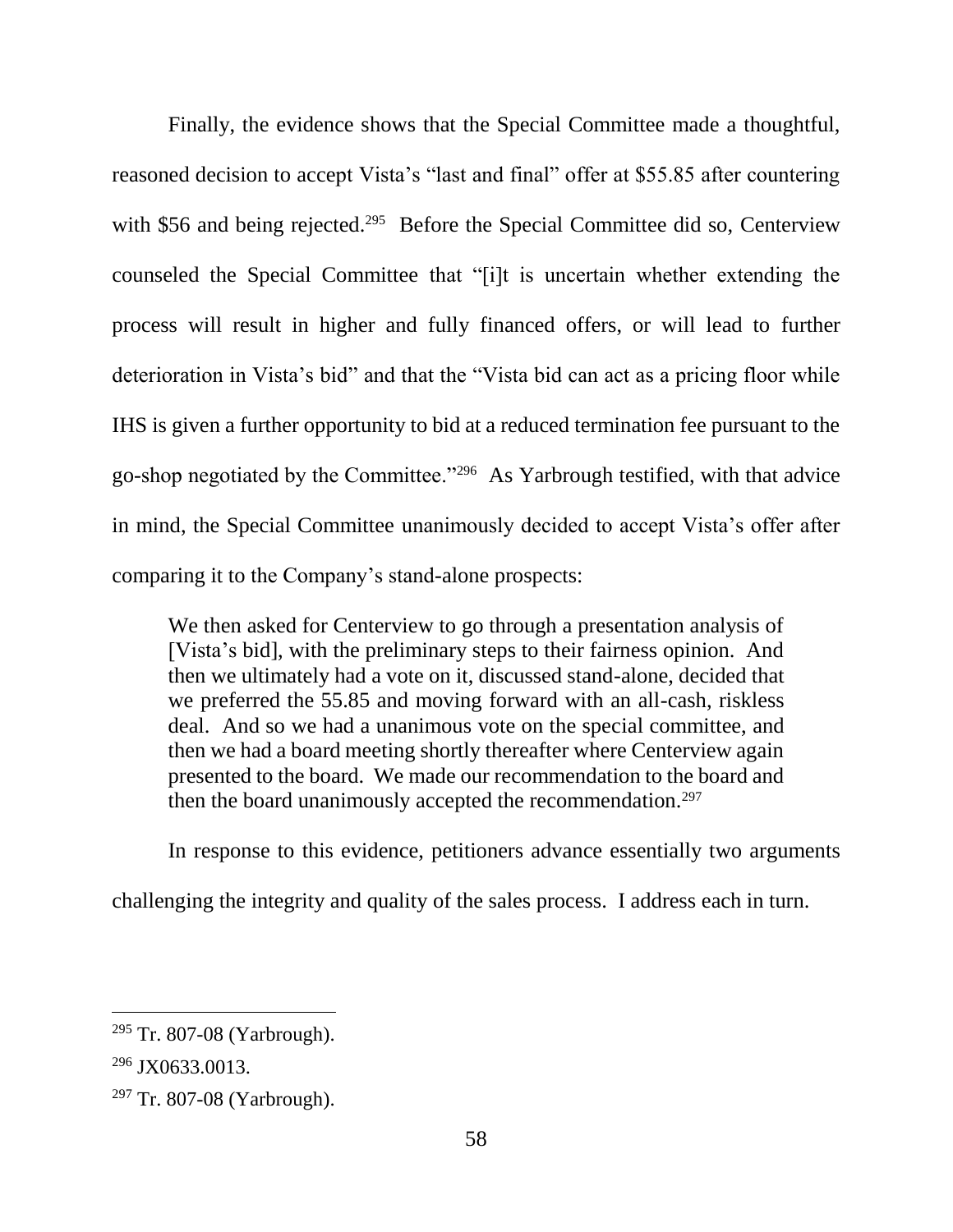Finally, the evidence shows that the Special Committee made a thoughtful, reasoned decision to accept Vista's "last and final" offer at \$55.85 after countering with \$56 and being rejected.<sup>295</sup> Before the Special Committee did so, Centerview counseled the Special Committee that "[i]t is uncertain whether extending the process will result in higher and fully financed offers, or will lead to further deterioration in Vista's bid" and that the "Vista bid can act as a pricing floor while IHS is given a further opportunity to bid at a reduced termination fee pursuant to the go-shop negotiated by the Committee."<sup>296</sup> As Yarbrough testified, with that advice in mind, the Special Committee unanimously decided to accept Vista's offer after comparing it to the Company's stand-alone prospects:

We then asked for Centerview to go through a presentation analysis of [Vista's bid], with the preliminary steps to their fairness opinion. And then we ultimately had a vote on it, discussed stand-alone, decided that we preferred the 55.85 and moving forward with an all-cash, riskless deal. And so we had a unanimous vote on the special committee, and then we had a board meeting shortly thereafter where Centerview again presented to the board. We made our recommendation to the board and then the board unanimously accepted the recommendation.<sup>297</sup>

In response to this evidence, petitioners advance essentially two arguments challenging the integrity and quality of the sales process. I address each in turn.

<sup>&</sup>lt;sup>295</sup> Tr. 807-08 (Yarbrough).

<sup>&</sup>lt;sup>296</sup> JX0633.0013.

 $297$  Tr. 807-08 (Yarbrough).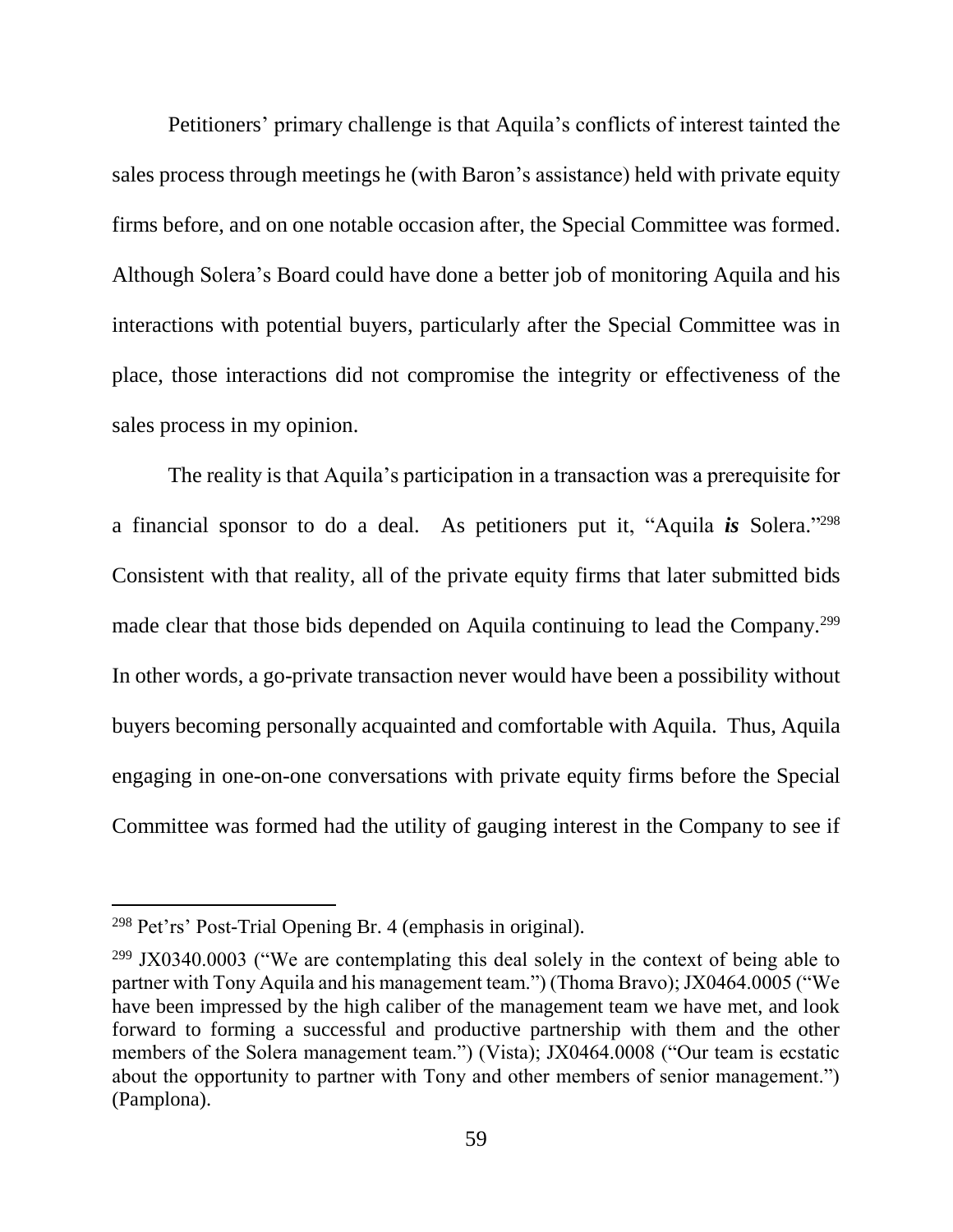Petitioners' primary challenge is that Aquila's conflicts of interest tainted the sales process through meetings he (with Baron's assistance) held with private equity firms before, and on one notable occasion after, the Special Committee was formed. Although Solera's Board could have done a better job of monitoring Aquila and his interactions with potential buyers, particularly after the Special Committee was in place, those interactions did not compromise the integrity or effectiveness of the sales process in my opinion.

The reality is that Aquila's participation in a transaction was a prerequisite for a financial sponsor to do a deal. As petitioners put it, "Aquila *is* Solera." 298 Consistent with that reality, all of the private equity firms that later submitted bids made clear that those bids depended on Aquila continuing to lead the Company.<sup>299</sup> In other words, a go-private transaction never would have been a possibility without buyers becoming personally acquainted and comfortable with Aquila. Thus, Aquila engaging in one-on-one conversations with private equity firms before the Special Committee was formed had the utility of gauging interest in the Company to see if

<sup>298</sup> Pet'rs' Post-Trial Opening Br. 4 (emphasis in original).

 $299$  JX0340.0003 ("We are contemplating this deal solely in the context of being able to partner with Tony Aquila and his management team.") (Thoma Bravo); JX0464.0005 ("We have been impressed by the high caliber of the management team we have met, and look forward to forming a successful and productive partnership with them and the other members of the Solera management team.") (Vista); JX0464.0008 ("Our team is ecstatic about the opportunity to partner with Tony and other members of senior management.") (Pamplona).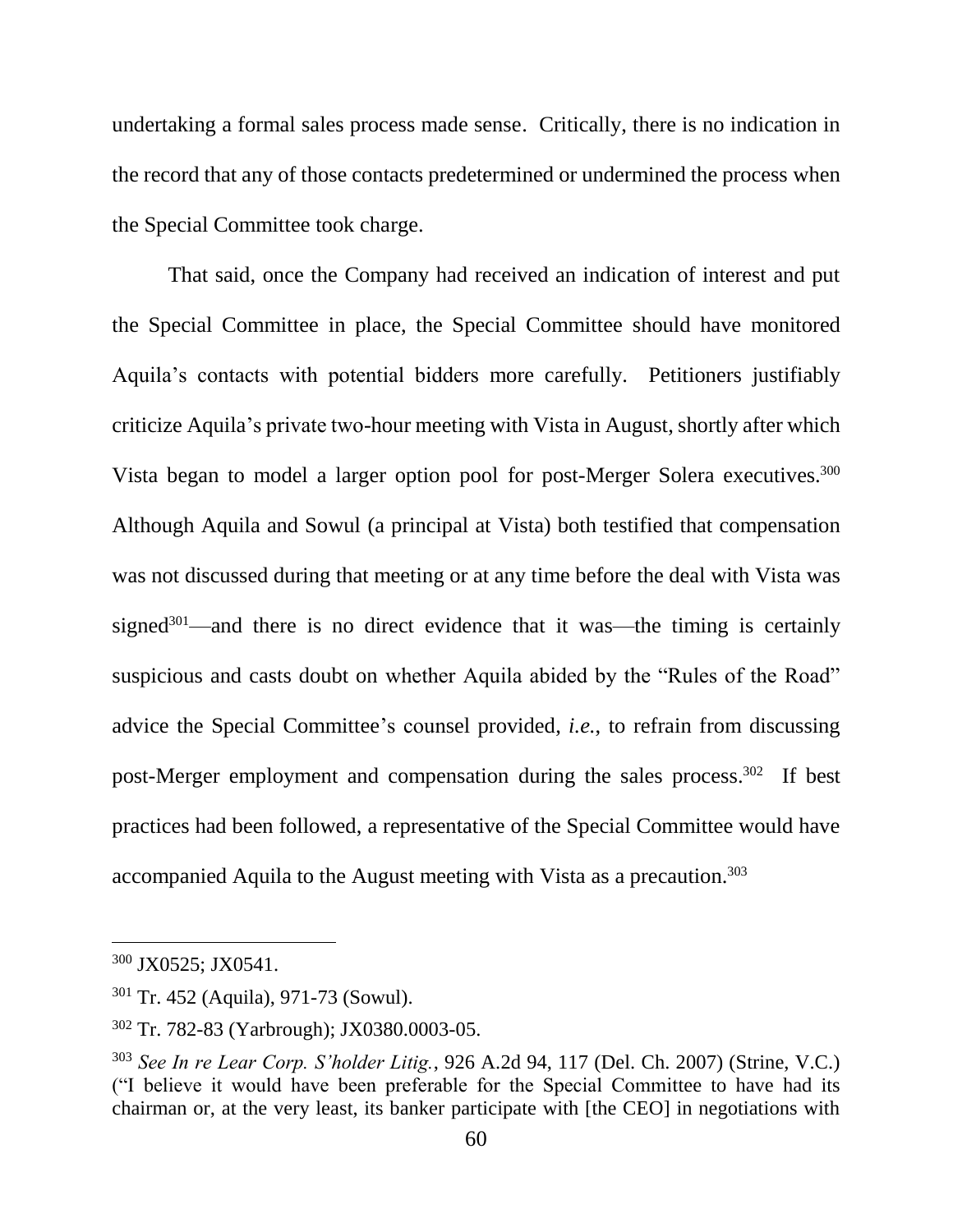undertaking a formal sales process made sense. Critically, there is no indication in the record that any of those contacts predetermined or undermined the process when the Special Committee took charge.

That said, once the Company had received an indication of interest and put the Special Committee in place, the Special Committee should have monitored Aquila's contacts with potential bidders more carefully. Petitioners justifiably criticize Aquila's private two-hour meeting with Vista in August, shortly after which Vista began to model a larger option pool for post-Merger Solera executives.<sup>300</sup> Although Aquila and Sowul (a principal at Vista) both testified that compensation was not discussed during that meeting or at any time before the deal with Vista was signed<sup>301</sup>—and there is no direct evidence that it was—the timing is certainly suspicious and casts doubt on whether Aquila abided by the "Rules of the Road" advice the Special Committee's counsel provided, *i.e.*, to refrain from discussing post-Merger employment and compensation during the sales process. <sup>302</sup> If best practices had been followed, a representative of the Special Committee would have accompanied Aquila to the August meeting with Vista as a precaution.<sup>303</sup>

<sup>300</sup> JX0525; JX0541.

<sup>301</sup> Tr. 452 (Aquila), 971-73 (Sowul).

<sup>302</sup> Tr. 782-83 (Yarbrough); JX0380.0003-05.

<sup>303</sup> *See In re Lear Corp. S'holder Litig.*, 926 A.2d 94, 117 (Del. Ch. 2007) (Strine, V.C.) ("I believe it would have been preferable for the Special Committee to have had its chairman or, at the very least, its banker participate with [the CEO] in negotiations with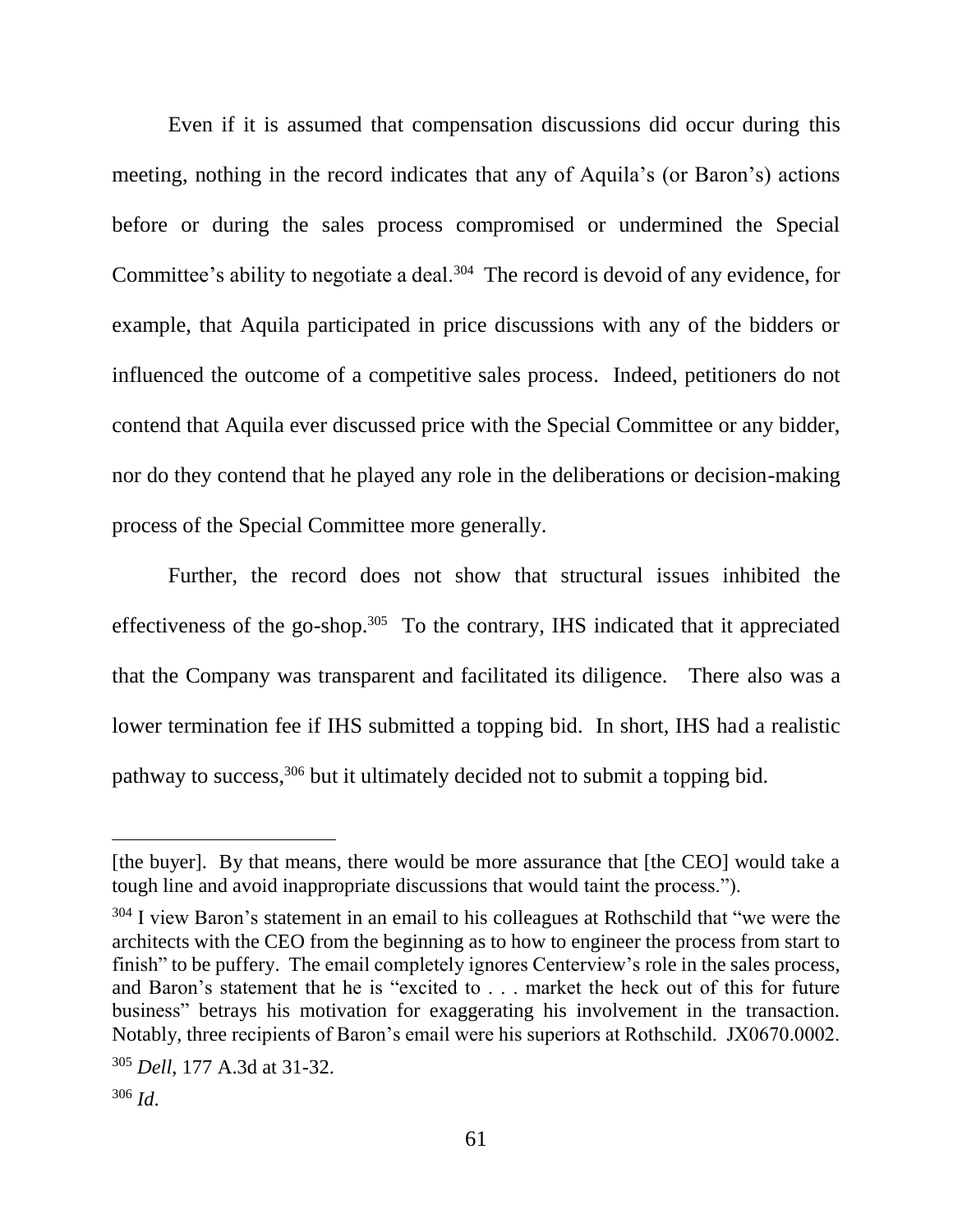Even if it is assumed that compensation discussions did occur during this meeting, nothing in the record indicates that any of Aquila's (or Baron's) actions before or during the sales process compromised or undermined the Special Committee's ability to negotiate a deal.<sup>304</sup> The record is devoid of any evidence, for example, that Aquila participated in price discussions with any of the bidders or influenced the outcome of a competitive sales process. Indeed, petitioners do not contend that Aquila ever discussed price with the Special Committee or any bidder, nor do they contend that he played any role in the deliberations or decision-making process of the Special Committee more generally.

Further, the record does not show that structural issues inhibited the effectiveness of the go-shop.<sup>305</sup> To the contrary, IHS indicated that it appreciated that the Company was transparent and facilitated its diligence. There also was a lower termination fee if IHS submitted a topping bid. In short, IHS had a realistic pathway to success,<sup>306</sup> but it ultimately decided not to submit a topping bid.

<sup>[</sup>the buyer]. By that means, there would be more assurance that [the CEO] would take a tough line and avoid inappropriate discussions that would taint the process.").

<sup>&</sup>lt;sup>304</sup> I view Baron's statement in an email to his colleagues at Rothschild that "we were the architects with the CEO from the beginning as to how to engineer the process from start to finish" to be puffery. The email completely ignores Centerview's role in the sales process, and Baron's statement that he is "excited to . . . market the heck out of this for future business" betrays his motivation for exaggerating his involvement in the transaction. Notably, three recipients of Baron's email were his superiors at Rothschild. JX0670.0002.

<sup>305</sup> *Dell*, 177 A.3d at 31-32.

<sup>306</sup> *Id*.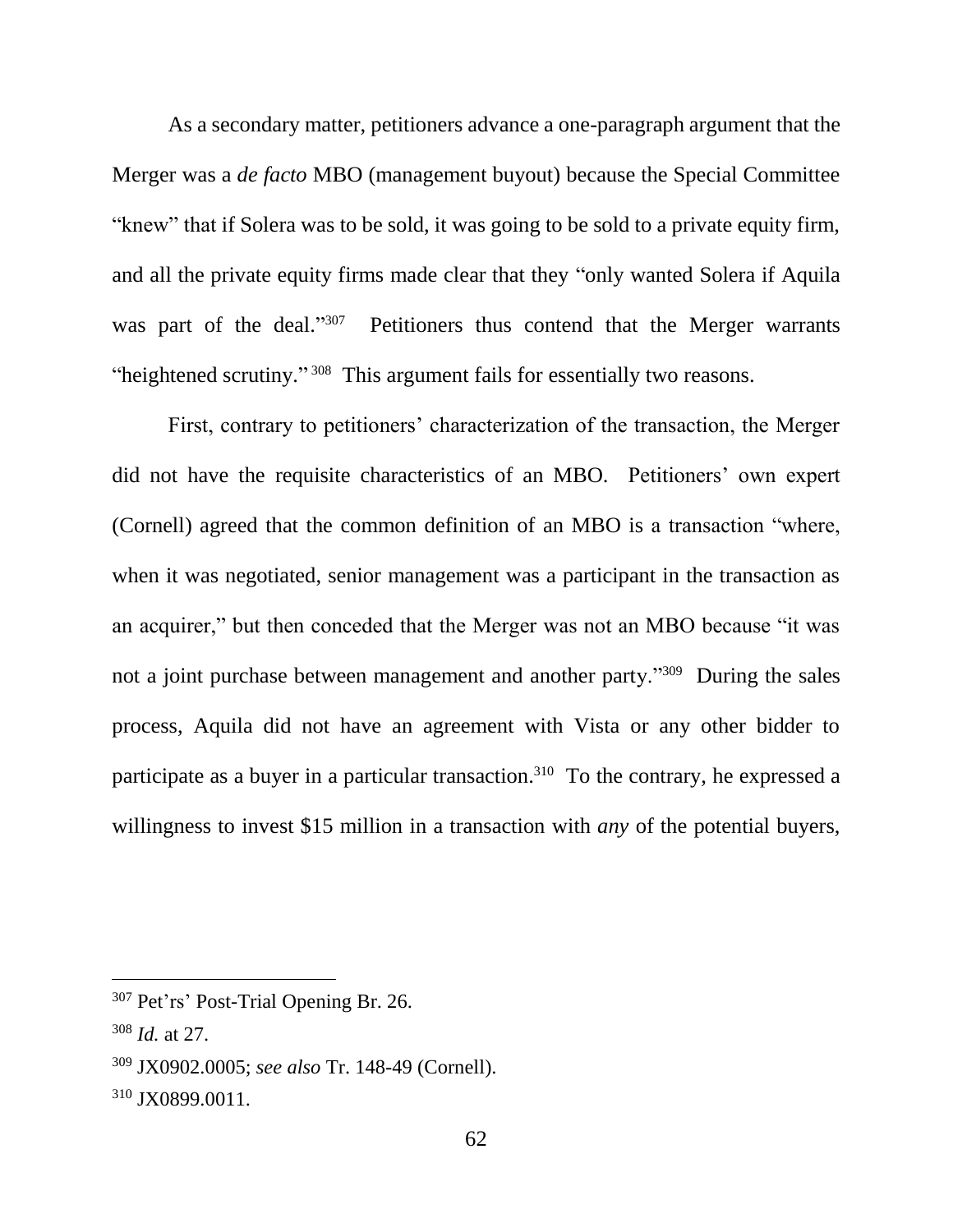As a secondary matter, petitioners advance a one-paragraph argument that the Merger was a *de facto* MBO (management buyout) because the Special Committee "knew" that if Solera was to be sold, it was going to be sold to a private equity firm, and all the private equity firms made clear that they "only wanted Solera if Aquila was part of the deal."<sup>307</sup> Petitioners thus contend that the Merger warrants "heightened scrutiny."<sup>308</sup> This argument fails for essentially two reasons.

First, contrary to petitioners' characterization of the transaction, the Merger did not have the requisite characteristics of an MBO. Petitioners' own expert (Cornell) agreed that the common definition of an MBO is a transaction "where, when it was negotiated, senior management was a participant in the transaction as an acquirer," but then conceded that the Merger was not an MBO because "it was not a joint purchase between management and another party."<sup>309</sup> During the sales process, Aquila did not have an agreement with Vista or any other bidder to participate as a buyer in a particular transaction.<sup>310</sup> To the contrary, he expressed a willingness to invest \$15 million in a transaction with *any* of the potential buyers,

<sup>307</sup> Pet'rs' Post-Trial Opening Br. 26.

<sup>308</sup> *Id.* at 27.

<sup>309</sup> JX0902.0005; *see also* Tr. 148-49 (Cornell).

<sup>310</sup> JX0899.0011.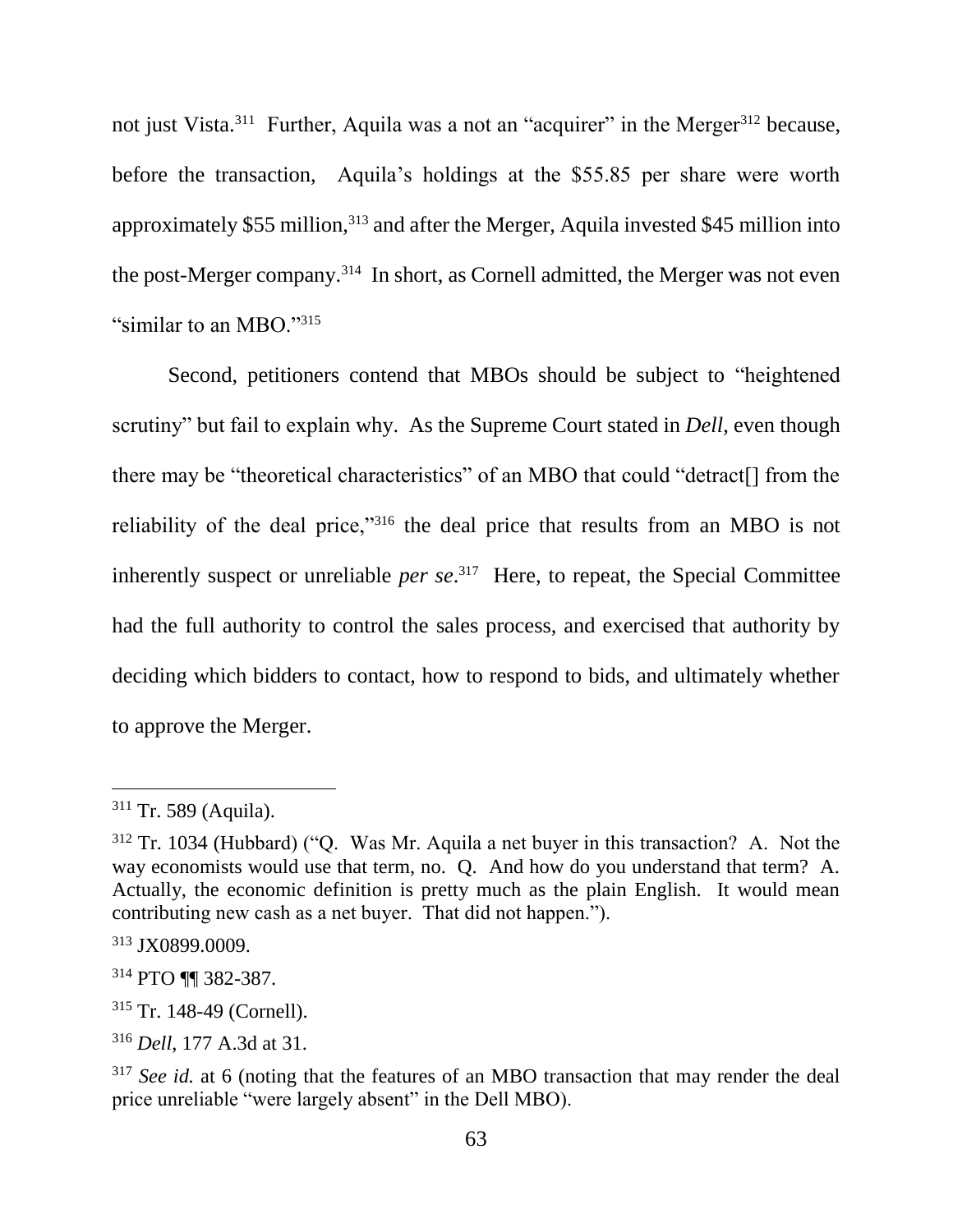not just Vista.<sup>311</sup> Further, Aquila was a not an "acquirer" in the Merger<sup>312</sup> because, before the transaction, Aquila's holdings at the \$55.85 per share were worth approximately \$55 million,<sup>313</sup> and after the Merger, Aquila invested \$45 million into the post-Merger company.<sup>314</sup> In short, as Cornell admitted, the Merger was not even "similar to an MBO."315

Second, petitioners contend that MBOs should be subject to "heightened scrutiny" but fail to explain why. As the Supreme Court stated in *Dell*, even though there may be "theoretical characteristics" of an MBO that could "detract[] from the reliability of the deal price,"<sup>316</sup> the deal price that results from an MBO is not inherently suspect or unreliable *per se*. 317 Here, to repeat, the Special Committee had the full authority to control the sales process, and exercised that authority by deciding which bidders to contact, how to respond to bids, and ultimately whether to approve the Merger.

<sup>311</sup> Tr. 589 (Aquila).

<sup>312</sup> Tr. 1034 (Hubbard) ("Q. Was Mr. Aquila a net buyer in this transaction? A. Not the way economists would use that term, no. O. And how do you understand that term? A. Actually, the economic definition is pretty much as the plain English. It would mean contributing new cash as a net buyer. That did not happen.").

<sup>313</sup> JX0899.0009.

<sup>314</sup> PTO ¶¶ 382-387.

<sup>315</sup> Tr. 148-49 (Cornell).

<sup>316</sup> *Dell*, 177 A.3d at 31.

<sup>&</sup>lt;sup>317</sup> *See id.* at 6 (noting that the features of an MBO transaction that may render the deal price unreliable "were largely absent" in the Dell MBO).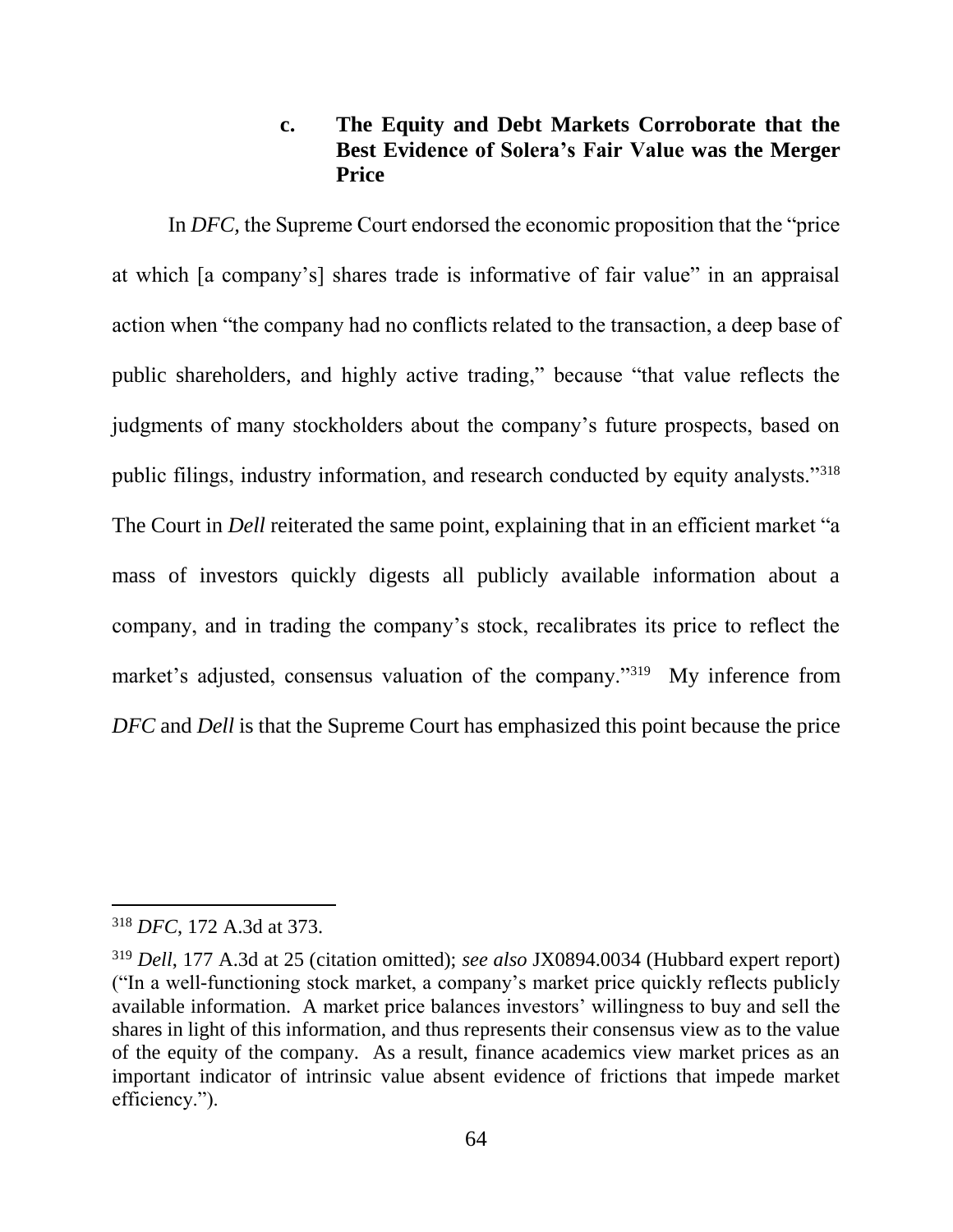## **c. The Equity and Debt Markets Corroborate that the Best Evidence of Solera's Fair Value was the Merger Price**

In *DFC,* the Supreme Court endorsed the economic proposition that the "price at which [a company's] shares trade is informative of fair value" in an appraisal action when "the company had no conflicts related to the transaction, a deep base of public shareholders, and highly active trading," because "that value reflects the judgments of many stockholders about the company's future prospects, based on public filings, industry information, and research conducted by equity analysts."<sup>318</sup> The Court in *Dell* reiterated the same point, explaining that in an efficient market "a mass of investors quickly digests all publicly available information about a company, and in trading the company's stock, recalibrates its price to reflect the market's adjusted, consensus valuation of the company."<sup>319</sup> My inference from *DFC* and *Dell* is that the Supreme Court has emphasized this point because the price

<sup>318</sup> *DFC*, 172 A.3d at 373.

<sup>319</sup> *Dell*, 177 A.3d at 25 (citation omitted); *see also* JX0894.0034 (Hubbard expert report) ("In a well-functioning stock market, a company's market price quickly reflects publicly available information. A market price balances investors' willingness to buy and sell the shares in light of this information, and thus represents their consensus view as to the value of the equity of the company. As a result, finance academics view market prices as an important indicator of intrinsic value absent evidence of frictions that impede market efficiency.").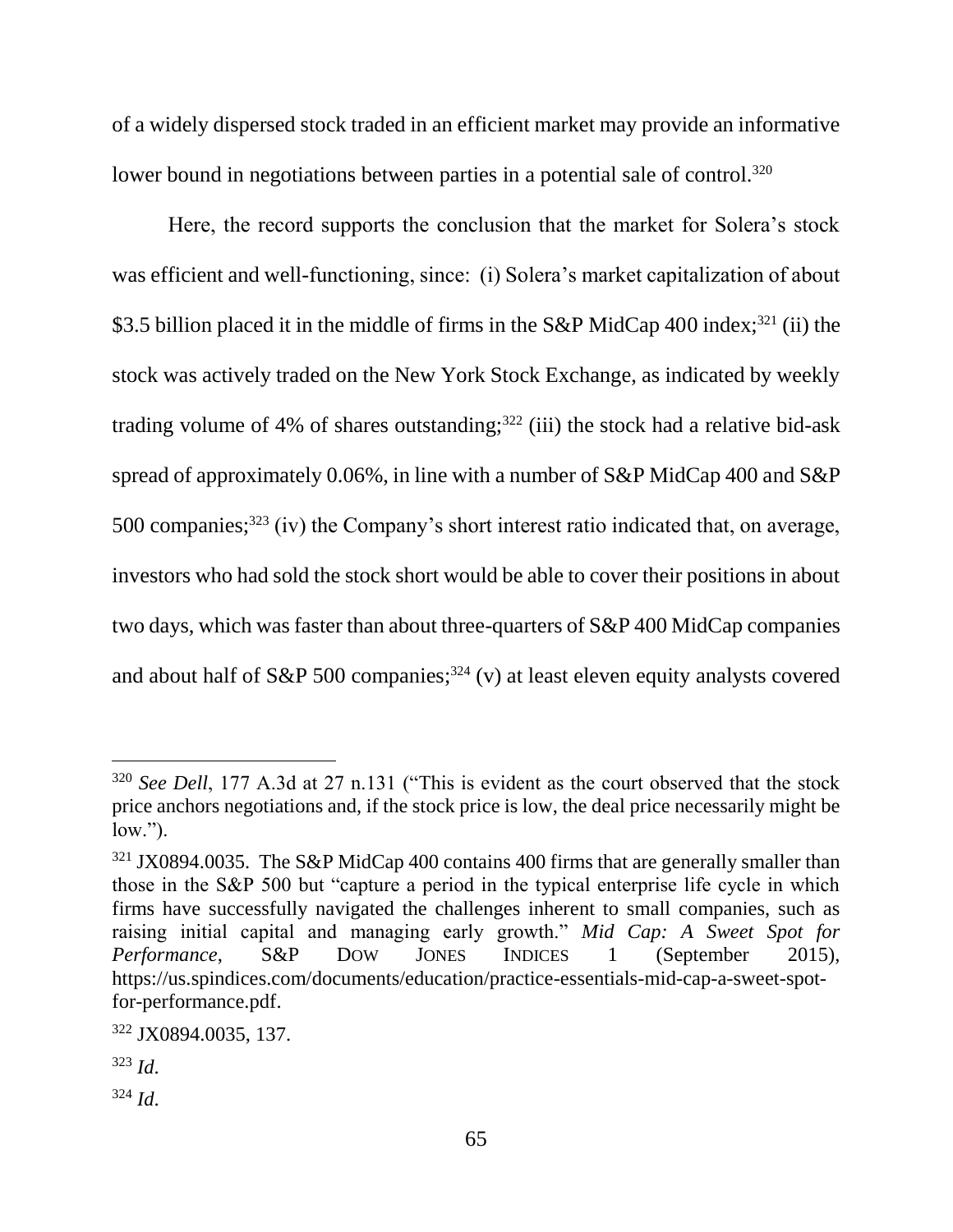of a widely dispersed stock traded in an efficient market may provide an informative lower bound in negotiations between parties in a potential sale of control.<sup>320</sup>

Here, the record supports the conclusion that the market for Solera's stock was efficient and well-functioning, since: (i) Solera's market capitalization of about \$3.5 billion placed it in the middle of firms in the S&P MidCap 400 index;<sup>321</sup> (ii) the stock was actively traded on the New York Stock Exchange, as indicated by weekly trading volume of 4% of shares outstanding; $322$  (iii) the stock had a relative bid-ask spread of approximately 0.06%, in line with a number of S&P MidCap 400 and S&P 500 companies;<sup>323</sup> (iv) the Company's short interest ratio indicated that, on average, investors who had sold the stock short would be able to cover their positions in about two days, which was faster than about three-quarters of S&P 400 MidCap companies and about half of S&P 500 companies; <sup>324</sup> (v) at least eleven equity analysts covered

<sup>&</sup>lt;sup>320</sup> *See Dell*, 177 A.3d at 27 n.131 ("This is evident as the court observed that the stock price anchors negotiations and, if the stock price is low, the deal price necessarily might be  $low.'$ ).

<sup>&</sup>lt;sup>321</sup> JX0894.0035. The S&P MidCap 400 contains 400 firms that are generally smaller than those in the S&P 500 but "capture a period in the typical enterprise life cycle in which firms have successfully navigated the challenges inherent to small companies, such as raising initial capital and managing early growth." *Mid Cap: A Sweet Spot for Performance*, S&P DOW JONES INDICES 1 (September 2015), https://us.spindices.com/documents/education/practice-essentials-mid-cap-a-sweet-spotfor-performance.pdf.

<sup>322</sup> JX0894.0035, 137.

<sup>323</sup> *Id*.

<sup>324</sup> *Id*.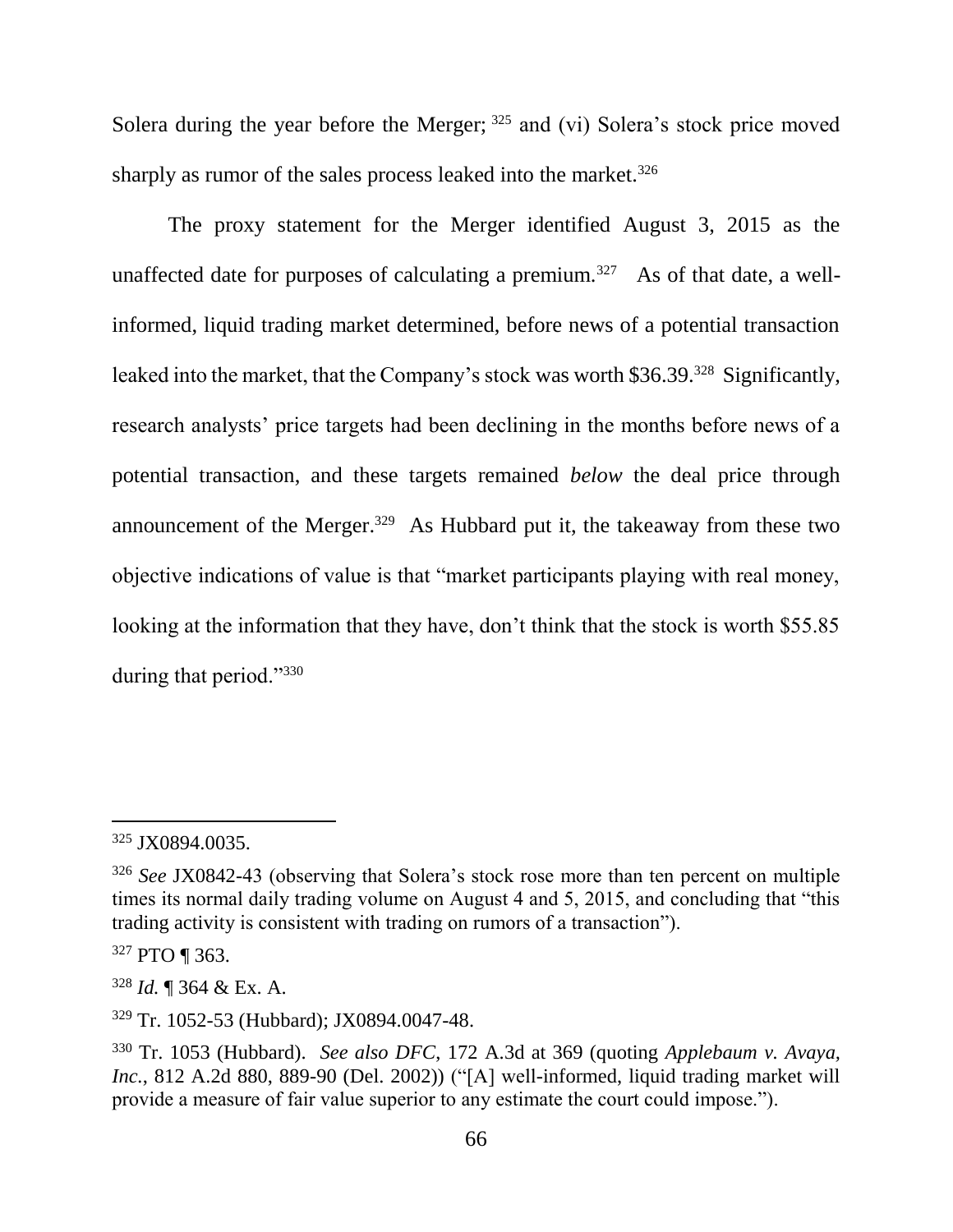Solera during the year before the Merger; <sup>325</sup> and (vi) Solera's stock price moved sharply as rumor of the sales process leaked into the market.<sup>326</sup>

The proxy statement for the Merger identified August 3, 2015 as the unaffected date for purposes of calculating a premium.<sup>327</sup> As of that date, a wellinformed, liquid trading market determined, before news of a potential transaction leaked into the market, that the Company's stock was worth \$36.39.<sup>328</sup> Significantly, research analysts' price targets had been declining in the months before news of a potential transaction, and these targets remained *below* the deal price through announcement of the Merger.<sup>329</sup> As Hubbard put it, the takeaway from these two objective indications of value is that "market participants playing with real money, looking at the information that they have, don't think that the stock is worth \$55.85 during that period."330

<sup>325</sup> JX0894.0035.

<sup>326</sup> *See* JX0842-43 (observing that Solera's stock rose more than ten percent on multiple times its normal daily trading volume on August 4 and 5, 2015, and concluding that "this trading activity is consistent with trading on rumors of a transaction").

<sup>327</sup> PTO ¶ 363.

<sup>328</sup> *Id.* ¶ 364 & Ex. A.

<sup>329</sup> Tr. 1052-53 (Hubbard); JX0894.0047-48.

<sup>330</sup> Tr. 1053 (Hubbard). *See also DFC*, 172 A.3d at 369 (quoting *Applebaum v. Avaya, Inc.*, 812 A.2d 880, 889-90 (Del. 2002)) ("[A] well-informed, liquid trading market will provide a measure of fair value superior to any estimate the court could impose.").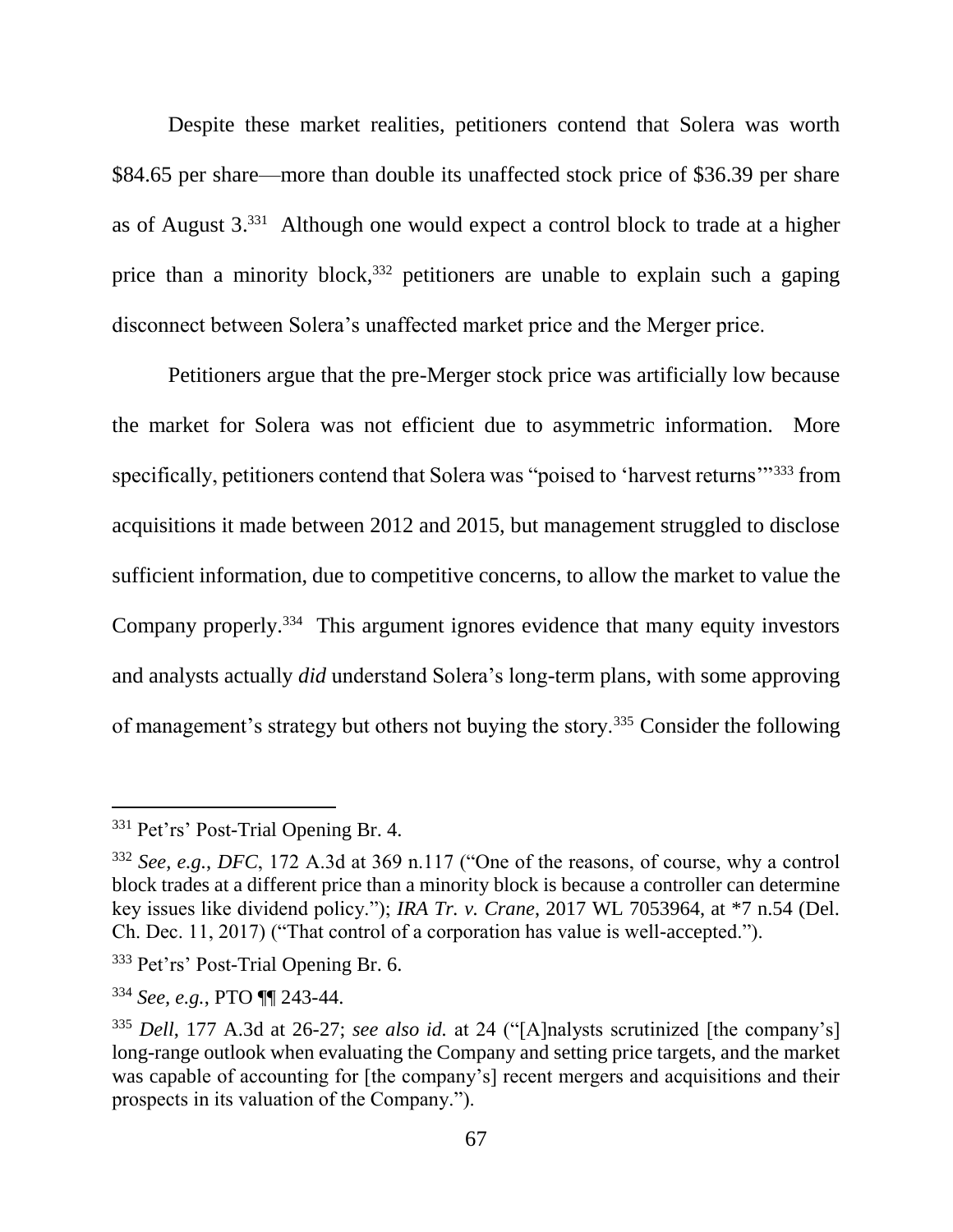Despite these market realities, petitioners contend that Solera was worth \$84.65 per share—more than double its unaffected stock price of \$36.39 per share as of August 3. 331 Although one would expect a control block to trade at a higher price than a minority block,<sup>332</sup> petitioners are unable to explain such a gaping disconnect between Solera's unaffected market price and the Merger price.

Petitioners argue that the pre-Merger stock price was artificially low because the market for Solera was not efficient due to asymmetric information. More specifically, petitioners contend that Solera was "poised to 'harvest returns'"<sup>333</sup> from acquisitions it made between 2012 and 2015, but management struggled to disclose sufficient information, due to competitive concerns, to allow the market to value the Company properly.<sup>334</sup> This argument ignores evidence that many equity investors and analysts actually *did* understand Solera's long-term plans, with some approving of management's strategy but others not buying the story.<sup>335</sup> Consider the following

<sup>&</sup>lt;sup>331</sup> Pet'rs' Post-Trial Opening Br. 4.

<sup>332</sup> *See, e.g.*, *DFC*, 172 A.3d at 369 n.117 ("One of the reasons, of course, why a control block trades at a different price than a minority block is because a controller can determine key issues like dividend policy."); *IRA Tr. v. Crane*, 2017 WL 7053964, at \*7 n.54 (Del. Ch. Dec. 11, 2017) ("That control of a corporation has value is well-accepted.").

<sup>333</sup> Pet'rs' Post-Trial Opening Br. 6.

<sup>334</sup> *See, e.g.*, PTO ¶¶ 243-44.

<sup>335</sup> *Dell*, 177 A.3d at 26-27; *see also id.* at 24 ("[A]nalysts scrutinized [the company's] long-range outlook when evaluating the Company and setting price targets, and the market was capable of accounting for [the company's] recent mergers and acquisitions and their prospects in its valuation of the Company.").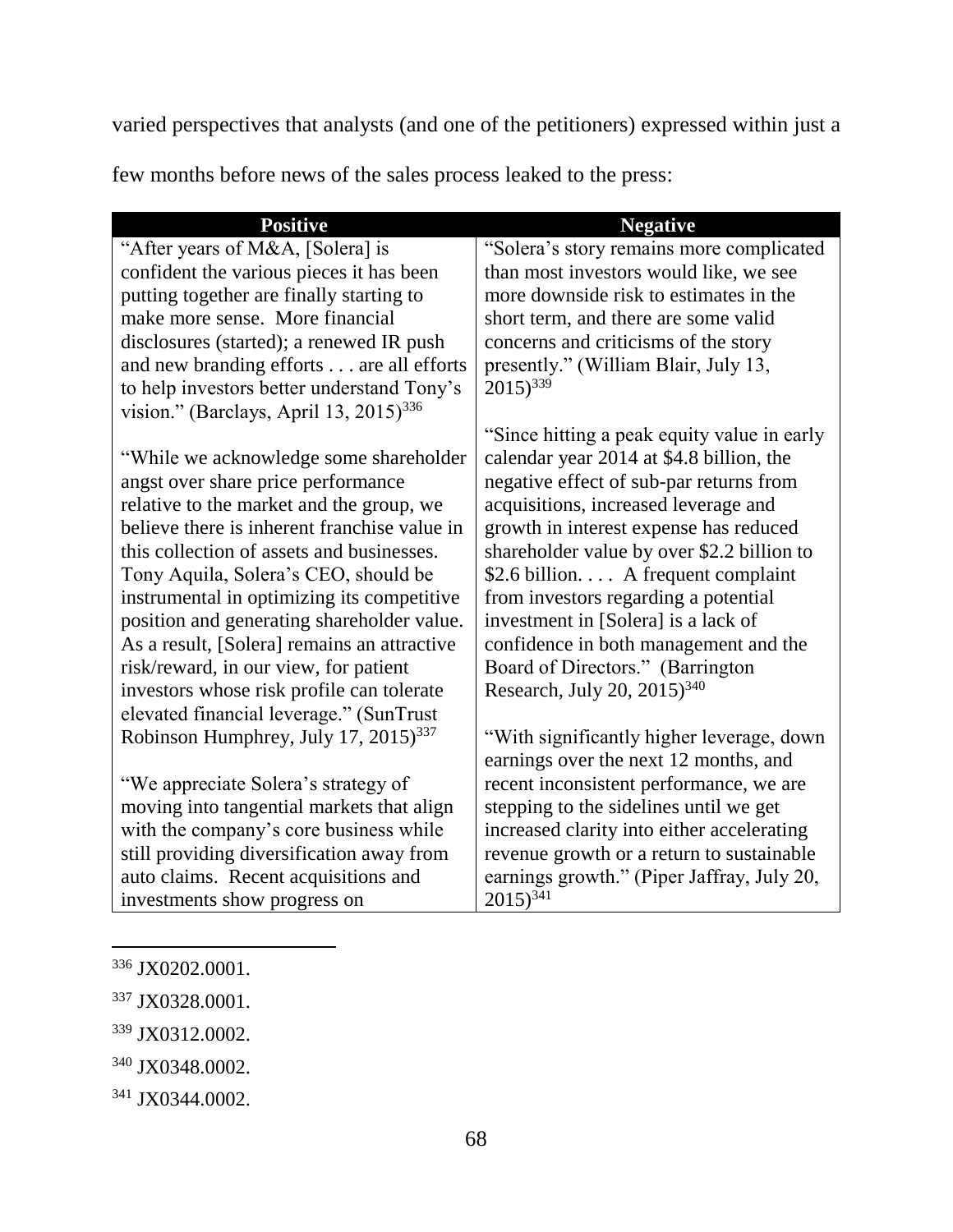varied perspectives that analysts (and one of the petitioners) expressed within just a

few months before news of the sales process leaked to the press:

| <b>Positive</b>                                    | <b>Negative</b>                             |
|----------------------------------------------------|---------------------------------------------|
| "After years of M&A, [Solera] is                   | "Solera's story remains more complicated    |
| confident the various pieces it has been           | than most investors would like, we see      |
| putting together are finally starting to           | more downside risk to estimates in the      |
| make more sense. More financial                    | short term, and there are some valid        |
| disclosures (started); a renewed IR push           | concerns and criticisms of the story        |
| and new branding efforts are all efforts           | presently." (William Blair, July 13,        |
| to help investors better understand Tony's         | $2015)^{339}$                               |
| vision." (Barclays, April 13, 2015) <sup>336</sup> |                                             |
|                                                    | "Since hitting a peak equity value in early |
| "While we acknowledge some shareholder             | calendar year 2014 at \$4.8 billion, the    |
| angst over share price performance                 | negative effect of sub-par returns from     |
| relative to the market and the group, we           | acquisitions, increased leverage and        |
| believe there is inherent franchise value in       | growth in interest expense has reduced      |
| this collection of assets and businesses.          | shareholder value by over \$2.2 billion to  |
| Tony Aquila, Solera's CEO, should be               | \$2.6 billion A frequent complaint          |
| instrumental in optimizing its competitive         | from investors regarding a potential        |
| position and generating shareholder value.         | investment in [Solera] is a lack of         |
| As a result, [Solera] remains an attractive        | confidence in both management and the       |
| risk/reward, in our view, for patient              | Board of Directors." (Barrington            |
| investors whose risk profile can tolerate          | Research, July 20, 2015) <sup>340</sup>     |
| elevated financial leverage." (SunTrust            |                                             |
| Robinson Humphrey, July 17, 2015) <sup>337</sup>   | "With significantly higher leverage, down   |
|                                                    | earnings over the next 12 months, and       |
| "We appreciate Solera's strategy of                | recent inconsistent performance, we are     |
| moving into tangential markets that align          | stepping to the sidelines until we get      |
| with the company's core business while             | increased clarity into either accelerating  |
| still providing diversification away from          | revenue growth or a return to sustainable   |
| auto claims. Recent acquisitions and               | earnings growth." (Piper Jaffray, July 20,  |
| investments show progress on                       | $2015)^{341}$                               |

<sup>336</sup> JX0202.0001.

l

<sup>339</sup> JX0312.0002.

<sup>337</sup> JX0328.0001.

<sup>340</sup> JX0348.0002.

<sup>341</sup> JX0344.0002.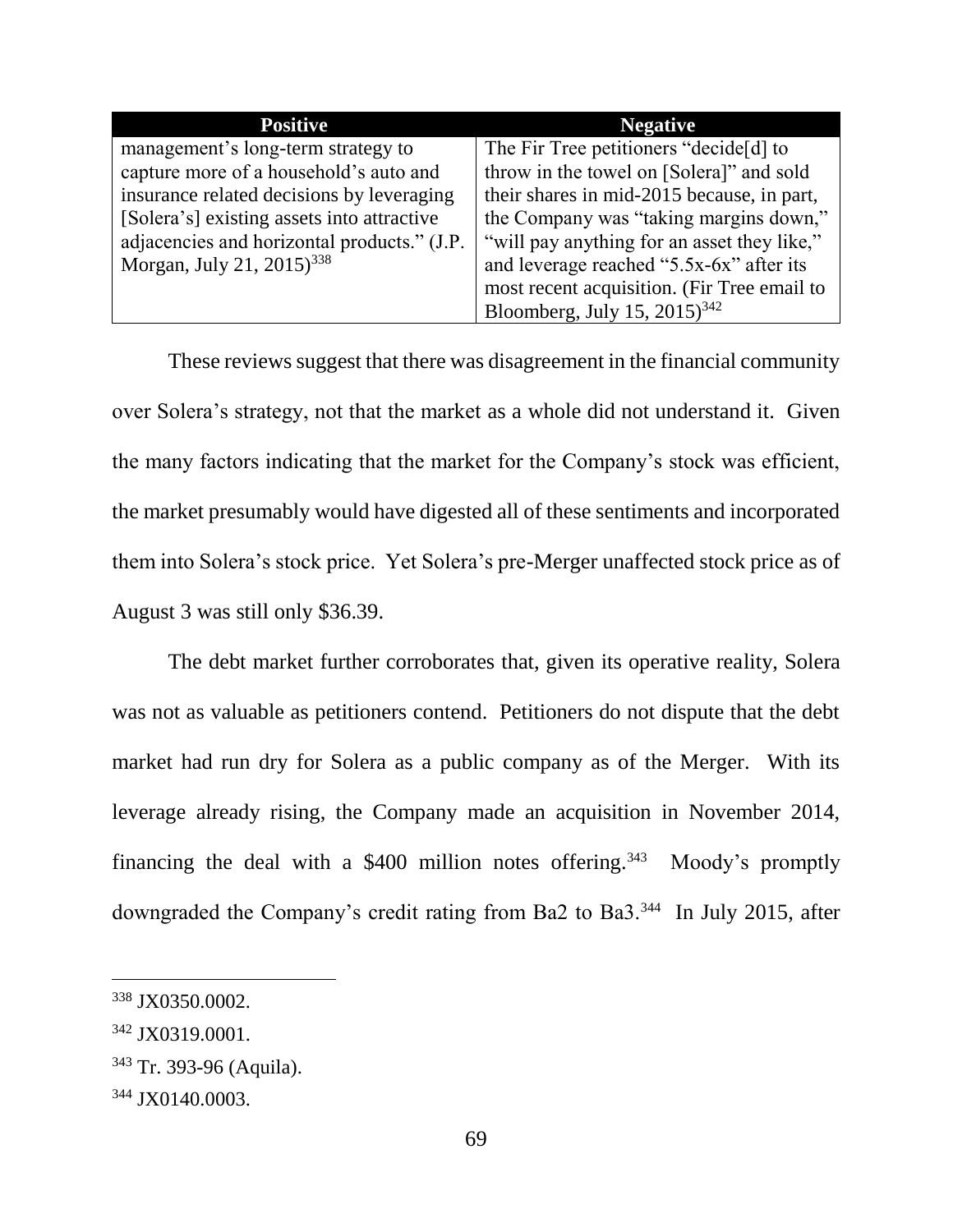| <b>Positive</b>                             | <b>Negative</b>                             |
|---------------------------------------------|---------------------------------------------|
| management's long-term strategy to          | The Fir Tree petitioners "decide[d] to      |
| capture more of a household's auto and      | throw in the towel on [Solera]" and sold    |
| insurance related decisions by leveraging   | their shares in mid-2015 because, in part,  |
| [Solera's] existing assets into attractive  | the Company was "taking margins down,"      |
| adjacencies and horizontal products." (J.P. | "will pay anything for an asset they like," |
| Morgan, July 21, 2015) <sup>338</sup>       | and leverage reached "5.5x-6x" after its    |
|                                             | most recent acquisition. (Fir Tree email to |
|                                             | Bloomberg, July 15, 2015) <sup>342</sup>    |

These reviews suggest that there was disagreement in the financial community over Solera's strategy, not that the market as a whole did not understand it. Given the many factors indicating that the market for the Company's stock was efficient, the market presumably would have digested all of these sentiments and incorporated them into Solera's stock price. Yet Solera's pre-Merger unaffected stock price as of August 3 was still only \$36.39.

The debt market further corroborates that, given its operative reality, Solera was not as valuable as petitioners contend. Petitioners do not dispute that the debt market had run dry for Solera as a public company as of the Merger. With its leverage already rising, the Company made an acquisition in November 2014, financing the deal with a \$400 million notes offering.<sup>343</sup> Moody's promptly downgraded the Company's credit rating from Ba2 to Ba3.<sup>344</sup> In July 2015, after

<sup>338</sup> JX0350.0002.

<sup>342</sup> JX0319.0001.

<sup>343</sup> Tr. 393-96 (Aquila).

<sup>344</sup> JX0140.0003.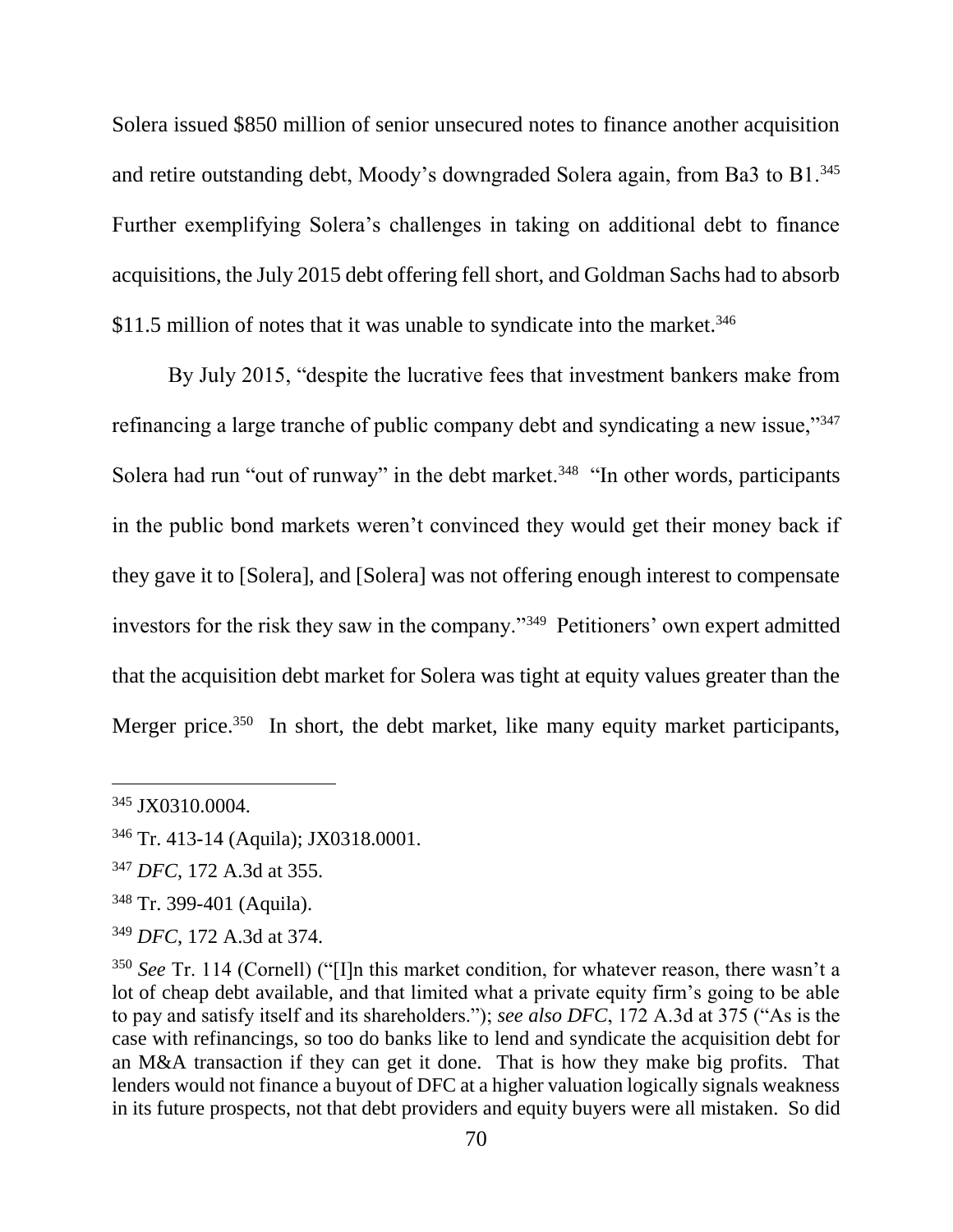Solera issued \$850 million of senior unsecured notes to finance another acquisition and retire outstanding debt, Moody's downgraded Solera again, from Ba3 to B1.<sup>345</sup> Further exemplifying Solera's challenges in taking on additional debt to finance acquisitions, the July 2015 debt offering fell short, and Goldman Sachs had to absorb \$11.5 million of notes that it was unable to syndicate into the market.<sup>346</sup>

By July 2015, "despite the lucrative fees that investment bankers make from refinancing a large tranche of public company debt and syndicating a new issue,"<sup>347</sup> Solera had run "out of runway" in the debt market.<sup>348</sup> "In other words, participants in the public bond markets weren't convinced they would get their money back if they gave it to [Solera], and [Solera] was not offering enough interest to compensate investors for the risk they saw in the company."<sup>349</sup> Petitioners' own expert admitted that the acquisition debt market for Solera was tight at equity values greater than the Merger price.<sup>350</sup> In short, the debt market, like many equity market participants,

<sup>345</sup> JX0310.0004.

<sup>346</sup> Tr. 413-14 (Aquila); JX0318.0001.

<sup>347</sup> *DFC*, 172 A.3d at 355.

<sup>348</sup> Tr. 399-401 (Aquila).

<sup>349</sup> *DFC*, 172 A.3d at 374.

<sup>350</sup> *See* Tr. 114 (Cornell) ("[I]n this market condition, for whatever reason, there wasn't a lot of cheap debt available, and that limited what a private equity firm's going to be able to pay and satisfy itself and its shareholders."); *see also DFC*, 172 A.3d at 375 ("As is the case with refinancings, so too do banks like to lend and syndicate the acquisition debt for an M&A transaction if they can get it done. That is how they make big profits. That lenders would not finance a buyout of DFC at a higher valuation logically signals weakness in its future prospects, not that debt providers and equity buyers were all mistaken. So did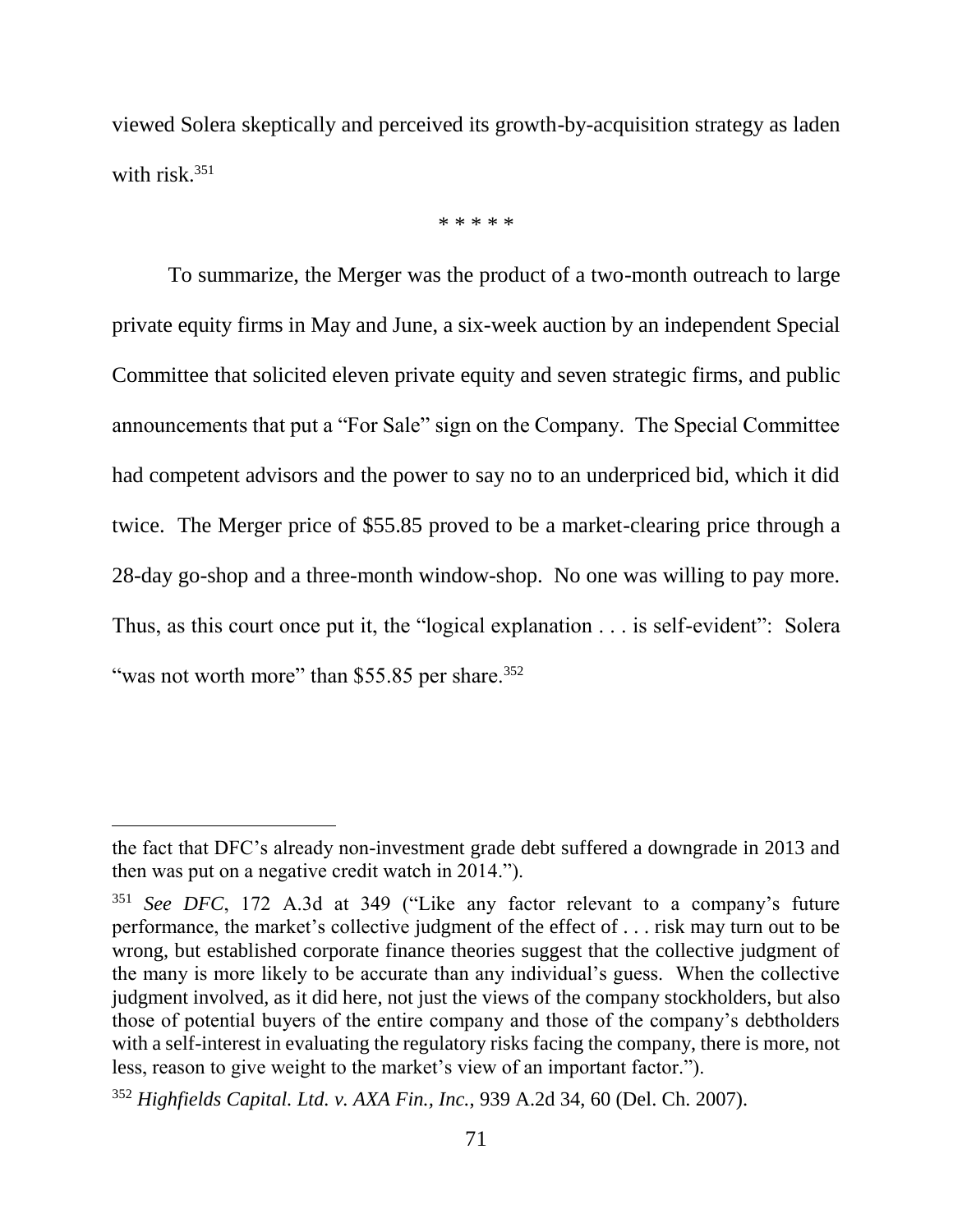viewed Solera skeptically and perceived its growth-by-acquisition strategy as laden with risk.<sup>351</sup>

\* \* \* \* \*

To summarize, the Merger was the product of a two-month outreach to large private equity firms in May and June, a six-week auction by an independent Special Committee that solicited eleven private equity and seven strategic firms, and public announcements that put a "For Sale" sign on the Company. The Special Committee had competent advisors and the power to say no to an underpriced bid, which it did twice. The Merger price of \$55.85 proved to be a market-clearing price through a 28-day go-shop and a three-month window-shop. No one was willing to pay more. Thus, as this court once put it, the "logical explanation . . . is self-evident": Solera "was not worth more" than \$55.85 per share.<sup>352</sup>

the fact that DFC's already non-investment grade debt suffered a downgrade in 2013 and then was put on a negative credit watch in 2014.").

<sup>351</sup> *See DFC*, 172 A.3d at 349 ("Like any factor relevant to a company's future performance, the market's collective judgment of the effect of . . . risk may turn out to be wrong, but established corporate finance theories suggest that the collective judgment of the many is more likely to be accurate than any individual's guess. When the collective judgment involved, as it did here, not just the views of the company stockholders, but also those of potential buyers of the entire company and those of the company's debtholders with a self-interest in evaluating the regulatory risks facing the company, there is more, not less, reason to give weight to the market's view of an important factor.").

<sup>352</sup> *Highfields Capital. Ltd. v. AXA Fin., Inc.*, 939 A.2d 34, 60 (Del. Ch. 2007).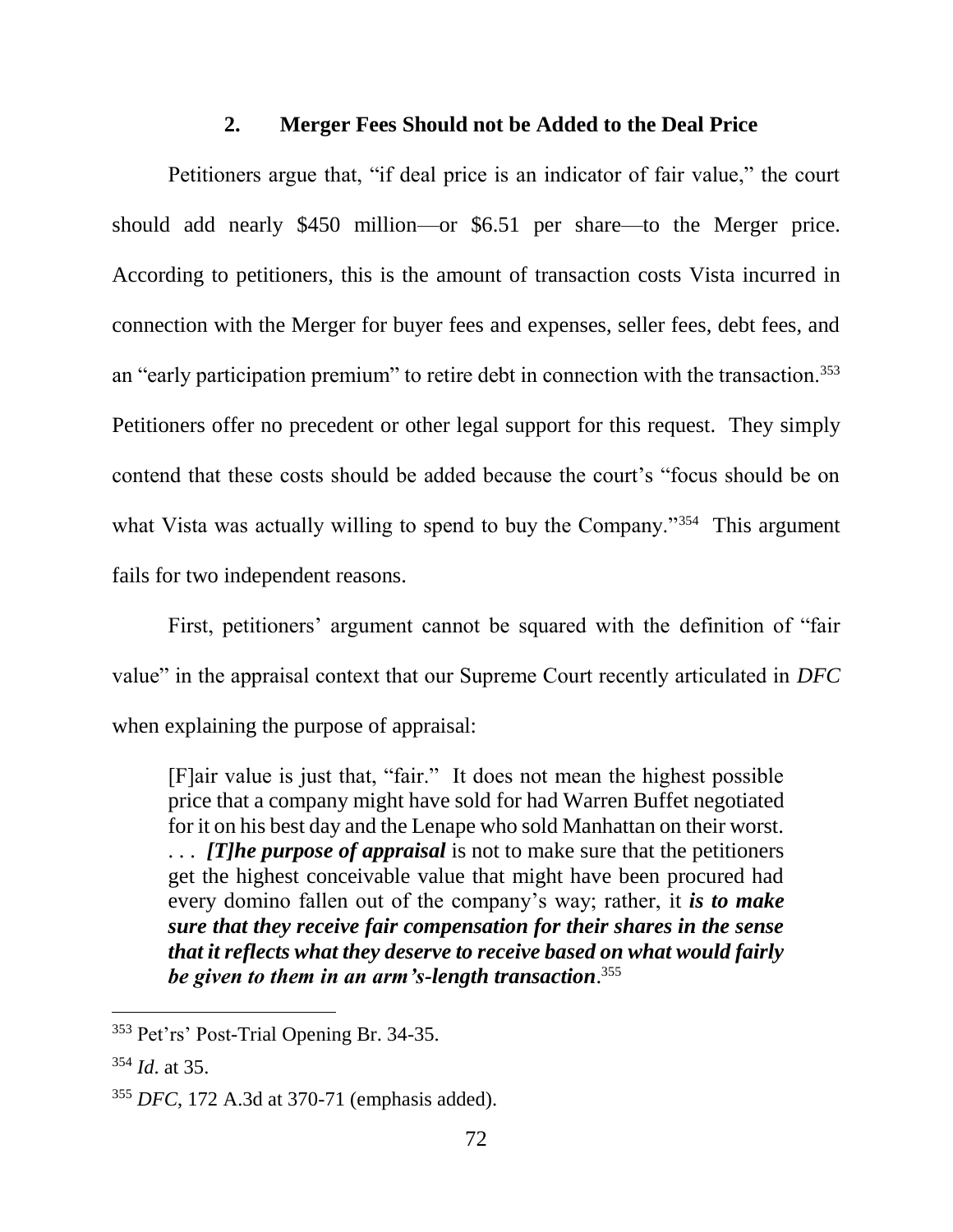### **2. Merger Fees Should not be Added to the Deal Price**

Petitioners argue that, "if deal price is an indicator of fair value," the court should add nearly \$450 million—or \$6.51 per share—to the Merger price. According to petitioners, this is the amount of transaction costs Vista incurred in connection with the Merger for buyer fees and expenses, seller fees, debt fees, and an "early participation premium" to retire debt in connection with the transaction.<sup>353</sup> Petitioners offer no precedent or other legal support for this request. They simply contend that these costs should be added because the court's "focus should be on what Vista was actually willing to spend to buy the Company."<sup>354</sup> This argument fails for two independent reasons.

First, petitioners' argument cannot be squared with the definition of "fair value" in the appraisal context that our Supreme Court recently articulated in *DFC* when explaining the purpose of appraisal:

[F]air value is just that, "fair." It does not mean the highest possible price that a company might have sold for had Warren Buffet negotiated for it on his best day and the Lenape who sold Manhattan on their worst. . . . *[T]he purpose of appraisal* is not to make sure that the petitioners get the highest conceivable value that might have been procured had every domino fallen out of the company's way; rather, it *is to make sure that they receive fair compensation for their shares in the sense that it reflects what they deserve to receive based on what would fairly be given to them in an arm's-length transaction*. 355

<sup>353</sup> Pet'rs' Post-Trial Opening Br. 34-35.

<sup>354</sup> *Id*. at 35.

<sup>355</sup> *DFC*, 172 A.3d at 370-71 (emphasis added).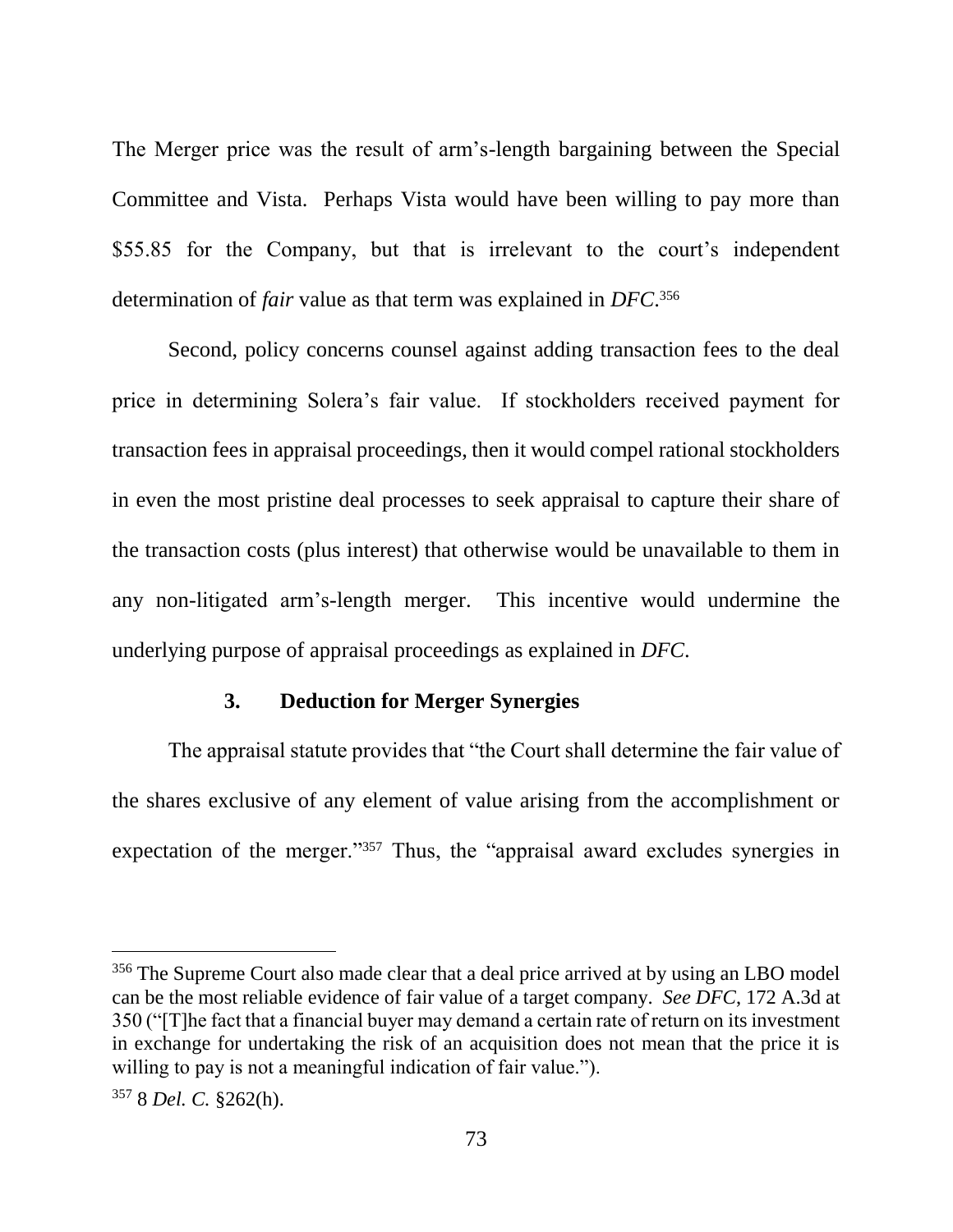The Merger price was the result of arm's-length bargaining between the Special Committee and Vista. Perhaps Vista would have been willing to pay more than \$55.85 for the Company, but that is irrelevant to the court's independent determination of *fair* value as that term was explained in *DFC*. 356

Second, policy concerns counsel against adding transaction fees to the deal price in determining Solera's fair value. If stockholders received payment for transaction fees in appraisal proceedings, then it would compel rational stockholders in even the most pristine deal processes to seek appraisal to capture their share of the transaction costs (plus interest) that otherwise would be unavailable to them in any non-litigated arm's-length merger. This incentive would undermine the underlying purpose of appraisal proceedings as explained in *DFC*.

### **3. Deduction for Merger Synergies**

The appraisal statute provides that "the Court shall determine the fair value of the shares exclusive of any element of value arising from the accomplishment or expectation of the merger."<sup>357</sup> Thus, the "appraisal award excludes synergies in

<sup>&</sup>lt;sup>356</sup> The Supreme Court also made clear that a deal price arrived at by using an LBO model can be the most reliable evidence of fair value of a target company. *See DFC*, 172 A.3d at 350 ("[T]he fact that a financial buyer may demand a certain rate of return on its investment in exchange for undertaking the risk of an acquisition does not mean that the price it is willing to pay is not a meaningful indication of fair value.").

<sup>357</sup> 8 *Del. C.* §262(h).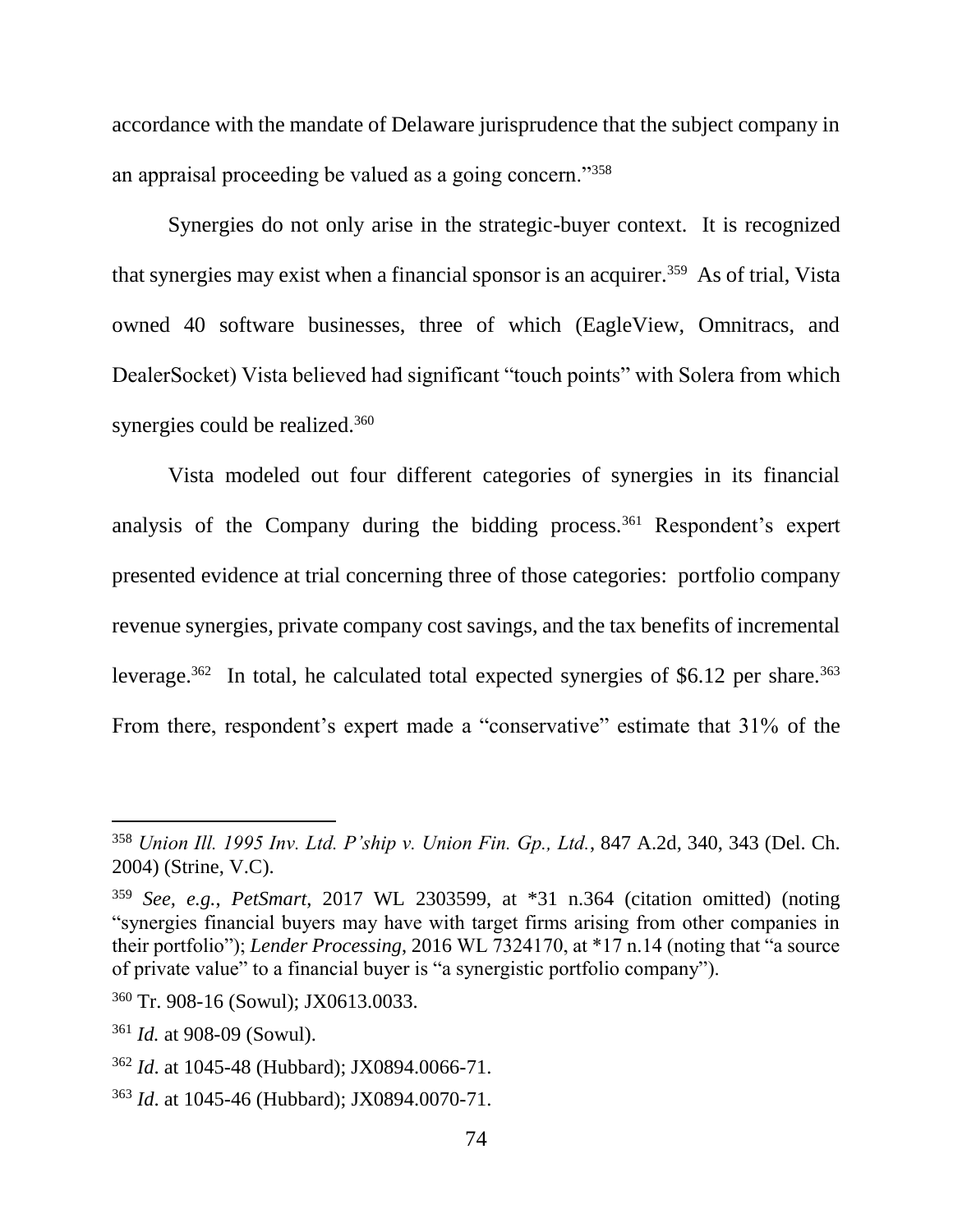accordance with the mandate of Delaware jurisprudence that the subject company in an appraisal proceeding be valued as a going concern."<sup>358</sup>

Synergies do not only arise in the strategic-buyer context. It is recognized that synergies may exist when a financial sponsor is an acquirer.<sup>359</sup> As of trial, Vista owned 40 software businesses, three of which (EagleView, Omnitracs, and DealerSocket) Vista believed had significant "touch points" with Solera from which synergies could be realized.<sup>360</sup>

Vista modeled out four different categories of synergies in its financial analysis of the Company during the bidding process.<sup>361</sup> Respondent's expert presented evidence at trial concerning three of those categories: portfolio company revenue synergies, private company cost savings, and the tax benefits of incremental leverage.<sup>362</sup> In total, he calculated total expected synergies of \$6.12 per share.<sup>363</sup> From there, respondent's expert made a "conservative" estimate that  $31\%$  of the

<sup>358</sup> *Union Ill. 1995 Inv. Ltd. P'ship v. Union Fin. Gp., Ltd.*, 847 A.2d, 340, 343 (Del. Ch. 2004) (Strine, V.C).

<sup>359</sup> *See, e.g.*, *PetSmart*, 2017 WL 2303599, at \*31 n.364 (citation omitted) (noting "synergies financial buyers may have with target firms arising from other companies in their portfolio"); *Lender Processing*, 2016 WL 7324170, at \*17 n.14 (noting that "a source of private value" to a financial buyer is "a synergistic portfolio company").

<sup>360</sup> Tr. 908-16 (Sowul); JX0613.0033.

<sup>361</sup> *Id.* at 908-09 (Sowul).

<sup>362</sup> *Id*. at 1045-48 (Hubbard); JX0894.0066-71.

<sup>363</sup> *Id*. at 1045-46 (Hubbard); JX0894.0070-71.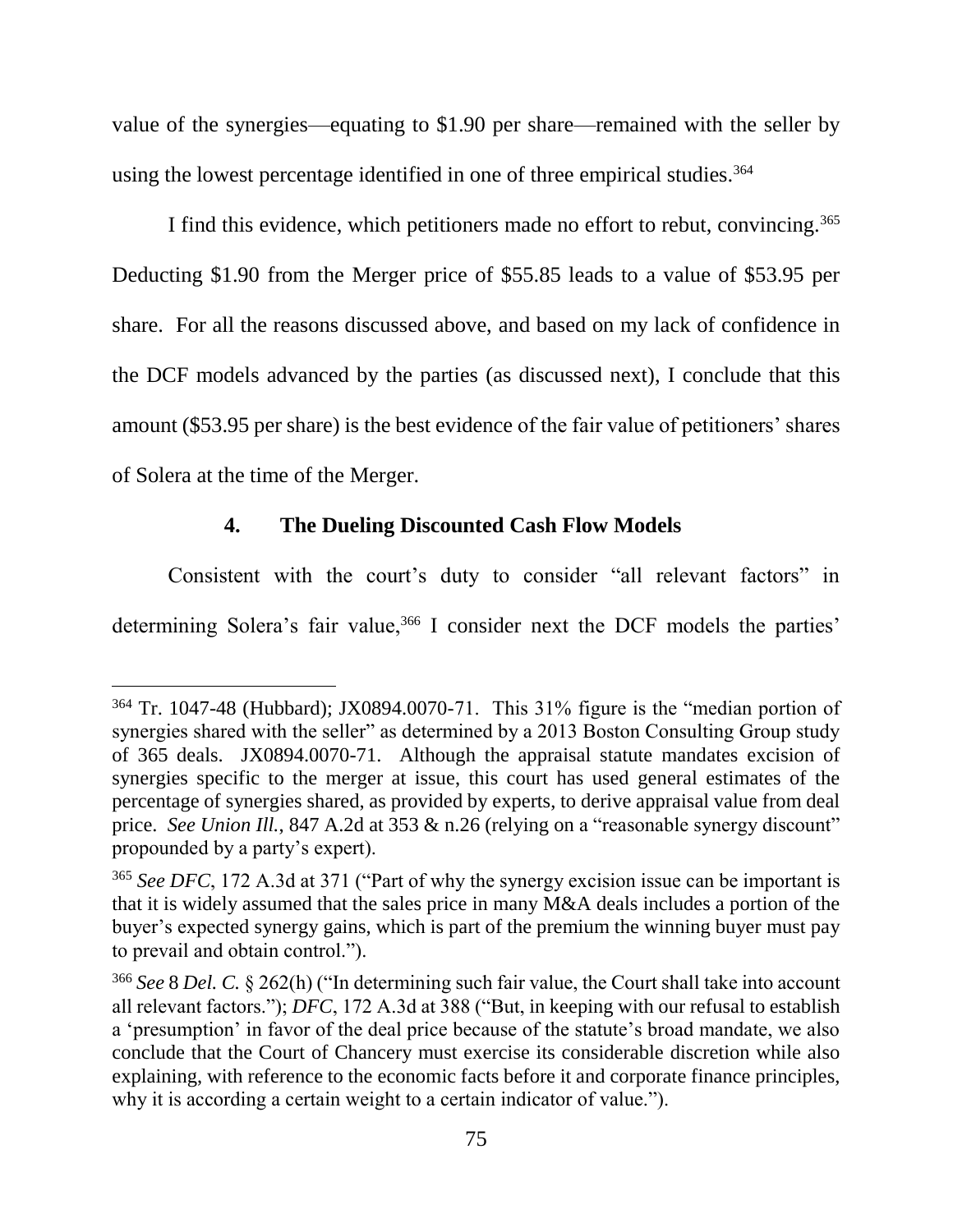value of the synergies—equating to \$1.90 per share—remained with the seller by using the lowest percentage identified in one of three empirical studies.<sup>364</sup>

I find this evidence, which petitioners made no effort to rebut, convincing.<sup>365</sup> Deducting \$1.90 from the Merger price of \$55.85 leads to a value of \$53.95 per share. For all the reasons discussed above, and based on my lack of confidence in the DCF models advanced by the parties (as discussed next), I conclude that this amount (\$53.95 per share) is the best evidence of the fair value of petitioners' shares of Solera at the time of the Merger.

## **4. The Dueling Discounted Cash Flow Models**

 $\overline{a}$ 

Consistent with the court's duty to consider "all relevant factors" in determining Solera's fair value,<sup>366</sup> I consider next the DCF models the parties'

<sup>364</sup> Tr. 1047-48 (Hubbard); JX0894.0070-71. This 31% figure is the "median portion of synergies shared with the seller" as determined by a 2013 Boston Consulting Group study of 365 deals. JX0894.0070-71. Although the appraisal statute mandates excision of synergies specific to the merger at issue, this court has used general estimates of the percentage of synergies shared, as provided by experts, to derive appraisal value from deal price. *See Union Ill.*, 847 A.2d at 353 & n.26 (relying on a "reasonable synergy discount" propounded by a party's expert).

<sup>&</sup>lt;sup>365</sup> See DFC, 172 A.3d at 371 ("Part of why the synergy excision issue can be important is that it is widely assumed that the sales price in many M&A deals includes a portion of the buyer's expected synergy gains, which is part of the premium the winning buyer must pay to prevail and obtain control.").

<sup>366</sup> *See* 8 *Del. C.* § 262(h) ("In determining such fair value, the Court shall take into account all relevant factors."); *DFC*, 172 A.3d at 388 ("But, in keeping with our refusal to establish a 'presumption' in favor of the deal price because of the statute's broad mandate, we also conclude that the Court of Chancery must exercise its considerable discretion while also explaining, with reference to the economic facts before it and corporate finance principles, why it is according a certain weight to a certain indicator of value.").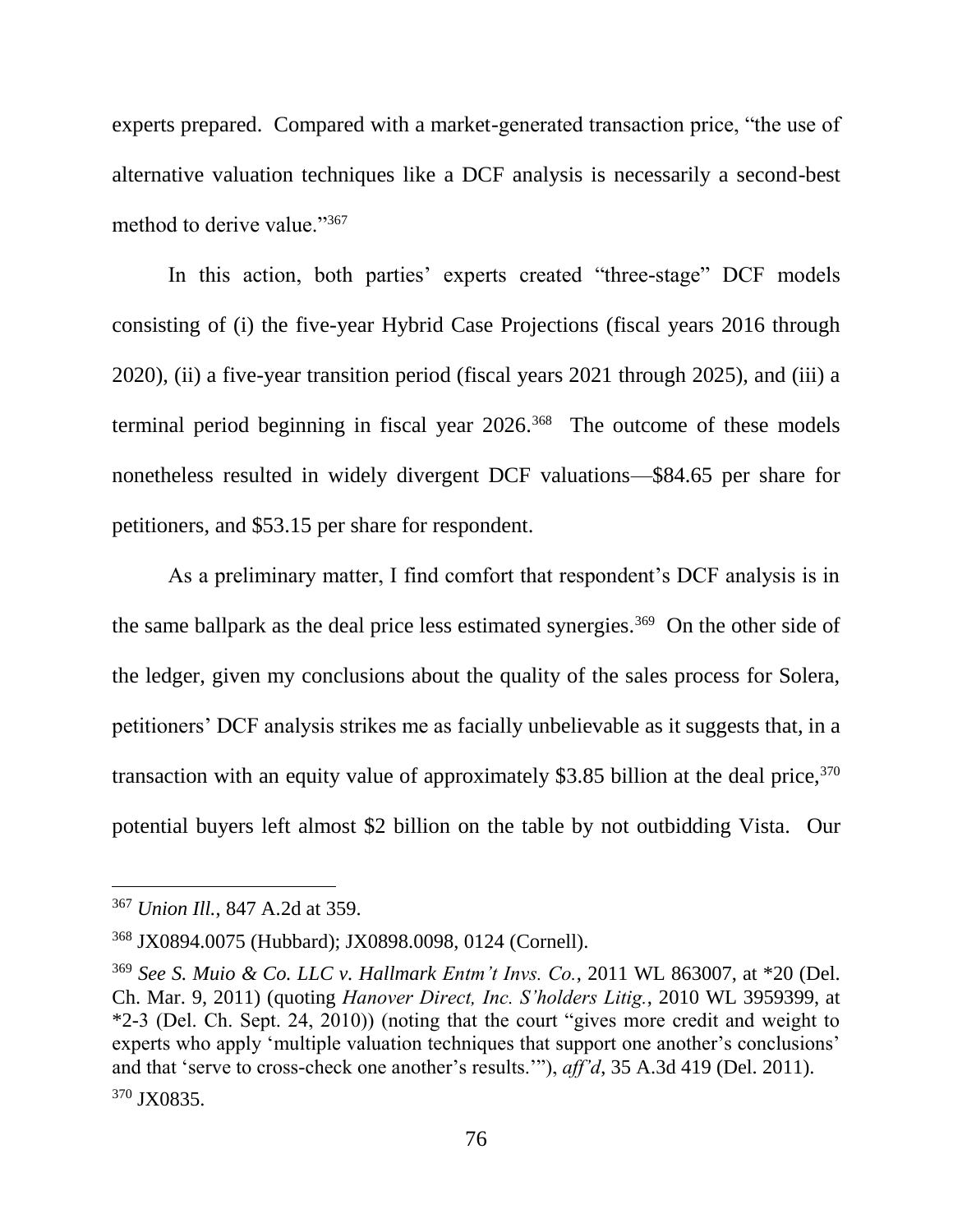experts prepared. Compared with a market-generated transaction price, "the use of alternative valuation techniques like a DCF analysis is necessarily a second-best method to derive value."367

In this action, both parties' experts created "three-stage" DCF models consisting of (i) the five-year Hybrid Case Projections (fiscal years 2016 through 2020), (ii) a five-year transition period (fiscal years 2021 through 2025), and (iii) a terminal period beginning in fiscal year 2026.<sup>368</sup> The outcome of these models nonetheless resulted in widely divergent DCF valuations—\$84.65 per share for petitioners, and \$53.15 per share for respondent.

As a preliminary matter, I find comfort that respondent's DCF analysis is in the same ballpark as the deal price less estimated synergies.<sup>369</sup> On the other side of the ledger, given my conclusions about the quality of the sales process for Solera, petitioners' DCF analysis strikes me as facially unbelievable as it suggests that, in a transaction with an equity value of approximately \$3.85 billion at the deal price,  $370$ potential buyers left almost \$2 billion on the table by not outbidding Vista. Our

<sup>367</sup> *Union Ill.*, 847 A.2d at 359.

<sup>368</sup> JX0894.0075 (Hubbard); JX0898.0098, 0124 (Cornell).

<sup>369</sup> *See S. Muio & Co. LLC v. Hallmark Entm't Invs. Co.*, 2011 WL 863007, at \*20 (Del. Ch. Mar. 9, 2011) (quoting *Hanover Direct, Inc. S'holders Litig.*, 2010 WL 3959399, at \*2-3 (Del. Ch. Sept. 24, 2010)) (noting that the court "gives more credit and weight to experts who apply 'multiple valuation techniques that support one another's conclusions' and that 'serve to cross-check one another's results.'"), *aff'd*, 35 A.3d 419 (Del. 2011). <sup>370</sup> JX0835.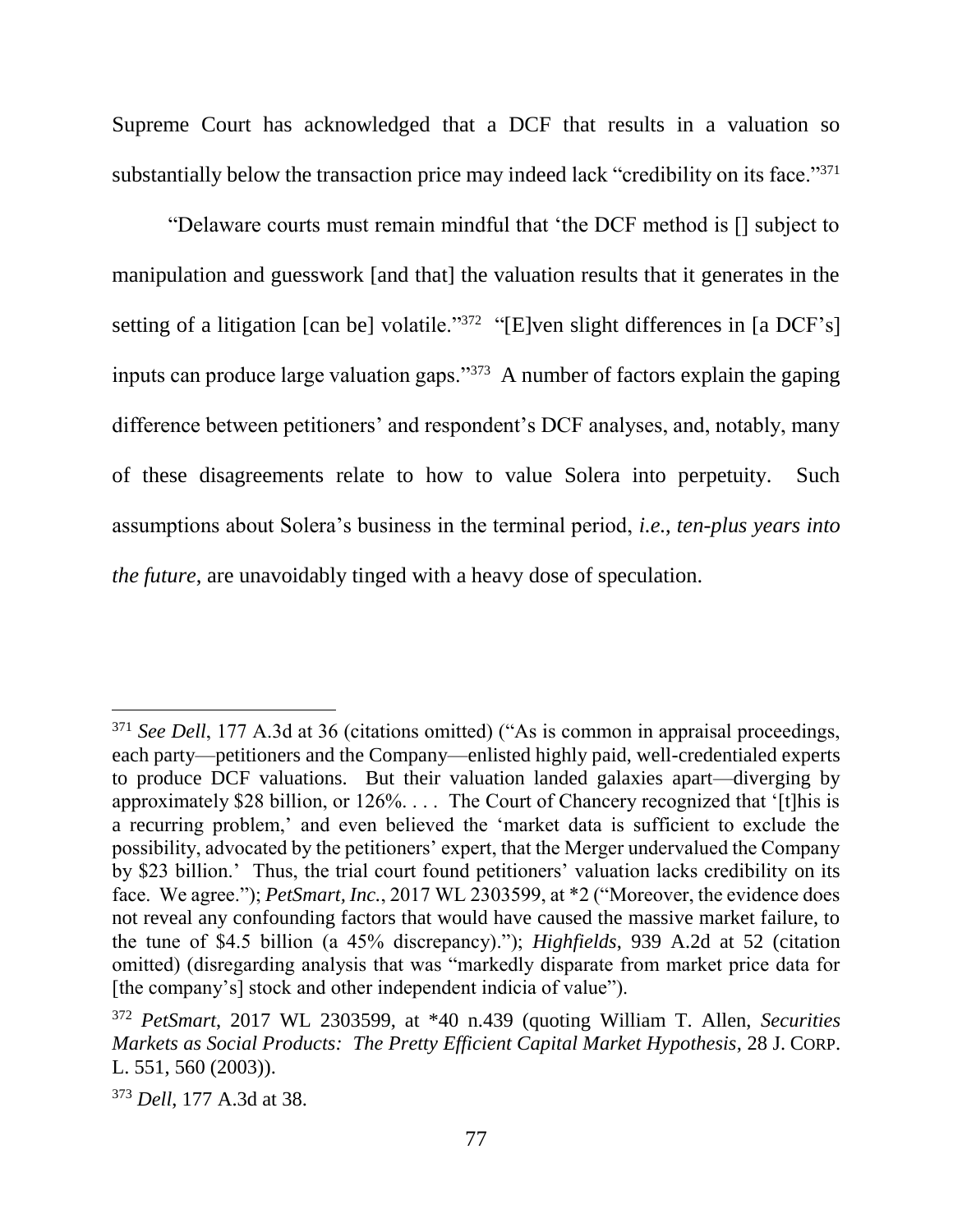Supreme Court has acknowledged that a DCF that results in a valuation so substantially below the transaction price may indeed lack "credibility on its face."<sup>371</sup>

"Delaware courts must remain mindful that 'the DCF method is [] subject to manipulation and guesswork [and that] the valuation results that it generates in the setting of a litigation [can be] volatile."<sup>372</sup> "[E]ven slight differences in [a DCF's] inputs can produce large valuation gaps."<sup>373</sup> A number of factors explain the gaping difference between petitioners' and respondent's DCF analyses, and, notably, many of these disagreements relate to how to value Solera into perpetuity. Such assumptions about Solera's business in the terminal period, *i.e.*, *ten-plus years into the future*, are unavoidably tinged with a heavy dose of speculation.

<sup>&</sup>lt;sup>371</sup> See Dell, 177 A.3d at 36 (citations omitted) ("As is common in appraisal proceedings, each party—petitioners and the Company—enlisted highly paid, well-credentialed experts to produce DCF valuations. But their valuation landed galaxies apart—diverging by approximately \$28 billion, or 126%. . . . The Court of Chancery recognized that '[t]his is a recurring problem,' and even believed the 'market data is sufficient to exclude the possibility, advocated by the petitioners' expert, that the Merger undervalued the Company by \$23 billion.' Thus, the trial court found petitioners' valuation lacks credibility on its face. We agree."); *PetSmart, Inc.*, 2017 WL 2303599, at \*2 ("Moreover, the evidence does not reveal any confounding factors that would have caused the massive market failure, to the tune of \$4.5 billion (a 45% discrepancy)."); *Highfields*, 939 A.2d at 52 (citation omitted) (disregarding analysis that was "markedly disparate from market price data for [the company's] stock and other independent indicia of value").

<sup>372</sup> *PetSmart*, 2017 WL 2303599, at \*40 n.439 (quoting William T. Allen, *Securities Markets as Social Products: The Pretty Efficient Capital Market Hypothesis*, 28 J. CORP. L. 551, 560 (2003)).

<sup>373</sup> *Dell*, 177 A.3d at 38.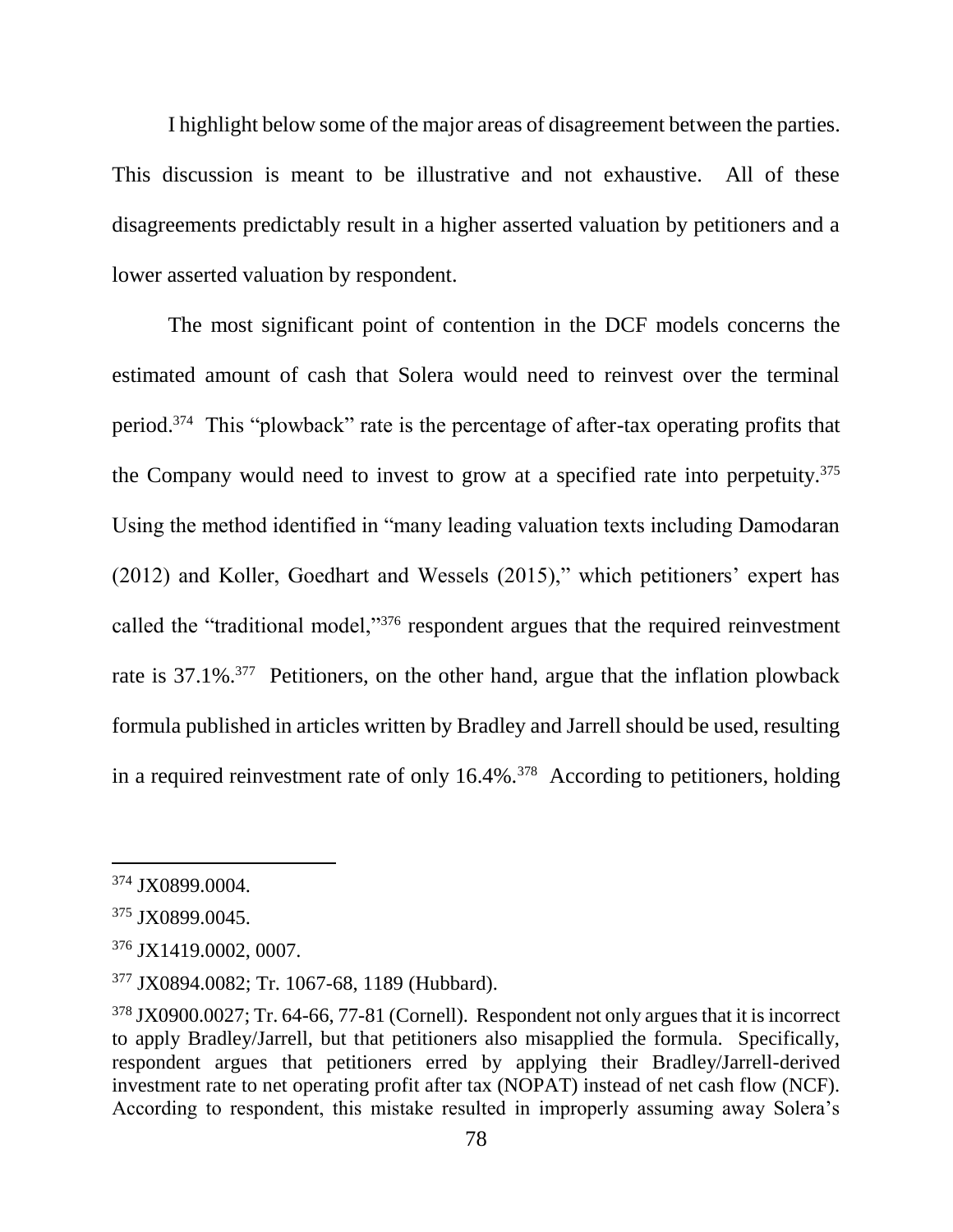I highlight below some of the major areas of disagreement between the parties. This discussion is meant to be illustrative and not exhaustive. All of these disagreements predictably result in a higher asserted valuation by petitioners and a lower asserted valuation by respondent.

The most significant point of contention in the DCF models concerns the estimated amount of cash that Solera would need to reinvest over the terminal period.<sup>374</sup> This "plowback" rate is the percentage of after-tax operating profits that the Company would need to invest to grow at a specified rate into perpetuity.<sup>375</sup> Using the method identified in "many leading valuation texts including Damodaran (2012) and Koller, Goedhart and Wessels (2015)," which petitioners' expert has called the "traditional model,"<sup>376</sup> respondent argues that the required reinvestment rate is 37.1%<sup>377</sup> Petitioners, on the other hand, argue that the inflation plowback formula published in articles written by Bradley and Jarrell should be used, resulting in a required reinvestment rate of only 16.4%.<sup>378</sup> According to petitioners, holding

<sup>374</sup> JX0899.0004.

<sup>375</sup> JX0899.0045.

<sup>376</sup> JX1419.0002, 0007.

<sup>377</sup> JX0894.0082; Tr. 1067-68, 1189 (Hubbard).

<sup>378</sup> JX0900.0027; Tr. 64-66, 77-81 (Cornell). Respondent not only argues that it is incorrect to apply Bradley/Jarrell, but that petitioners also misapplied the formula. Specifically, respondent argues that petitioners erred by applying their Bradley/Jarrell-derived investment rate to net operating profit after tax (NOPAT) instead of net cash flow (NCF). According to respondent, this mistake resulted in improperly assuming away Solera's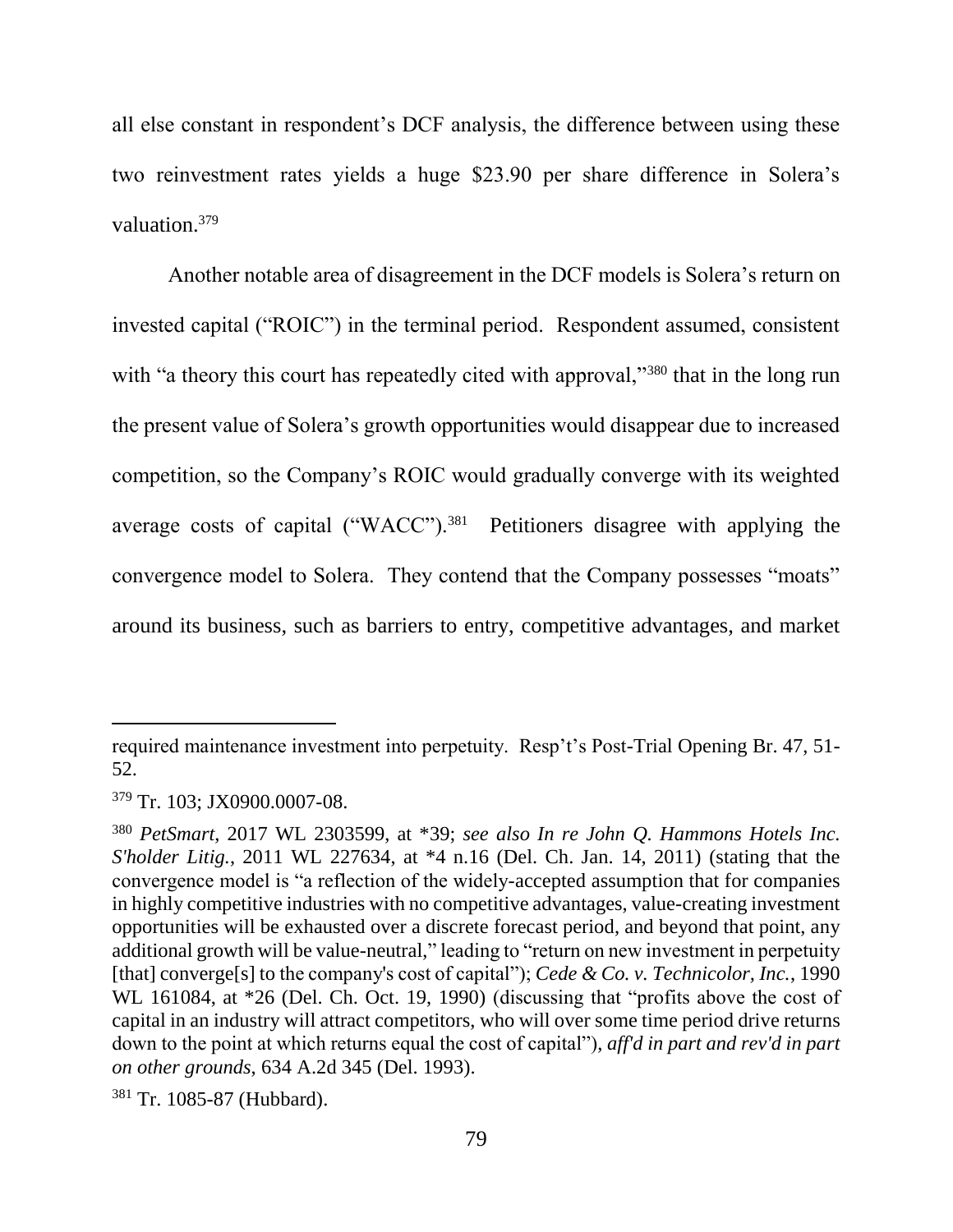all else constant in respondent's DCF analysis, the difference between using these two reinvestment rates yields a huge \$23.90 per share difference in Solera's valuation.<sup>379</sup>

Another notable area of disagreement in the DCF models is Solera's return on invested capital ("ROIC") in the terminal period. Respondent assumed, consistent with "a theory this court has repeatedly cited with approval,"<sup>380</sup> that in the long run the present value of Solera's growth opportunities would disappear due to increased competition, so the Company's ROIC would gradually converge with its weighted average costs of capital ("WACC").<sup>381</sup> Petitioners disagree with applying the convergence model to Solera. They contend that the Company possesses "moats" around its business, such as barriers to entry, competitive advantages, and market

required maintenance investment into perpetuity. Resp't's Post-Trial Opening Br. 47, 51- 52.

<sup>379</sup> Tr. 103; JX0900.0007-08.

<sup>380</sup> *PetSmart*, 2017 WL 2303599, at \*39; *see also [In re John Q. Hammons Hotels Inc.](https://1.next.westlaw.com/Link/Document/FullText?findType=Y&serNum=2024467839&pubNum=0000999&originatingDoc=I8b82892042ae11e7b6b5ffabbbad7186&refType=RP&originationContext=document&transitionType=DocumentItem&contextData=(sc.UserEnteredCitation))  S'holder Litig.*[, 2011 WL 227634, at \\*4 n.16 \(Del. Ch. Jan. 14, 2011\)](https://1.next.westlaw.com/Link/Document/FullText?findType=Y&serNum=2024467839&pubNum=0000999&originatingDoc=I8b82892042ae11e7b6b5ffabbbad7186&refType=RP&originationContext=document&transitionType=DocumentItem&contextData=(sc.UserEnteredCitation)) (stating that the convergence model is "a reflection of the widely-accepted assumption that for companies in highly competitive industries with no competitive advantages, value-creating investment opportunities will be exhausted over a discrete forecast period, and beyond that point, any additional growth will be value-neutral," leading to "return on new investment in perpetuity [that] converge<sup>[s]</sup> to the company's cost of capital"); *[Cede & Co. v. Technicolor, Inc.](https://1.next.westlaw.com/Link/Document/FullText?findType=Y&serNum=1990152561&pubNum=0000999&originatingDoc=I8b82892042ae11e7b6b5ffabbbad7186&refType=RP&originationContext=document&transitionType=DocumentItem&contextData=(sc.UserEnteredCitation))*, 1990 WL 161084, at  $*26$  (Del. Ch. Oct. 19, 1990) (discussing that "profits above the cost of capital in an industry will attract competitors, who will over some time period drive returns down to the point at which returns equal the cost of capital"), *aff'd in part and rev'd in part on other grounds*, [634 A.2d 345 \(Del. 1993\).](https://1.next.westlaw.com/Link/Document/FullText?findType=Y&serNum=1993241544&pubNum=0000162&originatingDoc=I8b82892042ae11e7b6b5ffabbbad7186&refType=RP&originationContext=document&transitionType=DocumentItem&contextData=(sc.UserEnteredCitation))

<sup>381</sup> Tr. 1085-87 (Hubbard).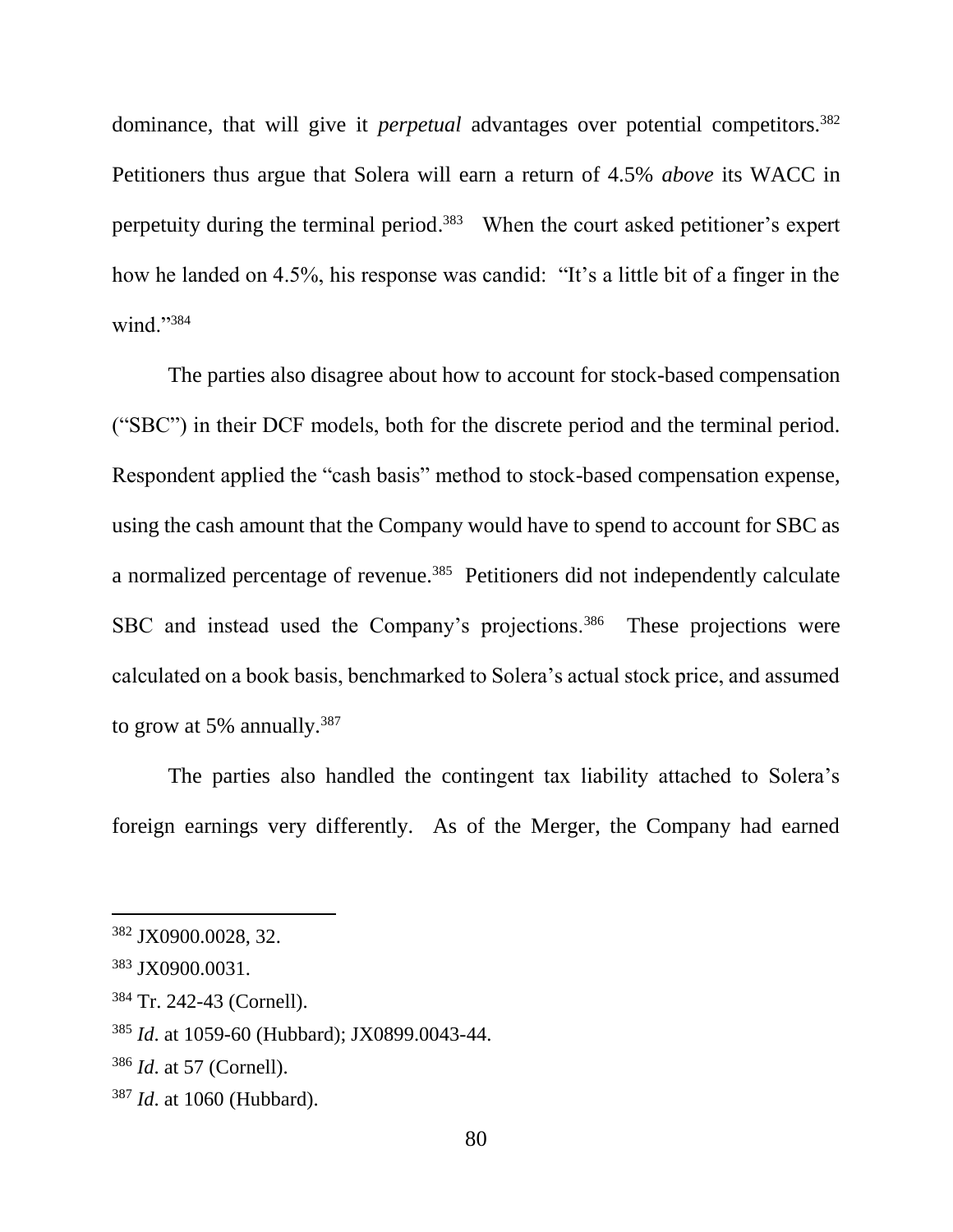dominance, that will give it *perpetual* advantages over potential competitors.<sup>382</sup> Petitioners thus argue that Solera will earn a return of 4.5% *above* its WACC in perpetuity during the terminal period.<sup>383</sup> When the court asked petitioner's expert how he landed on 4.5%, his response was candid: "It's a little bit of a finger in the wind."384

The parties also disagree about how to account for stock-based compensation ("SBC") in their DCF models, both for the discrete period and the terminal period. Respondent applied the "cash basis" method to stock-based compensation expense, using the cash amount that the Company would have to spend to account for SBC as a normalized percentage of revenue.<sup>385</sup> Petitioners did not independently calculate SBC and instead used the Company's projections.<sup>386</sup> These projections were calculated on a book basis, benchmarked to Solera's actual stock price, and assumed to grow at 5% annually.<sup>387</sup>

The parties also handled the contingent tax liability attached to Solera's foreign earnings very differently. As of the Merger, the Company had earned

<sup>382</sup> JX0900.0028, 32.

<sup>383</sup> JX0900.0031.

<sup>384</sup> Tr. 242-43 (Cornell).

<sup>385</sup> *Id*. at 1059-60 (Hubbard); JX0899.0043-44.

<sup>386</sup> *Id*. at 57 (Cornell).

<sup>387</sup> *Id*. at 1060 (Hubbard).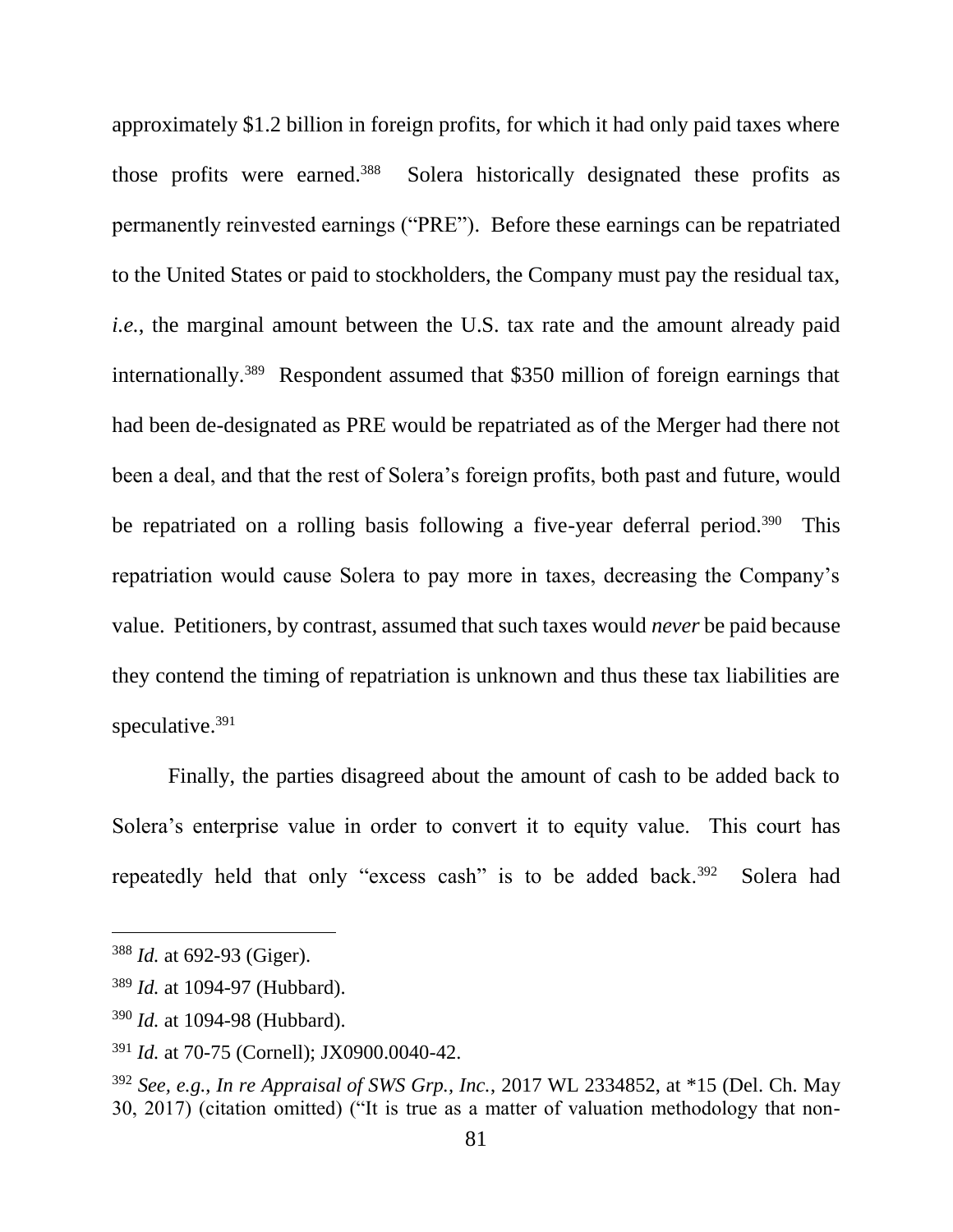approximately \$1.2 billion in foreign profits, for which it had only paid taxes where those profits were earned.<sup>388</sup> Solera historically designated these profits as permanently reinvested earnings ("PRE"). Before these earnings can be repatriated to the United States or paid to stockholders, the Company must pay the residual tax, *i.e.*, the marginal amount between the U.S. tax rate and the amount already paid internationally.<sup>389</sup> Respondent assumed that \$350 million of foreign earnings that had been de-designated as PRE would be repatriated as of the Merger had there not been a deal, and that the rest of Solera's foreign profits, both past and future, would be repatriated on a rolling basis following a five-year deferral period.<sup>390</sup> This repatriation would cause Solera to pay more in taxes, decreasing the Company's value. Petitioners, by contrast, assumed that such taxes would *never* be paid because they contend the timing of repatriation is unknown and thus these tax liabilities are speculative.<sup>391</sup>

Finally, the parties disagreed about the amount of cash to be added back to Solera's enterprise value in order to convert it to equity value. This court has repeatedly held that only "excess cash" is to be added back.<sup>392</sup> Solera had

<sup>388</sup> *Id.* at 692-93 (Giger).

<sup>389</sup> *Id.* at 1094-97 (Hubbard).

<sup>390</sup> *Id.* at 1094-98 (Hubbard).

<sup>391</sup> *Id.* at 70-75 (Cornell); JX0900.0040-42.

<sup>392</sup> *See, e.g.*, *In re Appraisal of SWS Grp., Inc.*, 2017 WL 2334852, at \*15 (Del. Ch. May 30, 2017) (citation omitted) ("It is true as a matter of valuation methodology that non-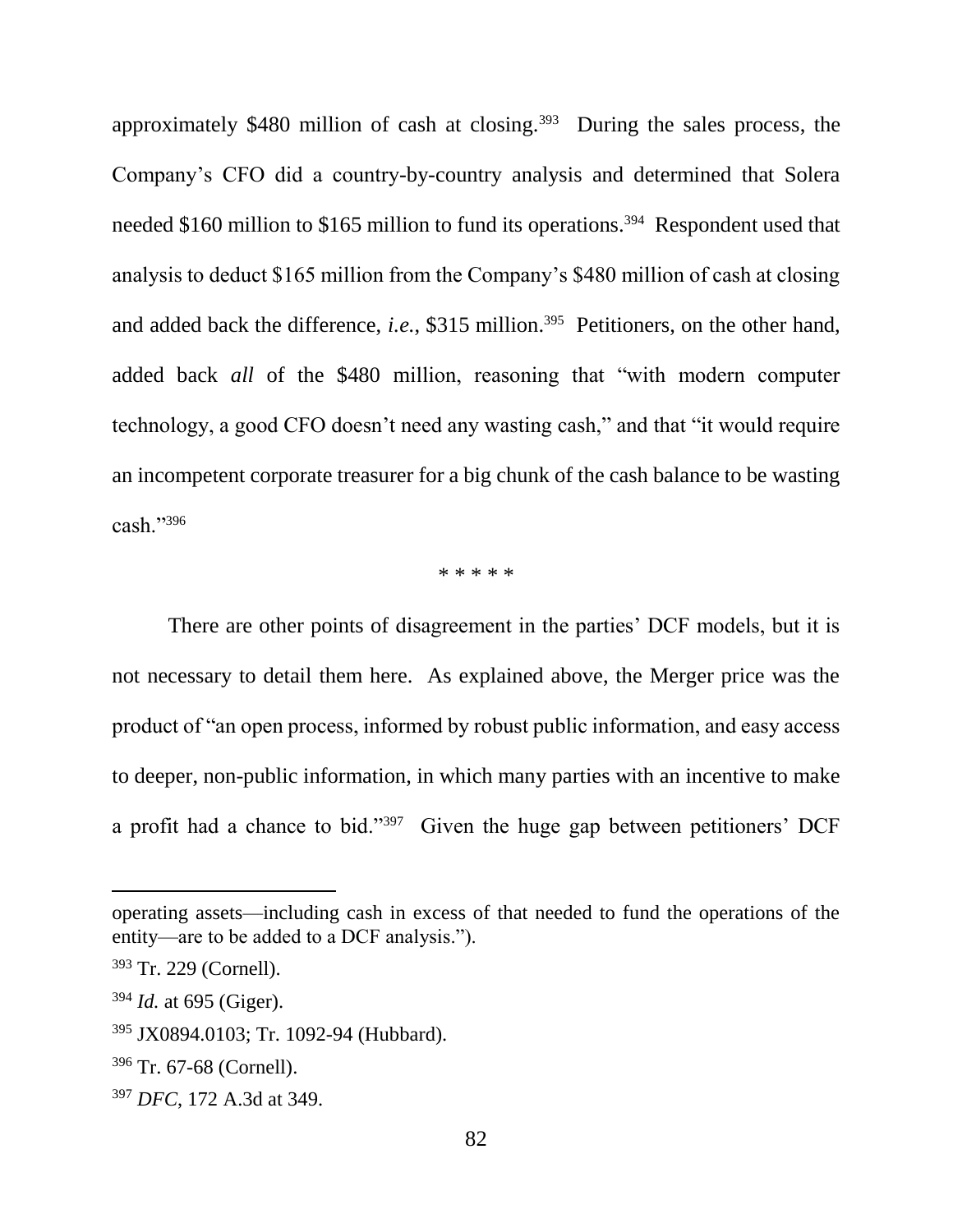approximately  $$480$  million of cash at closing.<sup>393</sup> During the sales process, the Company's CFO did a country-by-country analysis and determined that Solera needed \$160 million to \$165 million to fund its operations.<sup>394</sup> Respondent used that analysis to deduct \$165 million from the Company's \$480 million of cash at closing and added back the difference, *i.e.*, \$315 million.<sup>395</sup> Petitioners, on the other hand, added back *all* of the \$480 million, reasoning that "with modern computer technology, a good CFO doesn't need any wasting cash," and that "it would require an incompetent corporate treasurer for a big chunk of the cash balance to be wasting cash."<sup>396</sup>

\* \* \* \* \*

There are other points of disagreement in the parties' DCF models, but it is not necessary to detail them here. As explained above, the Merger price was the product of "an open process, informed by robust public information, and easy access to deeper, non-public information, in which many parties with an incentive to make a profit had a chance to bid."<sup>397</sup> Given the huge gap between petitioners' DCF

operating assets—including cash in excess of that needed to fund the operations of the entity—are to be added to a DCF analysis.").

<sup>393</sup> Tr. 229 (Cornell).

<sup>394</sup> *Id.* at 695 (Giger).

<sup>395</sup> JX0894.0103; Tr. 1092-94 (Hubbard).

<sup>396</sup> Tr. 67-68 (Cornell).

<sup>397</sup> *DFC*, 172 A.3d at 349.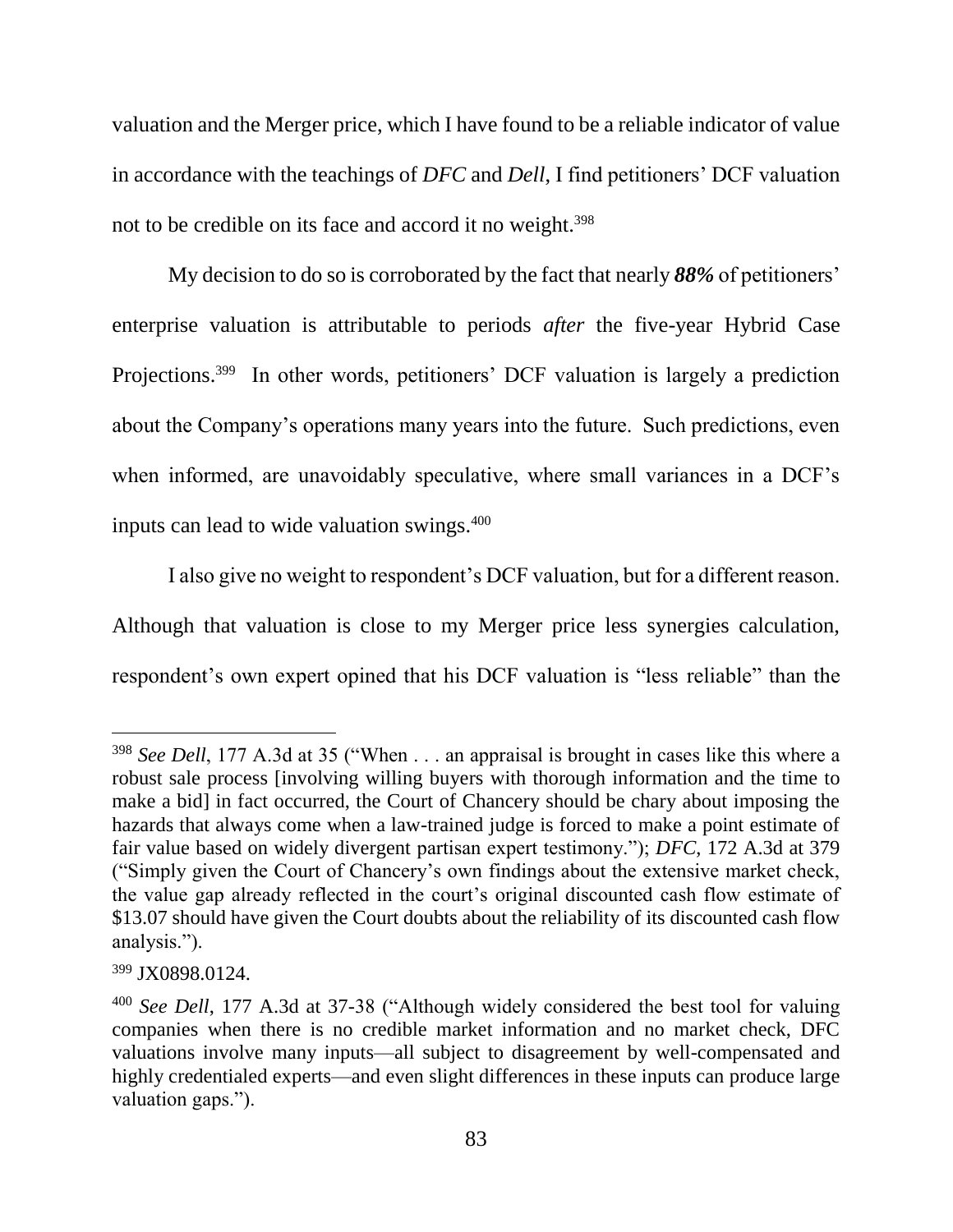valuation and the Merger price, which I have found to be a reliable indicator of value in accordance with the teachings of *DFC* and *Dell*, I find petitioners' DCF valuation not to be credible on its face and accord it no weight.<sup>398</sup>

My decision to do so is corroborated by the fact that nearly *88%* of petitioners' enterprise valuation is attributable to periods *after* the five-year Hybrid Case Projections.<sup>399</sup> In other words, petitioners' DCF valuation is largely a prediction about the Company's operations many years into the future. Such predictions, even when informed, are unavoidably speculative, where small variances in a DCF's inputs can lead to wide valuation swings.<sup>400</sup>

I also give no weight to respondent's DCF valuation, but for a different reason. Although that valuation is close to my Merger price less synergies calculation, respondent's own expert opined that his DCF valuation is "less reliable" than the

<sup>&</sup>lt;sup>398</sup> *See Dell*, 177 A.3d at 35 ("When . . . an appraisal is brought in cases like this where a robust sale process [involving willing buyers with thorough information and the time to make a bid] in fact occurred, the Court of Chancery should be chary about imposing the hazards that always come when a law-trained judge is forced to make a point estimate of fair value based on widely divergent partisan expert testimony."); *DFC*, 172 A.3d at 379 ("Simply given the Court of Chancery's own findings about the extensive market check, the value gap already reflected in the court's original discounted cash flow estimate of \$13.07 should have given the Court doubts about the reliability of its discounted cash flow analysis.").

<sup>399</sup> JX0898.0124.

<sup>400</sup> *See Dell*, 177 A.3d at 37-38 ("Although widely considered the best tool for valuing companies when there is no credible market information and no market check, DFC valuations involve many inputs—all subject to disagreement by well-compensated and highly credentialed experts—and even slight differences in these inputs can produce large valuation gaps.").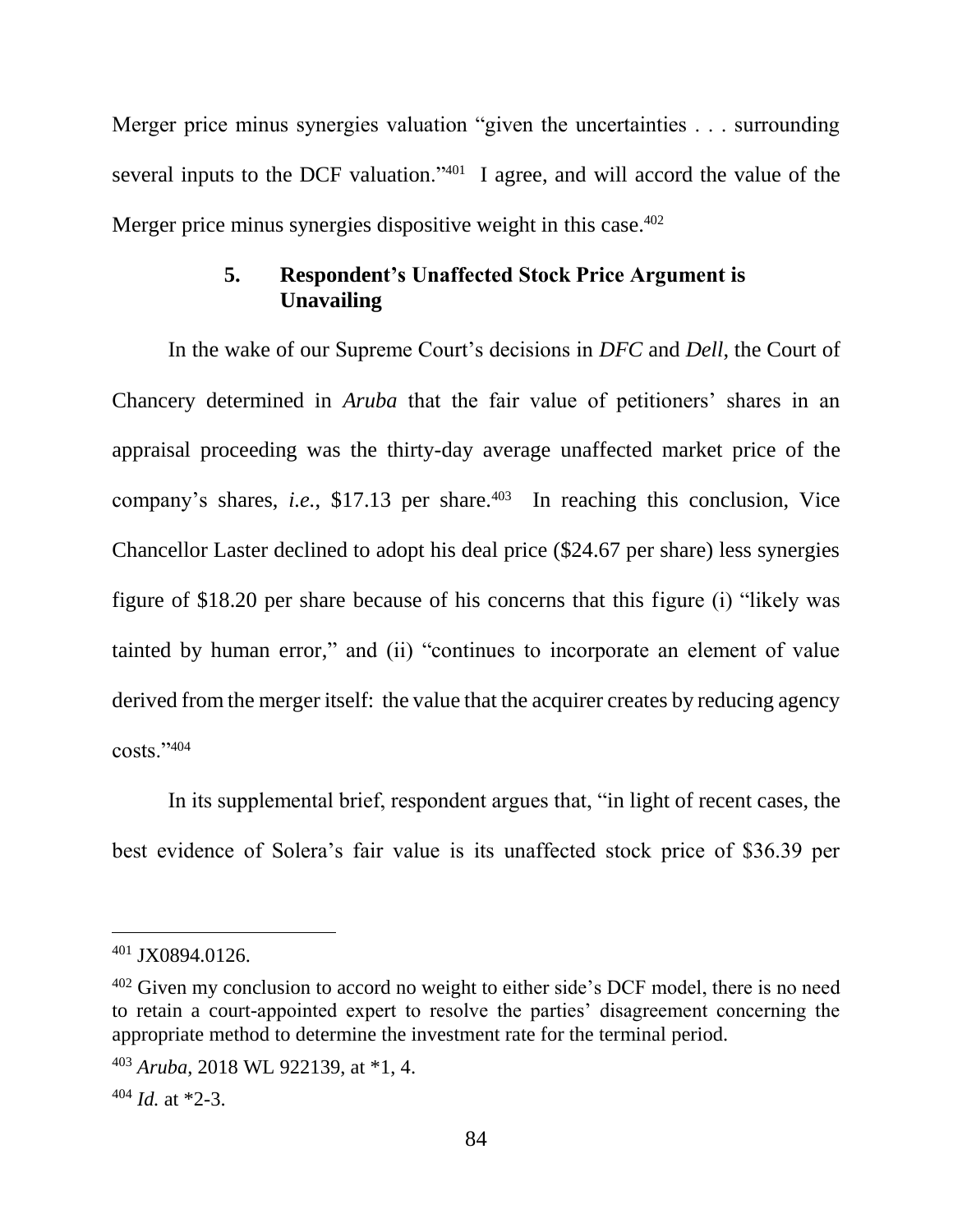Merger price minus synergies valuation "given the uncertainties . . . surrounding several inputs to the DCF valuation."<sup>401</sup> I agree, and will accord the value of the Merger price minus synergies dispositive weight in this case.<sup>402</sup>

# **5. Respondent's Unaffected Stock Price Argument is Unavailing**

In the wake of our Supreme Court's decisions in *DFC* and *Dell*, the Court of Chancery determined in *Aruba* that the fair value of petitioners' shares in an appraisal proceeding was the thirty-day average unaffected market price of the company's shares, *i.e.*, \$17.13 per share.<sup>403</sup> In reaching this conclusion, Vice Chancellor Laster declined to adopt his deal price (\$24.67 per share) less synergies figure of \$18.20 per share because of his concerns that this figure (i) "likely was tainted by human error," and (ii) "continues to incorporate an element of value derived from the merger itself: the value that the acquirer creates by reducing agency  $costs."404$ 

In its supplemental brief, respondent argues that, "in light of recent cases, the best evidence of Solera's fair value is its unaffected stock price of \$36.39 per

<sup>401</sup> JX0894.0126.

 $402$  Given my conclusion to accord no weight to either side's DCF model, there is no need to retain a court-appointed expert to resolve the parties' disagreement concerning the appropriate method to determine the investment rate for the terminal period.

<sup>403</sup> *Aruba*, 2018 WL 922139, at \*1, 4.

<sup>404</sup> *Id.* at \*2-3.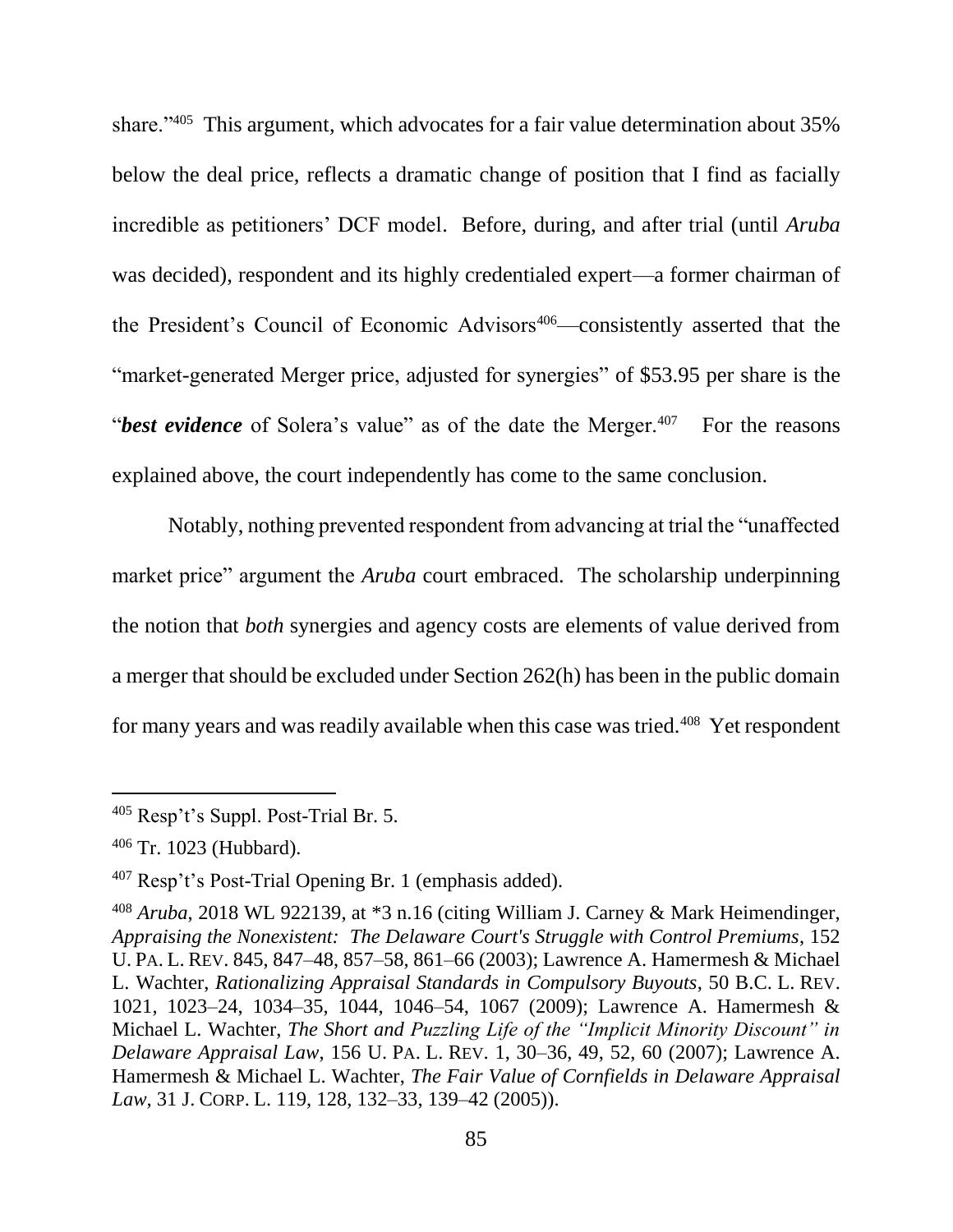share."<sup>405</sup> This argument, which advocates for a fair value determination about 35% below the deal price, reflects a dramatic change of position that I find as facially incredible as petitioners' DCF model. Before, during, and after trial (until *Aruba* was decided), respondent and its highly credentialed expert—a former chairman of the President's Council of Economic Advisors<sup>406</sup>—consistently asserted that the "market-generated Merger price, adjusted for synergies" of \$53.95 per share is the "*best evidence* of Solera's value" as of the date the Merger.<sup>407</sup> For the reasons explained above, the court independently has come to the same conclusion.

Notably, nothing prevented respondent from advancing at trial the "unaffected market price" argument the *Aruba* court embraced. The scholarship underpinning the notion that *both* synergies and agency costs are elements of value derived from a merger that should be excluded under Section 262(h) has been in the public domain for many years and was readily available when this case was tried.<sup>408</sup> Yet respondent

<sup>405</sup> Resp't's Suppl. Post-Trial Br. 5.

<sup>406</sup> Tr. 1023 (Hubbard).

<sup>407</sup> Resp't's Post-Trial Opening Br. 1 (emphasis added).

<sup>408</sup> *Aruba*, 2018 WL 922139, at \*3 n.16 (citing William J. Carney & Mark Heimendinger, *Appraising the Nonexistent: [The Delaware Court's Struggle with Control Premiums](https://1.next.westlaw.com/Link/Document/FullText?findType=Y&serNum=0297273691&pubNum=0001268&originatingDoc=Ib6b7039013f611e889decda6ddd4c244&refType=LR&fi=co_pp_sp_1268_847&originationContext=document&transitionType=DocumentItem&contextData=(sc.Search)#co_pp_sp_1268_847)*, 152 U. PA. L. REV. [845, 847–48, 857–58, 861–66 \(2003\);](https://1.next.westlaw.com/Link/Document/FullText?findType=Y&serNum=0297273691&pubNum=0001268&originatingDoc=Ib6b7039013f611e889decda6ddd4c244&refType=LR&fi=co_pp_sp_1268_847&originationContext=document&transitionType=DocumentItem&contextData=(sc.Search)#co_pp_sp_1268_847) Lawrence A. Hamermesh & Michael L. Wachter, *[Rationalizing Appraisal Standards in Compulsory Buyouts](https://1.next.westlaw.com/Link/Document/FullText?findType=Y&serNum=0348054629&pubNum=0001101&originatingDoc=Ib6b7039013f611e889decda6ddd4c244&refType=LR&fi=co_pp_sp_1101_1023&originationContext=document&transitionType=DocumentItem&contextData=(sc.Search)#co_pp_sp_1101_1023)*, 50 B.C. L. REV. [1021, 1023–24, 1034–35, 1044, 1046–54, 1067 \(2009\);](https://1.next.westlaw.com/Link/Document/FullText?findType=Y&serNum=0348054629&pubNum=0001101&originatingDoc=Ib6b7039013f611e889decda6ddd4c244&refType=LR&fi=co_pp_sp_1101_1023&originationContext=document&transitionType=DocumentItem&contextData=(sc.Search)#co_pp_sp_1101_1023) Lawrence A. Hamermesh & Michael L. Wachter, *The Short and [Puzzling Life of the "Implicit Minority Discount" in](https://1.next.westlaw.com/Link/Document/FullText?findType=Y&serNum=0335156058&pubNum=0001268&originatingDoc=Ib6b7039013f611e889decda6ddd4c244&refType=LR&fi=co_pp_sp_1268_30&originationContext=document&transitionType=DocumentItem&contextData=(sc.Search)#co_pp_sp_1268_30)  Delaware Appraisal Law*, 156 U. PA. L. REV. [1, 30–36, 49, 52, 60 \(2007\);](https://1.next.westlaw.com/Link/Document/FullText?findType=Y&serNum=0335156058&pubNum=0001268&originatingDoc=Ib6b7039013f611e889decda6ddd4c244&refType=LR&fi=co_pp_sp_1268_30&originationContext=document&transitionType=DocumentItem&contextData=(sc.Search)#co_pp_sp_1268_30) Lawrence A. Hamermesh & Michael L. Wachter, *[The Fair Value of Cornfields in Delaware Appraisal](https://1.next.westlaw.com/Link/Document/FullText?findType=Y&serNum=0323619679&pubNum=0001172&originatingDoc=Ib6b7039013f611e889decda6ddd4c244&refType=LR&fi=co_pp_sp_1172_128&originationContext=document&transitionType=DocumentItem&contextData=(sc.Search)#co_pp_sp_1172_128)  Law*, 31 J. CORP. L. [119, 128, 132–33, 139–42 \(2005\)\)](https://1.next.westlaw.com/Link/Document/FullText?findType=Y&serNum=0323619679&pubNum=0001172&originatingDoc=Ib6b7039013f611e889decda6ddd4c244&refType=LR&fi=co_pp_sp_1172_128&originationContext=document&transitionType=DocumentItem&contextData=(sc.Search)#co_pp_sp_1172_128).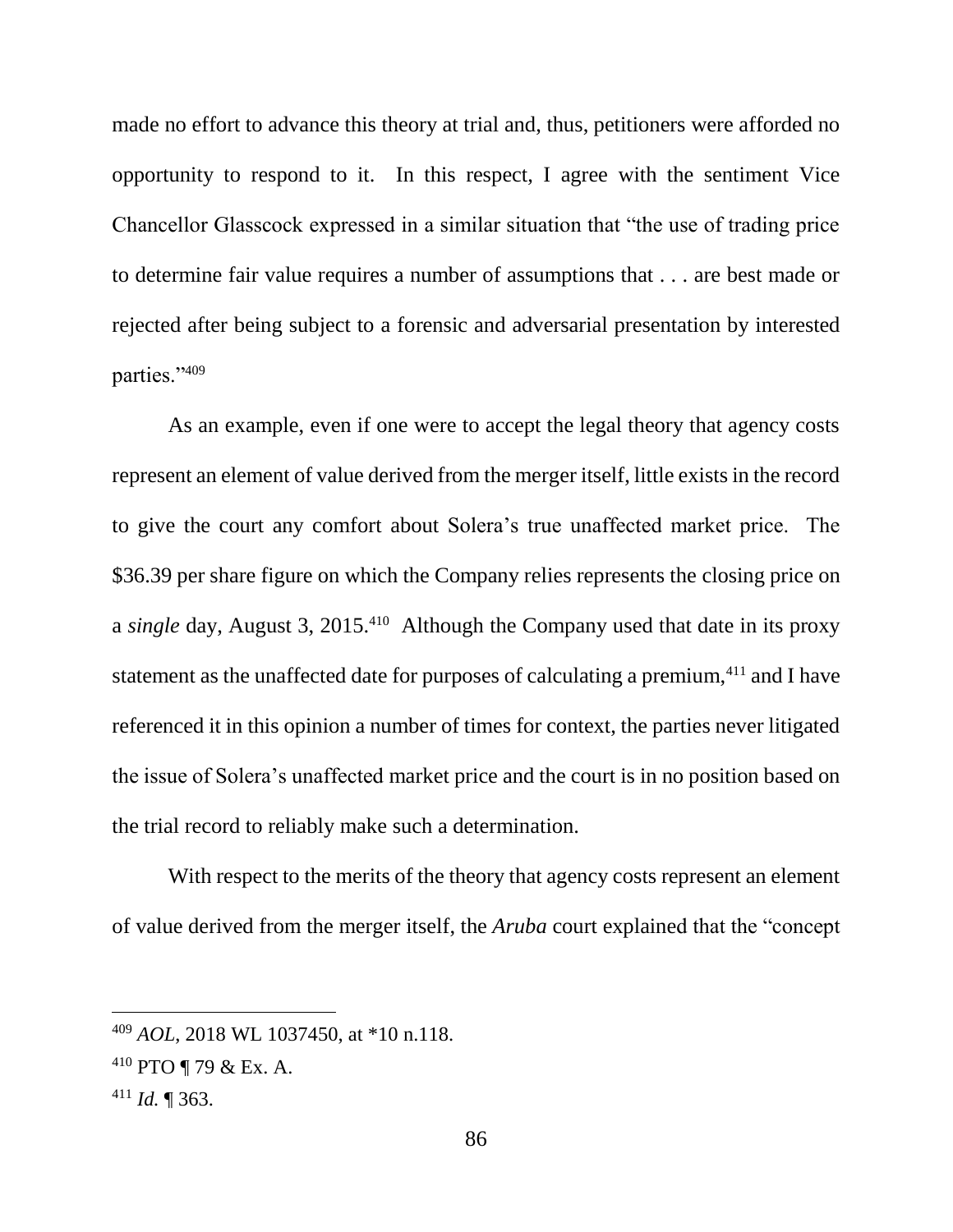made no effort to advance this theory at trial and, thus, petitioners were afforded no opportunity to respond to it. In this respect, I agree with the sentiment Vice Chancellor Glasscock expressed in a similar situation that "the use of trading price to determine fair value requires a number of assumptions that . . . are best made or rejected after being subject to a forensic and adversarial presentation by interested parties."<sup>409</sup>

As an example, even if one were to accept the legal theory that agency costs represent an element of value derived from the merger itself, little exists in the record to give the court any comfort about Solera's true unaffected market price. The \$36.39 per share figure on which the Company relies represents the closing price on a *single* day, August 3, 2015.<sup>410</sup> Although the Company used that date in its proxy statement as the unaffected date for purposes of calculating a premium,<sup>411</sup> and I have referenced it in this opinion a number of times for context, the parties never litigated the issue of Solera's unaffected market price and the court is in no position based on the trial record to reliably make such a determination.

With respect to the merits of the theory that agency costs represent an element of value derived from the merger itself, the *Aruba* court explained that the "concept

<sup>409</sup> *AOL*, 2018 WL 1037450, at \*10 n.118.

<sup>410</sup> PTO ¶ 79 & Ex. A.

<sup>411</sup> *Id.* ¶ 363.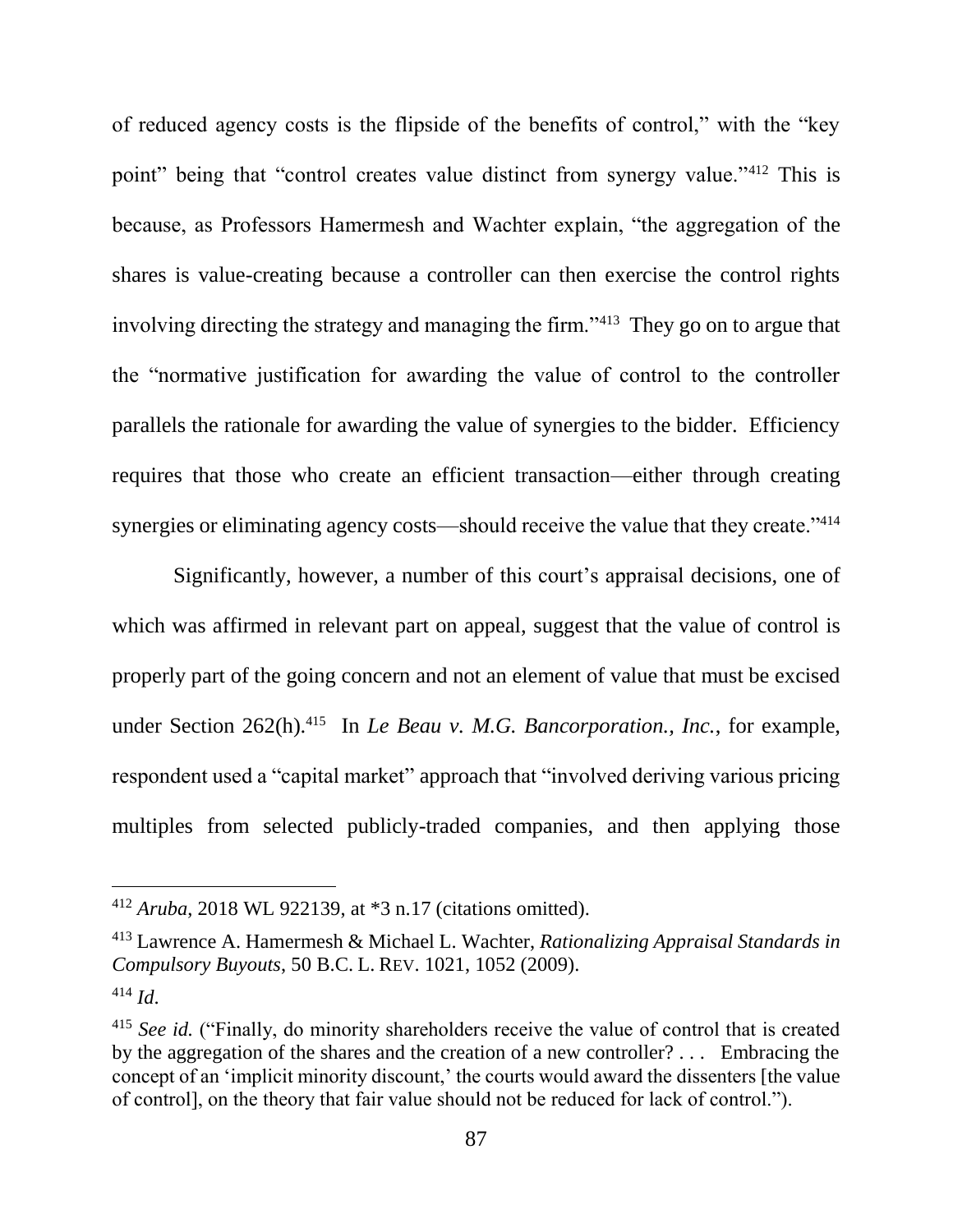of reduced agency costs is the flipside of the benefits of control," with the "key point" being that "control creates value distinct from synergy value."<sup>412</sup> This is because, as Professors Hamermesh and Wachter explain, "the aggregation of the shares is value-creating because a controller can then exercise the control rights involving directing the strategy and managing the firm."<sup>413</sup> They go on to argue that the "normative justification for awarding the value of control to the controller parallels the rationale for awarding the value of synergies to the bidder. Efficiency requires that those who create an efficient transaction—either through creating synergies or eliminating agency costs—should receive the value that they create."<sup>414</sup>

Significantly, however, a number of this court's appraisal decisions, one of which was affirmed in relevant part on appeal, suggest that the value of control is properly part of the going concern and not an element of value that must be excised under Section 262(h). 415 In *Le Beau v. M.G. Bancorporation., Inc.*, for example, respondent used a "capital market" approach that "involved deriving various pricing multiples from selected publicly-traded companies, and then applying those

<sup>412</sup> *Aruba*, 2018 WL 922139, at \*3 n.17 (citations omitted).

<sup>413</sup> Lawrence A. Hamermesh & Michael L. Wachter, *[Rationalizing Appraisal Standards in](https://1.next.westlaw.com/Link/Document/FullText?findType=Y&serNum=0348054629&pubNum=0001101&originatingDoc=Ib6b7039013f611e889decda6ddd4c244&refType=LR&fi=co_pp_sp_1101_1023&originationContext=document&transitionType=DocumentItem&contextData=(sc.Search)#co_pp_sp_1101_1023)  [Compulsory Buyouts](https://1.next.westlaw.com/Link/Document/FullText?findType=Y&serNum=0348054629&pubNum=0001101&originatingDoc=Ib6b7039013f611e889decda6ddd4c244&refType=LR&fi=co_pp_sp_1101_1023&originationContext=document&transitionType=DocumentItem&contextData=(sc.Search)#co_pp_sp_1101_1023)*, 50 B.C. L. REV. 1021, 1052 (2009). <sup>414</sup> *Id*.

<sup>&</sup>lt;sup>415</sup> *See id.* ("Finally, do minority shareholders receive the value of control that is created by the aggregation of the shares and the creation of a new controller? . . . Embracing the concept of an 'implicit minority discount,' the courts would award the dissenters [the value of control], on the theory that fair value should not be reduced for lack of control.").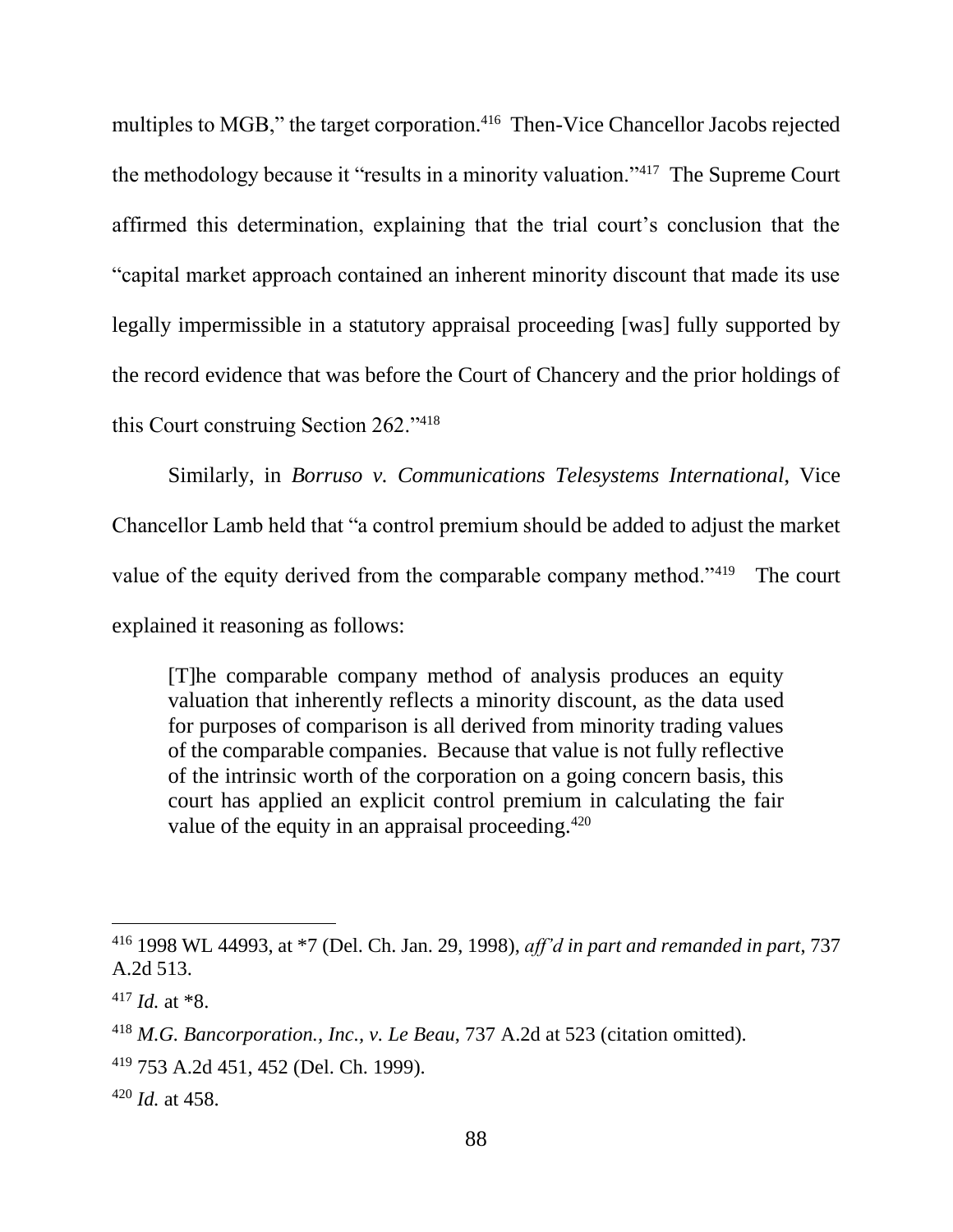multiples to MGB," the target corporation.<sup>416</sup> Then-Vice Chancellor Jacobs rejected the methodology because it "results in a minority valuation."<sup>417</sup> The Supreme Court affirmed this determination, explaining that the trial court's conclusion that the "capital market approach contained an inherent minority discount that made its use legally impermissible in a statutory appraisal proceeding [was] fully supported by the record evidence that was before the Court of Chancery and the prior holdings of this Court construing Section 262."<sup>418</sup>

Similarly, in *Borruso v. Communications Telesystems International*, Vice Chancellor Lamb held that "a control premium should be added to adjust the market value of the equity derived from the comparable company method."<sup>419</sup> The court explained it reasoning as follows:

[T]he comparable company method of analysis produces an equity valuation that inherently reflects a minority discount, as the data used for purposes of comparison is all derived from minority trading values of the comparable companies. Because that value is not fully reflective of the intrinsic worth of the corporation on a going concern basis, this court has applied an explicit control premium in calculating the fair value of the equity in an appraisal proceeding.<sup>420</sup>

<sup>416</sup> 1998 WL 44993, at \*7 (Del. Ch. Jan. 29, 1998), *aff'd in part and remanded in part*, 737 A.2d 513.

 $417$  *Id.* at  $*8$ .

<sup>418</sup> *M.G. Bancorporation., Inc., v. Le Beau*, 737 A.2d at 523 (citation omitted).

<sup>419</sup> 753 A.2d 451, 452 (Del. Ch. 1999).

<sup>420</sup> *Id.* at 458.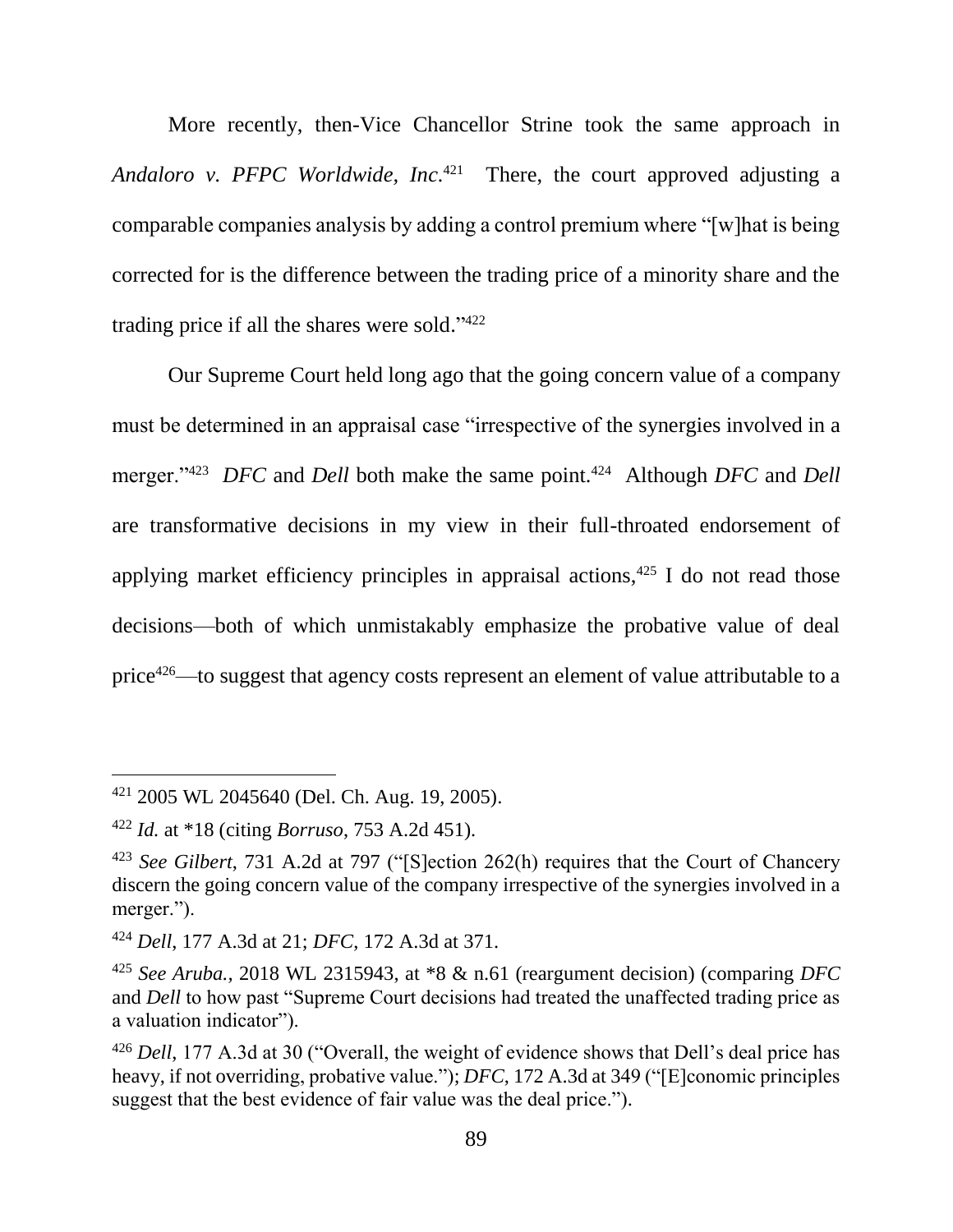More recently, then-Vice Chancellor Strine took the same approach in Andaloro v. PFPC Worldwide, Inc.<sup>421</sup> There, the court approved adjusting a comparable companies analysis by adding a control premium where "[w]hat is being corrected for is the difference between the trading price of a minority share and the trading price if all the shares were sold." 422

Our Supreme Court held long ago that the going concern value of a company must be determined in an appraisal case "irrespective of the synergies involved in a merger."<sup>423</sup> *DFC* and *Dell* both make the same point.<sup>424</sup> Although *DFC* and *Dell* are transformative decisions in my view in their full-throated endorsement of applying market efficiency principles in appraisal actions, $425$  I do not read those decisions—both of which unmistakably emphasize the probative value of deal price<sup>426</sup>—to suggest that agency costs represent an element of value attributable to a

<sup>421</sup> 2005 WL 2045640 (Del. Ch. Aug. 19, 2005).

<sup>422</sup> *Id.* at \*18 (citing *Borruso*, 753 A.2d 451).

<sup>423</sup> *See Gilbert*, 731 A.2d at 797 ("[S]ection 262(h) requires that the Court of Chancery discern the going concern value of the company irrespective of the synergies involved in a merger.").

<sup>424</sup> *Dell*, 177 A.3d at 21; *DFC*, 172 A.3d at 371.

<sup>425</sup> *See Aruba.,* 2018 WL 2315943, at \*8 & n.61 (reargument decision) (comparing *DFC* and *Dell* to how past "Supreme Court decisions had treated the unaffected trading price as a valuation indicator").

<sup>426</sup> *Dell*, 177 A.3d at 30 ("Overall, the weight of evidence shows that Dell's deal price has heavy, if not overriding, probative value."); *DFC*, 172 A.3d at 349 ("[E]conomic principles suggest that the best evidence of fair value was the deal price.").